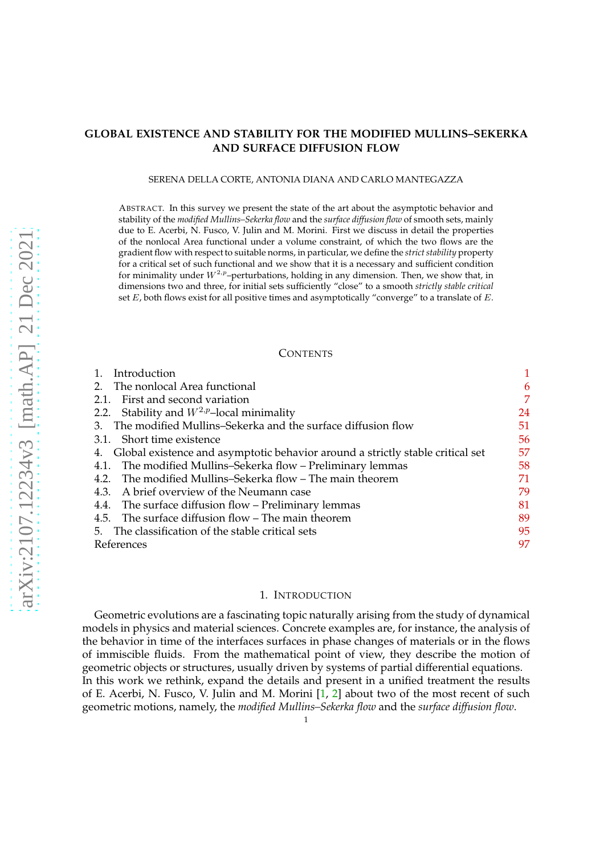# **GLOBAL EXISTENCE AND STABILITY FOR THE MODIFIED MULLINS–SEKERKA AND SURFACE DIFFUSION FLOW**

#### SERENA DELLA CORTE, ANTONIA DIANA AND CARLO MANTEGAZZA

ABSTRACT. In this survey we present the state of the art about the asymptotic behavior and stability of the *modified Mullins–Sekerka flow* and the *surface diffusion flow* of smooth sets, mainly due to E. Acerbi, N. Fusco, V. Julin and M. Morini. First we discuss in detail the properties of the nonlocal Area functional under a volume constraint, of which the two flows are the gradient flow with respect to suitable norms, in particular, we define the *strict stability* property for a critical set of such functional and we show that it is a necessary and sufficient condition for minimality under  $W^{2,p}$ -perturbations, holding in any dimension. Then, we show that, in dimensions two and three, for initial sets sufficiently "close" to a smooth *strictly stable critical* set  $E$ , both flows exist for all positive times and asymptotically "converge" to a translate of  $E$ .

### **CONTENTS**

| Introduction                                                                      |    |
|-----------------------------------------------------------------------------------|----|
| 2. The nonlocal Area functional                                                   | 6  |
| 2.1. First and second variation                                                   | 7  |
| 2.2. Stability and $W^{2,p}$ -local minimality                                    | 24 |
| 3. The modified Mullins–Sekerka and the surface diffusion flow                    | 51 |
| 3.1. Short time existence                                                         | 56 |
| 4. Global existence and asymptotic behavior around a strictly stable critical set | 57 |
| 4.1. The modified Mullins-Sekerka flow - Preliminary lemmas                       | 58 |
| 4.2. The modified Mullins–Sekerka flow – The main theorem                         | 71 |
| 4.3. A brief overview of the Neumann case                                         | 79 |
| 4.4. The surface diffusion flow – Preliminary lemmas                              | 81 |
| 4.5. The surface diffusion flow – The main theorem                                | 89 |
| 5. The classification of the stable critical sets                                 | 95 |
| References                                                                        | 97 |

#### 1. INTRODUCTION

<span id="page-0-0"></span>Geometric evolutions are a fascinating topic naturally arising from the study of dynamical models in physics and material sciences. Concrete examples are, for instance, the analysis of the behavior in time of the interfaces surfaces in phase changes of materials or in the flows of immiscible fluids. From the mathematical point of view, they describe the motion of geometric objects or structures, usually driven by systems of partial differential equations. In this work we rethink, expand the details and present in a unified treatment the results of E. Acerbi, N. Fusco, V. Julin and M. Morini  $\left[1, 2\right]$  about two of the most recent of such geometric motions, namely, the *modified Mullins–Sekerka flow* and the *surface diffusion flow*.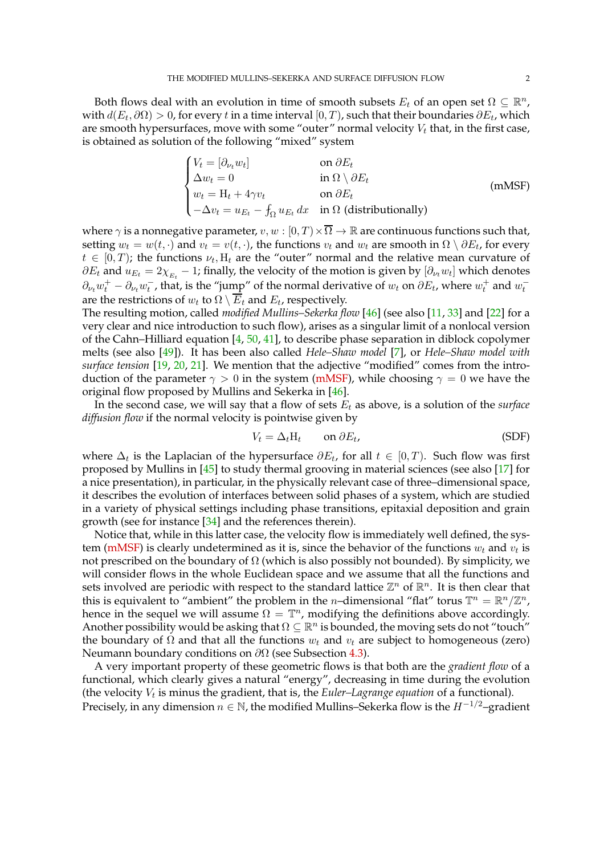Both flows deal with an evolution in time of smooth subsets  $E_t$  of an open set  $\Omega \subseteq \mathbb{R}^n$ , with  $d(E_t, \partial \Omega) > 0$ , for every  $t$  in a time interval  $[0,T)$ , such that their boundaries  $\partial E_t$ , which are smooth hypersurfaces, move with some "outer" normal velocity  $V_t$  that, in the first case, is obtained as solution of the following "mixed" system

<span id="page-1-0"></span>
$$
\begin{cases}\nV_t = [\partial_{\nu_t} w_t] & \text{on } \partial E_t \\
\Delta w_t = 0 & \text{in } \Omega \setminus \partial E_t \\
w_t = H_t + 4\gamma v_t & \text{on } \partial E_t \\
-\Delta v_t = u_{E_t} - \int_{\Omega} u_{E_t} dx & \text{in } \Omega \text{ (distributionally)}\n\end{cases}
$$
\n(mMSF)

where  $\gamma$  is a nonnegative parameter,  $v, w : [0, T) \times \overline{\Omega} \to \mathbb{R}$  are continuous functions such that, setting  $w_t = w(t, \cdot)$  and  $v_t = v(t, \cdot)$ , the functions  $v_t$  and  $w_t$  are smooth in  $\Omega \setminus \partial E_t$ , for every  $t \in [0, T)$ ; the functions  $\nu_t$ ,  $H_t$  are the "outer" normal and the relative mean curvature of  $\partial E_t$  and  $u_{E_t} = 2\chi_{_{E_t}}-1$ ; finally, the velocity of the motion is given by  $[\partial_{\nu_t}w_t]$  which denotes  $\partial_{\nu_t}w_t^+ - \partial_{\nu_t}w_t^-$ , that, is the "jump" of the normal derivative of  $w_t$  on  $\partial E_t$ , where  $w_t^+$  and  $w_t^$ are the restrictions of  $w_t$  to  $\Omega \setminus E_t$  and  $E_t$ , respectively.

The resulting motion, called *modified Mullins–Sekerka flow* [\[46\]](#page-97-0) (see also [\[11,](#page-96-3) [33\]](#page-97-1) and [\[22\]](#page-97-2) for a very clear and nice introduction to such flow), arises as a singular limit of a nonlocal version of the Cahn–Hilliard equation  $[4, 50, 41]$  $[4, 50, 41]$  $[4, 50, 41]$  $[4, 50, 41]$ , to describe phase separation in diblock copolymer melts (see also [\[49\]](#page-97-5)). It has been also called *Hele–Shaw model* [\[7\]](#page-96-5), or *Hele–Shaw model with surface tension* [\[19,](#page-97-6) [20,](#page-97-7) [21\]](#page-97-8). We mention that the adjective "modified" comes from the introduction of the parameter  $\gamma > 0$  in the system [\(mMSF\)](#page-1-0), while choosing  $\gamma = 0$  we have the original flow proposed by Mullins and Sekerka in [\[46\]](#page-97-0).

In the second case, we will say that a flow of sets  $E_t$  as above, is a solution of the *surface diffusion flow* if the normal velocity is pointwise given by

<span id="page-1-1"></span>
$$
V_t = \Delta_t H_t \qquad \text{on } \partial E_t,
$$
 (SDF)

where  $\Delta_t$  is the Laplacian of the hypersurface  $\partial E_t$ , for all  $t \in [0, T)$ . Such flow was first proposed by Mullins in [\[45\]](#page-97-9) to study thermal grooving in material sciences (see also [\[17\]](#page-96-6) for a nice presentation), in particular, in the physically relevant case of three–dimensional space, it describes the evolution of interfaces between solid phases of a system, which are studied in a variety of physical settings including phase transitions, epitaxial deposition and grain growth (see for instance [\[34\]](#page-97-10) and the references therein).

Notice that, while in this latter case, the velocity flow is immediately well defined, the sys-tem [\(mMSF\)](#page-1-0) is clearly undetermined as it is, since the behavior of the functions  $w_t$  and  $v_t$  is not prescribed on the boundary of  $\Omega$  (which is also possibly not bounded). By simplicity, we will consider flows in the whole Euclidean space and we assume that all the functions and sets involved are periodic with respect to the standard lattice  $\mathbb{Z}^n$  of  $\mathbb{R}^n$ . It is then clear that this is equivalent to "ambient" the problem in the *n*-dimensional "flat" torus  $\mathbb{T}^n = \mathbb{R}^n / \mathbb{Z}^n$ , hence in the sequel we will assume  $\Omega = \mathbb{T}^n$ , modifying the definitions above accordingly. Another possibility would be asking that  $\Omega \subseteq \mathbb{R}^n$  is bounded, the moving sets do not "touch" the boundary of  $\Omega$  and that all the functions  $w_t$  and  $v_t$  are subject to homogeneous (zero) Neumann boundary conditions on  $\partial\Omega$  (see Subsection [4.3\)](#page-78-0).

A very important property of these geometric flows is that both are the *gradient flow* of a functional, which clearly gives a natural "energy", decreasing in time during the evolution (the velocity  $V_t$  is minus the gradient, that is, the *Euler–Lagrange equation* of a functional). Precisely, in any dimension  $n \in \mathbb{N}$ , the modified Mullins–Sekerka flow is the  $H^{-1/2}$ –gradient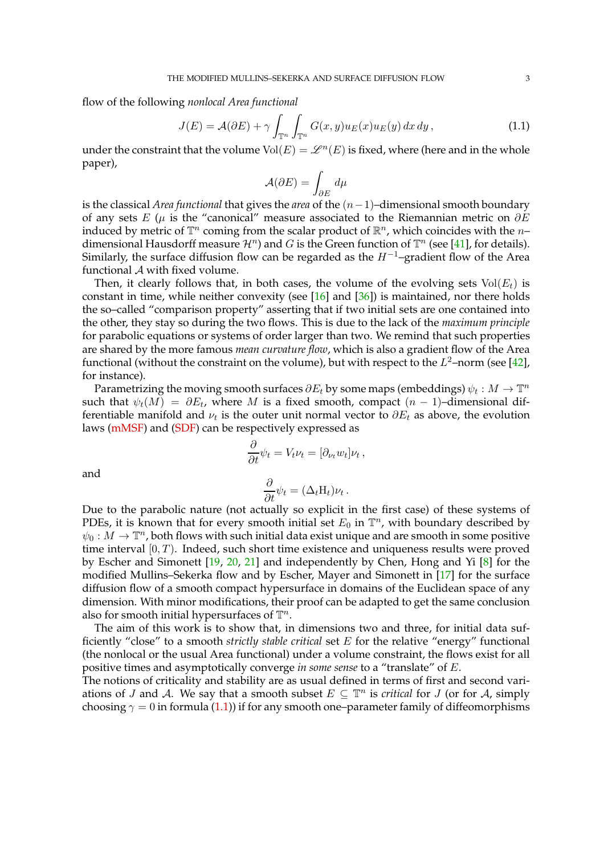flow of the following *nonlocal Area functional*

$$
J(E) = \mathcal{A}(\partial E) + \gamma \int_{\mathbb{T}^n} \int_{\mathbb{T}^n} G(x, y) u_E(x) u_E(y) dx dy,
$$
 (1.1)

under the constraint that the volume  $Vol(E) = \mathscr{L}^n(E)$  is fixed, where (here and in the whole paper),

<span id="page-2-0"></span>
$$
\mathcal{A}(\partial E) = \int_{\partial E} \, d\mu
$$

is the classical *Area functional* that gives the *area* of the (n−1)–dimensional smooth boundary of any sets E ( $\mu$  is the "canonical" measure associated to the Riemannian metric on  $\partial E$ induced by metric of  $\mathbb{T}^n$  coming from the scalar product of  $\mathbb{R}^n$ , which coincides with the  $n$ dimensional Hausdorff measure  $\mathcal{H}^n$ ) and G is the Green function of  $\mathbb{T}^n$  (see [\[41\]](#page-97-4), for details). Similarly, the surface diffusion flow can be regarded as the  $H^{-1}$ –gradient flow of the Area functional A with fixed volume.

Then, it clearly follows that, in both cases, the volume of the evolving sets  $Vol(E_t)$  is constant in time, while neither convexity (see  $[16]$  and  $[36]$ ) is maintained, nor there holds the so–called "comparison property" asserting that if two initial sets are one contained into the other, they stay so during the two flows. This is due to the lack of the *maximum principle* for parabolic equations or systems of order larger than two. We remind that such properties are shared by the more famous *mean curvature flow*, which is also a gradient flow of the Area functional (without the constraint on the volume), but with respect to the  $L^2$ –norm (see [\[42\]](#page-97-12), for instance).

Parametrizing the moving smooth surfaces  $\partial E_t$  by some maps (embeddings)  $\psi_t : M \to \mathbb{T}^n$ such that  $\psi_t(M) = \partial E_t$ , where M is a fixed smooth, compact  $(n-1)$ -dimensional differentiable manifold and  $\nu_t$  is the outer unit normal vector to  $\partial E_t$  as above, the evolution laws [\(mMSF\)](#page-1-0) and [\(SDF\)](#page-1-1) can be respectively expressed as

$$
\frac{\partial}{\partial t}\psi_t = V_t \nu_t = [\partial_{\nu_t} w_t] \nu_t,
$$

and

$$
\frac{\partial}{\partial t}\psi_t = (\Delta_t H_t)\nu_t.
$$

Due to the parabolic nature (not actually so explicit in the first case) of these systems of PDEs, it is known that for every smooth initial set  $E_0$  in  $\mathbb{T}^n$ , with boundary described by  $\psi_0: M \to \mathbb{T}^n$ , both flows with such initial data exist unique and are smooth in some positive time interval  $[0, T)$ . Indeed, such short time existence and uniqueness results were proved by Escher and Simonett [\[19,](#page-97-6) [20,](#page-97-7) [21\]](#page-97-8) and independently by Chen, Hong and Yi [\[8\]](#page-96-8) for the modified Mullins–Sekerka flow and by Escher, Mayer and Simonett in [\[17\]](#page-96-6) for the surface diffusion flow of a smooth compact hypersurface in domains of the Euclidean space of any dimension. With minor modifications, their proof can be adapted to get the same conclusion also for smooth initial hypersurfaces of  $\mathbb{T}^n$ .

The aim of this work is to show that, in dimensions two and three, for initial data sufficiently "close" to a smooth *strictly stable critical* set E for the relative "energy" functional (the nonlocal or the usual Area functional) under a volume constraint, the flows exist for all positive times and asymptotically converge *in some sense* to a "translate" of E.

The notions of criticality and stability are as usual defined in terms of first and second variations of J and A. We say that a smooth subset  $E \subseteq \mathbb{T}^n$  is *critical* for J (or for A, simply choosing  $\gamma = 0$  in formula [\(1.1\)](#page-2-0)) if for any smooth one–parameter family of diffeomorphisms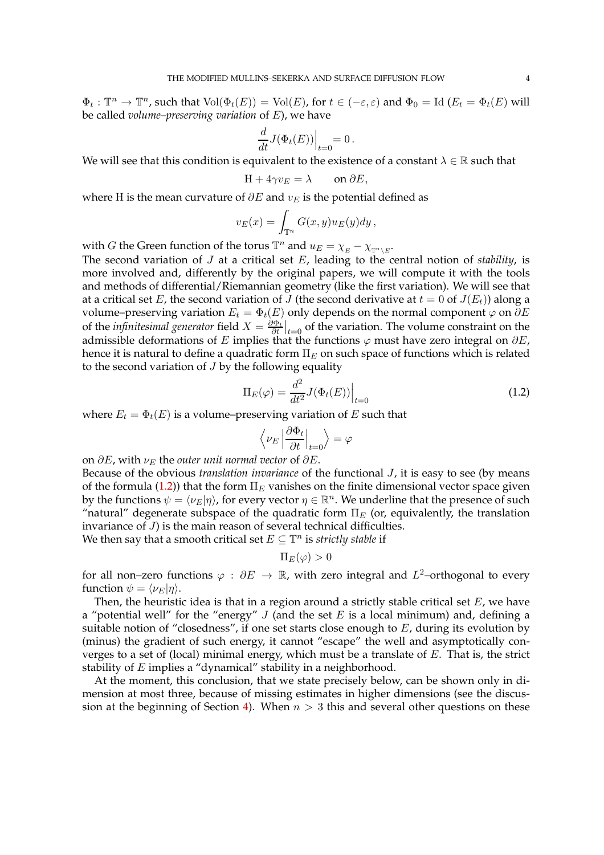$\Phi_t: \mathbb{T}^n \to \mathbb{T}^n$ , such that  $\text{Vol}(\Phi_t(E)) = \text{Vol}(E)$ , for  $t \in (-\varepsilon, \varepsilon)$  and  $\Phi_0 = \text{Id } (E_t = \Phi_t(E))$  will be called *volume–preserving variation* of E), we have

$$
\frac{d}{dt}J(\Phi_t(E))\Big|_{t=0} = 0.
$$

We will see that this condition is equivalent to the existence of a constant  $\lambda \in \mathbb{R}$  such that

$$
H + 4\gamma v_E = \lambda \qquad \text{on } \partial E,
$$

where H is the mean curvature of  $\partial E$  and  $v_E$  is the potential defined as

$$
v_E(x) = \int_{\mathbb{T}^n} G(x, y) u_E(y) dy,
$$

with *G* the Green function of the torus  $\mathbb{T}^n$  and  $u_E = \chi_E - \chi_{\mathbb{T}^n \setminus E}$ .

The second variation of J at a critical set E, leading to the central notion of *stability*, is more involved and, differently by the original papers, we will compute it with the tools and methods of differential/Riemannian geometry (like the first variation). We will see that at a critical set E, the second variation of J (the second derivative at  $t = 0$  of  $J(E_t)$ ) along a volume–preserving variation  $E_t = \Phi_t(E)$  only depends on the normal component  $\varphi$  on  $\partial E$ of the *infinitesimal generator* field  $X = \frac{\partial \Phi_t}{\partial t}\big|_{t=0}$  of the variation. The volume constraint on the admissible deformations of E implies that the functions  $\varphi$  must have zero integral on  $\partial E$ , hence it is natural to define a quadratic form  $\Pi_E$  on such space of functions which is related to the second variation of  $J$  by the following equality

$$
\Pi_E(\varphi) = \frac{d^2}{dt^2} J(\Phi_t(E)) \Big|_{t=0} \tag{1.2}
$$

where  $E_t = \Phi_t(E)$  is a volume–preserving variation of E such that

<span id="page-3-0"></span>
$$
\left\langle \nu_E \left| \frac{\partial \Phi_t}{\partial t} \right|_{t=0} \right\rangle = \varphi
$$

on  $\partial E$ , with  $\nu_E$  the *outer unit normal vector* of  $\partial E$ .

Because of the obvious *translation invariance* of the functional J, it is easy to see (by means of the formula [\(1.2\)](#page-3-0)) that the form  $\Pi_E$  vanishes on the finite dimensional vector space given by the functions  $\psi = \langle \nu_E | \eta \rangle$ , for every vector  $\eta \in \mathbb{R}^n$ . We underline that the presence of such "natural" degenerate subspace of the quadratic form  $\Pi_E$  (or, equivalently, the translation invariance of J) is the main reason of several technical difficulties.

We then say that a smooth critical set  $E \subseteq \mathbb{T}^n$  is *strictly stable* if

$$
\Pi_E(\varphi)>0
$$

for all non–zero functions  $\varphi : \partial E \to \mathbb{R}$ , with zero integral and  $L^2$ –orthogonal to every function  $\psi = \langle \nu_E | \eta \rangle$ .

Then, the heuristic idea is that in a region around a strictly stable critical set  $E$ , we have a "potential well" for the "energy"  $J$  (and the set  $E$  is a local minimum) and, defining a suitable notion of "closedness", if one set starts close enough to  $E$ , during its evolution by (minus) the gradient of such energy, it cannot "escape" the well and asymptotically converges to a set of (local) minimal energy, which must be a translate of  $E$ . That is, the strict stability of  $E$  implies a "dynamical" stability in a neighborhood.

At the moment, this conclusion, that we state precisely below, can be shown only in dimension at most three, because of missing estimates in higher dimensions (see the discus-sion at the beginning of Section [4\)](#page-56-0). When  $n > 3$  this and several other questions on these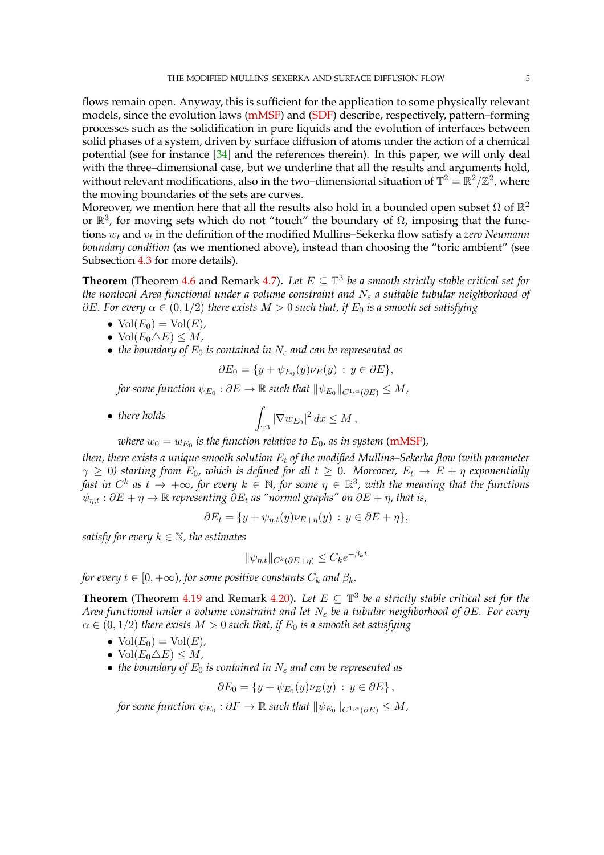flows remain open. Anyway, this is sufficient for the application to some physically relevant models, since the evolution laws [\(mMSF\)](#page-1-0) and [\(SDF\)](#page-1-1) describe, respectively, pattern–forming processes such as the solidification in pure liquids and the evolution of interfaces between solid phases of a system, driven by surface diffusion of atoms under the action of a chemical potential (see for instance [\[34\]](#page-97-10) and the references therein). In this paper, we will only deal with the three–dimensional case, but we underline that all the results and arguments hold, without relevant modifications, also in the two–dimensional situation of  $\mathbb{T}^2=\mathbb{R}^2/\mathbb{Z}^2$ , where the moving boundaries of the sets are curves.

Moreover, we mention here that all the results also hold in a bounded open subset  $\Omega$  of  $\mathbb{R}^2$ or  $\mathbb{R}^3$ , for moving sets which do not "touch" the boundary of  $\Omega$ , imposing that the functions  $w_t$  and  $v_t$  in the definition of the modified Mullins–Sekerka flow satisfy a z*ero Neumann boundary condition* (as we mentioned above), instead than choosing the "toric ambient" (see Subsection [4.3](#page-78-0) for more details).

**Theorem** (Theorem [4.6](#page-70-1) and Remark [4.7\)](#page-70-2). Let  $E \subseteq \mathbb{T}^3$  be a smooth strictly stable critical set for *the nonlocal Area functional under a volume constraint and* N<sub>ε</sub> a suitable tubular neighborhood of  $\partial E$ *. For every*  $\alpha \in (0, 1/2)$  *there exists*  $M > 0$  *such that, if*  $E_0$  *is a smooth set satisfying* 

- $\text{Vol}(E_0) = \text{Vol}(E)$ ,
- $Vol(E_0 \triangle E) \leq M$ ,
- *the boundary of*  $E_0$  *is contained in*  $N_{\epsilon}$  *and can be represented as*

$$
\partial E_0 = \{ y + \psi_{E_0}(y)\nu_E(y) : y \in \partial E \},\
$$

for some function  $\psi_{E_0} : \partial E \to \mathbb{R}$  such that  $\|\psi_{E_0}\|_{C^{1,\alpha}(\partial E)} \leq M$ ,

• *there holds*  $\int_{\mathbb{T}^3} |\nabla w_{E_0}|^2 dx \leq M,$ 

where  $w_0=w_{E_0}$  is the function relative to  $E_0$ , as in system [\(mMSF\)](#page-1-0),

*then, there exists a unique smooth solution*  $E_t$  *of the modified Mullins–Sekerka flow (with parameter*  $\gamma \geq 0$ ) starting from  $E_0$ , which is defined for all  $t \geq 0$ . Moreover,  $E_t \to E + \eta$  exponentially fast in  $C^k$  as  $t \to +\infty$ , for every  $k \in \mathbb{N}$ , for some  $\eta \in \mathbb{R}^3$ , with the meaning that the functions  $\psi_{n,t} : \partial E + \eta \to \mathbb{R}$  *representing*  $\partial E_t$  *as "normal graphs" on*  $\partial E + \eta$ *, that is,* 

$$
\partial E_t = \{ y + \psi_{\eta,t}(y)\nu_{E+\eta}(y) : y \in \partial E + \eta \},\
$$

*satisfy for every*  $k \in \mathbb{N}$ *, the estimates* 

$$
\|\psi_{\eta,t}\|_{C^k(\partial E + \eta)} \le C_k e^{-\beta_k t}
$$

*for every*  $t \in [0, +\infty)$ *, for some positive constants*  $C_k$  *and*  $\beta_k$ *.* 

**Theorem** (Theorem [4.19](#page-88-1) and Remark [4.20\)](#page-88-2). Let  $E \subseteq \mathbb{T}^3$  be a strictly stable critical set for the *Area functional under a volume constraint and let*  $N_{\varepsilon}$  *be a tubular neighborhood of ∂E. For every*  $\alpha \in (0, 1/2)$  *there exists*  $M > 0$  *such that, if*  $E_0$  *is a smooth set satisfying* 

- $\text{Vol}(E_0) = \text{Vol}(E)$ ,
- $Vol(E_0 \triangle E) \leq M$ ,
- *the boundary of*  $E_0$  *is contained in*  $N_{\varepsilon}$  *and can be represented as*

$$
\partial E_0 = \{ y + \psi_{E_0}(y)\nu_E(y) : y \in \partial E \},
$$

for some function  $\psi_{E_0} : \partial F \to \mathbb{R}$  such that  $\|\psi_{E_0}\|_{C^{1,\alpha}(\partial E)} \leq M$ ,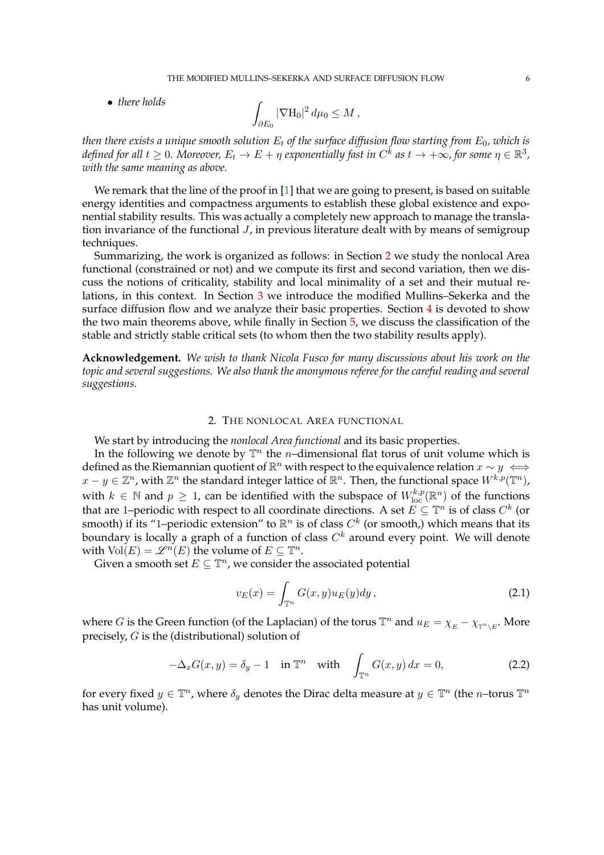THE MODIFIED MULLINS–SEKERKA AND SURFACE DIFFUSION FLOW 6

• *there holds* 

$$
\int_{\partial E_0} |\nabla \mathcal{H}_0|^2 \, d\mu_0 \leq M \,,
$$

*then there exists a unique smooth solution*  $E_t$  *of the surface diffusion flow starting from*  $E_0$ *, which is* defined for all  $t\geq 0$ . Moreover,  $E_t\to E+\eta$  exponentially fast in  $C^k$  as  $t\to +\infty$ , for some  $\eta\in\mathbb{R}^3$ , *with the same meaning as above.*

We remark that the line of the proof in  $[1]$  that we are going to present, is based on suitable energy identities and compactness arguments to establish these global existence and exponential stability results. This was actually a completely new approach to manage the translation invariance of the functional  $J$ , in previous literature dealt with by means of semigroup techniques.

Summarizing, the work is organized as follows: in Section [2](#page-5-0) we study the nonlocal Area functional (constrained or not) and we compute its first and second variation, then we discuss the notions of criticality, stability and local minimality of a set and their mutual relations, in this context. In Section [3](#page-50-0) we introduce the modified Mullins–Sekerka and the surface diffusion flow and we analyze their basic properties. Section  $4$  is devoted to show the two main theorems above, while finally in Section [5,](#page-94-0) we discuss the classification of the stable and strictly stable critical sets (to whom then the two stability results apply).

**Acknowledgement.** *We wish to thank Nicola Fusco for many discussions about his work on the topic and several suggestions. We also thank the anonymous referee for the careful reading and several suggestions.*

## 2. THE NONLOCAL AREA FUNCTIONAL

<span id="page-5-0"></span>We start by introducing the *nonlocal Area functional* and its basic properties.

In the following we denote by  $\mathbb{T}^n$  the *n*-dimensional flat torus of unit volume which is defined as the Riemannian quotient of  $\mathbb{R}^n$  with respect to the equivalence relation  $x \sim y \iff$  $x-y\in\mathbb{Z}^n$ , with  $\mathbb{Z}^n$  the standard integer lattice of  $\mathbb{R}^n$ . Then, the functional space  $W^{k,p}(\mathbb{T}^n)$ , with  $k \in \mathbb{N}$  and  $p \ge 1$ , can be identified with the subspace of  $W^{k,p}_{\text{loc}}(\mathbb{R}^n)$  of the functions that are 1–periodic with respect to all coordinate directions. A set  $E \subseteq \mathbb{T}^n$  is of class  $C^k$  (or smooth) if its "1–periodic extension" to  $\mathbb{R}^n$  is of class  $C^k$  (or smooth,) which means that its boundary is locally a graph of a function of class  $C^k$  around every point. We will denote with  $Vol(E) = \mathscr{L}^n(E)$  the volume of  $E \subseteq \mathbb{T}^n$ .

Given a smooth set  $E \subseteq \mathbb{T}^n$ , we consider the associated potential

<span id="page-5-2"></span><span id="page-5-1"></span>
$$
v_E(x) = \int_{\mathbb{T}^n} G(x, y) u_E(y) dy,
$$
\n(2.1)

where G is the Green function (of the Laplacian) of the torus  $\mathbb{T}^n$  and  $u_E = \chi_E - \chi_{\mathbb{T}^n \setminus E}$ . More precisely, G is the (distributional) solution of

$$
-\Delta_x G(x,y) = \delta_y - 1 \quad \text{in } \mathbb{T}^n \quad \text{with} \quad \int_{\mathbb{T}^n} G(x,y) \, dx = 0,\tag{2.2}
$$

for every fixed  $y \in \mathbb{T}^n$ , where  $\delta_y$  denotes the Dirac delta measure at  $y \in \mathbb{T}^n$  (the *n*-torus  $\mathbb{T}^n$ has unit volume).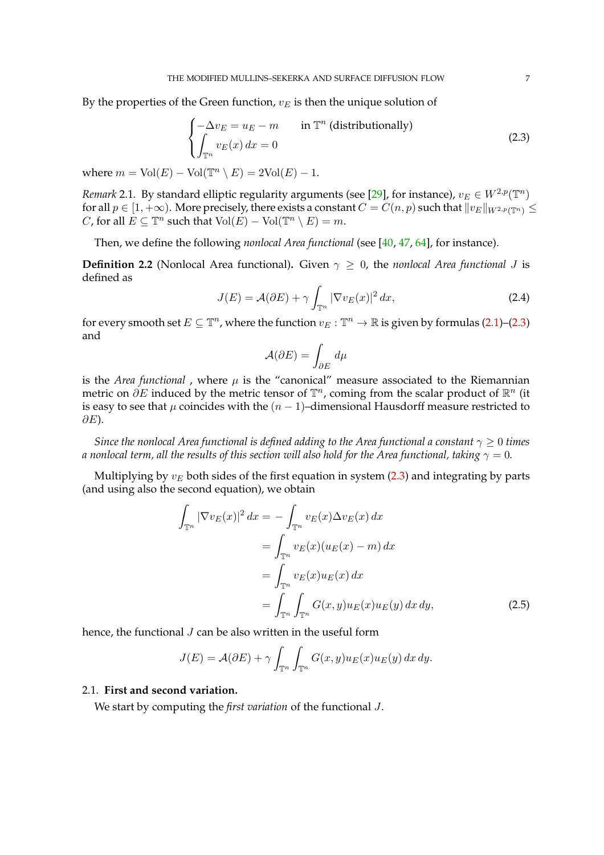By the properties of the Green function,  $v_E$  is then the unique solution of

<span id="page-6-1"></span>
$$
\begin{cases}\n-\Delta v_E = u_E - m & \text{in } \mathbb{T}^n \text{ (distributionally)} \\
\int_{\mathbb{T}^n} v_E(x) dx = 0\n\end{cases}
$$
\n(2.3)

where  $m = Vol(E) - Vol(\mathbb{T}^n \setminus E) = 2Vol(E) - 1.$ 

*Remark* 2.1. By standard elliptic regularity arguments (see [\[29\]](#page-97-13), for instance),  $v_E \in W^{2,p}(\mathbb{T}^n)$ for all  $p \in [1, +\infty)$ . More precisely, there exists a constant  $C = C(n, p)$  such that  $||v_E||_{W^{2,p}(\mathbb{T}^n)} \le$ *C*, for all  $E \subseteq \mathbb{T}^n$  such that  $\text{Vol}(E) - \text{Vol}(\mathbb{T}^n \setminus E) = m$ .

Then, we define the following *nonlocal Area functional* (see [\[40,](#page-97-14) [47,](#page-97-15) [64\]](#page-98-0), for instance).

**Definition 2.2** (Nonlocal Area functional). Given  $\gamma > 0$ , the *nonlocal Area functional* J is defined as

$$
J(E) = \mathcal{A}(\partial E) + \gamma \int_{\mathbb{T}^n} |\nabla v_E(x)|^2 dx,
$$
 (2.4)

for every smooth set  $E \subseteq \mathbb{T}^n$ , where the function  $v_E : \mathbb{T}^n \to \mathbb{R}$  is given by formulas [\(2.1\)](#page-5-1)–[\(2.3\)](#page-6-1) and

$$
\mathcal{A}(\partial E) = \int_{\partial E} \, d\mu
$$

is the *Area functional*, where  $\mu$  is the "canonical" measure associated to the Riemannian metric on  $\partial E$  induced by the metric tensor of  $\mathbb{T}^n$ , coming from the scalar product of  $\mathbb{R}^n$  (it is easy to see that  $\mu$  coincides with the  $(n - 1)$ –dimensional Hausdorff measure restricted to  $\partial E$ ).

*Since the nonlocal Area functional is defined adding to the Area functional a constant*  $\gamma \geq 0$  *times a nonlocal term, all the results of this section will also hold for the Area functional, taking*  $\gamma = 0$ .

Multiplying by  $v_E$  both sides of the first equation in system [\(2.3\)](#page-6-1) and integrating by parts (and using also the second equation), we obtain

$$
\int_{\mathbb{T}^n} |\nabla v_E(x)|^2 dx = -\int_{\mathbb{T}^n} v_E(x) \Delta v_E(x) dx
$$

$$
= \int_{\mathbb{T}^n} v_E(x) (u_E(x) - m) dx
$$

$$
= \int_{\mathbb{T}^n} v_E(x) u_E(x) dx
$$

$$
= \int_{\mathbb{T}^n} \int_{\mathbb{T}^n} G(x, y) u_E(x) u_E(y) dx dy,
$$
(2.5)

hence, the functional *J* can be also written in the useful form

$$
J(E) = \mathcal{A}(\partial E) + \gamma \int_{\mathbb{T}^n} \int_{\mathbb{T}^n} G(x, y) u_E(x) u_E(y) dx dy.
$$

## <span id="page-6-0"></span>2.1. **First and second variation.**

We start by computing the *first variation* of the functional J.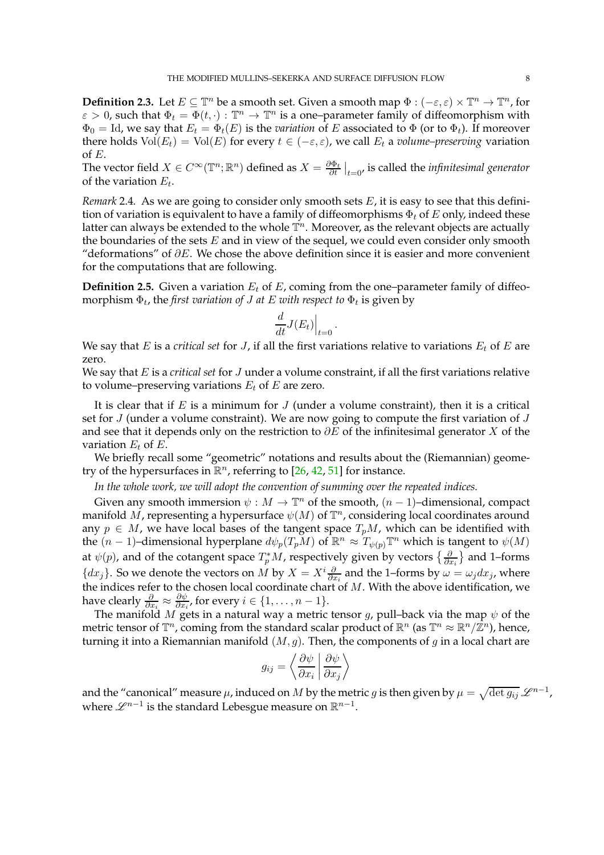**Definition 2.3.** Let  $E \subseteq \mathbb{T}^n$  be a smooth set. Given a smooth map  $\Phi : (-\varepsilon, \varepsilon) \times \mathbb{T}^n \to \mathbb{T}^n$ , for  $\varepsilon > 0$ , such that  $\Phi_t = \Phi(t, \cdot) : \mathbb{T}^n \to \mathbb{T}^n$  is a one-parameter family of diffeomorphism with  $\Phi_0 = \text{Id}$ , we say that  $E_t = \Phi_t(E)$  is the *variation* of E associated to  $\Phi$  (or to  $\Phi_t$ ). If moreover there holds  $Vol(E_t) = Vol(E)$  for every  $t \in (-\varepsilon, \varepsilon)$ , we call  $E_t$  a *volume–preserving* variation of E.

The vector field  $X \in C^{\infty}(\mathbb{T}^n;\mathbb{R}^n)$  defined as  $X = \frac{\partial \Phi_t}{\partial t}\big|_{t=0}$ , is called the *infinitesimal generator* of the variation  $E_t$ .

*Remark* 2.4*.* As we are going to consider only smooth sets  $E$ , it is easy to see that this definition of variation is equivalent to have a family of diffeomorphisms  $\Phi_t$  of E only, indeed these latter can always be extended to the whole  $\mathbb{T}^n$ . Moreover, as the relevant objects are actually the boundaries of the sets  $E$  and in view of the sequel, we could even consider only smooth "deformations" of  $\partial E$ . We chose the above definition since it is easier and more convenient for the computations that are following.

**Definition 2.5.** Given a variation  $E_t$  of  $E$ , coming from the one–parameter family of diffeomorphism  $\Phi_t$ , the *first variation of J at E with respect to*  $\Phi_t$  is given by

$$
\frac{d}{dt}J(E_t)\Big|_{t=0}.
$$

We say that E is a *critical set* for  $J$ , if all the first variations relative to variations  $E_t$  of E are zero.

We say that E is a *critical set* for J under a volume constraint, if all the first variations relative to volume–preserving variations  $E_t$  of E are zero.

It is clear that if  $E$  is a minimum for  $J$  (under a volume constraint), then it is a critical set for  $J$  (under a volume constraint). We are now going to compute the first variation of  $J$ and see that it depends only on the restriction to  $\partial E$  of the infinitesimal generator X of the variation  $E_t$  of  $E$ .

We briefly recall some "geometric" notations and results about the (Riemannian) geometry of the hypersurfaces in  $\mathbb{R}^n$ , referring to [\[26,](#page-97-16) [42,](#page-97-12) [51\]](#page-97-17) for instance.

*In the whole work, we will adopt the convention of summing over the repeated indices.*

Given any smooth immersion  $\psi : M \to \mathbb{T}^n$  of the smooth,  $(n-1)$ –dimensional, compact manifold  $\overline{M}$ , representing a hypersurface  $\psi(M)$  of  $\mathbb{T}^n$ , considering local coordinates around any  $p \in M$ , we have local bases of the tangent space  $T_pM$ , which can be identified with the  $(n-1)$ –dimensional hyperplane  $d\psi_p(T_pM)$  of  $\mathbb{R}^n \approx T_{\psi(p)}\mathbb{T}^n$  which is tangent to  $\psi(M)$ at  $\psi(p)$ , and of the cotangent space  $T_p^*M$ , respectively given by vectors  $\{\frac{\partial}{\partial x_i}\}$  and 1-forms  $\{dx_j\}$ . So we denote the vectors on M by  $X = X^i \frac{\partial}{\partial x_i}$  and the 1–forms by  $\omega = \omega_j dx_j$ , where the indices refer to the chosen local coordinate chart of  $M.$  With the above identification, we have clearly  $\frac{\partial}{\partial x_i} \approx \frac{\partial \psi}{\partial x_i}$  $\frac{\partial \psi}{\partial x_i}$ , for every  $i \in \{1, \ldots, n-1\}.$ 

The manifold M gets in a natural way a metric tensor g, pull–back via the map  $\psi$  of the metric tensor of  $\mathbb{T}^n$ , coming from the standard scalar product of  $\mathbb{R}^n$  (as  $\mathbb{T}^n \approx \mathbb{R}^n/\mathbb{Z}^n$ ), hence, turning it into a Riemannian manifold  $(M, g)$ . Then, the components of g in a local chart are

$$
g_{ij} = \left\langle \frac{\partial \psi}{\partial x_i} \middle| \frac{\partial \psi}{\partial x_j} \right\rangle
$$

and the "canonical" measure  $\mu$ , induced on  $M$  by the metric  $g$  is then given by  $\mu=\sqrt{\det g_{ij}}\,\mathscr{L}^{n-1}$ , where  $\mathscr{L}^{n-1}$  is the standard Lebesgue measure on  $\mathbb{R}^{n-1}.$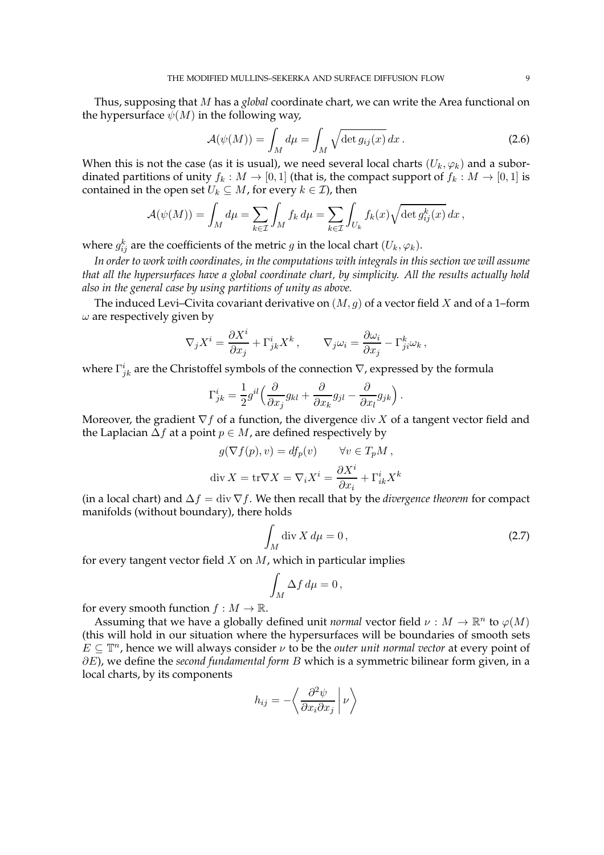Thus, supposing that M has a *global* coordinate chart, we can write the Area functional on the hypersurface  $\psi(M)$  in the following way,

<span id="page-8-0"></span>
$$
\mathcal{A}(\psi(M)) = \int_M d\mu = \int_M \sqrt{\det g_{ij}(x)} dx.
$$
 (2.6)

When this is not the case (as it is usual), we need several local charts  $(U_k, \varphi_k)$  and a subordinated partitions of unity  $f_k : M \to [0,1]$  (that is, the compact support of  $f_k : M \to [0,1]$  is contained in the open set  $U_k \subseteq M$ , for every  $k \in \mathcal{I}$ ), then

$$
\mathcal{A}(\psi(M)) = \int_M d\mu = \sum_{k \in \mathcal{I}} \int_M f_k d\mu = \sum_{k \in \mathcal{I}} \int_{U_k} f_k(x) \sqrt{\det g_{ij}^k(x)} dx,
$$

where  $g_{ij}^k$  are the coefficients of the metric  $g$  in the local chart  $(U_k, \varphi_k).$ 

*In order to work with coordinates, in the computations with integrals in this section we will assume that all the hypersurfaces have a global coordinate chart, by simplicity. All the results actually hold also in the general case by using partitions of unity as above.*

The induced Levi–Civita covariant derivative on  $(M, g)$  of a vector field X and of a 1–form  $\omega$  are respectively given by

$$
\nabla_j X^i = \frac{\partial X^i}{\partial x_j} + \Gamma^i_{jk} X^k, \qquad \nabla_j \omega_i = \frac{\partial \omega_i}{\partial x_j} - \Gamma^k_{ji} \omega_k,
$$

where  $\Gamma^i_{jk}$  are the Christoffel symbols of the connection  $\nabla$ , expressed by the formula

$$
\Gamma_{jk}^{i} = \frac{1}{2}g^{il} \left( \frac{\partial}{\partial x_j} g_{kl} + \frac{\partial}{\partial x_k} g_{jl} - \frac{\partial}{\partial x_l} g_{jk} \right).
$$

Moreover, the gradient  $\nabla f$  of a function, the divergence div X of a tangent vector field and the Laplacian  $\Delta f$  at a point  $p \in M$ , are defined respectively by

$$
g(\nabla f(p), v) = df_p(v) \qquad \forall v \in T_p M,
$$
  
div  $X = \text{tr}\nabla X = \nabla_i X^i = \frac{\partial X^i}{\partial x_i} + \Gamma^i_{ik} X^k$ 

(in a local chart) and ∆f = div ∇f. We then recall that by the *divergence theorem* for compact manifolds (without boundary), there holds

$$
\int_{M} \operatorname{div} X \, d\mu = 0, \tag{2.7}
$$

for every tangent vector field  $X$  on  $M$ , which in particular implies

<span id="page-8-1"></span>
$$
\int_M \Delta f \, d\mu = 0 \,,
$$

for every smooth function  $f : M \to \mathbb{R}$ .

Assuming that we have a globally defined unit *normal* vector field  $\nu : M \to \mathbb{R}^n$  to  $\varphi(M)$ (this will hold in our situation where the hypersurfaces will be boundaries of smooth sets  $E \subseteq \mathbb{T}^n$ , hence we will always consider  $\nu$  to be the *outer unit normal vector* at every point of ∂E), we define the *second fundamental form* B which is a symmetric bilinear form given, in a local charts, by its components

$$
h_{ij} = -\left\langle \frac{\partial^2 \psi}{\partial x_i \partial x_j} \middle| \nu \right\rangle
$$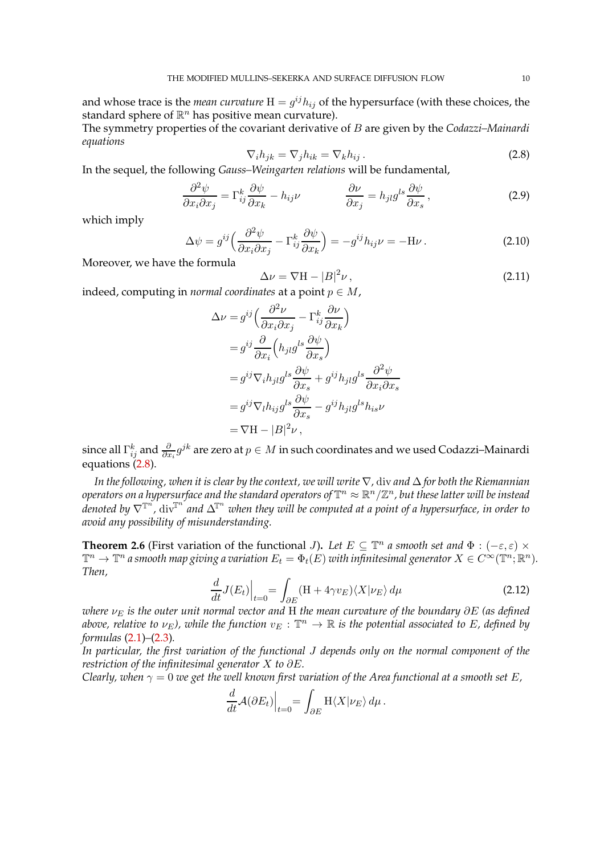and whose trace is the *mean curvature*  $H = g^{ij}h_{ij}$  of the hypersurface (with these choices, the standard sphere of  $\mathbb{R}^n$  has positive mean curvature).

The symmetry properties of the covariant derivative of B are given by the *Codazzi–Mainardi equations*

<span id="page-9-0"></span>
$$
\nabla_i h_{jk} = \nabla_j h_{ik} = \nabla_k h_{ij} \,. \tag{2.8}
$$

In the sequel, the following *Gauss–Weingarten relations* will be fundamental,

$$
\frac{\partial^2 \psi}{\partial x_i \partial x_j} = \Gamma_{ij}^k \frac{\partial \psi}{\partial x_k} - h_{ij} \nu \qquad \qquad \frac{\partial \nu}{\partial x_j} = h_{jl} g^{ls} \frac{\partial \psi}{\partial x_s}, \qquad (2.9)
$$

which imply

$$
\Delta \psi = g^{ij} \left( \frac{\partial^2 \psi}{\partial x_i \partial x_j} - \Gamma^k_{ij} \frac{\partial \psi}{\partial x_k} \right) = -g^{ij} h_{ij} \nu = -\mathcal{H} \nu \,. \tag{2.10}
$$

Moreover, we have the formula

<span id="page-9-4"></span><span id="page-9-1"></span>
$$
\Delta \nu = \nabla H - |B|^2 \nu, \qquad (2.11)
$$

indeed, computing in *normal coordinates* at a point  $p \in M$ ,

$$
\Delta \nu = g^{ij} \left( \frac{\partial^2 \nu}{\partial x_i \partial x_j} - \Gamma_{ij}^k \frac{\partial \nu}{\partial x_k} \right)
$$
  
\n
$$
= g^{ij} \frac{\partial}{\partial x_i} \left( h_{jl} g^{ls} \frac{\partial \psi}{\partial x_s} \right)
$$
  
\n
$$
= g^{ij} \nabla_i h_{jl} g^{ls} \frac{\partial \psi}{\partial x_s} + g^{ij} h_{jl} g^{ls} \frac{\partial^2 \psi}{\partial x_i \partial x_s}
$$
  
\n
$$
= g^{ij} \nabla_l h_{ij} g^{ls} \frac{\partial \psi}{\partial x_s} - g^{ij} h_{jl} g^{ls} h_{is} \nu
$$
  
\n
$$
= \nabla \mathbf{H} - |B|^2 \nu,
$$

since all  $\Gamma_{ij}^k$  and  $\frac{\partial}{\partial x_i} g^{jk}$  are zero at  $p\in M$  in such coordinates and we used Codazzi–Mainardi equations [\(2.8\)](#page-9-0).

*In the following, when it is clear by the context, we will write* ∇*,* div *and* ∆ *for both the Riemannian*  $\phi$  *operators on a hypersurface and the standard operators of*  $\mathbb{T}^n \approx \mathbb{R}^n/\mathbb{Z}^n$ , but these latter will be instead  $d$ enoted by  $\nabla^{ \mathbb{T}^n}$  div $\mathbb{T}^n$  and  $\Delta^{ \mathbb{T}^n}$  when they will be computed at a point of a hypersurface, in order to *avoid any possibility of misunderstanding.*

<span id="page-9-3"></span>**Theorem 2.6** (First variation of the functional *J*). Let  $E \subseteq \mathbb{T}^n$  a smooth set and  $\Phi : (-\varepsilon, \varepsilon) \times$  $\mathbb{T}^n \to \mathbb{T}^n$  a smooth map giving a variation  $E_t = \Phi_t(E)$  with infinitesimal generator  $X \in C^\infty(\mathbb{T}^n;\mathbb{R}^n)$ . *Then,*

<span id="page-9-2"></span>
$$
\frac{d}{dt}J(E_t)\Big|_{t=0} = \int_{\partial E} (H + 4\gamma v_E) \langle X|\nu_E\rangle d\mu
$$
\n(2.12)

*where*  $ν<sub>E</sub>$  *is the outer unit normal vector and* H *the mean curvature of the boundary* ∂E *(as defined* above, relative to  $\nu_E$ ), while the function  $v_E:\mathbb{T}^n\to\mathbb{R}$  is the potential associated to E, defined by *formulas* [\(2.1\)](#page-5-1)*–*[\(2.3\)](#page-6-1)*.*

*In particular, the first variation of the functional* J *depends only on the normal component of the restriction of the infinitesimal generator* X *to* ∂E*.*

*Clearly, when*  $\gamma = 0$  *we get the well known first variation of the Area functional at a smooth set* E,

$$
\frac{d}{dt} \mathcal{A}(\partial E_t)\Big|_{t=0} = \int_{\partial E} \mathcal{H}\langle X|\nu_E\rangle d\mu.
$$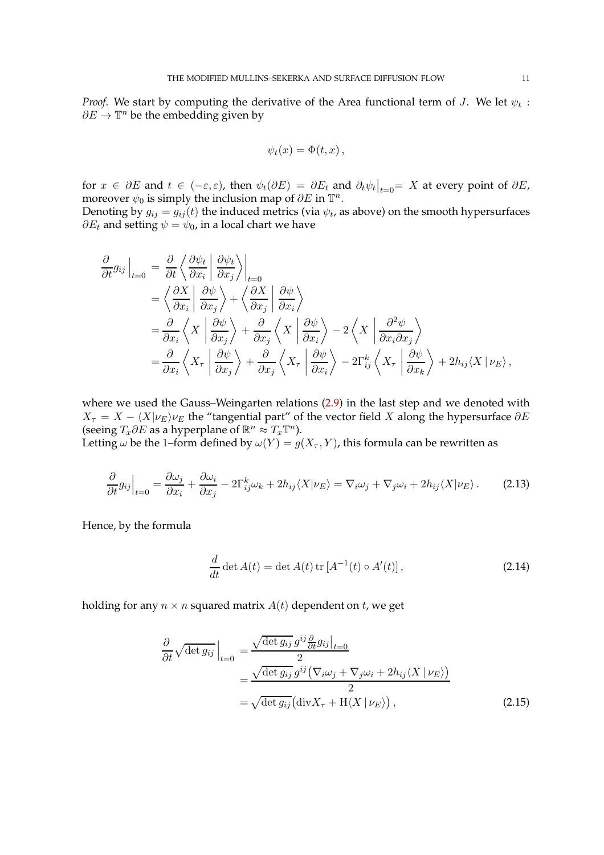*Proof.* We start by computing the derivative of the Area functional term of J. We let  $\psi_t$  :  $\partial E \to \mathbb{T}^n$  be the embedding given by

$$
\psi_t(x) = \Phi(t, x) ,
$$

for  $x \in \partial E$  and  $t \in (-\varepsilon, \varepsilon)$ , then  $\psi_t(\partial E) = \partial E_t$  and  $\partial_t \psi_t|_{t=0} = X$  at every point of  $\partial E$ , moreover  $\psi_0$  is simply the inclusion map of  $\partial E$  in  $\mathbb{T}^n$ .

Denoting by  $g_{ij}=g_{ij}(t)$  the induced metrics (via  $\psi_t$ , as above) on the smooth hypersurfaces  $\partial E_t$  and setting  $\psi = \psi_0$ , in a local chart we have

$$
\frac{\partial}{\partial t} g_{ij} \Big|_{t=0} = \frac{\partial}{\partial t} \left\langle \frac{\partial \psi_t}{\partial x_i} \middle| \frac{\partial \psi_t}{\partial x_j} \right\rangle_{t=0} \n= \left\langle \frac{\partial X}{\partial x_i} \middle| \frac{\partial \psi}{\partial x_j} \right\rangle + \left\langle \frac{\partial X}{\partial x_j} \middle| \frac{\partial \psi}{\partial x_i} \right\rangle \n= \frac{\partial}{\partial x_i} \left\langle X \middle| \frac{\partial \psi}{\partial x_j} \right\rangle + \frac{\partial}{\partial x_j} \left\langle X \middle| \frac{\partial \psi}{\partial x_i} \right\rangle - 2 \left\langle X \middle| \frac{\partial^2 \psi}{\partial x_i \partial x_j} \right\rangle \n= \frac{\partial}{\partial x_i} \left\langle X_\tau \middle| \frac{\partial \psi}{\partial x_j} \right\rangle + \frac{\partial}{\partial x_j} \left\langle X_\tau \middle| \frac{\partial \psi}{\partial x_i} \right\rangle - 2\Gamma_{ij}^k \left\langle X_\tau \middle| \frac{\partial \psi}{\partial x_k} \right\rangle + 2h_{ij} \langle X \middle| \nu_E \rangle,
$$

where we used the Gauss–Weingarten relations [\(2.9\)](#page-9-1) in the last step and we denoted with  $X_{\tau} = X - \langle X | \nu_E \rangle \nu_E$  the "tangential part" of the vector field X along the hypersurface ∂E (seeing  $T_x \partial E$  as a hyperplane of  $\mathbb{R}^n \approx T_x \mathbb{T}^n$ ).

Letting  $\omega$  be the 1–form defined by  $\omega(Y) = g(X_\tau, Y)$ , this formula can be rewritten as

$$
\frac{\partial}{\partial t}g_{ij}\Big|_{t=0} = \frac{\partial \omega_j}{\partial x_i} + \frac{\partial \omega_i}{\partial x_j} - 2\Gamma_{ij}^k \omega_k + 2h_{ij}\langle X|\nu_E\rangle = \nabla_i \omega_j + \nabla_j \omega_i + 2h_{ij}\langle X|\nu_E\rangle. \tag{2.13}
$$

Hence, by the formula

<span id="page-10-2"></span><span id="page-10-1"></span><span id="page-10-0"></span>
$$
\frac{d}{dt}\det A(t) = \det A(t) \operatorname{tr} \left[ A^{-1}(t) \circ A'(t) \right],\tag{2.14}
$$

holding for any  $n \times n$  squared matrix  $A(t)$  dependent on t, we get

$$
\frac{\partial}{\partial t} \sqrt{\det g_{ij}} \Big|_{t=0} = \frac{\sqrt{\det g_{ij} g^{ij} \frac{\partial}{\partial t} g_{ij}}|_{t=0}}{2}
$$

$$
= \frac{\sqrt{\det g_{ij} g^{ij} (\nabla_i \omega_j + \nabla_j \omega_i + 2h_{ij} \langle X | \nu_E \rangle)}}{2}
$$

$$
= \sqrt{\det g_{ij}} (\text{div} X_{\tau} + \text{H} \langle X | \nu_E \rangle), \tag{2.15}
$$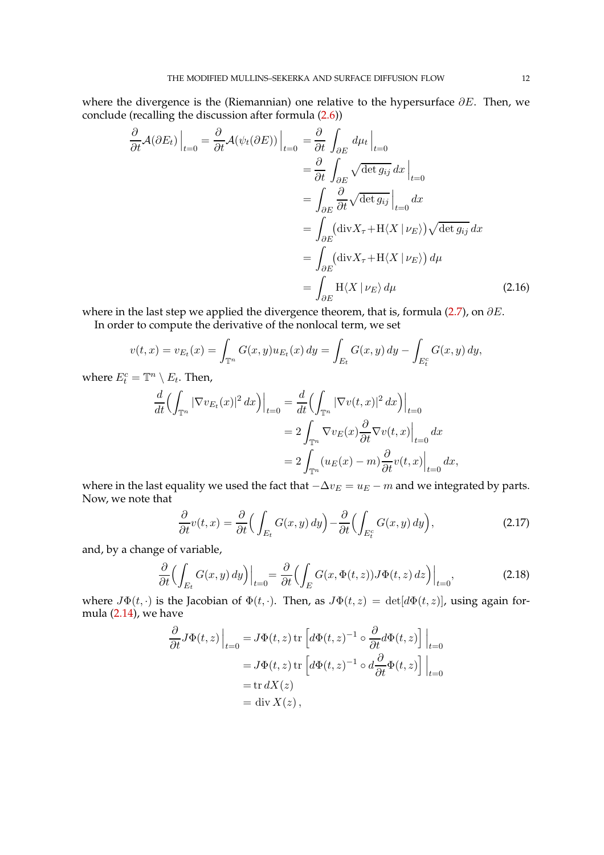where the divergence is the (Riemannian) one relative to the hypersurface  $\partial E$ . Then, we conclude (recalling the discussion after formula [\(2.6\)](#page-8-0))

$$
\frac{\partial}{\partial t} \mathcal{A}(\partial E_t) \Big|_{t=0} = \frac{\partial}{\partial t} \mathcal{A}(\psi_t(\partial E)) \Big|_{t=0} = \frac{\partial}{\partial t} \int_{\partial E} d\mu_t \Big|_{t=0}
$$
\n
$$
= \frac{\partial}{\partial t} \int_{\partial E} \sqrt{\det g_{ij}} dx \Big|_{t=0}
$$
\n
$$
= \int_{\partial E} \frac{\partial}{\partial t} \sqrt{\det g_{ij}} \Big|_{t=0} dx
$$
\n
$$
= \int_{\partial E} (\text{div} X_{\tau} + \text{H} \langle X \mid \nu_E \rangle) \sqrt{\det g_{ij}} dx
$$
\n
$$
= \int_{\partial E} (\text{div} X_{\tau} + \text{H} \langle X \mid \nu_E \rangle) d\mu
$$
\n
$$
= \int_{\partial E} \text{H} \langle X \mid \nu_E \rangle d\mu \tag{2.16}
$$

where in the last step we applied the divergence theorem, that is, formula [\(2.7\)](#page-8-1), on  $\partial E$ .

In order to compute the derivative of the nonlocal term, we set

$$
v(t,x) = v_{E_t}(x) = \int_{\mathbb{T}^n} G(x,y)u_{E_t}(x) \, dy = \int_{E_t} G(x,y) \, dy - \int_{E_t^c} G(x,y) \, dy,
$$

where  $E_t^c = \mathbb{T}^n \setminus E_t$ . Then,

<span id="page-11-1"></span>
$$
\frac{d}{dt} \Bigl( \int_{\mathbb{T}^n} |\nabla v_{E_t}(x)|^2 dx \Bigr) \Big|_{t=0} = \frac{d}{dt} \Bigl( \int_{\mathbb{T}^n} |\nabla v(t,x)|^2 dx \Bigr) \Big|_{t=0}
$$
  
\n
$$
= 2 \int_{\mathbb{T}^n} \nabla v_E(x) \frac{\partial}{\partial t} \nabla v(t,x) \Big|_{t=0} dx
$$
  
\n
$$
= 2 \int_{\mathbb{T}^n} (u_E(x) - m) \frac{\partial}{\partial t} v(t,x) \Big|_{t=0} dx,
$$

where in the last equality we used the fact that  $-\Delta v_E = u_E - m$  and we integrated by parts. Now, we note that

<span id="page-11-2"></span><span id="page-11-0"></span>
$$
\frac{\partial}{\partial t}v(t,x) = \frac{\partial}{\partial t} \Big( \int_{E_t} G(x,y) \, dy \Big) - \frac{\partial}{\partial t} \Big( \int_{E_t^c} G(x,y) \, dy \Big), \tag{2.17}
$$

and, by a change of variable,

$$
\frac{\partial}{\partial t} \Bigl( \int_{E_t} G(x, y) \, dy \Bigr) \Big|_{t=0} = \frac{\partial}{\partial t} \Bigl( \int_E G(x, \Phi(t, z)) J \Phi(t, z) \, dz \Bigr) \Big|_{t=0},\tag{2.18}
$$

where  $J\Phi(t, \cdot)$  is the Jacobian of  $\Phi(t, \cdot)$ . Then, as  $J\Phi(t, z) = det[d\Phi(t, z)]$ , using again formula [\(2.14\)](#page-10-0), we have

$$
\frac{\partial}{\partial t} J\Phi(t, z) \Big|_{t=0} = J\Phi(t, z) \operatorname{tr} \left[ d\Phi(t, z)^{-1} \circ \frac{\partial}{\partial t} d\Phi(t, z) \right] \Big|_{t=0}
$$
  
\n=  $J\Phi(t, z) \operatorname{tr} \left[ d\Phi(t, z)^{-1} \circ d\frac{\partial}{\partial t} \Phi(t, z) \right] \Big|_{t=0}$   
\n=  $\operatorname{tr} dX(z)$   
\n=  $\operatorname{div} X(z)$ ,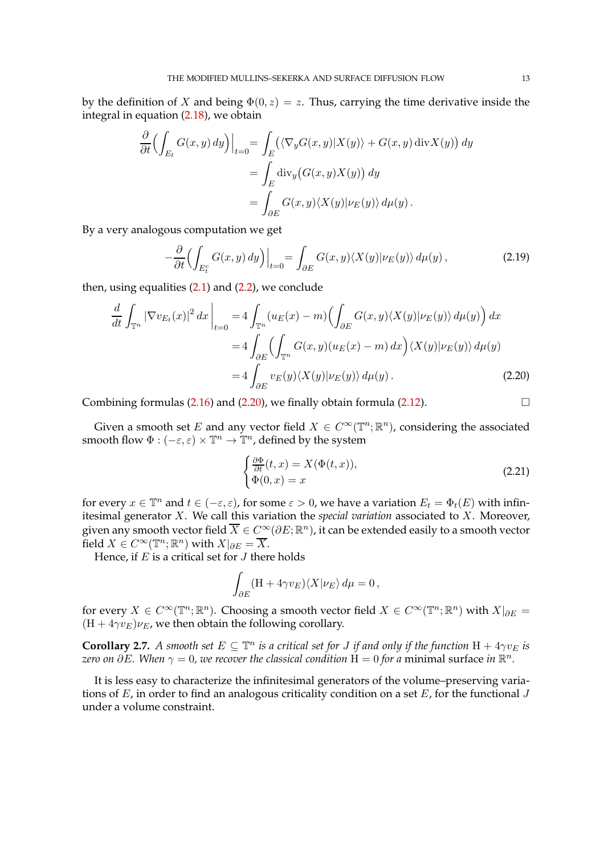by the definition of X and being  $\Phi(0, z) = z$ . Thus, carrying the time derivative inside the integral in equation [\(2.18\)](#page-11-0), we obtain

$$
\frac{\partial}{\partial t} \Biggl( \int_{E_t} G(x, y) \, dy \Biggr) \Big|_{t=0} = \int_E \Bigl( \langle \nabla_y G(x, y) | X(y) \rangle + G(x, y) \operatorname{div} X(y) \Bigr) \, dy
$$

$$
= \int_E \operatorname{div}_y \bigl( G(x, y) X(y) \bigr) \, dy
$$

$$
= \int_{\partial E} G(x, y) \langle X(y) | \nu_E(y) \rangle \, d\mu(y).
$$

By a very analogous computation we get

$$
-\frac{\partial}{\partial t} \Bigl( \int_{E_t^c} G(x, y) \, dy \Bigr) \Big|_{t=0} = \int_{\partial E} G(x, y) \langle X(y) | \nu_E(y) \rangle \, d\mu(y) \,, \tag{2.19}
$$

then, using equalities  $(2.1)$  and  $(2.2)$ , we conclude

$$
\frac{d}{dt} \int_{\mathbb{T}^n} |\nabla v_{E_t}(x)|^2 dx \Big|_{t=0} = 4 \int_{\mathbb{T}^n} (u_E(x) - m) \Big( \int_{\partial E} G(x, y) \langle X(y) | \nu_E(y) \rangle d\mu(y) \Big) dx
$$

$$
= 4 \int_{\partial E} \Big( \int_{\mathbb{T}^n} G(x, y) (u_E(x) - m) dx \Big) \langle X(y) | \nu_E(y) \rangle d\mu(y)
$$

$$
= 4 \int_{\partial E} v_E(y) \langle X(y) | \nu_E(y) \rangle d\mu(y).
$$
(2.20)

Combining formulas  $(2.16)$  and  $(2.20)$ , we finally obtain formula  $(2.12)$ .

Given a smooth set E and any vector field  $X \in C^{\infty}(\mathbb{T}^n;\mathbb{R}^n)$ , considering the associated smooth flow  $\Phi : (-\varepsilon, \varepsilon) \times \mathbb{T}^n \to \mathbb{T}^n$ , defined by the system

<span id="page-12-2"></span><span id="page-12-1"></span><span id="page-12-0"></span>
$$
\begin{cases} \frac{\partial \Phi}{\partial t}(t,x) = X(\Phi(t,x)),\\ \Phi(0,x) = x \end{cases}
$$
\n(2.21)

for every  $x \in \mathbb{T}^n$  and  $t \in (-\varepsilon, \varepsilon)$ , for some  $\varepsilon > 0$ , we have a variation  $E_t = \Phi_t(E)$  with infinitesimal generator X. We call this variation the *special variation* associated to X. Moreover, given any smooth vector field  $\overline{X}\in C^\infty(\partial E;{\mathbb R}^n)$ , it can be extended easily to a smooth vector field  $X \in C^{\infty}(\mathbb{T}^n;\mathbb{R}^n)$  with  $X|_{\partial E} = \overline{X}$ .

Hence, if  $E$  is a critical set for  $J$  there holds

$$
\int_{\partial E} (\mathbf{H} + 4\gamma v_E) \langle X | \nu_E \rangle d\mu = 0,
$$

for every  $X \in C^{\infty}(\mathbb{T}^n;\mathbb{R}^n)$ . Choosing a smooth vector field  $X \in C^{\infty}(\mathbb{T}^n;\mathbb{R}^n)$  with  $X|_{\partial E} =$  $(H + 4\gamma v_E)\nu_E$ , we then obtain the following corollary.

<span id="page-12-3"></span>**Corollary 2.7.** *A smooth set*  $E \subseteq \mathbb{T}^n$  *is a critical set for J if and only if the function*  $H + 4\gamma v_E$  *is* zero on ∂E. When  $\gamma=0$ , we recover the classical condition  $\check{\rm H}=0$  for a minimal surface in  $\mathbb{R}^n$ .

It is less easy to characterize the infinitesimal generators of the volume–preserving variations of  $E$ , in order to find an analogous criticality condition on a set  $E$ , for the functional  $J$ under a volume constraint.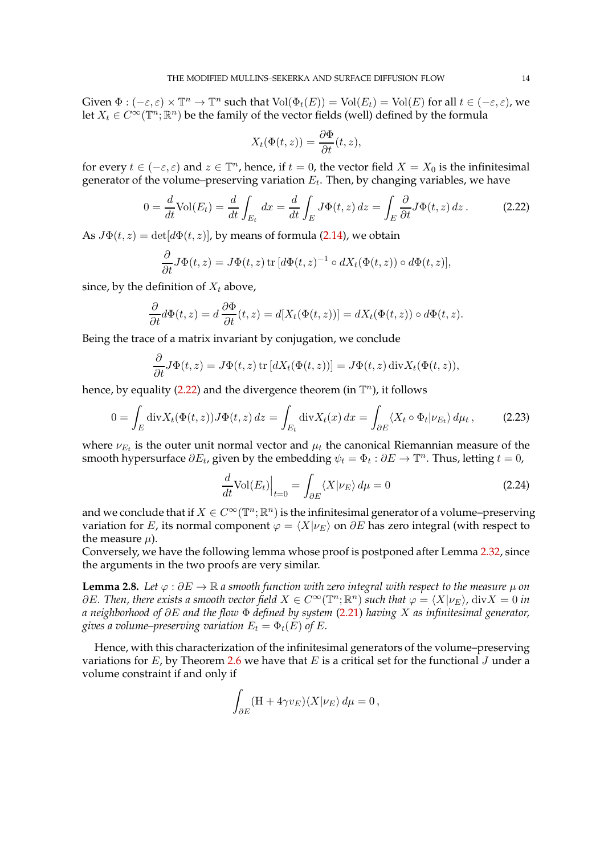Given  $\Phi: (-\varepsilon, \varepsilon) \times \mathbb{T}^n \to \mathbb{T}^n$  such that  $\text{Vol}(\Phi_t(E)) = \text{Vol}(E_t) = \text{Vol}(E)$  for all  $t \in (-\varepsilon, \varepsilon)$ , we let  $X_t \in C^{\infty}(\mathbb{T}^n;\mathbb{R}^n)$  be the family of the vector fields (well) defined by the formula

<span id="page-13-0"></span>
$$
X_t(\Phi(t,z)) = \frac{\partial \Phi}{\partial t}(t,z),
$$

for every  $t \in (-\varepsilon, \varepsilon)$  and  $z \in \mathbb{T}^n$ , hence, if  $t = 0$ , the vector field  $X = X_0$  is the infinitesimal generator of the volume–preserving variation  $E_t$ . Then, by changing variables, we have

$$
0 = \frac{d}{dt} \text{Vol}(E_t) = \frac{d}{dt} \int_{E_t} dx = \frac{d}{dt} \int_E J\Phi(t, z) dz = \int_E \frac{\partial}{\partial t} J\Phi(t, z) dz.
$$
 (2.22)

As  $J\Phi(t, z) = det[d\Phi(t, z)]$ , by means of formula [\(2.14\)](#page-10-0), we obtain

$$
\frac{\partial}{\partial t}J\Phi(t,z) = J\Phi(t,z) \operatorname{tr} \left[ d\Phi(t,z)^{-1} \circ dX_t(\Phi(t,z)) \circ d\Phi(t,z) \right],
$$

since, by the definition of  $X_t$  above,

$$
\frac{\partial}{\partial t}d\Phi(t,z) = d\frac{\partial \Phi}{\partial t}(t,z) = d[X_t(\Phi(t,z))] = dX_t(\Phi(t,z)) \circ d\Phi(t,z).
$$

Being the trace of a matrix invariant by conjugation, we conclude

$$
\frac{\partial}{\partial t} J\Phi(t,z) = J\Phi(t,z) \operatorname{tr} \left[ dX_t(\Phi(t,z)) \right] = J\Phi(t,z) \operatorname{div} X_t(\Phi(t,z)),
$$

hence, by equality [\(2.22\)](#page-13-0) and the divergence theorem (in  $\mathbb{T}^n$ ), it follows

$$
0 = \int_{E} \operatorname{div} X_t(\Phi(t, z)) J\Phi(t, z) dz = \int_{E_t} \operatorname{div} X_t(x) dx = \int_{\partial E} \langle X_t \circ \Phi_t | \nu_{E_t} \rangle d\mu_t, \tag{2.23}
$$

where  $\nu_{E_t}$  is the outer unit normal vector and  $\mu_t$  the canonical Riemannian measure of the smooth hypersurface  $\partial E_t$ , given by the embedding  $\psi_t = \Phi_t : \partial E \to \mathbb{T}^n$ . Thus, letting  $t = 0$ ,

<span id="page-13-3"></span><span id="page-13-2"></span>
$$
\frac{d}{dt}\text{Vol}(E_t)\Big|_{t=0} = \int_{\partial E} \langle X|\nu_E\rangle \, d\mu = 0 \tag{2.24}
$$

and we conclude that if  $X \in C^{\infty}(\mathbb{T}^n;\mathbb{R}^n)$  is the infinitesimal generator of a volume–preserving variation for E, its normal component  $\varphi = \langle X | \nu_E \rangle$  on  $\partial E$  has zero integral (with respect to the measure  $\mu$ ).

Conversely, we have the following lemma whose proof is postponed after Lemma [2.32,](#page-30-0) since the arguments in the two proofs are very similar.

<span id="page-13-1"></span>**Lemma 2.8.** Let  $\varphi : \partial E \to \mathbb{R}$  a smooth function with zero integral with respect to the measure  $\mu$  on  $\partial E$ *. Then, there exists a smooth vector field*  $X \in C^{\infty}(\mathbb{T}^n;\mathbb{R}^n)$  *such that*  $\varphi = \langle X | \nu_E \rangle$ *,* div $X = 0$  *in a neighborhood of* ∂E *and the flow* Φ *defined by system* [\(2.21\)](#page-12-1) *having* X *as infinitesimal generator, gives a volume–preserving variation*  $E_t = \Phi_t(E)$  *of* E.

Hence, with this characterization of the infinitesimal generators of the volume–preserving variations for  $E$ , by Theorem [2.6](#page-9-3) we have that  $E$  is a critical set for the functional  $J$  under a volume constraint if and only if

$$
\int_{\partial E} (\mathbf{H} + 4\gamma v_E) \langle X | \nu_E \rangle \, d\mu = 0,
$$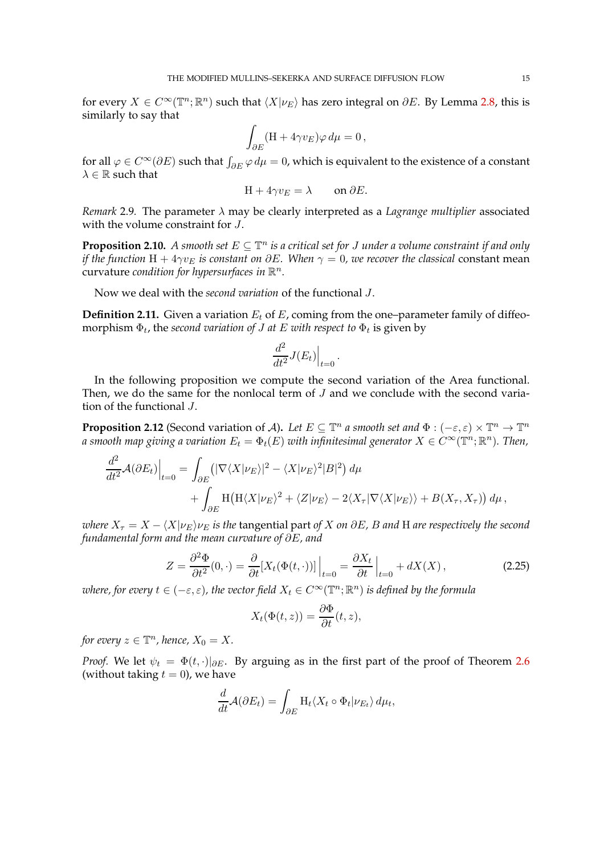for every  $X \in C^{\infty}(\mathbb{T}^n;\mathbb{R}^n)$  such that  $\langle X | \nu_E \rangle$  has zero integral on  $\partial E$ . By Lemma [2.8,](#page-13-1) this is similarly to say that

$$
\int_{\partial E} (\mathbf{H} + 4\gamma v_E) \varphi \, d\mu = 0 \,,
$$

for all  $\varphi \in C^{\infty}(\partial E)$  such that  $\int_{\partial E} \varphi \, d\mu = 0$ , which is equivalent to the existence of a constant  $\lambda \in \mathbb{R}$  such that

$$
H + 4\gamma v_E = \lambda \qquad \text{on } \partial E.
$$

*Remark* 2.9*.* The parameter λ may be clearly interpreted as a *Lagrange multiplier* associated with the volume constraint for J.

<span id="page-14-2"></span>**Proposition 2.10.** A smooth set  $E \subseteq \mathbb{T}^n$  is a critical set for J under a volume constraint if and only *if the function*  $H + 4\gamma v_E$  *is constant on*  $\partial E$ *. When*  $\gamma = 0$ *, we recover the classical constant mean* curvature *condition for hypersurfaces in*  $\mathbb{R}^n$ .

Now we deal with the *second variation* of the functional J.

**Definition 2.11.** Given a variation  $E_t$  of  $E$ , coming from the one–parameter family of diffeomorphism  $\Phi_t$ , the *second variation of J at E with respect to*  $\Phi_t$  is given by

$$
\left. \frac{d^2}{dt^2} J(E_t) \right|_{t=0}.
$$

In the following proposition we compute the second variation of the Area functional. Then, we do the same for the nonlocal term of  $J$  and we conclude with the second variation of the functional J.

<span id="page-14-1"></span>**Proposition 2.12** (Second variation of A). Let  $E \subseteq \mathbb{T}^n$  a smooth set and  $\Phi : (-\varepsilon, \varepsilon) \times \mathbb{T}^n \to \mathbb{T}^n$ a smooth map giving a variation  $E_t = \Phi_t(E)$  with infinitesimal generator  $X \in C^\infty(\mathbb{T}^n;\mathbb{R}^n)$ . Then,

$$
\frac{d^2}{dt^2} \mathcal{A}(\partial E_t)\Big|_{t=0} = \int_{\partial E} (|\nabla \langle X | \nu_E \rangle|^2 - \langle X | \nu_E \rangle^2 |B|^2) d\mu + \int_{\partial E} H(H \langle X | \nu_E \rangle^2 + \langle Z | \nu_E \rangle - 2 \langle X_\tau | \nabla \langle X | \nu_E \rangle \rangle + B(X_\tau, X_\tau)) d\mu,
$$

*where*  $X_{\tau} = X - \langle X | \nu_E \rangle \nu_E$  *is the tangential part of* X *on*  $\partial E$ *, B and* H *are respectively the second fundamental form and the mean curvature of* ∂E*, and*

$$
Z = \frac{\partial^2 \Phi}{\partial t^2}(0, \cdot) = \frac{\partial}{\partial t}[X_t(\Phi(t, \cdot))]\Big|_{t=0} = \frac{\partial X_t}{\partial t}\Big|_{t=0} + dX(X),\tag{2.25}
$$

where, for every  $t \in (-\varepsilon, \varepsilon)$ , the vector field  $X_t \in C^\infty(\mathbb{T}^n;\mathbb{R}^n)$  is defined by the formula

<span id="page-14-0"></span>
$$
X_t(\Phi(t,z)) = \frac{\partial \Phi}{\partial t}(t,z),
$$

*for every*  $z \in \mathbb{T}^n$ , hence,  $X_0 = X$ .

*Proof.* We let  $\psi_t = \Phi(t, \cdot)|_{\partial E}$ . By arguing as in the first part of the proof of Theorem [2.6](#page-9-3) (without taking  $t = 0$ ), we have

$$
\frac{d}{dt}\mathcal{A}(\partial E_t) = \int_{\partial E} \mathrm{H}_t \langle X_t \circ \Phi_t | \nu_{E_t} \rangle \, d\mu_t,
$$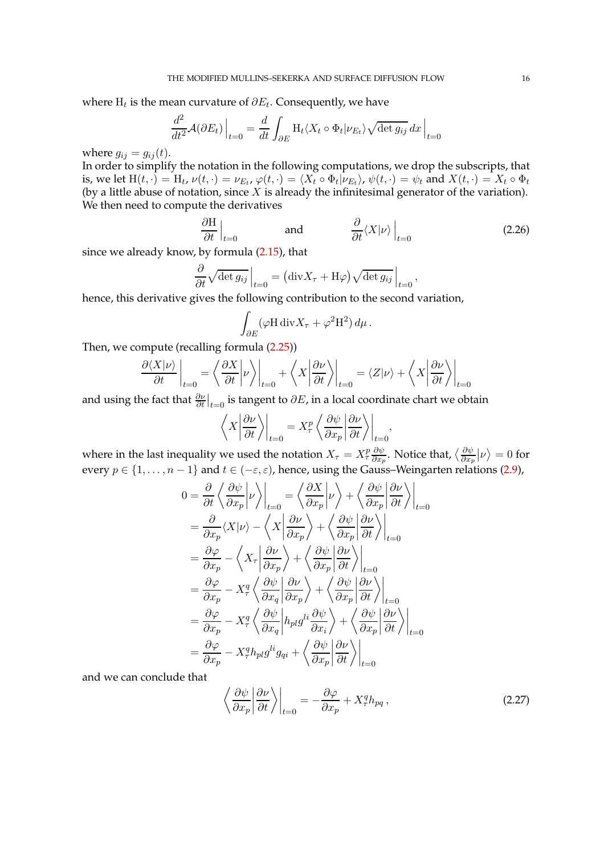where  $\mathrm{H}_t$  is the mean curvature of  $\partial E_t.$  Consequently, we have

$$
\frac{d^2}{dt^2} \mathcal{A}(\partial E_t) \Big|_{t=0} = \frac{d}{dt} \int_{\partial E} \mathcal{H}_t \langle X_t \circ \Phi_t | \nu_{E_t} \rangle \sqrt{\det g_{ij}} \, dx \Big|_{t=0}
$$

where  $g_{ij} = g_{ij}(t)$ .

In order to simplify the notation in the following computations, we drop the subscripts, that is, we let  $H(t, \cdot) = H_t$ ,  $\nu(t, \cdot) = \nu_{E_t}$ ,  $\varphi(t, \cdot) = \langle X_t \circ \Phi_t | \nu_{E_t} \rangle$ ,  $\psi(t, \cdot) = \psi_t$  and  $X(t, \cdot) = X_t \circ \Phi_t$ (by a little abuse of notation, since  $X$  is already the infinitesimal generator of the variation). We then need to compute the derivatives

$$
\left. \frac{\partial \mathcal{H}}{\partial t} \right|_{t=0} \quad \text{and} \quad \left. \frac{\partial}{\partial t} \langle X | \nu \rangle \right|_{t=0} \quad (2.26)
$$

since we already know, by formula [\(2.15\)](#page-10-1), that

$$
\frac{\partial}{\partial t} \sqrt{\det g_{ij}} \Big|_{t=0} = (\text{div} X_{\tau} + \text{H}\varphi) \sqrt{\det g_{ij}} \Big|_{t=0},
$$

hence, this derivative gives the following contribution to the second variation,

<span id="page-15-0"></span>
$$
\int_{\partial E} (\varphi H \operatorname{div} X_{\tau} + \varphi^2 H^2) d\mu.
$$

Then, we compute (recalling formula [\(2.25\)](#page-14-0))

$$
\frac{\partial \langle X | \nu \rangle}{\partial t}\bigg|_{t=0} = \left\langle \frac{\partial X}{\partial t} \bigg| \nu \right\rangle \bigg|_{t=0} + \left\langle X \bigg| \frac{\partial \nu}{\partial t} \right\rangle \bigg|_{t=0} = \left\langle Z | \nu \right\rangle + \left\langle X \bigg| \frac{\partial \nu}{\partial t} \right\rangle \bigg|_{t=0}
$$

and using the fact that  $\frac{\partial \nu}{\partial t}\big|_{t=0}$  is tangent to  $\partial E$ , in a local coordinate chart we obtain

$$
\left\langle X \left| \frac{\partial \nu}{\partial t} \right\rangle \right|_{t=0} = X_\tau^p \left\langle \frac{\partial \psi}{\partial x_p} \left| \frac{\partial \nu}{\partial t} \right\rangle \right|_{t=0},
$$

where in the last inequality we used the notation  $X_{\tau} = X_{\tau}^{p} \frac{\partial \psi}{\partial x_{\tau}}$  $\frac{\partial \psi}{\partial x_p}$ . Notice that,  $\big\langle\frac{\partial \psi}{\partial x_p}$  $\frac{\partial \psi}{\partial x_p} \big\vert \nu \big\rangle = 0$  for every  $p \in \{1, \ldots, n-1\}$  and  $t \in (-\varepsilon, \varepsilon)$ , hence, using the Gauss–Weingarten relations [\(2.9\)](#page-9-1),

$$
0 = \frac{\partial}{\partial t} \left\langle \frac{\partial \psi}{\partial x_p} \middle| \nu \right\rangle \Big|_{t=0} = \left\langle \frac{\partial X}{\partial x_p} \middle| \nu \right\rangle + \left\langle \frac{\partial \psi}{\partial x_p} \middle| \frac{\partial \nu}{\partial t} \right\rangle \Big|_{t=0}
$$
  
\n
$$
= \frac{\partial}{\partial x_p} \langle X | \nu \rangle - \left\langle X \middle| \frac{\partial \nu}{\partial x_p} \right\rangle + \left\langle \frac{\partial \psi}{\partial x_p} \middle| \frac{\partial \nu}{\partial t} \right\rangle \Big|_{t=0}
$$
  
\n
$$
= \frac{\partial \varphi}{\partial x_p} - \left\langle X_\tau \middle| \frac{\partial \nu}{\partial x_p} \right\rangle + \left\langle \frac{\partial \psi}{\partial x_p} \middle| \frac{\partial \nu}{\partial t} \right\rangle \Big|_{t=0}
$$
  
\n
$$
= \frac{\partial \varphi}{\partial x_p} - X_\tau^q \left\langle \frac{\partial \psi}{\partial x_q} \middle| \frac{\partial \nu}{\partial x_p} \right\rangle + \left\langle \frac{\partial \psi}{\partial x_p} \middle| \frac{\partial \nu}{\partial t} \right\rangle \Big|_{t=0}
$$
  
\n
$$
= \frac{\partial \varphi}{\partial x_p} - X_\tau^q \left\langle \frac{\partial \psi}{\partial x_q} \middle| h_{pl} g^{li} \frac{\partial \psi}{\partial x_i} \right\rangle + \left\langle \frac{\partial \psi}{\partial x_p} \middle| \frac{\partial \nu}{\partial t} \right\rangle \Big|_{t=0}
$$
  
\n
$$
= \frac{\partial \varphi}{\partial x_p} - X_\tau^q h_{pl} g^{li} g_{qi} + \left\langle \frac{\partial \psi}{\partial x_p} \middle| \frac{\partial \nu}{\partial t} \right\rangle \Big|_{t=0}
$$

and we can conclude that

<span id="page-15-1"></span>
$$
\left\langle \frac{\partial \psi}{\partial x_p} \middle| \frac{\partial \nu}{\partial t} \right\rangle \bigg|_{t=0} = -\frac{\partial \varphi}{\partial x_p} + X_\tau^q h_{pq} \,, \tag{2.27}
$$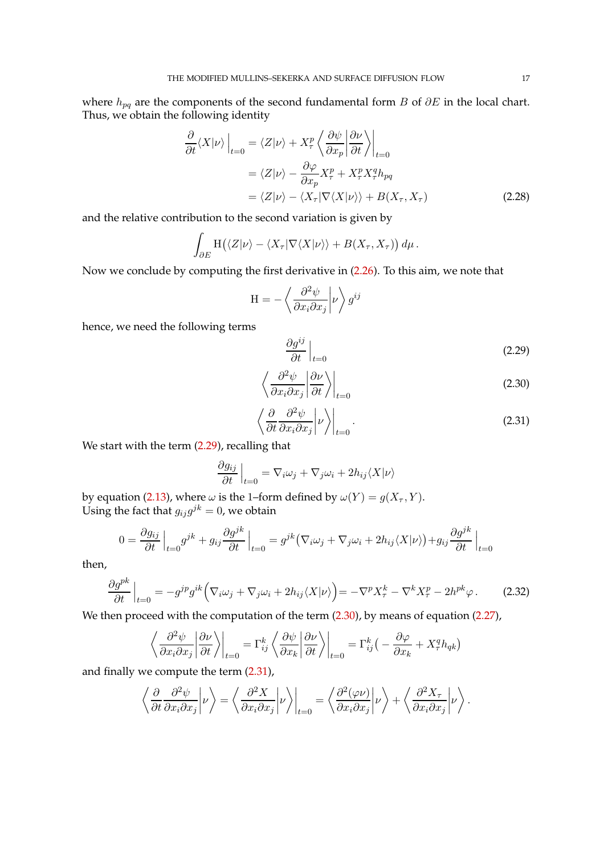where  $h_{pq}$  are the components of the second fundamental form B of  $\partial E$  in the local chart. Thus, we obtain the following identity

$$
\frac{\partial}{\partial t} \langle X | \nu \rangle \Big|_{t=0} = \langle Z | \nu \rangle + X_{\tau}^{p} \left\langle \frac{\partial \psi}{\partial x_{p}} \middle| \frac{\partial \nu}{\partial t} \right\rangle \Big|_{t=0}
$$
\n
$$
= \langle Z | \nu \rangle - \frac{\partial \varphi}{\partial x_{p}} X_{\tau}^{p} + X_{\tau}^{p} X_{\tau}^{q} h_{pq}
$$
\n
$$
= \langle Z | \nu \rangle - \langle X_{\tau} | \nabla \langle X | \nu \rangle \rangle + B(X_{\tau}, X_{\tau})
$$
\n(2.28)

and the relative contribution to the second variation is given by

$$
\int_{\partial E} \mathrm{H}\big(\langle Z|\nu\rangle-\langle X_{\tau}|\nabla\langle X|\nu\rangle\rangle+B(X_{\tau},X_{\tau})\big)\,d\mu.
$$

Now we conclude by computing the first derivative in [\(2.26\)](#page-15-0). To this aim, we note that

$$
\mathbf{H} = -\left\langle \frac{\partial^2 \psi}{\partial x_i \partial x_j} \middle| \nu \right\rangle g^{ij}
$$

hence, we need the following terms

<span id="page-16-3"></span><span id="page-16-2"></span><span id="page-16-1"></span><span id="page-16-0"></span>
$$
\left. \frac{\partial g^{ij}}{\partial t} \right|_{t=0} \tag{2.29}
$$

$$
\left\langle \frac{\partial^2 \psi}{\partial x_i \partial x_j} \middle| \frac{\partial \nu}{\partial t} \right\rangle \Big|_{t=0} \tag{2.30}
$$

$$
\left\langle \frac{\partial}{\partial t} \frac{\partial^2 \psi}{\partial x_i \partial x_j} \middle| \nu \right\rangle \Big|_{t=0}.
$$
\n(2.31)

We start with the term  $(2.29)$ , recalling that

$$
\left. \frac{\partial g_{ij}}{\partial t} \right|_{t=0} = \nabla_i \omega_j + \nabla_j \omega_i + 2h_{ij} \langle X | \nu \rangle
$$

by equation [\(2.13\)](#page-10-2), where  $\omega$  is the 1–form defined by  $\omega(Y) = g(X_\tau, Y).$ Using the fact that  $g_{ij}g^{jk}=0$ , we obtain

$$
0 = \frac{\partial g_{ij}}{\partial t}\Big|_{t=0} g^{jk} + g_{ij} \frac{\partial g^{jk}}{\partial t}\Big|_{t=0} = g^{jk} \big(\nabla_i \omega_j + \nabla_j \omega_i + 2h_{ij} \langle X | \nu \rangle \big) + g_{ij} \frac{\partial g^{jk}}{\partial t}\Big|_{t=0}
$$

then,

$$
\frac{\partial g^{pk}}{\partial t}\Big|_{t=0} = -g^{jp}g^{ik}\Big(\nabla_i\omega_j + \nabla_j\omega_i + 2h_{ij}\langle X|\nu\rangle\Big) = -\nabla^p X_\tau^k - \nabla^k X_\tau^p - 2h^{pk}\varphi\,. \tag{2.32}
$$

We then proceed with the computation of the term  $(2.30)$ , by means of equation  $(2.27)$ ,

$$
\left\langle \frac{\partial^2 \psi}{\partial x_i \partial x_j} \left| \frac{\partial \nu}{\partial t} \right\rangle \right|_{t=0} = \Gamma_{ij}^k \left\langle \frac{\partial \psi}{\partial x_k} \left| \frac{\partial \nu}{\partial t} \right\rangle \right|_{t=0} = \Gamma_{ij}^k \left( -\frac{\partial \varphi}{\partial x_k} + X_\tau^q h_{qk} \right)
$$

and finally we compute the term [\(2.31\)](#page-16-2),

$$
\left\langle \frac{\partial}{\partial t} \frac{\partial^2 \psi}{\partial x_i \partial x_j} \middle| \nu \right\rangle = \left\langle \frac{\partial^2 X}{\partial x_i \partial x_j} \middle| \nu \right\rangle \Big|_{t=0} = \left\langle \frac{\partial^2 (\varphi \nu)}{\partial x_i \partial x_j} \middle| \nu \right\rangle + \left\langle \frac{\partial^2 X_\tau}{\partial x_i \partial x_j} \middle| \nu \right\rangle.
$$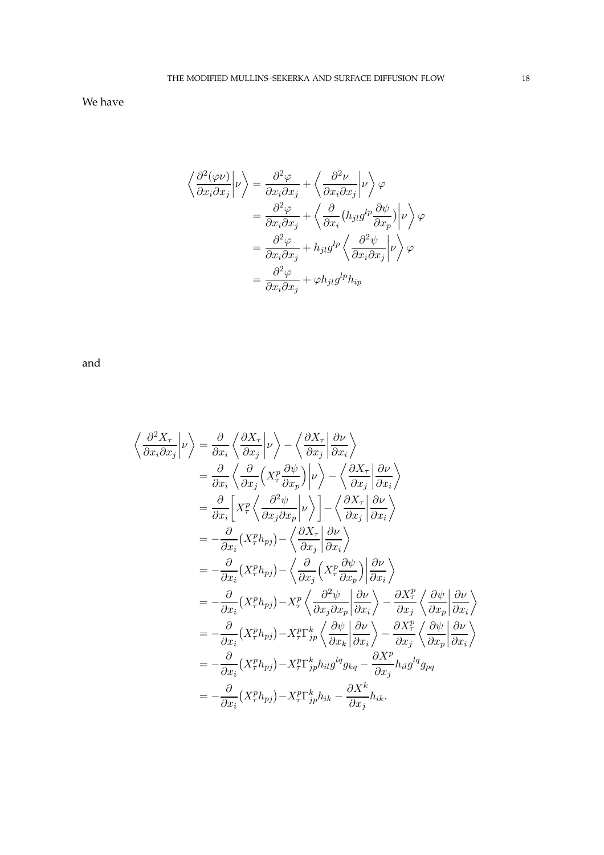We have

$$
\left\langle \frac{\partial^2 (\varphi \nu)}{\partial x_i \partial x_j} \middle| \nu \right\rangle = \frac{\partial^2 \varphi}{\partial x_i \partial x_j} + \left\langle \frac{\partial^2 \nu}{\partial x_i \partial x_j} \middle| \nu \right\rangle \varphi
$$
  

$$
= \frac{\partial^2 \varphi}{\partial x_i \partial x_j} + \left\langle \frac{\partial}{\partial x_i} (h_{jl} g^{lp} \frac{\partial \psi}{\partial x_p}) \middle| \nu \right\rangle \varphi
$$
  

$$
= \frac{\partial^2 \varphi}{\partial x_i \partial x_j} + h_{jl} g^{lp} \left\langle \frac{\partial^2 \psi}{\partial x_i \partial x_j} \middle| \nu \right\rangle \varphi
$$
  

$$
= \frac{\partial^2 \varphi}{\partial x_i \partial x_j} + \varphi h_{jl} g^{lp} h_{ip}
$$

and

$$
\left\langle \frac{\partial^2 X_{\tau}}{\partial x_i \partial x_j} \middle| \nu \right\rangle = \frac{\partial}{\partial x_i} \left\langle \frac{\partial X_{\tau}}{\partial x_j} \middle| \nu \right\rangle - \left\langle \frac{\partial X_{\tau}}{\partial x_j} \middle| \frac{\partial \nu}{\partial x_i} \right\rangle \n= \frac{\partial}{\partial x_i} \left\langle \frac{\partial}{\partial x_j} \left( X_{\tau}^p \frac{\partial \psi}{\partial x_p} \right) \middle| \nu \right\rangle - \left\langle \frac{\partial X_{\tau}}{\partial x_j} \middle| \frac{\partial \nu}{\partial x_i} \right\rangle \n= \frac{\partial}{\partial x_i} \left[ X_{\tau}^p \left\langle \frac{\partial^2 \psi}{\partial x_j \partial x_p} \middle| \nu \right\rangle \right] - \left\langle \frac{\partial X_{\tau}}{\partial x_j} \middle| \frac{\partial \nu}{\partial x_i} \right\rangle \n= -\frac{\partial}{\partial x_i} (X_{\tau}^p h_{pj}) - \left\langle \frac{\partial X_{\tau}}{\partial x_j} \middle| \frac{\partial \nu}{\partial x_i} \right\rangle \n= -\frac{\partial}{\partial x_i} (X_{\tau}^p h_{pj}) - \left\langle \frac{\partial}{\partial x_j} \left( X_{\tau}^p \frac{\partial \psi}{\partial x_p} \right) \middle| \frac{\partial \nu}{\partial x_i} \right\rangle \n= -\frac{\partial}{\partial x_i} (X_{\tau}^p h_{pj}) - X_{\tau}^p \left\langle \frac{\partial^2 \psi}{\partial x_j \partial x_p} \middle| \frac{\partial \nu}{\partial x_i} \right\rangle - \frac{\partial X_{\tau}^p}{\partial x_j} \left\langle \frac{\partial \psi}{\partial x_p} \middle| \frac{\partial \nu}{\partial x_i} \right\rangle \n= -\frac{\partial}{\partial x_i} (X_{\tau}^p h_{pj}) - X_{\tau}^p \Gamma_{jp}^k h_{il} g^{lq} g_{kq} - \frac{\partial X_{\tau}^p}{\partial x_j} h_{il} g^{lq} g_{pq} \n= -\frac{\partial}{\partial x_i} (X_{\tau}^p h_{pj}) - X_{\tau}^p \Gamma_{jp}^k h_{ik} - \frac{\partial X^k}{\partial x_j} h_{ik}.
$$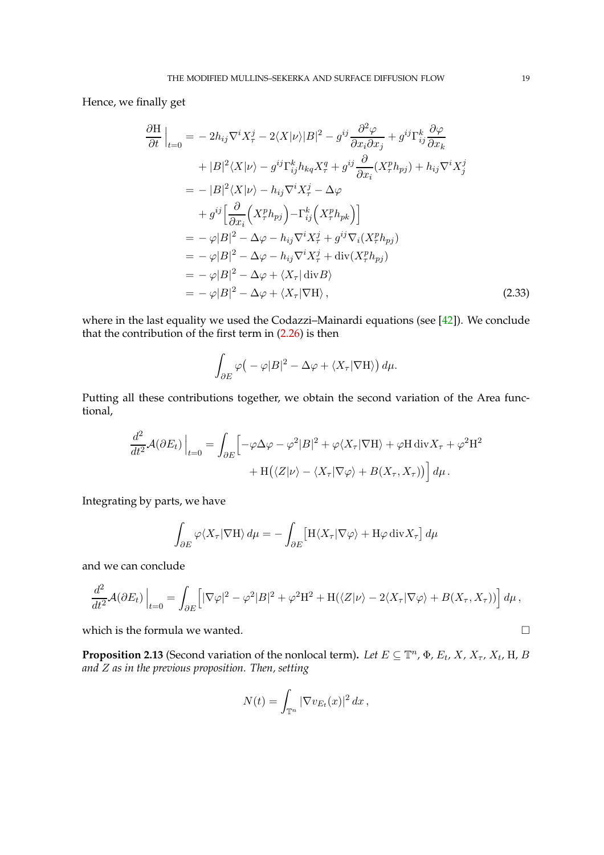Hence, we finally get

$$
\frac{\partial \mathbf{H}}{\partial t}\Big|_{t=0} = -2h_{ij}\nabla^{i}X_{\tau}^{j} - 2\langle X|\nu\rangle|B|^{2} - g^{ij}\frac{\partial^{2}\varphi}{\partial x_{i}\partial x_{j}} + g^{ij}\Gamma_{ij}^{k}\frac{\partial\varphi}{\partial x_{k}} \n+ |B|^{2}\langle X|\nu\rangle - g^{ij}\Gamma_{ij}^{k}h_{kq}X_{\tau}^{q} + g^{ij}\frac{\partial}{\partial x_{i}}(X_{\tau}^{p}h_{pj}) + h_{ij}\nabla^{i}X_{j}^{j} \n= -|B|^{2}\langle X|\nu\rangle - h_{ij}\nabla^{i}X_{\tau}^{j} - \Delta\varphi \n+ g^{ij}\left[\frac{\partial}{\partial x_{i}}\left(X_{\tau}^{p}h_{pj}\right) - \Gamma_{ij}^{k}\left(X_{\tau}^{p}h_{pk}\right)\right] \n= -\varphi|B|^{2} - \Delta\varphi - h_{ij}\nabla^{i}X_{\tau}^{j} + g^{ij}\nabla_{i}(X_{\tau}^{p}h_{pj}) \n= -\varphi|B|^{2} - \Delta\varphi - h_{ij}\nabla^{i}X_{\tau}^{j} + \text{div}(X_{\tau}^{p}h_{pj}) \n= -\varphi|B|^{2} - \Delta\varphi + \langle X_{\tau}|\text{div}B\rangle \n= -\varphi|B|^{2} - \Delta\varphi + \langle X_{\tau}|\nabla H\rangle, \qquad (2.33)
$$

where in the last equality we used the Codazzi–Mainardi equations (see [\[42\]](#page-97-12)). We conclude that the contribution of the first term in  $(2.26)$  is then

$$
\int_{\partial E} \varphi \big( -\varphi |B|^2 - \Delta \varphi + \langle X_\tau | \nabla H \rangle \big) d\mu.
$$

Putting all these contributions together, we obtain the second variation of the Area functional,

$$
\frac{d^2}{dt^2} \mathcal{A}(\partial E_t) \Big|_{t=0} = \int_{\partial E} \Big[ -\varphi \Delta \varphi - \varphi^2 |B|^2 + \varphi \langle X_\tau | \nabla H \rangle + \varphi H \operatorname{div} X_\tau + \varphi^2 H^2 + H \langle \langle Z | \nu \rangle - \langle X_\tau | \nabla \varphi \rangle + B(X_\tau, X_\tau) \rangle \Big] d\mu.
$$

Integrating by parts, we have

$$
\int_{\partial E} \varphi \langle X_{\tau} | \nabla H \rangle d\mu = -\int_{\partial E} \left[ H \langle X_{\tau} | \nabla \varphi \rangle + H \varphi \operatorname{div} X_{\tau} \right] d\mu
$$

and we can conclude

$$
\frac{d^2}{dt^2} \mathcal{A}(\partial E_t)\Big|_{t=0} = \int_{\partial E} \Big[|\nabla \varphi|^2 - \varphi^2 |B|^2 + \varphi^2 \mathcal{H}^2 + \mathcal{H}(\langle Z|\nu\rangle - 2\langle X_\tau|\nabla \varphi\rangle + B(X_\tau, X_\tau))\Big] d\mu,
$$

which is the formula we wanted.  $\Box$ 

<span id="page-18-0"></span>**Proposition 2.13** (Second variation of the nonlocal term). Let  $E \subseteq \mathbb{T}^n$ ,  $\Phi$ ,  $E_t$ ,  $X$ ,  $X_{\tau}$ ,  $X_t$ ,  $H$ ,  $B$ *and* Z *as in the previous proposition. Then, setting*

$$
N(t) = \int_{\mathbb{T}^n} |\nabla v_{E_t}(x)|^2 dx,
$$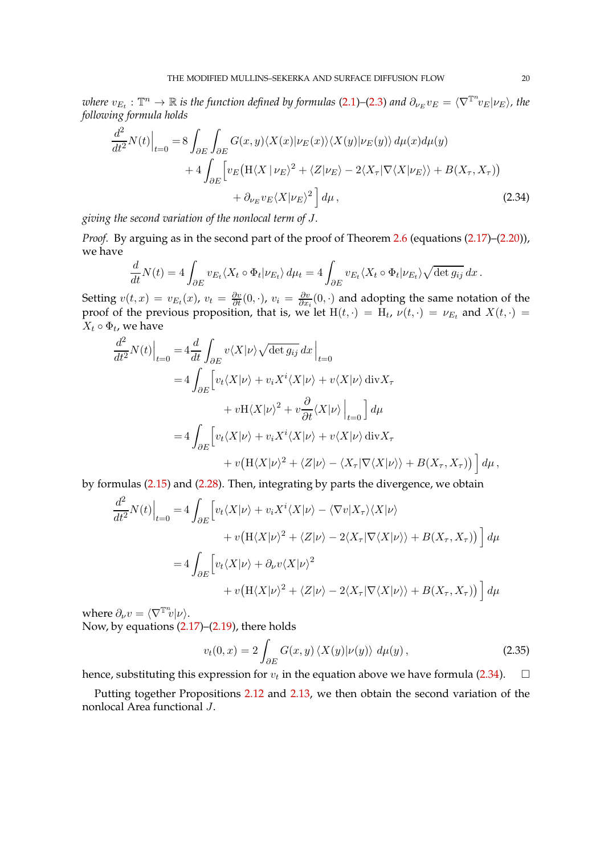$\hat{v}_{E_t} : \mathbb{T}^n \to \mathbb{R}$  is the function defined by formulas [\(2.1\)](#page-5-1)–[\(2.3\)](#page-6-1) and  $\partial_{\nu_E} v_E = \langle \nabla^{\mathbb{T}^n} v_E | \nu_E \rangle$ , the *following formula holds*

$$
\frac{d^2}{dt^2} N(t) \Big|_{t=0} = 8 \int_{\partial E} \int_{\partial E} G(x, y) \langle X(x) | \nu_E(x) \rangle \langle X(y) | \nu_E(y) \rangle d\mu(x) d\mu(y) \n+ 4 \int_{\partial E} \Big[ v_E \big( H \langle X | \nu_E \rangle^2 + \langle Z | \nu_E \rangle - 2 \langle X_\tau | \nabla \langle X | \nu_E \rangle \rangle + B(X_\tau, X_\tau) \big) \n+ \partial_{\nu_E} v_E \langle X | \nu_E \rangle^2 \Big] d\mu,
$$
\n(2.34)

*giving the second variation of the nonlocal term of* J*.*

*Proof.* By arguing as in the second part of the proof of Theorem [2.6](#page-9-3) (equations  $(2.17)$ – $(2.20)$ ), we have

<span id="page-19-0"></span>
$$
\frac{d}{dt}N(t) = 4 \int_{\partial E} v_{E_t} \langle X_t \circ \Phi_t | \nu_{E_t} \rangle d\mu_t = 4 \int_{\partial E} v_{E_t} \langle X_t \circ \Phi_t | \nu_{E_t} \rangle \sqrt{\det g_{ij}} dx.
$$

Setting  $v(t,x) = v_{E_t}(x)$ ,  $v_t = \frac{\partial v}{\partial t}(0, \cdot)$ ,  $v_i = \frac{\partial v}{\partial x_i}$  $\frac{\partial v}{\partial x_i}(0, \cdot)$  and adopting the same notation of the proof of the previous proposition, that is, we let  $H(t, \cdot) = H_t$ ,  $\nu(t, \cdot) = \nu_{E_t}$  and  $X(t, \cdot) =$  $X_t \circ \Phi_t$ , we have

$$
\frac{d^2}{dt^2} N(t) \Big|_{t=0} = 4 \frac{d}{dt} \int_{\partial E} v \langle X | \nu \rangle \sqrt{\det g_{ij}} dx \Big|_{t=0}
$$
  
\n
$$
= 4 \int_{\partial E} \Big[ v_t \langle X | \nu \rangle + v_i X^i \langle X | \nu \rangle + v \langle X | \nu \rangle \operatorname{div} X_{\tau}
$$
  
\n
$$
+ v \mathcal{H} \langle X | \nu \rangle^2 + v \frac{\partial}{\partial t} \langle X | \nu \rangle \Big|_{t=0} \Big] d\mu
$$
  
\n
$$
= 4 \int_{\partial E} \Big[ v_t \langle X | \nu \rangle + v_i X^i \langle X | \nu \rangle + v \langle X | \nu \rangle \operatorname{div} X_{\tau}
$$
  
\n
$$
+ v \big( \mathcal{H} \langle X | \nu \rangle^2 + \langle Z | \nu \rangle - \langle X_{\tau} | \nabla \langle X | \nu \rangle \rangle + B(X_{\tau}, X_{\tau}) \big) \Big] d\mu,
$$

by formulas [\(2.15\)](#page-10-1) and [\(2.28\)](#page-16-3). Then, integrating by parts the divergence, we obtain

$$
\frac{d^2}{dt^2} N(t) \Big|_{t=0} = 4 \int_{\partial E} \Big[ v_t \langle X | \nu \rangle + v_i X^i \langle X | \nu \rangle - \langle \nabla v | X_\tau \rangle \langle X | \nu \rangle \n+ v \big( \mathcal{H} \langle X | \nu \rangle^2 + \langle Z | \nu \rangle - 2 \langle X_\tau | \nabla \langle X | \nu \rangle \rangle + B(X_\tau, X_\tau) \big) \Big] d\mu \n= 4 \int_{\partial E} \Big[ v_t \langle X | \nu \rangle + \partial_\nu v \langle X | \nu \rangle^2 \n+ v \big( \mathcal{H} \langle X | \nu \rangle^2 + \langle Z | \nu \rangle - 2 \langle X_\tau | \nabla \langle X | \nu \rangle \rangle + B(X_\tau, X_\tau) \big) \Big] d\mu
$$

where  $\partial_{\nu}v = \langle \nabla^{\mathbb{T}^n}v | \nu \rangle$ . Now, by equations [\(2.17\)](#page-11-2)–[\(2.19\)](#page-12-2), there holds

$$
v_t(0,x) = 2 \int_{\partial E} G(x,y) \langle X(y) | \nu(y) \rangle \ d\mu(y), \qquad (2.35)
$$

hence, substituting this expression for  $v_t$  in the equation above we have formula [\(2.34\)](#page-19-0).  $\Box$ 

Putting together Propositions [2.12](#page-14-1) and [2.13,](#page-18-0) we then obtain the second variation of the nonlocal Area functional J.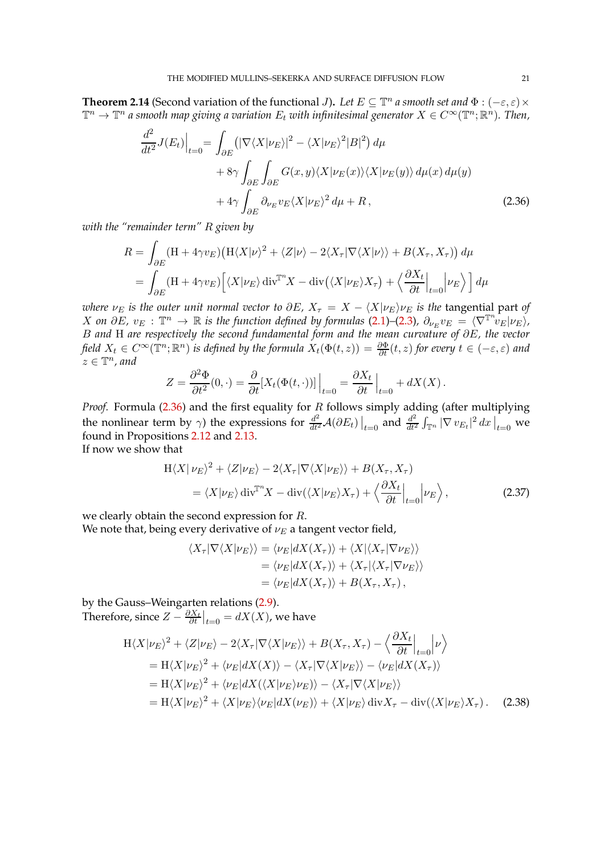<span id="page-20-3"></span>**Theorem 2.14** (Second variation of the functional *J*). Let  $E \subseteq \mathbb{T}^n$  a smooth set and  $\Phi : (-\varepsilon, \varepsilon) \times$  $\mathbb{T}^n\to\mathbb{T}^n$  a smooth map giving a variation  $E_t$  with infinitesimal generator  $X\in C^\infty(\mathbb{T}^n;\mathbb{R}^n).$  Then,

$$
\frac{d^2}{dt^2} J(E_t) \Big|_{t=0} = \int_{\partial E} (|\nabla \langle X | \nu_E \rangle|^2 - \langle X | \nu_E \rangle^2 |B|^2) d\mu \n+ 8\gamma \int_{\partial E} \int_{\partial E} G(x, y) \langle X | \nu_E(x) \rangle \langle X | \nu_E(y) \rangle d\mu(x) d\mu(y) \n+ 4\gamma \int_{\partial E} \partial_{\nu_E} v_E \langle X | \nu_E \rangle^2 d\mu + R,
$$
\n(2.36)

*with the "remainder term"* R *given by*

$$
R = \int_{\partial E} (\mathbf{H} + 4\gamma v_E) \left( \mathbf{H} \langle X | \nu \rangle^2 + \langle Z | \nu \rangle - 2 \langle X_\tau | \nabla \langle X | \nu \rangle \rangle + B(X_\tau, X_\tau) \right) d\mu
$$
  
= 
$$
\int_{\partial E} (\mathbf{H} + 4\gamma v_E) \left[ \langle X | \nu_E \rangle \operatorname{div}^T X - \operatorname{div}(\langle X | \nu_E \rangle X_\tau) + \langle \frac{\partial X_t}{\partial t} \Big|_{t=0} | \nu_E \rangle \right] d\mu
$$

*where*  $\nu_E$  *is the outer unit normal vector to*  $\partial E$ *,*  $X_\tau = X - \langle X | \nu_E \rangle \nu_E$  *<i>is the tangential part of*  $X$  *on*  $\partial E$ *,*  $v_E$  :  $\mathbb{T}^n \to \mathbb{R}$  is the function defined by formulas [\(2.1\)](#page-5-1)–[\(2.3\)](#page-6-1),  $\partial_{\nu_E} v_E = \langle \nabla^{\mathbb{T}^n} v_E | \nu_E \rangle$ , B *and* H *are respectively the second fundamental form and the mean curvature of* ∂E*, the vector field*  $X_t \in C^\infty(\mathbb{T}^n;\mathbb{R}^n)$  *is defined by the formula*  $X_t(\Phi(t,z)) = \frac{\partial \Phi}{\partial t}(t,z)$  *for every*  $t \in (-\varepsilon,\varepsilon)$  and  $z \in \mathbb{T}^n$ , and

$$
Z = \frac{\partial^2 \Phi}{\partial t^2}(0, \cdot) = \frac{\partial}{\partial t}[X_t(\Phi(t, \cdot))]\Big|_{t=0} = \frac{\partial X_t}{\partial t}\Big|_{t=0} + dX(X) .
$$

*Proof.* Formula [\(2.36\)](#page-20-0) and the first equality for R follows simply adding (after multiplying the nonlinear term by  $\gamma$ ) the expressions for  $\frac{d^2}{dt^2} \mathcal{A}(\partial E_t)\big|_{t=0}$  and  $\frac{d^2}{dt^2}$  $\frac{d^2}{dt^2} \int_{\mathbb{T}^n} |\nabla \, v_{E_t}|^2 \, dx\, \big|_{t=0}$  we found in Propositions [2.12](#page-14-1) and [2.13.](#page-18-0) If now we show that

$$
H\langle X|\nu_E\rangle^2 + \langle Z|\nu_E\rangle - 2\langle X_\tau|\nabla\langle X|\nu_E\rangle\rangle + B(X_\tau, X_\tau)
$$
  
=  $\langle X|\nu_E\rangle \operatorname{div}^{\mathbb{T}^n} X - \operatorname{div}(\langle X|\nu_E\rangle X_\tau) + \langle \frac{\partial X_t}{\partial t}|_{t=0} |\nu_E\rangle$ ,

we clearly obtain the second expression for R. We note that, being every derivative of  $\nu_E$  a tangent vector field,

$$
\langle X_{\tau} | \nabla \langle X | \nu_{E} \rangle \rangle = \langle \nu_{E} | dX(X_{\tau}) \rangle + \langle X | \langle X_{\tau} | \nabla \nu_{E} \rangle \rangle
$$
  
=  $\langle \nu_{E} | dX(X_{\tau}) \rangle + \langle X_{\tau} | \langle X_{\tau} | \nabla \nu_{E} \rangle \rangle$   
=  $\langle \nu_{E} | dX(X_{\tau}) \rangle + B(X_{\tau}, X_{\tau}),$ 

by the Gauss–Weingarten relations [\(2.9\)](#page-9-1). Therefore, since  $Z - \frac{\partial X_t}{\partial t}\big|_{t=0} = dX(X)$ , we have

$$
H\langle X|\nu_{E}\rangle^{2} + \langle Z|\nu_{E}\rangle - 2\langle X_{\tau}|\nabla\langle X|\nu_{E}\rangle\rangle + B(X_{\tau}, X_{\tau}) - \langle \frac{\partial X_{t}}{\partial t}|_{t=0} |\nu\rangle
$$
  
\n
$$
= H\langle X|\nu_{E}\rangle^{2} + \langle \nu_{E}|dX(X)\rangle - \langle X_{\tau}|\nabla\langle X|\nu_{E}\rangle\rangle - \langle \nu_{E}|dX(X_{\tau})\rangle
$$
  
\n
$$
= H\langle X|\nu_{E}\rangle^{2} + \langle \nu_{E}|dX(\langle X|\nu_{E}\rangle\nu_{E})\rangle - \langle X_{\tau}|\nabla\langle X|\nu_{E}\rangle\rangle
$$
  
\n
$$
= H\langle X|\nu_{E}\rangle^{2} + \langle X|\nu_{E}\rangle\langle \nu_{E}|dX(\nu_{E})\rangle + \langle X|\nu_{E}\rangle \operatorname{div} X_{\tau} - \operatorname{div}(\langle X|\nu_{E}\rangle X_{\tau}). \quad (2.38)
$$

<span id="page-20-2"></span><span id="page-20-1"></span><span id="page-20-0"></span> $(2.37)$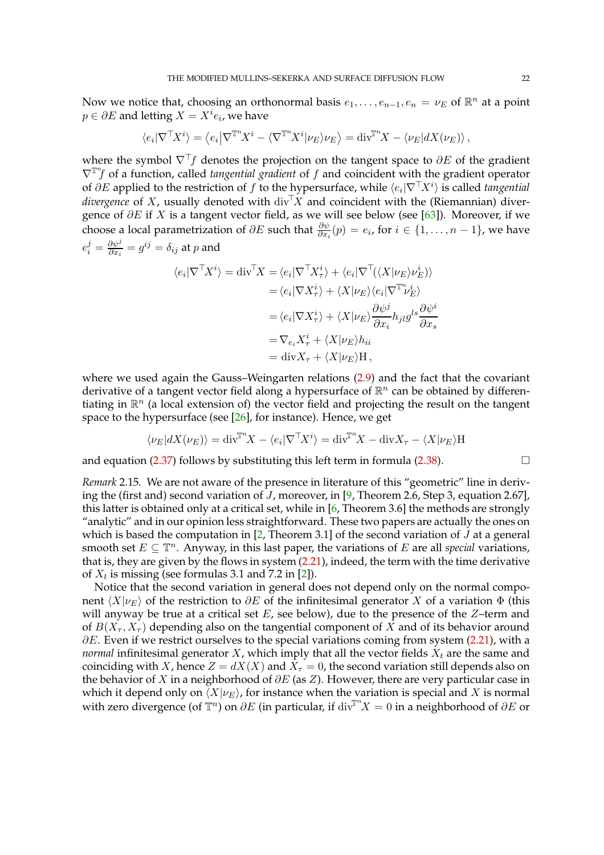Now we notice that, choosing an orthonormal basis  $e_1, \ldots, e_{n-1}, e_n = \nu_E$  of  $\mathbb{R}^n$  at a point  $p \in \partial E$  and letting  $X = X^i e_i$ , we have

$$
\langle e_i | \nabla^{\top} X^i \rangle = \langle e_i | \nabla^{\mathbb{T}^n} X^i - \langle \nabla^{\mathbb{T}^n} X^i | \nu_E \rangle \nu_E \rangle = \text{div}^{\mathbb{T}^n} X - \langle \nu_E | dX(\nu_E) \rangle ,
$$

where the symbol  $\nabla^{\top}f$  denotes the projection on the tangent space to  $\partial E$  of the gradient  $\nabla$ <sup>T</sup><sup>n</sup>f of a function, called *tangential gradient* of f and coincident with the gradient operator of ∂E applied to the restriction of f to the hypersurface, while  $\langle e_i|\nabla^\top X^i\rangle$  is called *tangential divergence* of X, usually denoted with div<sup>T</sup>X and coincident with the (Riemannian) divergence of  $\partial E$  if X is a tangent vector field, as we will see below (see [\[63\]](#page-98-1)). Moreover, if we choose a local parametrization of  $\partial E$  such that  $\frac{\partial \psi}{\partial x_i}(p) = e_i$ , for  $i \in \{1, \ldots, n-1\}$ , we have  $e_i^j = \frac{\partial \psi^j}{\partial x_i}$  $\frac{\partial \psi^j}{\partial x_i} = g^{ij} = \delta_{ij}$  at  $p$  and

$$
\langle e_i | \nabla^{\top} X^i \rangle = \text{div}^{\top} X = \langle e_i | \nabla^{\top} X^i_{\tau} \rangle + \langle e_i | \nabla^{\top} (\langle X | \nu_E \rangle \nu_E^i) \rangle
$$
  
\n
$$
= \langle e_i | \nabla X^i_{\tau} \rangle + \langle X | \nu_E \rangle \langle e_i | \nabla^{\mathbb{T}^n} \nu_E^i \rangle
$$
  
\n
$$
= \langle e_i | \nabla X^i_{\tau} \rangle + \langle X | \nu_E \rangle \frac{\partial \psi^j}{\partial x_i} h_{jl} g^{ls} \frac{\partial \psi^i}{\partial x_s}
$$
  
\n
$$
= \nabla_{e_i} X^i_{\tau} + \langle X | \nu_E \rangle h_{ii}
$$
  
\n
$$
= \text{div} X_{\tau} + \langle X | \nu_E \rangle H,
$$

where we used again the Gauss–Weingarten relations [\(2.9\)](#page-9-1) and the fact that the covariant derivative of a tangent vector field along a hypersurface of  $\mathbb{R}^n$  can be obtained by differentiating in  $\mathbb{R}^n$  (a local extension of) the vector field and projecting the result on the tangent space to the hypersurface (see [\[26\]](#page-97-16), for instance). Hence, we get

$$
\langle \nu_E | dX(\nu_E) \rangle = \text{div}^{\mathbb{T}^n} X - \langle e_i | \nabla^{\mathbb{T}} X^i \rangle = \text{div}^{\mathbb{T}^n} X - \text{div} X_{\tau} - \langle X | \nu_E \rangle \text{H}
$$

and equation [\(2.37\)](#page-20-1) follows by substituting this left term in formula [\(2.38\)](#page-20-2).  $\Box$ 

*Remark* 2.15*.* We are not aware of the presence in literature of this "geometric" line in deriving the (first and) second variation of J, moreover, in [\[9,](#page-96-9) Theorem 2.6, Step 3, equation 2.67], this latter is obtained only at a critical set, while in [\[6,](#page-96-10) Theorem 3.6] the methods are strongly "analytic" and in our opinion less straightforward. These two papers are actually the ones on which is based the computation in  $[2,$  Theorem 3.1] of the second variation of J at a general smooth set  $E \subseteq \mathbb{T}^n$ . Anyway, in this last paper, the variations of E are all *special* variations, that is, they are given by the flows in system [\(2.21\)](#page-12-1), indeed, the term with the time derivative of  $X_t$  is missing (see formulas 3.1 and 7.2 in [\[2\]](#page-96-2)).

Notice that the second variation in general does not depend only on the normal component  $\langle X|\nu_E\rangle$  of the restriction to  $\partial E$  of the infinitesimal generator X of a variation  $\Phi$  (this will anyway be true at a critical set  $E$ , see below), due to the presence of the  $Z$ -term and of  $B(X_\tau, X_\tau)$  depending also on the tangential component of X and of its behavior around  $\partial E$ . Even if we restrict ourselves to the special variations coming from system [\(2.21\)](#page-12-1), with a *normal* infinitesimal generator  $X$ , which imply that all the vector fields  $X_t$  are the same and coinciding with X, hence  $Z = dX(X)$  and  $X_\tau = 0$ , the second variation still depends also on the behavior of X in a neighborhood of  $\partial E$  (as Z). However, there are very particular case in which it depend only on  $\langle X|\nu_E\rangle$ , for instance when the variation is special and X is normal with zero divergence (of  $\mathbb{T}^n$ ) on  $\partial E$  (in particular, if  $\text{div}^{\mathbb{T}^n}X = 0$  in a neighborhood of  $\partial E$  or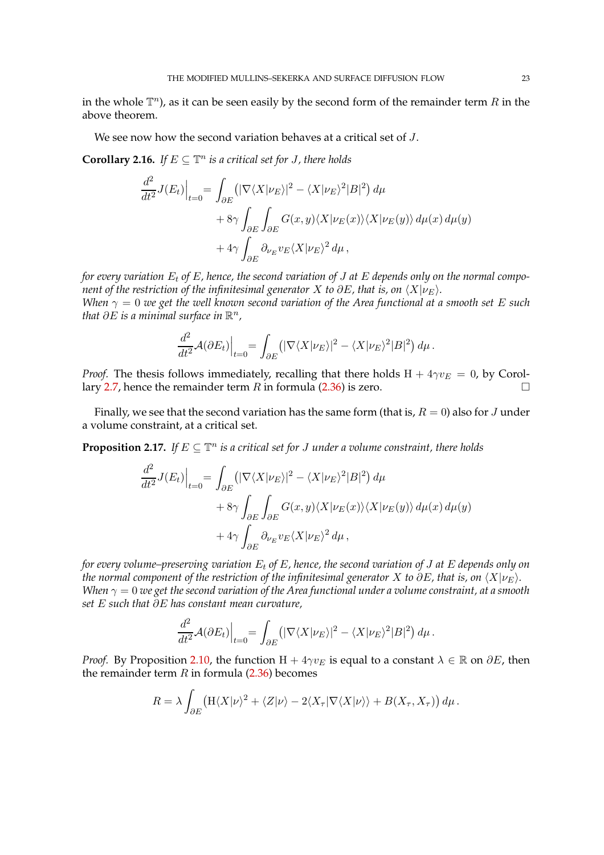in the whole  $\mathbb{T}^n$ ), as it can be seen easily by the second form of the remainder term  $R$  in the above theorem.

We see now how the second variation behaves at a critical set of J.

**Corollary 2.16.** *If*  $E \subseteq \mathbb{T}^n$  is a critical set for *J*, there holds

$$
\frac{d^2}{dt^2} J(E_t)\Big|_{t=0} = \int_{\partial E} (|\nabla \langle X | \nu_E \rangle|^2 - \langle X | \nu_E \rangle^2 |B|^2) d\mu \n+ 8\gamma \int_{\partial E} \int_{\partial E} G(x, y) \langle X | \nu_E(x) \rangle \langle X | \nu_E(y) \rangle d\mu(x) d\mu(y) \n+ 4\gamma \int_{\partial E} \partial_{\nu_E} v_E \langle X | \nu_E \rangle^2 d\mu,
$$

*for every variation*  $E_t$  *of*  $E$ *, hence, the second variation of J at*  $E$  *depends only on the normal component of the restriction of the infinitesimal generator* X *to*  $\partial E$ *, that is, on*  $\langle X | v_F \rangle$ *. When*  $\gamma = 0$  *we get the well known second variation of the Area functional at a smooth set* E *such* that  $\partial E$  is a minimal surface in  $\mathbb{R}^n$  ,

$$
\frac{d^2}{dt^2} \mathcal{A}(\partial E_t)\Big|_{t=0} = \int_{\partial E} (|\nabla \langle X|\nu_E\rangle|^2 - \langle X|\nu_E\rangle^2|B|^2) d\mu.
$$

*Proof.* The thesis follows immediately, recalling that there holds  $H + 4\gamma v_E = 0$ , by Corol-lary [2.7,](#page-12-3) hence the remainder term R in formula  $(2.36)$  is zero.

Finally, we see that the second variation has the same form (that is,  $R = 0$ ) also for J under a volume constraint, at a critical set.

<span id="page-22-0"></span>**Proposition 2.17.** If  $E \subseteq \mathbb{T}^n$  is a critical set for J under a volume constraint, there holds

$$
\frac{d^2}{dt^2} J(E_t) \Big|_{t=0} = \int_{\partial E} (|\nabla \langle X | \nu_E \rangle|^2 - \langle X | \nu_E \rangle^2 |B|^2) d\mu \n+ 8\gamma \int_{\partial E} \int_{\partial E} G(x, y) \langle X | \nu_E(x) \rangle \langle X | \nu_E(y) \rangle d\mu(x) d\mu(y) \n+ 4\gamma \int_{\partial E} \partial_{\nu_E} v_E \langle X | \nu_E \rangle^2 d\mu,
$$

*for every volume–preserving variation* E<sup>t</sup> *of* E*, hence, the second variation of* J *at* E *depends only on the normal component of the restriction of the infinitesimal generator* X *to*  $\partial E$ *, that is, on*  $\langle X|\nu_E\rangle$ *. When*  $\gamma = 0$  *we get the second variation of the Area functional under a volume constraint, at a smooth set* E *such that* ∂E *has constant mean curvature,*

$$
\frac{d^2}{dt^2} \mathcal{A}(\partial E_t)\Big|_{t=0} = \int_{\partial E} \left( |\nabla \langle X | \nu_E \rangle|^2 - \langle X | \nu_E \rangle^2 |B|^2 \right) d\mu.
$$

*Proof.* By Proposition [2.10,](#page-14-2) the function  $H + 4\gamma v_E$  is equal to a constant  $\lambda \in \mathbb{R}$  on  $\partial E$ , then the remainder term  $R$  in formula [\(2.36\)](#page-20-0) becomes

$$
R = \lambda \int_{\partial E} \left( \mathcal{H} \langle X | \nu \rangle^2 + \langle Z | \nu \rangle - 2 \langle X_\tau | \nabla \langle X | \nu \rangle \rangle + B(X_\tau, X_\tau) \right) d\mu.
$$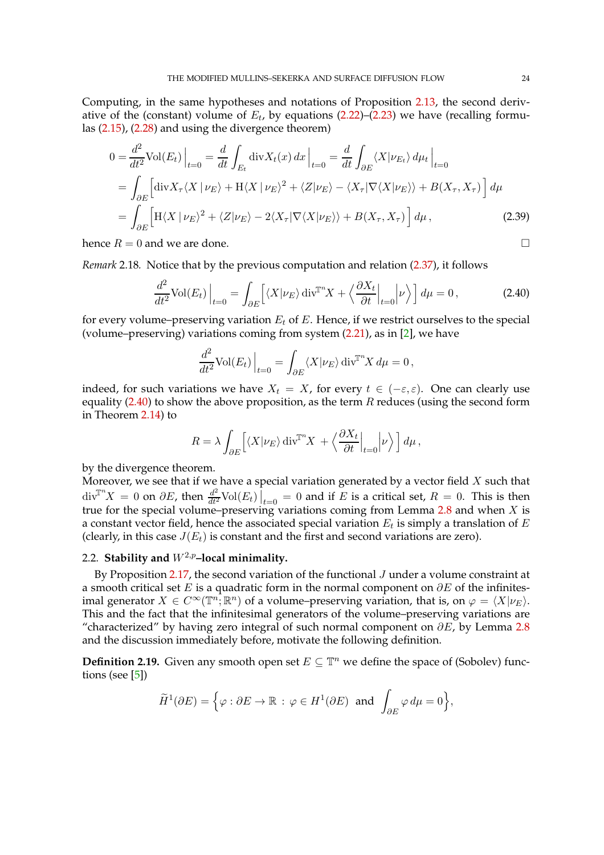Computing, in the same hypotheses and notations of Proposition [2.13,](#page-18-0) the second derivative of the (constant) volume of  $E_t$ , by equations [\(2.22\)](#page-13-0)–[\(2.23\)](#page-13-2) we have (recalling formulas [\(2.15\)](#page-10-1), [\(2.28\)](#page-16-3) and using the divergence theorem)

$$
0 = \frac{d^2}{dt^2} \text{Vol}(E_t) \Big|_{t=0} = \frac{d}{dt} \int_{E_t} \text{div} X_t(x) \, dx \Big|_{t=0} = \frac{d}{dt} \int_{\partial E} \langle X | \nu_{E_t} \rangle \, d\mu_t \Big|_{t=0}
$$
  
= 
$$
\int_{\partial E} \Big[ \text{div} X_\tau \langle X | \nu_E \rangle + H \langle X | \nu_E \rangle^2 + \langle Z | \nu_E \rangle - \langle X_\tau | \nabla \langle X | \nu_E \rangle \rangle + B(X_\tau, X_\tau) \Big] \, d\mu
$$
  
= 
$$
\int_{\partial E} \Big[ H \langle X | \nu_E \rangle^2 + \langle Z | \nu_E \rangle - 2 \langle X_\tau | \nabla \langle X | \nu_E \rangle \rangle + B(X_\tau, X_\tau) \Big] \, d\mu,
$$
 (2.39)

hence  $R = 0$  and we are done.

<span id="page-23-4"></span>*Remark* 2.18*.* Notice that by the previous computation and relation [\(2.37\)](#page-20-1), it follows

$$
\frac{d^2}{dt^2} \text{Vol}(E_t) \Big|_{t=0} = \int_{\partial E} \Big[ \langle X | \nu_E \rangle \operatorname{div}^{\mathbb{T}^n} X + \Big\langle \frac{\partial X_t}{\partial t} \Big|_{t=0} \Big| \nu \Big\rangle \Big] \, d\mu = 0 \,, \tag{2.40}
$$

for every volume–preserving variation  $E_t$  of E. Hence, if we restrict ourselves to the special (volume–preserving) variations coming from system  $(2.21)$ , as in  $[2]$ , we have

<span id="page-23-3"></span><span id="page-23-1"></span>
$$
\frac{d^2}{dt^2} \text{Vol}(E_t) \Big|_{t=0} = \int_{\partial E} \langle X | \nu_E \rangle \, \text{div}^{\mathbb{T}^n} X \, d\mu = 0 \,,
$$

indeed, for such variations we have  $X_t = X$ , for every  $t \in (-\varepsilon, \varepsilon)$ . One can clearly use equality [\(2.40\)](#page-23-1) to show the above proposition, as the term  $R$  reduces (using the second form in Theorem [2.14\)](#page-20-3) to

$$
R = \lambda \int_{\partial E} \left[ \langle X | \nu_E \rangle \operatorname{div}^{\mathbb{T}^n} X + \left\langle \frac{\partial X_t}{\partial t} \Big|_{t=0} \Big| \nu \right\rangle \right] d\mu,
$$

by the divergence theorem.

Moreover, we see that if we have a special variation generated by a vector field  $X$  such that  $div^{\mathbb{T}^n}X = 0$  on  $\partial E$ , then  $\frac{d^2}{dt^2}\text{Vol}(E_t)\Big|_{t=0} = 0$  and if E is a critical set,  $R = 0$ . This is then true for the special volume–preserving variations coming from Lemma [2.8](#page-13-1) and when X is a constant vector field, hence the associated special variation  $E_t$  is simply a translation of  $E$ (clearly, in this case  $J(E_t)$  is constant and the first and second variations are zero).

# <span id="page-23-0"></span>2.2. **Stability and**  $W^{2,p}$ -local minimality.

By Proposition [2.17,](#page-22-0) the second variation of the functional J under a volume constraint at a smooth critical set E is a quadratic form in the normal component on  $\partial E$  of the infinitesimal generator  $X \in C^{\infty}(\mathbb{T}^n;\mathbb{R}^n)$  of a volume–preserving variation, that is, on  $\varphi = \langle X | \nu_E \rangle$ . This and the fact that the infinitesimal generators of the volume–preserving variations are "characterized" by having zero integral of such normal component on  $\partial E$ , by Lemma [2.8](#page-13-1) and the discussion immediately before, motivate the following definition.

<span id="page-23-2"></span>**Definition 2.19.** Given any smooth open set  $E \subseteq \mathbb{T}^n$  we define the space of (Sobolev) functions (see [\[5\]](#page-96-11))

$$
\widetilde{H}^1(\partial E) = \Big\{ \varphi : \partial E \to \mathbb{R} \, : \, \varphi \in H^1(\partial E) \, \text{ and } \, \int_{\partial E} \varphi \, d\mu = 0 \Big\},
$$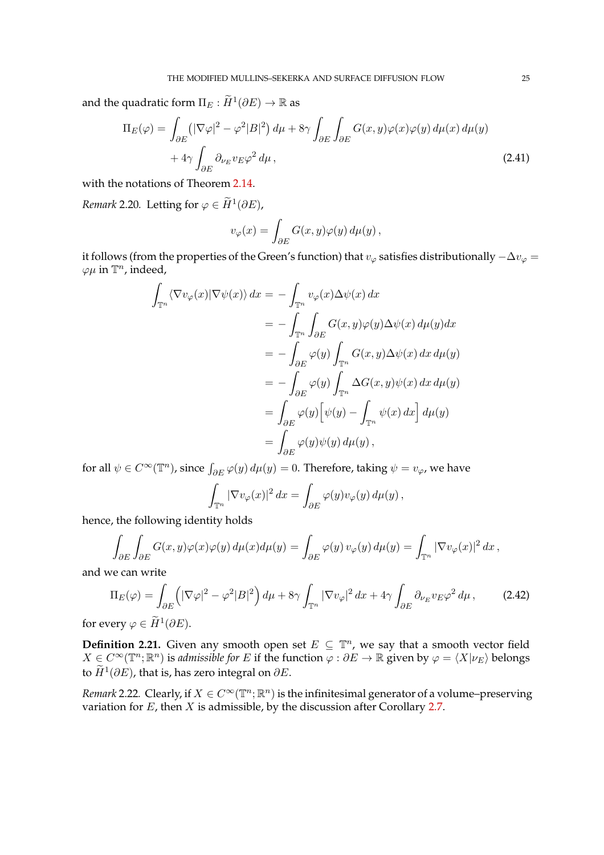and the quadratic form  $\Pi_{E}:\widetilde{H}^1(\partial E) \rightarrow \mathbb{R}$  as

$$
\Pi_E(\varphi) = \int_{\partial E} \left( |\nabla \varphi|^2 - \varphi^2 |B|^2 \right) d\mu + 8\gamma \int_{\partial E} \int_{\partial E} G(x, y) \varphi(x) \varphi(y) d\mu(x) d\mu(y) \n+ 4\gamma \int_{\partial E} \partial_{\nu_E} v_E \varphi^2 d\mu,
$$
\n(2.41)

with the notations of Theorem [2.14.](#page-20-3)

*Remark* 2.20. Letting for  $\varphi \in \widetilde{H}^1(\partial E)$ ,

<span id="page-24-0"></span>
$$
v_{\varphi}(x) = \int_{\partial E} G(x, y)\varphi(y) d\mu(y),
$$

it follows (from the properties of the Green's function) that  $v_{\varphi}$  satisfies distributionally  $-\Delta v_{\varphi} =$  $\varphi\mu$  in  $\mathbb{T}^n$ , indeed,

$$
\int_{\mathbb{T}^n} \langle \nabla v_{\varphi}(x) | \nabla \psi(x) \rangle dx = - \int_{\mathbb{T}^n} v_{\varphi}(x) \Delta \psi(x) dx
$$
  
\n
$$
= - \int_{\mathbb{T}^n} \int_{\partial E} G(x, y) \varphi(y) \Delta \psi(x) d\mu(y) dx
$$
  
\n
$$
= - \int_{\partial E} \varphi(y) \int_{\mathbb{T}^n} G(x, y) \Delta \psi(x) dx d\mu(y)
$$
  
\n
$$
= - \int_{\partial E} \varphi(y) \int_{\mathbb{T}^n} \Delta G(x, y) \psi(x) dx d\mu(y)
$$
  
\n
$$
= \int_{\partial E} \varphi(y) [\psi(y) - \int_{\mathbb{T}^n} \psi(x) dx] d\mu(y)
$$
  
\n
$$
= \int_{\partial E} \varphi(y) \psi(y) d\mu(y),
$$

for all  $\psi \in C^{\infty}(\mathbb{T}^n)$ , since  $\int_{\partial E} \varphi(y) d\mu(y) = 0$ . Therefore, taking  $\psi = v_{\varphi}$ , we have

$$
\int_{\mathbb{T}^n} |\nabla v_{\varphi}(x)|^2 dx = \int_{\partial E} \varphi(y) v_{\varphi}(y) d\mu(y),
$$

hence, the following identity holds

$$
\int_{\partial E}\int_{\partial E} G(x,y)\varphi(x)\varphi(y)\,d\mu(x)d\mu(y) = \int_{\partial E} \varphi(y)\,v_\varphi(y)\,d\mu(y) = \int_{\mathbb{T}^n} |\nabla v_\varphi(x)|^2\,dx\,,
$$

and we can write

$$
\Pi_E(\varphi) = \int_{\partial E} \left( |\nabla \varphi|^2 - \varphi^2 |B|^2 \right) d\mu + 8\gamma \int_{\mathbb{T}^n} |\nabla v_\varphi|^2 dx + 4\gamma \int_{\partial E} \partial_{\nu_E} v_E \varphi^2 d\mu, \tag{2.42}
$$

for every  $\varphi \in \widetilde{H}^1(\partial E)$ .

**Definition 2.21.** Given any smooth open set  $E \subseteq \mathbb{T}^n$ , we say that a smooth vector field  $X\in C^\infty(\mathbb{T}^n;\mathbb{R}^n)$  is *admissible for*  $E$  if the function  $\varphi:\partial E\to\mathbb{R}$  given by  $\varphi=\langle X|\nu_E\rangle$  belongs to  $\widetilde{H}^1(\partial E)$ , that is, has zero integral on  $\partial E$ .

<span id="page-24-1"></span>*Remark* 2.22*.* Clearly, if  $X \in C^{\infty}(\mathbb{T}^n;\mathbb{R}^n)$  is the infinitesimal generator of a volume–preserving variation for  $E$ , then  $X$  is admissible, by the discussion after Corollary [2.7.](#page-12-3)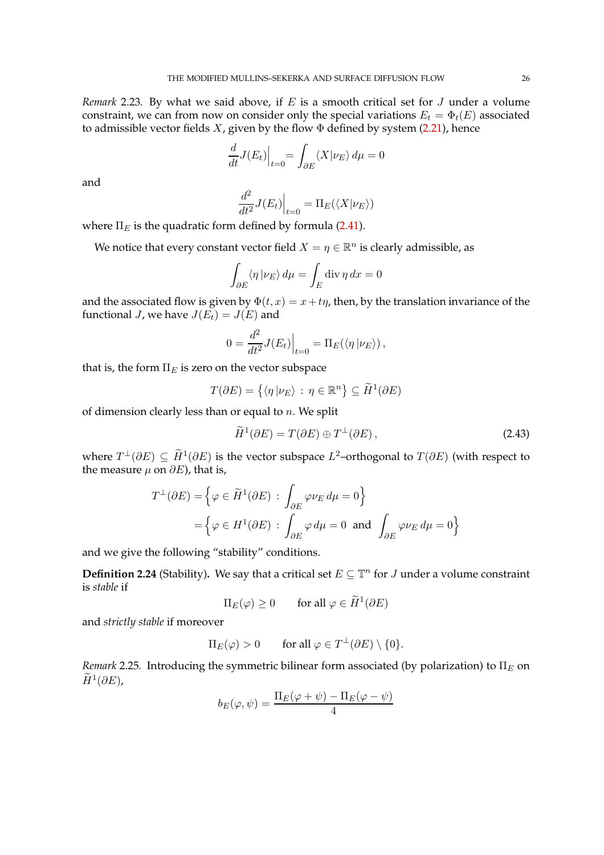<span id="page-25-0"></span>*Remark* 2.23*.* By what we said above, if E is a smooth critical set for J under a volume constraint, we can from now on consider only the special variations  $E_t = \Phi_t(E)$  associated to admissible vector fields  $X$ , given by the flow  $\Phi$  defined by system [\(2.21\)](#page-12-1), hence

$$
\frac{d}{dt}J(E_t)\Big|_{t=0} = \int_{\partial E} \langle X|\nu_E\rangle \, d\mu = 0
$$

and

$$
\left. \frac{d^2}{dt^2} J(E_t) \right|_{t=0} = \Pi_E(\langle X | \nu_E \rangle)
$$

where  $\Pi_E$  is the quadratic form defined by formula [\(2.41\)](#page-24-0).

We notice that every constant vector field  $X = \eta \in \mathbb{R}^n$  is clearly admissible, as

$$
\int_{\partial E} \langle \eta | \nu_E \rangle \, d\mu = \int_E \text{div} \, \eta \, dx = 0
$$

and the associated flow is given by  $\Phi(t, x) = x + t\eta$ , then, by the translation invariance of the functional *J*, we have  $J(E_t) = J(E)$  and

$$
0 = \frac{d^2}{dt^2} J(E_t) \Big|_{t=0} = \Pi_E(\langle \eta | \nu_E \rangle) ,
$$

that is, the form  $\Pi_E$  is zero on the vector subspace

$$
T(\partial E) = \{ \langle \eta | \nu_E \rangle : \eta \in \mathbb{R}^n \} \subseteq \widetilde{H}^1(\partial E)
$$

of dimension clearly less than or equal to  $n$ . We split

$$
\widetilde{H}^1(\partial E) = T(\partial E) \oplus T^\perp(\partial E),\tag{2.43}
$$

where  $T^{\perp}(\partial E) \subseteq \overline{H}^1(\partial E)$  is the vector subspace  $L^2$ –orthogonal to  $T(\partial E)$  (with respect to the measure  $\mu$  on  $\partial E$ ), that is,

$$
T^{\perp}(\partial E) = \left\{ \varphi \in \widetilde{H}^{1}(\partial E) : \int_{\partial E} \varphi \nu_{E} d\mu = 0 \right\}
$$
  
= 
$$
\left\{ \varphi \in H^{1}(\partial E) : \int_{\partial E} \varphi d\mu = 0 \text{ and } \int_{\partial E} \varphi \nu_{E} d\mu = 0 \right\}
$$

and we give the following "stability" conditions.

<span id="page-25-1"></span>**Definition 2.24** (Stability). We say that a critical set  $E \subseteq \mathbb{T}^n$  for J under a volume constraint is *stable* if

$$
\Pi_E(\varphi) \ge 0 \qquad \text{for all } \varphi \in \widetilde{H}^1(\partial E)
$$

and *strictly stable* if moreover

$$
\Pi_E(\varphi) > 0 \qquad \text{for all } \varphi \in T^{\perp}(\partial E) \setminus \{0\}.
$$

*Remark* 2.25*.* Introducing the symmetric bilinear form associated (by polarization) to  $\Pi_E$  on  $\widetilde{H}^1(\partial E)$ ,

$$
b_E(\varphi, \psi) = \frac{\Pi_E(\varphi + \psi) - \Pi_E(\varphi - \psi)}{4}
$$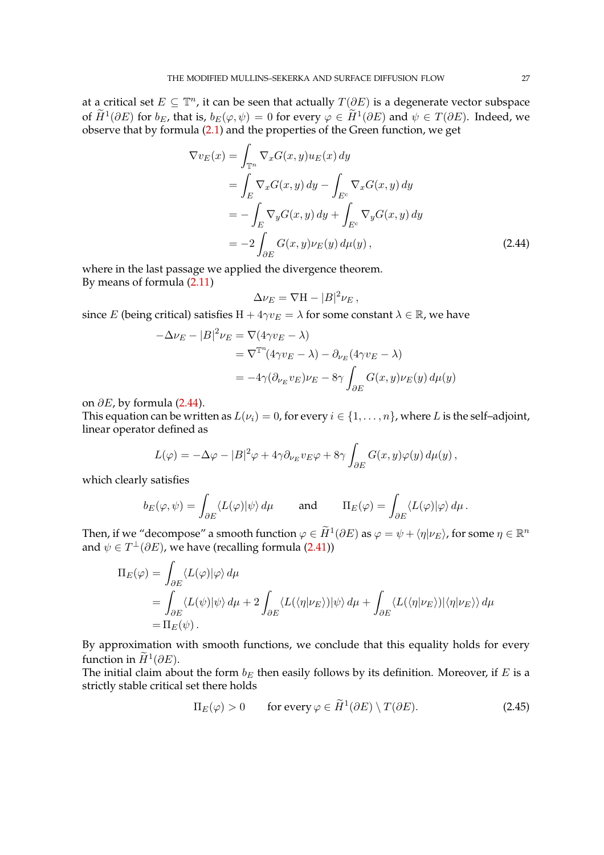at a critical set  $E \subseteq \mathbb{T}^n$ , it can be seen that actually  $T(\partial E)$  is a degenerate vector subspace of  $H^1(\partial E)$  for  $b_E$ , that is,  $b_E(\varphi, \psi) = 0$  for every  $\varphi \in H^1(\partial E)$  and  $\psi \in T(\partial E)$ . Indeed, we observe that by formula [\(2.1\)](#page-5-1) and the properties of the Green function, we get

$$
\nabla v_E(x) = \int_{\mathbb{T}^n} \nabla_x G(x, y) u_E(x) dy
$$
  
\n
$$
= \int_E \nabla_x G(x, y) dy - \int_{E^c} \nabla_x G(x, y) dy
$$
  
\n
$$
= -\int_E \nabla_y G(x, y) dy + \int_{E^c} \nabla_y G(x, y) dy
$$
  
\n
$$
= -2 \int_{\partial E} G(x, y) \nu_E(y) d\mu(y), \qquad (2.44)
$$

where in the last passage we applied the divergence theorem. By means of formula [\(2.11\)](#page-9-4)

<span id="page-26-0"></span>
$$
\Delta \nu_E = \nabla H - |B|^2 \nu_E,
$$

since E (being critical) satisfies  $H + 4\gamma v_E = \lambda$  for some constant  $\lambda \in \mathbb{R}$ , we have

$$
-\Delta \nu_E - |B|^2 \nu_E = \nabla (4\gamma v_E - \lambda)
$$
  
=  $\nabla^{\mathbb{T}^n} (4\gamma v_E - \lambda) - \partial_{\nu_E} (4\gamma v_E - \lambda)$   
=  $-4\gamma (\partial_{\nu_E} v_E) \nu_E - 8\gamma \int_{\partial E} G(x, y) \nu_E(y) d\mu(y)$ 

on  $\partial E$ , by formula [\(2.44\)](#page-26-0).

This equation can be written as  $L(\nu_i) = 0$ , for every  $i \in \{1, ..., n\}$ , where L is the self-adjoint, linear operator defined as

$$
L(\varphi) = -\Delta \varphi - |B|^2 \varphi + 4\gamma \partial_{\nu_E} v_E \varphi + 8\gamma \int_{\partial E} G(x, y) \varphi(y) d\mu(y),
$$

which clearly satisfies

$$
b_E(\varphi,\psi) = \int_{\partial E} \langle L(\varphi)|\psi \rangle \, d\mu \quad \text{and} \quad \Pi_E(\varphi) = \int_{\partial E} \langle L(\varphi)|\varphi \rangle \, d\mu \, .
$$

Then, if we "decompose" a smooth function  $\varphi \in \widetilde{H}^1(\partial E)$  as  $\varphi = \psi + \langle \eta | \nu_E \rangle$ , for some  $\eta \in \mathbb{R}^n$ and  $\psi \in T^{\perp}(\partial E)$ , we have (recalling formula [\(2.41\)](#page-24-0))

$$
\Pi_E(\varphi) = \int_{\partial E} \langle L(\varphi) | \varphi \rangle d\mu
$$
  
= 
$$
\int_{\partial E} \langle L(\psi) | \psi \rangle d\mu + 2 \int_{\partial E} \langle L(\langle \eta | \nu_E \rangle) | \psi \rangle d\mu + \int_{\partial E} \langle L(\langle \eta | \nu_E \rangle) | \langle \eta | \nu_E \rangle \rangle d\mu
$$
  
= 
$$
\Pi_E(\psi).
$$

By approximation with smooth functions, we conclude that this equality holds for every function in  $\widetilde{H}^1(\partial E)$ .

The initial claim about the form  $b_E$  then easily follows by its definition. Moreover, if E is a strictly stable critical set there holds

$$
\Pi_E(\varphi) > 0 \qquad \text{for every } \varphi \in \widetilde{H}^1(\partial E) \setminus T(\partial E). \tag{2.45}
$$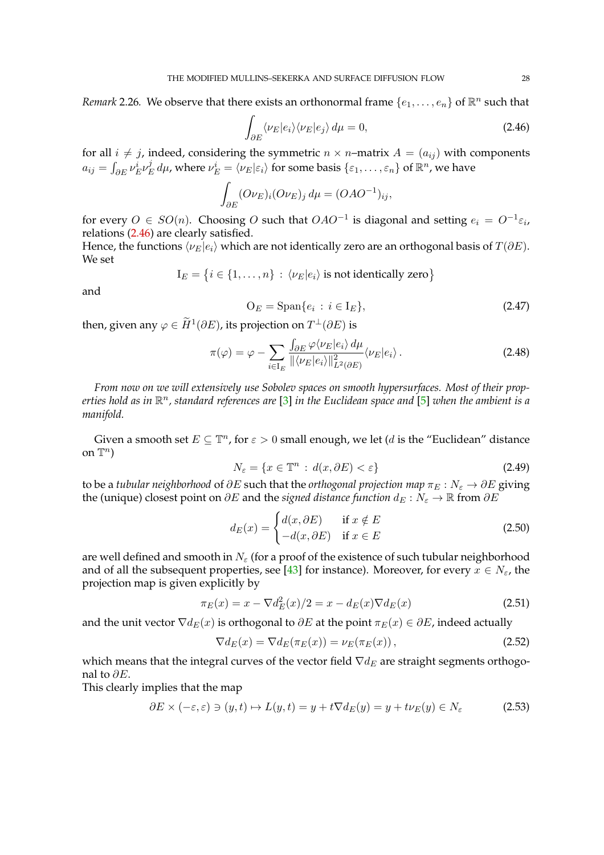*Remark* 2.26. We observe that there exists an orthonormal frame  $\{e_1, \ldots, e_n\}$  of  $\mathbb{R}^n$  such that

<span id="page-27-0"></span>
$$
\int_{\partial E} \langle \nu_E | e_i \rangle \langle \nu_E | e_j \rangle \, d\mu = 0,\tag{2.46}
$$

for all  $i \neq j$ , indeed, considering the symmetric  $n \times n$ –matrix  $A = (a_{ij})$  with components  $a_{ij} = \int_{\partial E} \nu_E^i \nu_E^j$  $\frac{j}{E}$  dμ, where  $\nu_E^i = \langle \nu_E | \varepsilon_i \rangle$  for some basis  $\{\varepsilon_1, \ldots, \varepsilon_n\}$  of  $\mathbb{R}^n$ , we have

$$
\int_{\partial E} (O \nu_E)_i (O \nu_E)_j \, d\mu = (OAO^{-1})_{ij},
$$

for every  $O \in SO(n)$ . Choosing O such that  $OAO^{-1}$  is diagonal and setting  $e_i = O^{-1} \varepsilon_i$ , relations [\(2.46\)](#page-27-0) are clearly satisfied.

Hence, the functions  $\langle \nu_E|e_i \rangle$  which are not identically zero are an orthogonal basis of  $T(\partial E)$ . We set

$$
I_E = \big\{ i \in \{1, \ldots, n\} \, : \, \langle \nu_E | e_i \rangle \text{ is not identically zero} \big\}
$$

and

$$
O_E = \text{Span}\{e_i : i \in I_E\},\tag{2.47}
$$

then, given any  $\varphi \in H^1(\partial E)$ , its projection on  $T^{\perp}(\partial E)$  is

$$
\pi(\varphi) = \varphi - \sum_{i \in I_E} \frac{\int_{\partial E} \varphi \langle \nu_E | e_i \rangle \, d\mu}{\|\langle \nu_E | e_i \rangle\|_{L^2(\partial E)}^2} \langle \nu_E | e_i \rangle \,. \tag{2.48}
$$

*From now on we will extensively use Sobolev spaces on smooth hypersurfaces. Most of their prop*erties hold as in  $\mathbb{R}^n$ , standard references are [\[3\]](#page-96-12) in the Euclidean space and [\[5\]](#page-96-11) when the ambient is a *manifold.*

Given a smooth set  $E \subseteq \mathbb{T}^n$ , for  $\varepsilon > 0$  small enough, we let (*d* is the "Euclidean" distance on  $\mathbb{T}^n$ )

<span id="page-27-1"></span>
$$
N_{\varepsilon} = \{ x \in \mathbb{T}^n : d(x, \partial E) < \varepsilon \} \tag{2.49}
$$

to be a *tubular neighborhood* of  $\partial E$  such that the *orthogonal projection map*  $\pi_E : N_{\varepsilon} \to \partial E$  giving the (unique) closest point on  $\partial E$  and the *signed distance function*  $d_E : N_{\varepsilon} \to \mathbb{R}$  from  $\partial E$ 

<span id="page-27-2"></span>
$$
d_E(x) = \begin{cases} d(x, \partial E) & \text{if } x \notin E \\ -d(x, \partial E) & \text{if } x \in E \end{cases}
$$
 (2.50)

are well defined and smooth in  $N_{\varepsilon}$  (for a proof of the existence of such tubular neighborhood and of all the subsequent properties, see [\[43\]](#page-97-18) for instance). Moreover, for every  $x \in N_{\varepsilon}$ , the projection map is given explicitly by

$$
\pi_E(x) = x - \nabla d_E^2(x)/2 = x - d_E(x)\nabla d_E(x)
$$
\n(2.51)

and the unit vector  $\nabla d_E(x)$  is orthogonal to  $\partial E$  at the point  $\pi_E(x) \in \partial E$ , indeed actually

<span id="page-27-4"></span><span id="page-27-3"></span>
$$
\nabla d_E(x) = \nabla d_E(\pi_E(x)) = \nu_E(\pi_E(x)),\tag{2.52}
$$

which means that the integral curves of the vector field  $\nabla d_E$  are straight segments orthogonal to  $\partial E$ .

This clearly implies that the map

$$
\partial E \times (-\varepsilon, \varepsilon) \ni (y, t) \mapsto L(y, t) = y + t \nabla d_E(y) = y + t \nu_E(y) \in N_{\varepsilon}
$$
 (2.53)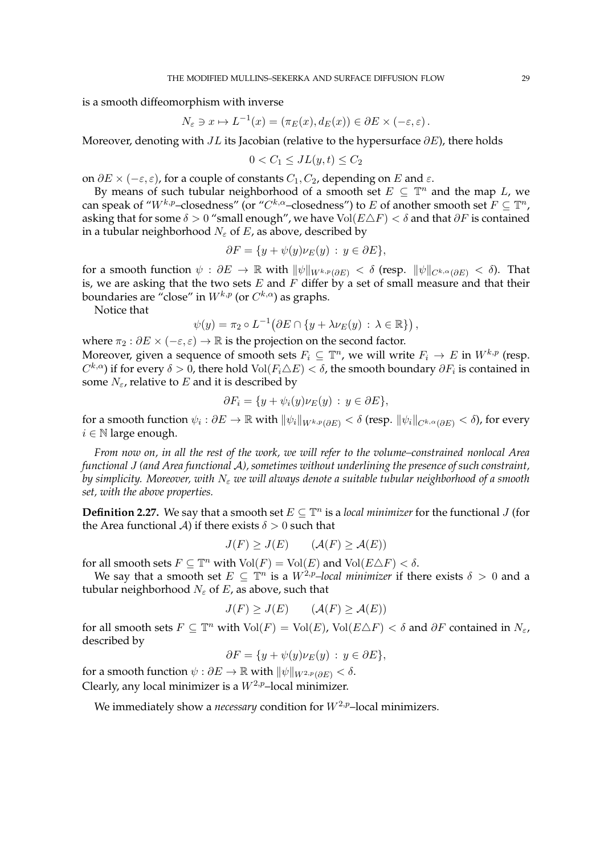is a smooth diffeomorphism with inverse

$$
N_{\varepsilon} \ni x \mapsto L^{-1}(x) = (\pi_E(x), d_E(x)) \in \partial E \times (-\varepsilon, \varepsilon).
$$

Moreover, denoting with  $JL$  its Jacobian (relative to the hypersurface  $\partial E$ ), there holds

$$
0 < C_1 \leq JL(y, t) \leq C_2
$$

on  $\partial E \times (-\varepsilon, \varepsilon)$ , for a couple of constants  $C_1, C_2$ , depending on E and  $\varepsilon$ .

By means of such tubular neighborhood of a smooth set  $E \subseteq \mathbb{T}^n$  and the map L, we can speak of " $W^{k,p}$ -closedness" (or " $C^{k,\alpha}$ -closedness") to E of another smooth set  $F \subseteq \mathbb{T}^n$ , asking that for some  $\delta > 0$  "small enough", we have Vol( $E \triangle F$ ) <  $\delta$  and that  $\partial F$  is contained in a tubular neighborhood  $N_{\varepsilon}$  of E, as above, described by

$$
\partial F = \{ y + \psi(y)\nu_E(y) : y \in \partial E \},\
$$

for a smooth function  $\psi : \partial E \to \mathbb{R}$  with  $\|\psi\|_{W^{k,p}(\partial E)} < \delta$  (resp.  $\|\psi\|_{C^{k,\alpha}(\partial E)} < \delta$ ). That is, we are asking that the two sets  $E$  and  $F$  differ by a set of small measure and that their boundaries are "close" in  $W^{k,p}$  (or  $C^{k,\alpha}$ ) as graphs.

Notice that

$$
\psi(y) = \pi_2 \circ L^{-1} \big( \partial E \cap \{ y + \lambda \nu_E(y) \, : \, \lambda \in \mathbb{R} \} \big) ,
$$

where  $\pi_2 : \partial E \times (-\varepsilon, \varepsilon) \to \mathbb{R}$  is the projection on the second factor. Moreover, given a sequence of smooth sets  $F_i \subseteq \mathbb{T}^n$ , we will write  $F_i \to E$  in  $W^{k,p}$  (resp.  $C^{k,\alpha}$ ) if for every  $\delta > 0$ , there hold Vol $(F_i \triangle E) < \delta$ , the smooth boundary  $\partial F_i$  is contained in some  $N_{\epsilon}$ , relative to E and it is described by

$$
\partial F_i = \{ y + \psi_i(y)\nu_E(y) : y \in \partial E \},\
$$

for a smooth function  $\psi_i:\partial E\to\mathbb{R}$  with  $\|\psi_i\|_{W^{k,p}(\partial E)}<\delta$  (resp.  $\|\psi_i\|_{C^{k,\alpha}(\partial E)}<\delta$ ), for every  $i \in \mathbb{N}$  large enough.

*From now on, in all the rest of the work, we will refer to the volume–constrained nonlocal Area functional* J *(and Area functional* A*), sometimes without underlining the presence of such constraint, by simplicity. Moreover, with* N<sup>ε</sup> *we will always denote a suitable tubular neighborhood of a smooth set, with the above properties.*

<span id="page-28-0"></span>**Definition 2.27.** We say that a smooth set  $E \subseteq \mathbb{T}^n$  is a *local minimizer* for the functional J (for the Area functional A) if there exists  $\delta > 0$  such that

$$
J(F) \ge J(E) \qquad (\mathcal{A}(F) \ge \mathcal{A}(E))
$$

for all smooth sets  $F \subseteq \mathbb{T}^n$  with  $\text{Vol}(F) = \text{Vol}(E)$  and  $\text{Vol}(E \triangle F) < \delta$ .

We say that a smooth set  $E \subseteq \mathbb{T}^n$  is a  $W^{2,p}$ –local minimizer if there exists  $\delta > 0$  and a tubular neighborhood  $N_{\varepsilon}$  of E, as above, such that

$$
J(F) \ge J(E) \qquad (\mathcal{A}(F) \ge \mathcal{A}(E))
$$

for all smooth sets  $F \subseteq \mathbb{T}^n$  with  $\text{Vol}(F) = \text{Vol}(E)$ ,  $\text{Vol}(E \triangle F) < \delta$  and  $\partial F$  contained in  $N_{\varepsilon}$ , described by

$$
\partial F = \{ y + \psi(y)\nu_E(y) : y \in \partial E \},\
$$

for a smooth function  $\psi : \partial E \to \mathbb{R}$  with  $\|\psi\|_{W^{2,p}(\partial E)} < \delta$ . Clearly, any local minimizer is a  $W^{2,p}$ –local minimizer.

We immediately show a *necessary* condition for  $W^{2,p}$ -local minimizers.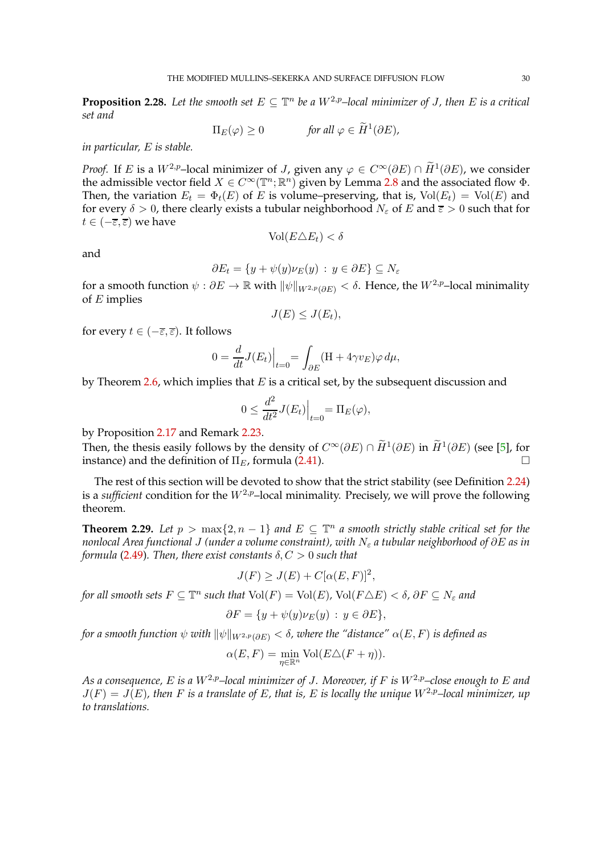**Proposition 2.28.** Let the smooth set  $E \subseteq \mathbb{T}^n$  be a  $W^{2,p}$ –local minimizer of *J*, then  $E$  is a critical *set and*

 $\Pi_E(\varphi) \geq 0$  *for all*  $\varphi \in \widetilde{H}^1(\partial E)$ ,

*in particular,* E *is stable.*

*Proof.* If *E* is a  $W^{2,p}$ –local minimizer of *J*, given any  $\varphi \in C^{\infty}(\partial E) \cap \tilde{H}^{1}(\partial E)$ , we consider the admissible vector field  $X \in C^{\infty}(\mathbb{T}^n;\mathbb{R}^n)$  given by Lemma [2.8](#page-13-1) and the associated flow  $\Phi$ . Then, the variation  $E_t = \Phi_t(E)$  of E is volume–preserving, that is,  $Vol(E_t) = Vol(E)$  and for every  $\delta > 0$ , there clearly exists a tubular neighborhood  $N_{\epsilon}$  of E and  $\overline{\epsilon} > 0$  such that for  $t \in (-\overline{\varepsilon}, \overline{\varepsilon})$  we have

and

$$
\partial E_t = \{ y + \psi(y)\nu_E(y) \, : \, y \in \partial E \} \subseteq N_\varepsilon
$$

 $Vol(E \triangle E_t) < \delta$ 

for a smooth function  $\psi : \partial E \to \mathbb{R}$  with  $\|\psi\|_{W^{2,p}(\partial E)} < \delta$ . Hence, the  $W^{2,p}$ –local minimality of  $E$  implies

$$
J(E) \leq J(E_t),
$$

for every  $t \in (-\overline{\varepsilon}, \overline{\varepsilon})$ . It follows

$$
0 = \frac{d}{dt}J(E_t)\Big|_{t=0} = \int_{\partial E} (H + 4\gamma v_E)\varphi \,d\mu,
$$

by Theorem [2.6,](#page-9-3) which implies that  $E$  is a critical set, by the subsequent discussion and

$$
0 \le \frac{d^2}{dt^2} J(E_t) \Big|_{t=0} = \Pi_E(\varphi),
$$

by Proposition [2.17](#page-22-0) and Remark [2.23.](#page-25-0)

Then, the thesis easily follows by the density of  $C^{\infty}(\partial E) \cap \tilde{H}^{1}(\partial E)$  in  $\tilde{H}^{1}(\partial E)$  (see [\[5\]](#page-96-11), for instance) and the definition of  $\Pi_{E}$ , formula [\(2.41\)](#page-24-0).

The rest of this section will be devoted to show that the strict stability (see Definition [2.24\)](#page-25-1) is a *sufficient* condition for the  $W^{2,p}$ –local minimality. Precisely, we will prove the following theorem.

<span id="page-29-0"></span>**Theorem 2.29.** Let  $p > \max\{2, n-1\}$  and  $E \subseteq \mathbb{T}^n$  a smooth strictly stable critical set for the *nonlocal Area functional* J *(under a volume constraint), with* N<sup>ε</sup> *a tubular neighborhood of* ∂E *as in formula* [\(2.49\)](#page-27-1). *Then, there exist constants*  $\delta$ ,  $C > 0$  *such that* 

$$
J(F) \ge J(E) + C[\alpha(E, F)]^2,
$$

*for all smooth sets*  $F \subseteq \mathbb{T}^n$  *such that*  $Vol(F) = Vol(E)$ ,  $Vol(F \triangle E) < \delta$ ,  $\partial F \subseteq N_{\varepsilon}$  and

$$
\partial F = \{ y + \psi(y)\nu_E(y) : y \in \partial E \},\
$$

*for a smooth function*  $\psi$  *with*  $\|\psi\|_{W^{2,p}(\partial E)} < \delta$ , *where the "distance"*  $\alpha(E, F)$  *is defined as* 

$$
\alpha(E, F) = \min_{\eta \in \mathbb{R}^n} \text{Vol}(E \triangle (F + \eta)).
$$

*As a consequence,* E *is a*  $W^{2,p}$ –local minimizer of J. Moreover, if F is  $W^{2,p}$ –close enough to E and  $J(F) = J(E)$ , then F is a translate of E, that is, E is locally the unique  $W^{2,p}$ -local minimizer, up *to translations.*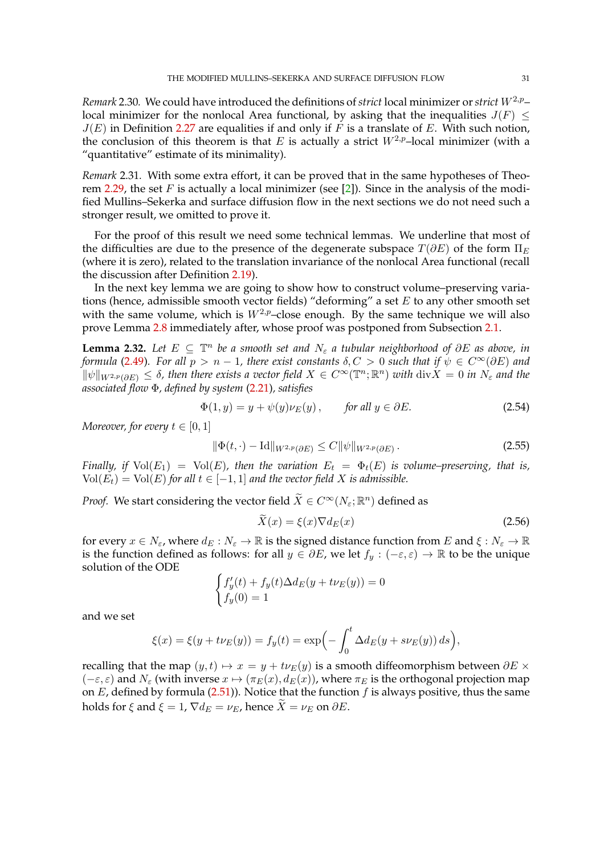*Remark* 2.30*.* We could have introduced the definitions of *strict* local minimizer or *strict*  $W^{2,p}$ – local minimizer for the nonlocal Area functional, by asking that the inequalities  $J(F) \leq$  $J(E)$  in Definition [2.27](#page-28-0) are equalities if and only if F is a translate of E. With such notion, the conclusion of this theorem is that E is actually a strict  $W^{2,p}$ -local minimizer (with a "quantitative" estimate of its minimality).

*Remark* 2.31*.* With some extra effort, it can be proved that in the same hypotheses of Theo-rem [2.29,](#page-29-0) the set F is actually a local minimizer (see [\[2\]](#page-96-2)). Since in the analysis of the modified Mullins–Sekerka and surface diffusion flow in the next sections we do not need such a stronger result, we omitted to prove it.

For the proof of this result we need some technical lemmas. We underline that most of the difficulties are due to the presence of the degenerate subspace  $T(\partial E)$  of the form  $\Pi_E$ (where it is zero), related to the translation invariance of the nonlocal Area functional (recall the discussion after Definition [2.19\)](#page-23-2).

In the next key lemma we are going to show how to construct volume–preserving variations (hence, admissible smooth vector fields) "deforming" a set  $E$  to any other smooth set with the same volume, which is  $W^{2,p}$ –close enough. By the same technique we will also prove Lemma [2.8](#page-13-1) immediately after, whose proof was postponed from Subsection [2.1.](#page-6-0)

<span id="page-30-0"></span>**Lemma 2.32.** Let  $E \subseteq \mathbb{T}^n$  be a smooth set and  $N_{\varepsilon}$  a tubular neighborhood of ∂E as above, in *formula* [\(2.49\)](#page-27-1)*.* For all  $p > n - 1$ , there exist constants  $\delta, C > 0$  such that if  $\psi \in C^{\infty}(\partial E)$  and  $\|\psi\|_{W^{2,p}(\partial E)} \leq \delta$ , then there exists a vector field  $X \in C^{\infty}(\mathbb{T}^n;\mathbb{R}^n)$  with  $\text{div}X = 0$  in  $N_{\varepsilon}$  and the *associated flow* Φ*, defined by system* [\(2.21\)](#page-12-1)*, satisfies*

$$
\Phi(1, y) = y + \psi(y)\nu_E(y), \qquad \text{for all } y \in \partial E. \tag{2.54}
$$

*Moreover, for every*  $t \in [0, 1]$ 

$$
\|\Phi(t,\cdot) - \text{Id}\|_{W^{2,p}(\partial E)} \le C \|\psi\|_{W^{2,p}(\partial E)}.
$$
\n(2.55)

*Finally, if*  $Vol(E_1) = Vol(E)$ , then the variation  $E_t = \Phi_t(E)$  is volume–preserving, that is,  $Vol(E_t) = Vol(E)$  for all  $t \in [-1, 1]$  and the vector field X is admissible.

*Proof.* We start considering the vector field  $\widetilde{X} \in C^{\infty}(N_{\varepsilon};\mathbb{R}^n)$  defined as

<span id="page-30-3"></span><span id="page-30-2"></span><span id="page-30-1"></span>
$$
\bar{X}(x) = \xi(x)\nabla d_E(x) \tag{2.56}
$$

for every  $x \in N_{\varepsilon}$ , where  $d_E : N_{\varepsilon} \to \mathbb{R}$  is the signed distance function from E and  $\xi : N_{\varepsilon} \to \mathbb{R}$ is the function defined as follows: for all  $y \in \partial E$ , we let  $f_y : (-\varepsilon, \varepsilon) \to \mathbb{R}$  to be the unique solution of the ODE

$$
\begin{cases} f'_y(t) + f_y(t)\Delta d_E(y + t\nu_E(y)) = 0\\ f_y(0) = 1 \end{cases}
$$

and we set

$$
\xi(x) = \xi(y + t\nu_E(y)) = f_y(t) = \exp\left(-\int_0^t \Delta d_E(y + s\nu_E(y)) ds\right),\,
$$

recalling that the map  $(y, t) \mapsto x = y + t\nu_E(y)$  is a smooth diffeomorphism between  $\partial E \times$  $(-\varepsilon, \varepsilon)$  and  $N_{\varepsilon}$  (with inverse  $x \mapsto (\pi_E(x), d_E(x))$ , where  $\pi_E$  is the orthogonal projection map on  $E$ , defined by formula [\(2.51\)](#page-27-2)). Notice that the function  $f$  is always positive, thus the same holds for  $\xi$  and  $\xi = 1$ ,  $\nabla d_E = \nu_E$ , hence  $\widetilde{X} = \nu_E$  on  $\partial E$ .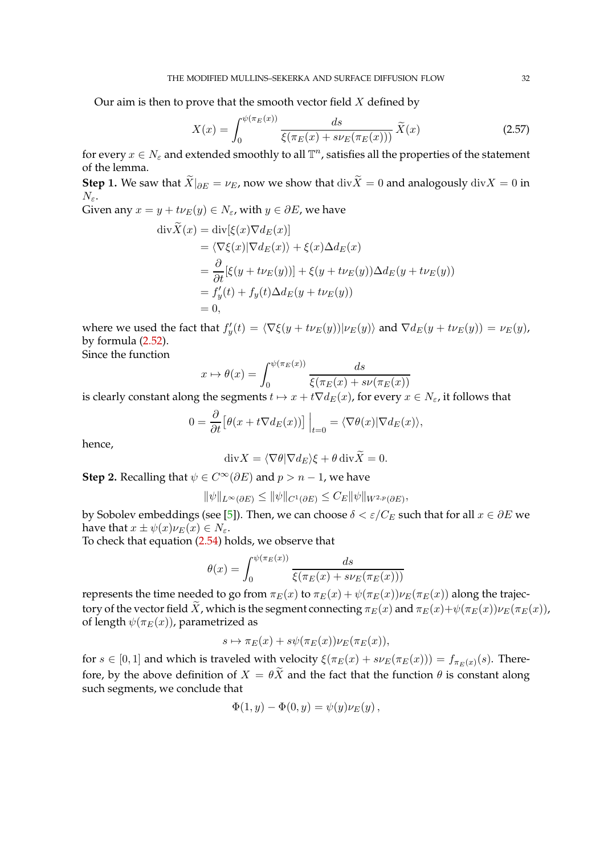Our aim is then to prove that the smooth vector field  $X$  defined by

<span id="page-31-0"></span>
$$
X(x) = \int_0^{\psi(\pi_E(x))} \frac{ds}{\xi(\pi_E(x) + s\nu_E(\pi_E(x)))} \tilde{X}(x)
$$
 (2.57)

for every  $x \in N_\varepsilon$  and extended smoothly to all  $\mathbb{T}^n$ , satisfies all the properties of the statement of the lemma.

**Step 1.** We saw that  $\widetilde{X}|_{\partial E} = \nu_E$ , now we show that div $\widetilde{X} = 0$  and analogously div $X = 0$  in  $N_{\varepsilon}$ .

Given any  $x = y + t \nu_E(y) \in N_{\varepsilon}$ , with  $y \in \partial E$ , we have

$$
\begin{aligned}\n\text{div}\widetilde{X}(x) &= \text{div}[\xi(x)\nabla d_E(x)] \\
&= \langle \nabla \xi(x) | \nabla d_E(x) \rangle + \xi(x) \Delta d_E(x) \\
&= \frac{\partial}{\partial t} [\xi(y + t\nu_E(y))] + \xi(y + t\nu_E(y)) \Delta d_E(y + t\nu_E(y)) \\
&= f'_y(t) + f_y(t) \Delta d_E(y + t\nu_E(y)) \\
&= 0,\n\end{aligned}
$$

where we used the fact that  $f'_y(t) = \langle \nabla \xi(y + t \nu_E(y)) | \nu_E(y) \rangle$  and  $\nabla d_E(y + t \nu_E(y)) = \nu_E(y)$ , by formula [\(2.52\)](#page-27-3).

Since the function

$$
x \mapsto \theta(x) = \int_0^{\psi(\pi_E(x))} \frac{ds}{\xi(\pi_E(x) + s\nu(\pi_E(x)))}
$$

is clearly constant along the segments  $t \mapsto x + t\nabla d_E(x)$ , for every  $x \in N_{\varepsilon}$ , it follows that

$$
0 = \frac{\partial}{\partial t} \left[ \theta(x + t \nabla d_E(x)) \right] \Big|_{t=0} = \langle \nabla \theta(x) | \nabla d_E(x) \rangle,
$$

hence,

$$
\mathrm{div}X = \langle \nabla \theta | \nabla d_E \rangle \xi + \theta \, \mathrm{div}\widetilde{X} = 0.
$$

**Step 2.** Recalling that  $\psi \in C^{\infty}(\partial E)$  and  $p > n - 1$ , we have

$$
\|\psi\|_{L^{\infty}(\partial E)} \le \|\psi\|_{C^1(\partial E)} \le C_E \|\psi\|_{W^{2,p}(\partial E)},
$$

by Sobolev embeddings (see [\[5\]](#page-96-11)). Then, we can choose  $\delta < \varepsilon / C_E$  such that for all  $x \in \partial E$  we have that  $x \pm \psi(x)\nu_E(x) \in N_{\varepsilon}$ .

To check that equation [\(2.54\)](#page-30-1) holds, we observe that

$$
\theta(x) = \int_0^{\psi(\pi_E(x))} \frac{ds}{\xi(\pi_E(x) + s\nu_E(\pi_E(x)))}
$$

represents the time needed to go from  $\pi_E(x)$  to  $\pi_E(x) + \psi(\pi_E(x))\nu_E(\pi_E(x))$  along the trajectory of the vector field  $\tilde{X}$ , which is the segment connecting  $\pi_E(x)$  and  $\pi_E(x)+\psi(\pi_E(x))\nu_E(\pi_E(x))$ , of length  $\psi(\pi_E(x))$ , parametrized as

$$
s \mapsto \pi_E(x) + s\psi(\pi_E(x))\nu_E(\pi_E(x)),
$$

for  $s \in [0,1]$  and which is traveled with velocity  $\xi(\pi_E(x) + s\nu_E(\pi_E(x))) = f_{\pi_E(x)}(s)$ . Therefore, by the above definition of  $X = \theta \tilde{X}$  and the fact that the function  $\theta$  is constant along such segments, we conclude that

$$
\Phi(1, y) - \Phi(0, y) = \psi(y)\nu_E(y),
$$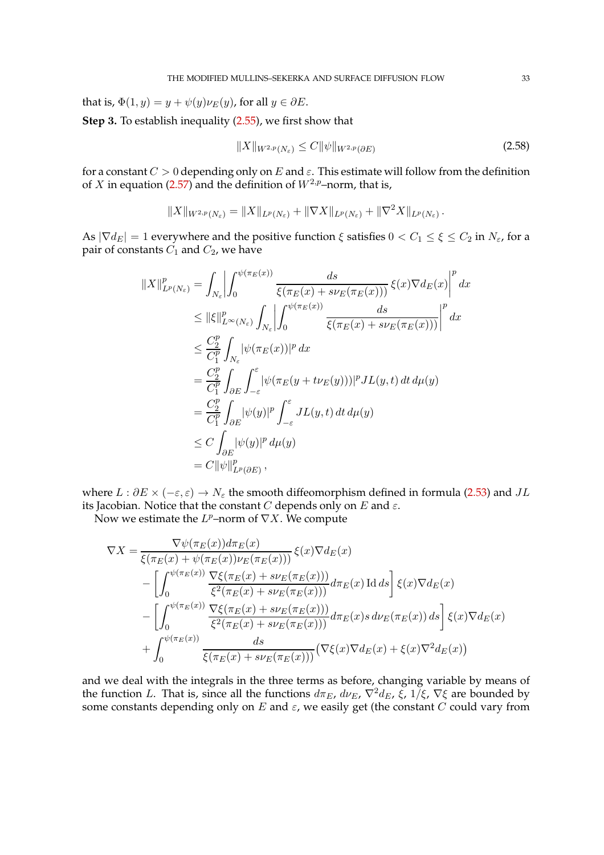that is,  $\Phi(1, y) = y + \psi(y)\nu_E(y)$ , for all  $y \in \partial E$ .

**Step** 3**.** To establish inequality [\(2.55\)](#page-30-2), we first show that

<span id="page-32-0"></span>
$$
||X||_{W^{2,p}(N_{\varepsilon})} \le C ||\psi||_{W^{2,p}(\partial E)}
$$
\n(2.58)

for a constant  $C > 0$  depending only on E and  $\varepsilon$ . This estimate will follow from the definition of X in equation [\(2.57\)](#page-31-0) and the definition of  $W^{2,p}$ –norm, that is,

$$
||X||_{W^{2,p}(N_{\varepsilon})} = ||X||_{L^p(N_{\varepsilon})} + ||\nabla X||_{L^p(N_{\varepsilon})} + ||\nabla^2 X||_{L^p(N_{\varepsilon})}.
$$

As  $|\nabla d_E| = 1$  everywhere and the positive function  $\xi$  satisfies  $0 < C_1 \le \xi \le C_2$  in  $N_{\varepsilon}$ , for a pair of constants  $C_1$  and  $C_2$ , we have

$$
||X||_{L^{p}(N_{\varepsilon})}^{p} = \int_{N_{\varepsilon}} \left| \int_{0}^{\psi(\pi_{E}(x))} \frac{ds}{\xi(\pi_{E}(x) + s\nu_{E}(\pi_{E}(x)))} \xi(x) \nabla d_{E}(x) \right|^{p} dx
$$
  
\n
$$
\leq ||\xi||_{L^{\infty}(N_{\varepsilon})}^{p} \int_{N_{\varepsilon}} \left| \int_{0}^{\psi(\pi_{E}(x))} \frac{ds}{\xi(\pi_{E}(x) + s\nu_{E}(\pi_{E}(x)))} \right|^{p} dx
$$
  
\n
$$
\leq \frac{C_{2}^{p}}{C_{1}^{p}} \int_{N_{\varepsilon}} |\psi(\pi_{E}(x))|^{p} dx
$$
  
\n
$$
= \frac{C_{2}^{p}}{C_{1}^{p}} \int_{\partial E} \int_{-\varepsilon}^{\varepsilon} |\psi(\pi_{E}(y + t\nu_{E}(y)))|^{p} JL(y, t) dt d\mu(y)
$$
  
\n
$$
= \frac{C_{2}^{p}}{C_{1}^{p}} \int_{\partial E} |\psi(y)|^{p} \int_{-\varepsilon}^{\varepsilon} JL(y, t) dt d\mu(y)
$$
  
\n
$$
\leq C \int_{\partial E} |\psi(y)|^{p} d\mu(y)
$$
  
\n
$$
= C ||\psi||_{L^{p}(\partial E)}^{p},
$$

where  $L : \partial E \times (-\varepsilon, \varepsilon) \to N_{\varepsilon}$  the smooth diffeomorphism defined in formula [\(2.53\)](#page-27-4) and  $JL$ its Jacobian. Notice that the constant C depends only on E and  $\varepsilon$ .

Now we estimate the  $L^p$ -norm of  $\nabla X$ . We compute

$$
\nabla X = \frac{\nabla \psi(\pi_E(x)) d\pi_E(x)}{\xi(\pi_E(x) + \psi(\pi_E(x))\nu_E(\pi_E(x)))} \xi(x) \nabla d_E(x)
$$
  
\n
$$
- \left[ \int_0^{\psi(\pi_E(x))} \frac{\nabla \xi(\pi_E(x) + s\nu_E(\pi_E(x)))}{\xi^2(\pi_E(x) + s\nu_E(\pi_E(x)))} d\pi_E(x) \operatorname{Id} ds \right] \xi(x) \nabla d_E(x)
$$
  
\n
$$
- \left[ \int_0^{\psi(\pi_E(x))} \frac{\nabla \xi(\pi_E(x) + s\nu_E(\pi_E(x)))}{\xi^2(\pi_E(x) + s\nu_E(\pi_E(x)))} d\pi_E(x) s \, d\nu_E(\pi_E(x)) ds \right] \xi(x) \nabla d_E(x)
$$
  
\n
$$
+ \int_0^{\psi(\pi_E(x))} \frac{ds}{\xi(\pi_E(x) + s\nu_E(\pi_E(x)))} (\nabla \xi(x) \nabla d_E(x) + \xi(x) \nabla^2 d_E(x))
$$

and we deal with the integrals in the three terms as before, changing variable by means of the function L. That is, since all the functions  $d\pi_E$ ,  $d\nu_E$ ,  $\nabla^2 d_E$ ,  $\xi$ ,  $1/\xi$ ,  $\nabla \xi$  are bounded by some constants depending only on  $E$  and  $\varepsilon$ , we easily get (the constant  $C$  could vary from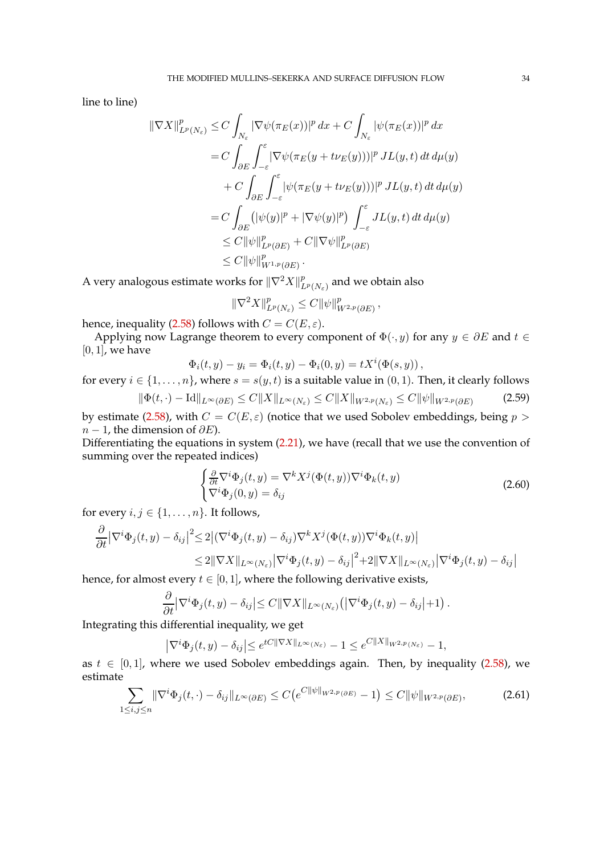line to line)

$$
\begin{split} \|\nabla X\|_{L^p(N_\varepsilon)}^p &\leq C \int_{N_\varepsilon} |\nabla \psi(\pi_E(x))|^p \, dx + C \int_{N_\varepsilon} |\psi(\pi_E(x))|^p \, dx \\ &= C \int_{\partial E} \int_{-\varepsilon}^\varepsilon |\nabla \psi(\pi_E(y + t\nu_E(y)))|^p \, JL(y, t) \, dt \, d\mu(y) \\ &+ C \int_{\partial E} \int_{-\varepsilon}^\varepsilon |\psi(\pi_E(y + t\nu_E(y)))|^p \, JL(y, t) \, dt \, d\mu(y) \\ &= C \int_{\partial E} (|\psi(y)|^p + |\nabla \psi(y)|^p) \int_{-\varepsilon}^\varepsilon JL(y, t) \, dt \, d\mu(y) \\ &\leq C \|\psi\|_{L^p(\partial E)}^p + C \|\nabla \psi\|_{L^p(\partial E)}^p \\ &\leq C \|\psi\|_{W^{1,p}(\partial E)}^p \, . \end{split}
$$

A very analogous estimate works for  $\| \nabla^2 X \|_L^p$  $L^p\left(N_\varepsilon\right)$  and we obtain also

<span id="page-33-2"></span>
$$
\|\nabla^2 X\|_{L^p(N_\varepsilon)}^p \leq C \|\psi\|_{W^{2,p}(\partial E)}^p,
$$

hence, inequality [\(2.58\)](#page-32-0) follows with  $C = C(E, \varepsilon)$ .

Applying now Lagrange theorem to every component of  $\Phi(\cdot, y)$  for any  $y \in \partial E$  and  $t \in$  $[0, 1]$ , we have

$$
\Phi_i(t, y) - y_i = \Phi_i(t, y) - \Phi_i(0, y) = tX^i(\Phi(s, y)),
$$

for every  $i \in \{1, \ldots, n\}$ , where  $s = s(y, t)$  is a suitable value in  $(0, 1)$ . Then, it clearly follows  $\|\Phi(t, \cdot) - \text{Id}\|_{L^{\infty}(\partial E)} \leq C\|X\|_{L^{\infty}(N_{\varepsilon})} \leq C\|X\|_{W^{2,p}(N_{\varepsilon})} \leq C\|\psi\|_{W^{2,p}(\partial E)}$ (2.59)

by estimate [\(2.58\)](#page-32-0), with  $C = C(E, \varepsilon)$  (notice that we used Sobolev embeddings, being  $p >$  $n - 1$ , the dimension of  $\partial E$ ).

Differentiating the equations in system [\(2.21\)](#page-12-1), we have (recall that we use the convention of summing over the repeated indices)

<span id="page-33-0"></span>
$$
\begin{cases} \frac{\partial}{\partial t} \nabla^i \Phi_j(t, y) = \nabla^k X^j (\Phi(t, y)) \nabla^i \Phi_k(t, y) \\ \nabla^i \Phi_j(0, y) = \delta_{ij} \end{cases}
$$
\n(2.60)

for every  $i, j \in \{1, \ldots, n\}$ . It follows,

$$
\frac{\partial}{\partial t} |\nabla^i \Phi_j(t, y) - \delta_{ij}|^2 \le 2 |(\nabla^i \Phi_j(t, y) - \delta_{ij}) \nabla^k X^j (\Phi(t, y)) \nabla^i \Phi_k(t, y)|
$$
  
\n
$$
\le 2 ||\nabla X||_{L^{\infty}(N_{\varepsilon})} |\nabla^i \Phi_j(t, y) - \delta_{ij}|^2 + 2 ||\nabla X||_{L^{\infty}(N_{\varepsilon})} |\nabla^i \Phi_j(t, y) - \delta_{ij}|
$$

hence, for almost every  $t \in [0, 1]$ , where the following derivative exists,

$$
\frac{\partial}{\partial t} \left| \nabla^i \Phi_j(t, y) - \delta_{ij} \right| \leq C \| \nabla X \|_{L^\infty(N_\varepsilon)} \left( \left| \nabla^i \Phi_j(t, y) - \delta_{ij} \right| + 1 \right).
$$

Integrating this differential inequality, we get

<span id="page-33-1"></span>
$$
\left|\nabla^i \Phi_j(t,y) - \delta_{ij}\right| \le e^{tC\|\nabla X\|_{L^\infty(N_\varepsilon)}} - 1 \le e^{C\|X\|_{W^{2,p}(N_\varepsilon)}} - 1,
$$

as  $t \in [0, 1]$ , where we used Sobolev embeddings again. Then, by inequality [\(2.58\)](#page-32-0), we estimate

$$
\sum_{1 \le i,j \le n} \|\nabla^i \Phi_j(t,\cdot) - \delta_{ij}\|_{L^\infty(\partial E)} \le C \big(e^{C \|\psi\|_{W^{2,p}(\partial E)}} - 1\big) \le C \|\psi\|_{W^{2,p}(\partial E)},\tag{2.61}
$$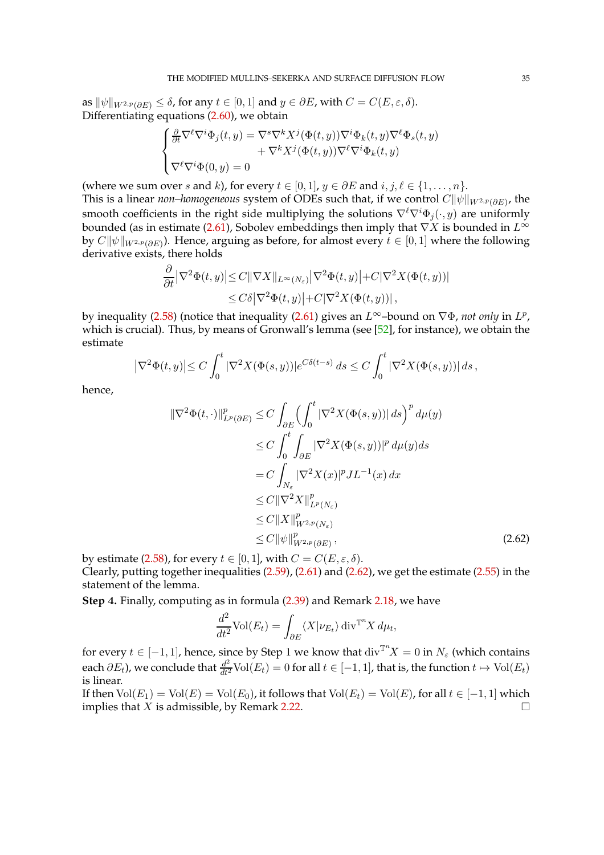as  $\|\psi\|_{W^{2,p}(\partial E)} \leq \delta$ , for any  $t \in [0,1]$  and  $y \in \partial E$ , with  $C = C(E,\varepsilon,\delta)$ . Differentiating equations [\(2.60\)](#page-33-0), we obtain

$$
\begin{cases} \frac{\partial}{\partial t} \nabla^\ell \nabla^i \Phi_j(t,y) = \nabla^s \nabla^k X^j (\Phi(t,y)) \nabla^i \Phi_k(t,y) \nabla^\ell \Phi_s(t,y) \\qquad \qquad + \nabla^k X^j (\Phi(t,y)) \nabla^\ell \nabla^i \Phi_k(t,y) \\ \nabla^\ell \nabla^i \Phi(0,y) = 0 \end{cases}
$$

(where we sum over s and k), for every  $t \in [0, 1]$ ,  $y \in \partial E$  and  $i, j, \ell \in \{1, ..., n\}$ .

This is a linear *non–homogeneous system of ODEs such that, if we control*  $C\|\psi\|_{W^{2,p}(\partial E)}$ , the smooth coefficients in the right side multiplying the solutions  $\nabla^{\ell}\nabla^i\Phi_j(\cdot,y)$  are uniformly bounded (as in estimate [\(2.61\)](#page-33-1), Sobolev embeddings then imply that  $\nabla X$  is bounded in  $L^{\infty}$ by  $C\|\psi\|_{W^{2,p}(\partial E)}$ ). Hence, arguing as before, for almost every  $t\in [0,1]$  where the following derivative exists, there holds

$$
\frac{\partial}{\partial t} |\nabla^2 \Phi(t, y)| \le C ||\nabla X||_{L^{\infty}(N_{\varepsilon})} |\nabla^2 \Phi(t, y)| + C |\nabla^2 X(\Phi(t, y))|
$$
  
\n
$$
\le C\delta |\nabla^2 \Phi(t, y)| + C |\nabla^2 X(\Phi(t, y))|,
$$

by inequality [\(2.58\)](#page-32-0) (notice that inequality [\(2.61\)](#page-33-1) gives an  $L^{\infty}$ -bound on  $\nabla \Phi$ , *not only* in  $L^p$ , which is crucial). Thus, by means of Gronwall's lemma (see [\[52\]](#page-98-2), for instance), we obtain the estimate

$$
\left|\nabla^2 \Phi(t,y)\right| \le C \int_0^t |\nabla^2 X(\Phi(s,y))| e^{C\delta(t-s)} ds \le C \int_0^t |\nabla^2 X(\Phi(s,y))| ds,
$$

hence,

$$
\begin{split} \|\nabla^2 \Phi(t, \cdot)\|_{L^p(\partial E)}^p &\leq C \int_{\partial E} \left( \int_0^t |\nabla^2 X(\Phi(s, y))| \, ds \right)^p d\mu(y) \\ &\leq C \int_0^t \int_{\partial E} |\nabla^2 X(\Phi(s, y))|^p \, d\mu(y) ds \\ &= C \int_{N_\varepsilon} |\nabla^2 X(x)|^p J L^{-1}(x) \, dx \\ &\leq C \|\nabla^2 X\|_{L^p(N_\varepsilon)}^p \\ &\leq C \|X\|_{W^{2, p}(N_\varepsilon)}^p \\ &\leq C \|\psi\|_{W^{2, p}(\partial E)}^p, \end{split} \tag{2.62}
$$

by estimate [\(2.58\)](#page-32-0), for every  $t \in [0,1]$ , with  $C = C(E, \varepsilon, \delta)$ . Clearly, putting together inequalities [\(2.59\)](#page-33-2), [\(2.61\)](#page-33-1) and [\(2.62\)](#page-34-0), we get the estimate [\(2.55\)](#page-30-2) in the statement of the lemma.

**Step** 4**.** Finally, computing as in formula [\(2.39\)](#page-23-3) and Remark [2.18,](#page-23-4) we have

<span id="page-34-0"></span>
$$
\frac{d^2}{dt^2} \text{Vol}(E_t) = \int_{\partial E} \langle X | \nu_{E_t} \rangle \operatorname{div}^{\mathbb{T}^n} X \, d\mu_t,
$$

for every  $t \in [-1,1]$ , hence, since by Step 1 we know that  $\text{div}^{\mathbb{T}^n} X = 0$  in  $N_{\varepsilon}$  (which contains each  $\partial E_t$ ), we conclude that  $\frac{d^2}{dt^2}$ Vol $(E_t)=0$  for all  $t\in [-1,1]$ , that is, the function  $t\mapsto$  Vol $(E_t)$ is linear.

If then  $Vol(E_1) = Vol(E) = Vol(E_0)$ , it follows that  $Vol(E_t) = Vol(E)$ , for all  $t \in [-1, 1]$  which implies that X is admissible. by Remark 2.22. implies that  $X$  is admissible, by Remark [2.22.](#page-24-1)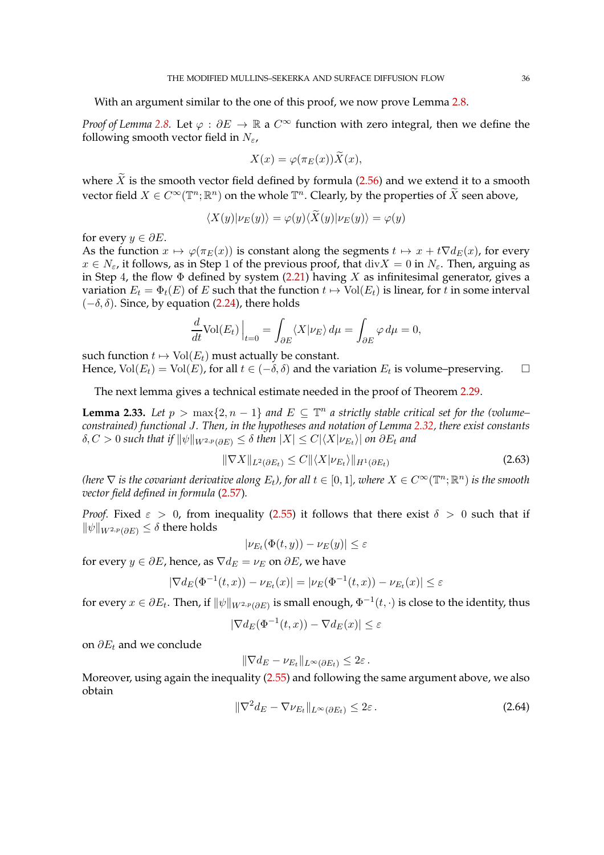With an argument similar to the one of this proof, we now prove Lemma [2.8.](#page-13-1)

*Proof of Lemma* [2.8.](#page-13-1) Let  $\varphi : \partial E \to \mathbb{R}$  a  $C^{\infty}$  function with zero integral, then we define the following smooth vector field in  $N_{\epsilon}$ ,

$$
X(x) = \varphi(\pi_E(x))X(x),
$$

where  $\widetilde{X}$  is the smooth vector field defined by formula [\(2.56\)](#page-30-3) and we extend it to a smooth vector field  $X\in C^\infty(\mathbb{T}^n;\mathbb{R}^n)$  on the whole  $\mathbb{T}^n.$  Clearly, by the properties of  $\widetilde X$  seen above,

$$
\langle X(y)|\nu_E(y)\rangle = \varphi(y)\langle X(y)|\nu_E(y)\rangle = \varphi(y)
$$

for every  $y \in \partial E$ .

As the function  $x \mapsto \varphi(\pi_E(x))$  is constant along the segments  $t \mapsto x + t\nabla d_E(x)$ , for every  $x \in N_{\epsilon}$ , it follows, as in Step 1 of the previous proof, that  $\text{div}X = 0$  in  $N_{\epsilon}$ . Then, arguing as in Step 4, the flow  $\Phi$  defined by system [\(2.21\)](#page-12-1) having X as infinitesimal generator, gives a variation  $E_t = \Phi_t(E)$  of E such that the function  $t \mapsto Vol(E_t)$  is linear, for t in some interval  $(-\delta, \delta)$ . Since, by equation [\(2.24\)](#page-13-3), there holds

$$
\frac{d}{dt}\text{Vol}(E_t)\Big|_{t=0} = \int_{\partial E} \langle X|\nu_E\rangle \, d\mu = \int_{\partial E} \varphi \, d\mu = 0,
$$

such function  $t \mapsto Vol(E_t)$  must actually be constant.

Hence,  $\text{Vol}(E_t) = \text{Vol}(E)$ , for all  $t \in (-\delta, \delta)$  and the variation  $E_t$  is volume-preserving.  $\Box$ 

The next lemma gives a technical estimate needed in the proof of Theorem [2.29.](#page-29-0)

**Lemma 2.33.** Let  $p > \max\{2, n-1\}$  and  $E \subseteq \mathbb{T}^n$  a strictly stable critical set for the (volume– *constrained) functional* J*. Then, in the hypotheses and notation of Lemma [2.32,](#page-30-0) there exist constants*  $\delta, C > 0$  such that if  $\|\psi\|_{W^{2,p}(\partial E)} \leq \delta$  then  $|X| \leq C |\langle X|\nu_{E_t}\rangle|$  on  $\partial E_t$  and

$$
\|\nabla X\|_{L^2(\partial E_t)} \le C \|\langle X|\nu_{E_t}\rangle\|_{H^1(\partial E_t)}\tag{2.63}
$$

*(here*  $\nabla$  *is the covariant derivative along*  $E_t$ *), for all*  $t \in [0,1]$ *, where*  $X \in C^\infty(\mathbb{T}^n;\mathbb{R}^n)$  *is the smooth vector field defined in formula* [\(2.57\)](#page-31-0)*.*

*Proof.* Fixed  $\varepsilon > 0$ , from inequality [\(2.55\)](#page-30-2) it follows that there exist  $\delta > 0$  such that if  $\|\psi\|_{W^{2,p}(\partial E)} \leq \delta$  there holds

$$
|\nu_{E_t}(\Phi(t,y)) - \nu_E(y)| \leq \varepsilon
$$

for every  $y \in \partial E$ , hence, as  $\nabla d_E = \nu_E$  on  $\partial E$ , we have

$$
|\nabla d_E(\Phi^{-1}(t, x)) - \nu_{E_t}(x)| = |\nu_E(\Phi^{-1}(t, x)) - \nu_{E_t}(x)| \le \varepsilon
$$

for every  $x\in\partial E_t.$  Then, if  $\|\psi\|_{W^{2,p}(\partial E)}$  is small enough,  $\Phi^{-1}(t,\cdot)$  is close to the identity, thus

$$
|\nabla d_E(\Phi^{-1}(t,x)) - \nabla d_E(x)| \le \varepsilon
$$

on  $\partial E_t$  and we conclude

$$
\|\nabla d_E - \nu_{E_t}\|_{L^\infty(\partial E_t)} \leq 2\varepsilon.
$$

Moreover, using again the inequality [\(2.55\)](#page-30-2) and following the same argument above, we also obtain

$$
\|\nabla^2 d_E - \nabla \nu_{E_t}\|_{L^\infty(\partial E_t)} \leq 2\varepsilon.
$$
\n(2.64)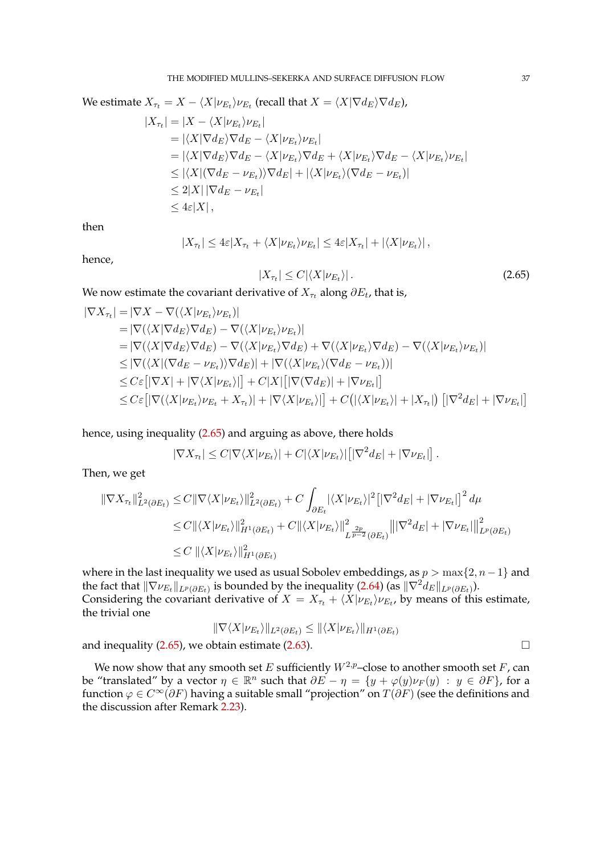We estimate  $X_{\tau_t} = X - \langle X | \nu_{E_t} \rangle \nu_{E_t}$  (recall that  $X = \langle X | \nabla d_E \rangle \nabla d_E$ ),

$$
|X_{\tau_t}| = |X - \langle X | \nu_{E_t} \rangle \nu_{E_t}|
$$
  
\n
$$
= |\langle X | \nabla d_E \rangle \nabla d_E - \langle X | \nu_{E_t} \rangle \nu_{E_t}|
$$
  
\n
$$
= |\langle X | \nabla d_E \rangle \nabla d_E - \langle X | \nu_{E_t} \rangle \nabla d_E + \langle X | \nu_{E_t} \rangle \nabla d_E - \langle X | \nu_{E_t} \rangle \nu_{E_t}|
$$
  
\n
$$
\leq |\langle X | (\nabla d_E - \nu_{E_t}) \rangle \nabla d_E| + |\langle X | \nu_{E_t} \rangle (\nabla d_E - \nu_{E_t})|
$$
  
\n
$$
\leq 2|X| |\nabla d_E - \nu_{E_t}|
$$
  
\n
$$
\leq 4\varepsilon |X|,
$$

then

$$
|X_{\tau_t}| \leq 4\varepsilon |X_{\tau_t} + \langle X|\nu_{E_t}\rangle \nu_{E_t}| \leq 4\varepsilon |X_{\tau_t}| + |\langle X|\nu_{E_t}\rangle|,
$$

hence,

<span id="page-36-0"></span>
$$
|X_{\tau_t}| \le C |\langle X | \nu_{E_t} \rangle| \,. \tag{2.65}
$$

We now estimate the covariant derivative of  $X_{\tau_t}$  along  $\partial E_t$ , that is,

$$
\begin{aligned}\n|\nabla X_{\tau_t}| &= |\nabla X - \nabla(\langle X | \nu_{E_t} \rangle \nu_{E_t})| \\
&= |\nabla(\langle X | \nabla d_E \rangle \nabla d_E) - \nabla(\langle X | \nu_{E_t} \rangle \nu_{E_t})| \\
&= |\nabla(\langle X | \nabla d_E \rangle \nabla d_E) - \nabla(\langle X | \nu_{E_t} \rangle \nabla d_E) + \nabla(\langle X | \nu_{E_t} \rangle \nabla d_E) - \nabla(\langle X | \nu_{E_t} \rangle \nu_{E_t})| \\
&\leq |\nabla(\langle X | (\nabla d_E - \nu_{E_t}) \rangle \nabla d_E)| + |\nabla(\langle X | \nu_{E_t} \rangle (\nabla d_E - \nu_{E_t}))| \\
&\leq C \varepsilon [|\nabla X| + |\nabla \langle X | \nu_{E_t} \rangle|] + C|X| [|\nabla (\nabla d_E)| + |\nabla \nu_{E_t}|] \\
&\leq C \varepsilon [|\nabla(\langle X | \nu_{E_t} \rangle \nu_{E_t} + X_{\tau_t})| + |\nabla \langle X | \nu_{E_t} \rangle|] + C(|\langle X | \nu_{E_t} \rangle| + |X_{\tau_t}|) [|\nabla^2 d_E| + |\nabla \nu_{E_t}|]\n\end{aligned}
$$

hence, using inequality [\(2.65\)](#page-36-0) and arguing as above, there holds

$$
|\nabla X_{\tau_t}| \leq C |\nabla \langle X | \nu_{E_t} \rangle| + C |\langle X | \nu_{E_t} \rangle| \left[ |\nabla^2 d_E| + |\nabla \nu_{E_t}| \right].
$$

Then, we get

$$
\begin{split} \|\nabla X_{\tau_t}\|_{L^2(\partial E_t)}^2 &\leq C \|\nabla \langle X | \nu_{E_t} \rangle \|_{L^2(\partial E_t)}^2 + C \int_{\partial E_t} |\langle X | \nu_{E_t} \rangle|^2 \left[ |\nabla^2 d_E| + |\nabla \nu_{E_t}| \right]^2 d\mu \\ &\leq C \|\langle X | \nu_{E_t} \rangle \|_{H^1(\partial E_t)}^2 + C \|\langle X | \nu_{E_t} \rangle \|_{L^{\frac{2p}{p-2}}(\partial E_t)}^2 \|\nabla^2 d_E| + |\nabla \nu_{E_t}|\|_{L^p(\partial E_t)}^2 \\ &\leq C \|\langle X | \nu_{E_t} \rangle \|_{H^1(\partial E_t)}^2 \end{split}
$$

where in the last inequality we used as usual Sobolev embeddings, as  $p > \max\{2, n-1\}$  and the fact that  $\|\nabla \nu_{E_t}\|_{L^p(\partial E_t)}$  is bounded by the inequality [\(2.64\)](#page-35-0) (as  $\|\nabla^2d_E\|_{L^p(\partial E_t)}$ ). Considering the covariant derivative of  $X = X_{\tau_t} + \langle X | \nu_{E_t} \rangle \nu_{E_t}$ , by means of this estimate, the trivial one

$$
\|\nabla \langle X | \nu_{E_t} \rangle\|_{L^2(\partial E_t)} \leq \|\langle X | \nu_{E_t} \rangle\|_{H^1(\partial E_t)}
$$

and inequality  $(2.65)$ , we obtain estimate  $(2.63)$ .

We now show that any smooth set E sufficiently  $W^{2,p}$ –close to another smooth set F, can be "translated" by a vector  $\eta \in \mathbb{R}^n$  such that  $\partial E - \eta = \{y + \varphi(y)\nu_F(y) : y \in \partial F\}$ , for a function  $\varphi \in C^{\infty}(\partial F)$  having a suitable small "projection" on  $T(\partial F)$  (see the definitions and the discussion after Remark [2.23\)](#page-25-0).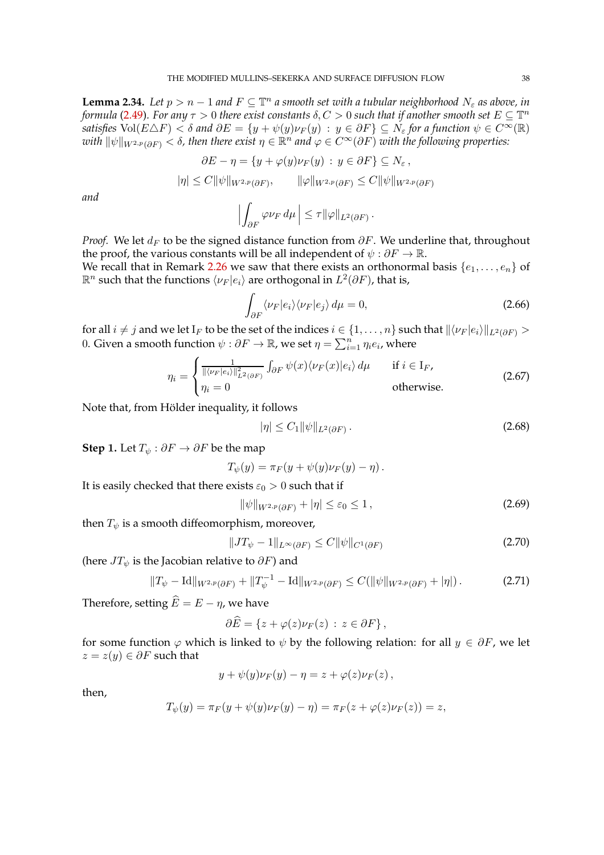<span id="page-37-6"></span>**Lemma 2.34.** Let  $p > n - 1$  and  $F \subseteq \mathbb{T}^n$  a smooth set with a tubular neighborhood  $N_{\varepsilon}$  as above, in *formula* [\(2.49\)](#page-27-0). For any  $\tau > 0$  there exist constants  $\delta, C > 0$  such that if another smooth set  $E \subseteq \mathbb{T}^n$ *satisfies*  $Vol(E \triangle F) < \delta$  *and*  $\partial E = \{y + \psi(y)\nu_F(y) : y \in \partial F\} \subseteq N_{\epsilon}$  *for a function*  $\psi \in C^{\infty}(\mathbb{R})$  $with\ \|\psi\|_{W^{2,p}(\partial F)}<\delta$ , then there exist  $\eta\in\mathbb{R}^n$  and  $\varphi\in C^\infty(\partial F)$  with the following properties:

$$
\partial E - \eta = \{ y + \varphi(y)\nu_F(y) : y \in \partial F \} \subseteq N_{\varepsilon},
$$
  

$$
|\eta| \le C \|\psi\|_{W^{2,p}(\partial F)}, \qquad \|\varphi\|_{W^{2,p}(\partial F)} \le C \|\psi\|_{W^{2,p}(\partial F)}
$$

*and*

$$
\left|\int_{\partial F} \varphi \nu_F d\mu\right| \leq \tau \|\varphi\|_{L^2(\partial F)}.
$$

*Proof.* We let  $d_F$  to be the signed distance function from  $\partial F$ . We underline that, throughout the proof, the various constants will be all independent of  $\psi : \partial F \to \mathbb{R}$ .

We recall that in Remark [2.26](#page-27-1) we saw that there exists an orthonormal basis  $\{e_1, \ldots, e_n\}$  of  $\mathbb{R}^n$  such that the functions  $\langle \nu_F | e_i \rangle$  are orthogonal in  $L^2(\partial F)$ , that is,

<span id="page-37-3"></span>
$$
\int_{\partial F} \langle \nu_F | e_i \rangle \langle \nu_F | e_j \rangle \, d\mu = 0,\tag{2.66}
$$

for all  $i\neq j$  and we let  $I_F$  to be the set of the indices  $i\in \{1,\ldots,n\}$  such that  $\|\langle\nu_F |e_i\rangle\|_{L^2(\partial F)} >$ 0. Given a smooth function  $\psi: \partial F \to \mathbb{R}$ , we set  $\eta = \sum_{i=1}^n \eta_i e_i$ , where

$$
\eta_i = \begin{cases} \frac{1}{\|\langle \nu_F | e_i \rangle\|_{L^2(\partial F)}^2} \int_{\partial F} \psi(x) \langle \nu_F(x) | e_i \rangle \, d\mu & \text{if } i \in I_F, \\ \eta_i = 0 & \text{otherwise.} \end{cases} \tag{2.67}
$$

Note that, from Hölder inequality, it follows

<span id="page-37-5"></span><span id="page-37-4"></span><span id="page-37-2"></span>
$$
|\eta| \le C_1 \|\psi\|_{L^2(\partial F)}\,. \tag{2.68}
$$

**Step 1.** Let  $T_{\psi}$  :  $\partial F \to \partial F$  be the map

$$
T_{\psi}(y) = \pi_F(y + \psi(y)\nu_F(y) - \eta).
$$

It is easily checked that there exists  $\varepsilon_0 > 0$  such that if

<span id="page-37-1"></span><span id="page-37-0"></span>
$$
\|\psi\|_{W^{2,p}(\partial F)} + |\eta| \le \varepsilon_0 \le 1,
$$
\n<sup>(2.69)</sup>

then  $T_{\psi}$  is a smooth diffeomorphism, moreover,

$$
||JT_{\psi} - 1||_{L^{\infty}(\partial F)} \leq C ||\psi||_{C^{1}(\partial F)}
$$
\n(2.70)

(here  $JT_{\psi}$  is the Jacobian relative to  $\partial F$ ) and

$$
||T_{\psi} - \text{Id}||_{W^{2,p}(\partial F)} + ||T_{\psi}^{-1} - \text{Id}||_{W^{2,p}(\partial F)} \leq C(||\psi||_{W^{2,p}(\partial F)} + |\eta|).
$$
 (2.71)

Therefore, setting  $\widehat{E} = E - \eta$ , we have

$$
\partial \widehat{E} = \{ z + \varphi(z) \nu_F(z) : z \in \partial F \},
$$

for some function  $\varphi$  which is linked to  $\psi$  by the following relation: for all  $y \in \partial F$ , we let  $z = z(y) \in \partial F$  such that

$$
y + \psi(y)\nu_F(y) - \eta = z + \varphi(z)\nu_F(z),
$$

then,

$$
T_{\psi}(y) = \pi_F(y + \psi(y)\nu_F(y) - \eta) = \pi_F(z + \varphi(z)\nu_F(z)) = z,
$$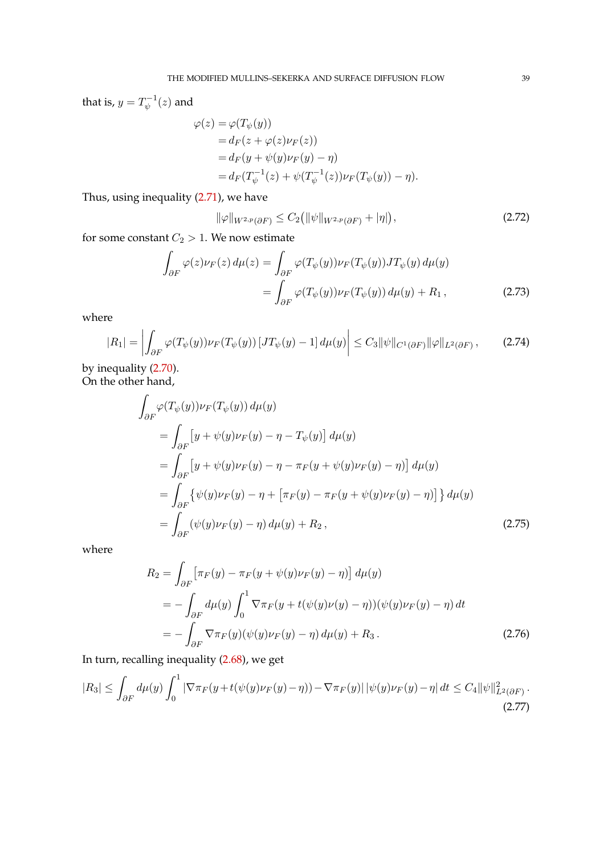that is,  $y = T_{\psi}^{-1}$  $\psi^{-1}(z)$  and

$$
\varphi(z) = \varphi(T_{\psi}(y))
$$
  
=  $d_F(z + \varphi(z)\nu_F(z))$   
=  $d_F(y + \psi(y)\nu_F(y) - \eta)$   
=  $d_F(T_{\psi}^{-1}(z) + \psi(T_{\psi}^{-1}(z))\nu_F(T_{\psi}(y)) - \eta).$ 

Thus, using inequality [\(2.71\)](#page-37-0), we have

<span id="page-38-5"></span><span id="page-38-3"></span><span id="page-38-0"></span>
$$
\|\varphi\|_{W^{2,p}(\partial F)} \le C_2 \big( \|\psi\|_{W^{2,p}(\partial F)} + |\eta| \big),\tag{2.72}
$$

for some constant  $C_2 > 1$ . We now estimate

$$
\int_{\partial F} \varphi(z) \nu_F(z) d\mu(z) = \int_{\partial F} \varphi(T_\psi(y)) \nu_F(T_\psi(y)) J T_\psi(y) d\mu(y)
$$
\n
$$
= \int_{\partial F} \varphi(T_\psi(y)) \nu_F(T_\psi(y)) d\mu(y) + R_1,
$$
\n(2.73)

where

$$
|R_1| = \left| \int_{\partial F} \varphi(T_\psi(y)) \nu_F(T_\psi(y)) \left[ J T_\psi(y) - 1 \right] d\mu(y) \right| \le C_3 \|\psi\|_{C^1(\partial F)} \|\varphi\|_{L^2(\partial F)}, \tag{2.74}
$$

by inequality [\(2.70\)](#page-37-1). On the other hand,

$$
\int_{\partial F} \varphi(T_{\psi}(y)) \nu_F(T_{\psi}(y)) d\mu(y) \n= \int_{\partial F} [y + \psi(y) \nu_F(y) - \eta - T_{\psi}(y)] d\mu(y) \n= \int_{\partial F} [y + \psi(y) \nu_F(y) - \eta - \pi_F(y + \psi(y) \nu_F(y) - \eta)] d\mu(y) \n= \int_{\partial F} {\psi(y) \nu_F(y) - \eta + [\pi_F(y) - \pi_F(y + \psi(y) \nu_F(y) - \eta)] } d\mu(y) \n= \int_{\partial F} (\psi(y) \nu_F(y) - \eta) d\mu(y) + R_2,
$$
\n(2.75)

where

<span id="page-38-4"></span><span id="page-38-2"></span><span id="page-38-1"></span>
$$
R_2 = \int_{\partial F} \left[ \pi_F(y) - \pi_F(y + \psi(y)\nu_F(y) - \eta) \right] d\mu(y)
$$
  
= 
$$
- \int_{\partial F} d\mu(y) \int_0^1 \nabla \pi_F(y + t(\psi(y)\nu(y) - \eta))(\psi(y)\nu_F(y) - \eta) dt
$$
  
= 
$$
- \int_{\partial F} \nabla \pi_F(y)(\psi(y)\nu_F(y) - \eta) d\mu(y) + R_3.
$$
 (2.76)

In turn, recalling inequality [\(2.68\)](#page-37-2), we get

$$
|R_3| \leq \int_{\partial F} d\mu(y) \int_0^1 |\nabla \pi_F(y + t(\psi(y)\nu_F(y) - \eta)) - \nabla \pi_F(y)| |\psi(y)\nu_F(y) - \eta| dt \leq C_4 ||\psi||_{L^2(\partial F)}^2.
$$
\n(2.77)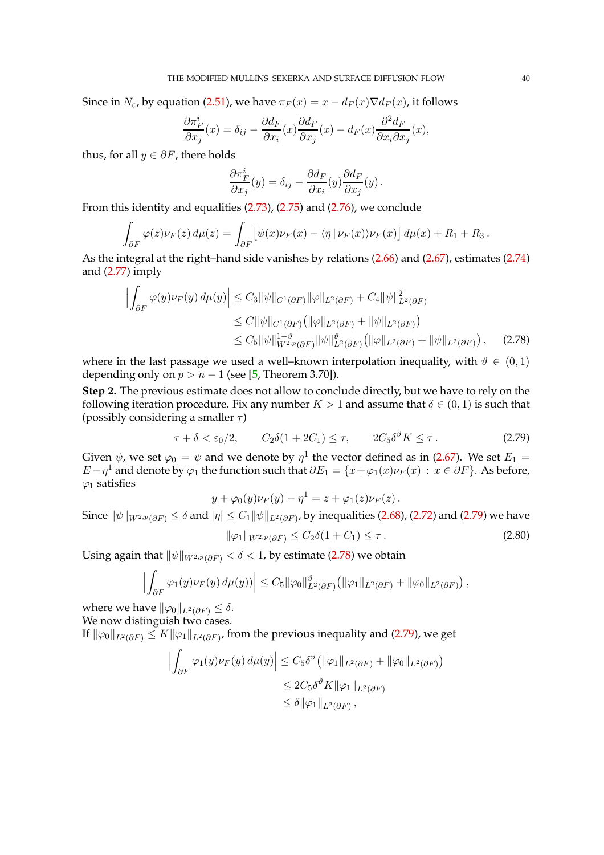Since in  $N_{\varepsilon}$ , by equation [\(2.51\)](#page-27-2), we have  $\pi_F(x) = x - d_F(x) \nabla d_F(x)$ , it follows

$$
\frac{\partial \pi_F^i}{\partial x_j}(x) = \delta_{ij} - \frac{\partial d_F}{\partial x_i}(x) \frac{\partial d_F}{\partial x_j}(x) - d_F(x) \frac{\partial^2 d_F}{\partial x_i \partial x_j}(x),
$$

thus, for all  $y \in \partial F$ , there holds

<span id="page-39-1"></span>
$$
\frac{\partial \pi_F^i}{\partial x_j}(y) = \delta_{ij} - \frac{\partial d_F}{\partial x_i}(y) \frac{\partial d_F}{\partial x_j}(y).
$$

From this identity and equalities [\(2.73\)](#page-38-0), [\(2.75\)](#page-38-1) and [\(2.76\)](#page-38-2), we conclude

$$
\int_{\partial F} \varphi(z) \nu_F(z) d\mu(z) = \int_{\partial F} \left[ \psi(x) \nu_F(x) - \langle \eta | \nu_F(x) \rangle \nu_F(x) \right] d\mu(x) + R_1 + R_3.
$$

As the integral at the right–hand side vanishes by relations [\(2.66\)](#page-37-3) and [\(2.67\)](#page-37-4), estimates [\(2.74\)](#page-38-3) and [\(2.77\)](#page-38-4) imply

$$
\left| \int_{\partial F} \varphi(y) \nu_F(y) \, d\mu(y) \right| \leq C_3 \|\psi\|_{C^1(\partial F)} \|\varphi\|_{L^2(\partial F)} + C_4 \|\psi\|_{L^2(\partial F)}^2
$$
  
\n
$$
\leq C \|\psi\|_{C^1(\partial F)} \left( \|\varphi\|_{L^2(\partial F)} + \|\psi\|_{L^2(\partial F)} \right)
$$
  
\n
$$
\leq C_5 \|\psi\|_{W^{2,p}(\partial F)}^{1-\vartheta} \|\psi\|_{L^2(\partial F)}^{\vartheta} \left( \|\varphi\|_{L^2(\partial F)} + \|\psi\|_{L^2(\partial F)} \right), \quad (2.78)
$$

where in the last passage we used a well–known interpolation inequality, with  $\vartheta \in (0,1)$ depending only on  $p > n - 1$  (see [\[5,](#page-96-0) Theorem 3.70]).

**Step** 2**.** The previous estimate does not allow to conclude directly, but we have to rely on the following iteration procedure. Fix any number  $K > 1$  and assume that  $\delta \in (0, 1)$  is such that (possibly considering a smaller  $\tau$ )

$$
\tau + \delta < \varepsilon_0/2, \qquad C_2 \delta(1 + 2C_1) \le \tau, \qquad 2C_5 \delta^{\vartheta} K \le \tau. \tag{2.79}
$$

Given  $\psi$ , we set  $\varphi_0 = \psi$  and we denote by  $\eta^1$  the vector defined as in [\(2.67\)](#page-37-4). We set  $E_1 =$  $E - \eta^1$  and denote by  $\varphi_1$  the function such that  $\partial E_1 = \{x + \varphi_1(x)\nu_F(x) : x \in \partial F\}$ . As before,  $\varphi_1$  satisfies

<span id="page-39-2"></span><span id="page-39-0"></span>
$$
y + \varphi_0(y)\nu_F(y) - \eta^1 = z + \varphi_1(z)\nu_F(z).
$$

Since  $\|\psi\|_{W^{2,p}(\partial F)}\leq \delta$  and  $|\eta|\leq C_1\|\psi\|_{L^2(\partial F)}$ , by inequalities [\(2.68\)](#page-37-2), [\(2.72\)](#page-38-5) and [\(2.79\)](#page-39-0) we have  $\|\varphi_1\|_{W^{2,p}(\partial F)} \leq C_2 \delta(1+C_1) \leq \tau$  . (2.80)

Using again that  $\|\psi\|_{W^{2,p}(\partial F)} < \delta < 1$ , by estimate [\(2.78\)](#page-39-1) we obtain

$$
\left|\int_{\partial F} \varphi_1(y)\nu_F(y)\,d\mu(y)\right| \leq C_5 \|\varphi_0\|_{L^2(\partial F)}^{\vartheta} \left(\|\varphi_1\|_{L^2(\partial F)} + \|\varphi_0\|_{L^2(\partial F)}\right),
$$

where we have  $\|\varphi_0\|_{L^2(\partial F)} \leq \delta$ . We now distinguish two cases.

If  $\|\varphi_0\|_{L^2(\partial F)}\leq K\|\varphi_1\|_{L^2(\partial F)}$ , from the previous inequality and [\(2.79\)](#page-39-0), we get

$$
\left| \int_{\partial F} \varphi_1(y) \nu_F(y) d\mu(y) \right| \leq C_5 \delta^{\vartheta} \left( \|\varphi_1\|_{L^2(\partial F)} + \|\varphi_0\|_{L^2(\partial F)} \right)
$$
  

$$
\leq 2C_5 \delta^{\vartheta} K \|\varphi_1\|_{L^2(\partial F)}
$$
  

$$
\leq \delta \|\varphi_1\|_{L^2(\partial F)},
$$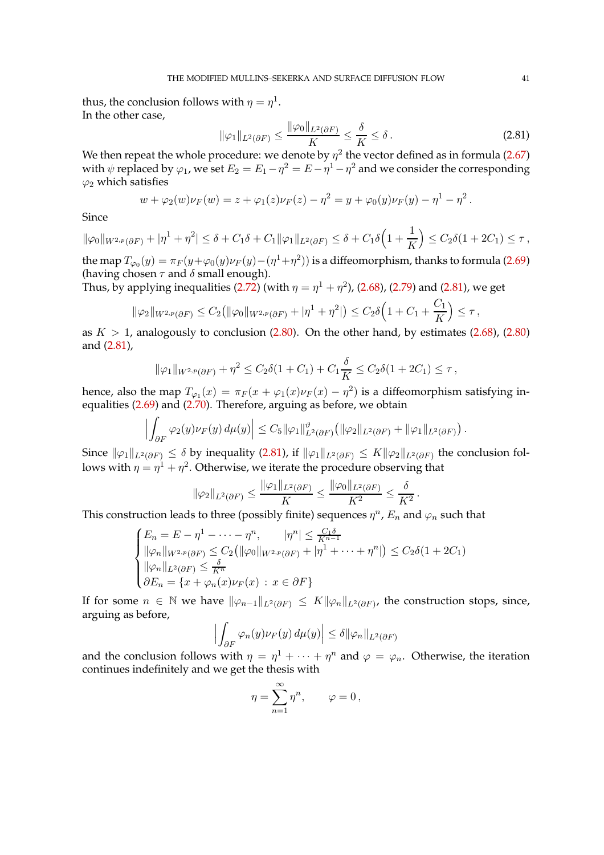thus, the conclusion follows with  $\eta = \eta^1$ . In the other case,

<span id="page-40-0"></span>
$$
\|\varphi_1\|_{L^2(\partial F)} \le \frac{\|\varphi_0\|_{L^2(\partial F)}}{K} \le \frac{\delta}{K} \le \delta.
$$
 (2.81)

We then repeat the whole procedure: we denote by  $\eta^2$  the vector defined as in formula [\(2.67\)](#page-37-4) with  $\psi$  replaced by  $\varphi_1$ , we set  $E_2 = E_1 - \eta^2 = E - \eta^1 - \eta^2$  and we consider the corresponding  $\varphi_2$  which satisfies

$$
w + \varphi_2(w)\nu_F(w) = z + \varphi_1(z)\nu_F(z) - \eta^2 = y + \varphi_0(y)\nu_F(y) - \eta^1 - \eta^2.
$$

Since

 $\|\varphi_0\|_{W^{2,p}(\partial F)} + |\eta^1 + \eta^2| \leq \delta + C_1\delta + C_1\|\varphi_1\|_{L^2(\partial F)} \leq \delta + C_1\delta\Big(1 + \frac{1}{K}\Big)$ K  $\Big) \leq C_2 \delta(1+2C_1) \leq \tau$ ,

the map  $T_{\varphi_0}(y) = \pi_F(y + \varphi_0(y)\nu_F(y) - (\eta^1 + \eta^2))$  is a diffeomorphism, thanks to formula [\(2.69\)](#page-37-5) (having chosen  $\tau$  and  $\delta$  small enough).

Thus, by applying inequalities [\(2.72\)](#page-38-5) (with  $\eta=\eta^1+\eta^2$ ), [\(2.68\)](#page-37-2), [\(2.79\)](#page-39-0) and [\(2.81\)](#page-40-0), we get

$$
\|\varphi_2\|_{W^{2,p}(\partial F)} \leq C_2 \big( \|\varphi_0\|_{W^{2,p}(\partial F)} + |\eta^1 + \eta^2| \big) \leq C_2 \delta \Big( 1 + C_1 + \frac{C_1}{K} \Big) \leq \tau,
$$

as  $K > 1$ , analogously to conclusion [\(2.80\)](#page-39-2). On the other hand, by estimates [\(2.68\)](#page-37-2), (2.80) and [\(2.81\)](#page-40-0),

$$
\|\varphi_1\|_{W^{2,p}(\partial F)} + \eta^2 \le C_2 \delta(1+C_1) + C_1 \frac{\delta}{K} \le C_2 \delta(1+2C_1) \le \tau,
$$

hence, also the map  $T_{\varphi_1}(x) = \pi_F(x + \varphi_1(x)\nu_F(x) - \eta^2)$  is a diffeomorphism satisfying inequalities [\(2.69\)](#page-37-5) and [\(2.70\)](#page-37-1). Therefore, arguing as before, we obtain

$$
\left| \int_{\partial F} \varphi_2(y) \nu_F(y) d\mu(y) \right| \leq C_5 \|\varphi_1\|_{L^2(\partial F)}^{\vartheta} \left( \|\varphi_2\|_{L^2(\partial F)} + \|\varphi_1\|_{L^2(\partial F)} \right).
$$

Since  $\|\varphi_1\|_{L^2(\partial F)} \le \delta$  by inequality [\(2.81\)](#page-40-0), if  $\|\varphi_1\|_{L^2(\partial F)} \le K\|\varphi_2\|_{L^2(\partial F)}$  the conclusion follows with  $\eta=\eta^1+\eta^2.$  Otherwise, we iterate the procedure observing that

$$
\|\varphi_2\|_{L^2(\partial F)} \le \frac{\|\varphi_1\|_{L^2(\partial F)}}{K} \le \frac{\|\varphi_0\|_{L^2(\partial F)}}{K^2} \le \frac{\delta}{K^2}.
$$

This construction leads to three (possibly finite) sequences  $\eta^n$ ,  $E_n$  and  $\varphi_n$  such that

$$
\begin{cases}\nE_n = E - \eta^1 - \dots - \eta^n, & |\eta^n| \leq \frac{C_1 \delta}{K^{n-1}} \\
\|\varphi_n\|_{W^{2,p}(\partial F)} \leq C_2 (\|\varphi_0\|_{W^{2,p}(\partial F)} + |\eta^1 + \dots + \eta^n|) \leq C_2 \delta(1 + 2C_1) \\
\|\varphi_n\|_{L^2(\partial F)} \leq \frac{\delta}{K^n} \\
\partial E_n = \{x + \varphi_n(x)\nu_F(x) : x \in \partial F\}\n\end{cases}
$$

If for some  $n \in \mathbb{N}$  we have  $\|\varphi_{n-1}\|_{L^2(\partial F)} \leq K \|\varphi_n\|_{L^2(\partial F)}$ , the construction stops, since, arguing as before,

$$
\left| \int_{\partial F} \varphi_n(y) \nu_F(y) \, d\mu(y) \right| \leq \delta \|\varphi_n\|_{L^2(\partial F)}
$$

and the conclusion follows with  $\eta = \eta^1 + \cdots + \eta^n$  and  $\varphi = \varphi_n$ . Otherwise, the iteration continues indefinitely and we get the thesis with

$$
\eta = \sum_{n=1}^{\infty} \eta^n, \qquad \varphi = 0,
$$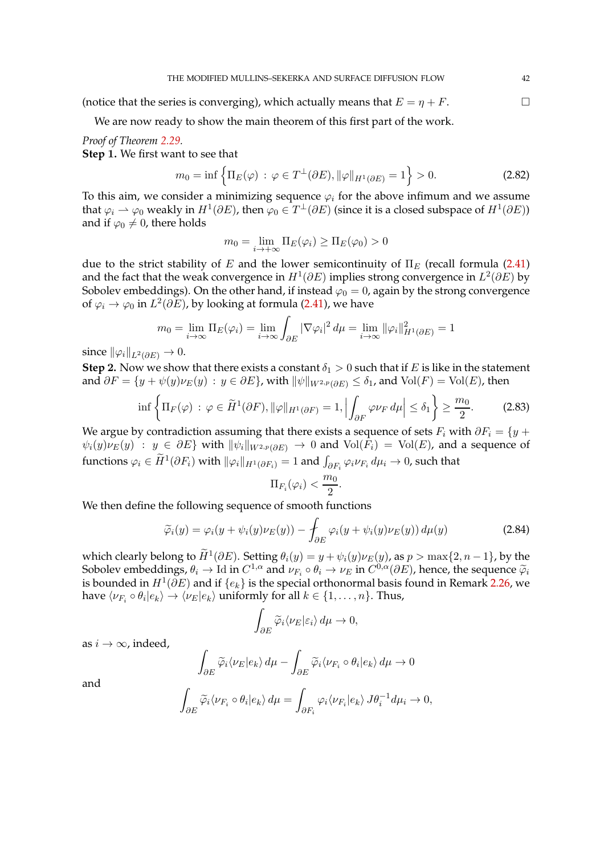(notice that the series is converging), which actually means that  $E = \eta + F$ .

We are now ready to show the main theorem of this first part of the work.

*Proof of Theorem [2.29.](#page-29-0)* **Step** 1**.** We first want to see that

$$
m_0 = \inf \left\{ \Pi_E(\varphi) \, : \, \varphi \in T^{\perp}(\partial E), \|\varphi\|_{H^1(\partial E)} = 1 \right\} > 0. \tag{2.82}
$$

To this aim, we consider a minimizing sequence  $\varphi_i$  for the above infimum and we assume that  $\varphi_i \rightharpoonup \varphi_0$  weakly in  $H^1(\partial E)$ , then  $\varphi_0 \in T^\perp(\partial E)$  (since it is a closed subspace of  $H^1(\partial E)$ ) and if  $\varphi_0 \neq 0$ , there holds

$$
m_0 = \lim_{i \to +\infty} \Pi_E(\varphi_i) \ge \Pi_E(\varphi_0) > 0
$$

due to the strict stability of E and the lower semicontinuity of  $\Pi_F$  (recall formula [\(2.41\)](#page-24-0) and the fact that the weak convergence in  $H^1(\partial E)$  implies strong convergence in  $L^2(\partial E)$  by Sobolev embeddings). On the other hand, if instead  $\varphi_0 = 0$ , again by the strong convergence of  $\varphi_i \to \varphi_0$  in  $L^2(\partial E)$ , by looking at formula [\(2.41\)](#page-24-0), we have

$$
m_0 = \lim_{i \to \infty} \Pi_E(\varphi_i) = \lim_{i \to \infty} \int_{\partial E} |\nabla \varphi_i|^2 d\mu = \lim_{i \to \infty} ||\varphi_i||_{H^1(\partial E)}^2 = 1
$$

since  $\|\varphi_i\|_{L^2(\partial E)} \to 0$ .

**Step 2.** Now we show that there exists a constant  $\delta_1 > 0$  such that if E is like in the statement and  $\partial F = \{y + \psi(y)\nu_E(y) : y \in \partial E\}$ , with  $\|\psi\|_{W^{2,p}(\partial E)} \leq \delta_1$ , and  $Vol(F) = Vol(E)$ , then

$$
\inf \left\{ \Pi_F(\varphi) \, : \, \varphi \in \widetilde{H}^1(\partial F), \|\varphi\|_{H^1(\partial F)} = 1, \left| \int_{\partial F} \varphi \nu_F \, d\mu \right| \le \delta_1 \right\} \ge \frac{m_0}{2}.\tag{2.83}
$$

We argue by contradiction assuming that there exists a sequence of sets  $F_i$  with  $\partial F_i = \{y + \}$  $\psi_i(y)\nu_E(y)$  :  $y \in \partial E$  with  $\|\psi_i\|_{W^{2,p}(\partial E)} \to 0$  and  $Vol(F_i) = Vol(E)$ , and a sequence of functions  $\varphi_i\in \tilde H^1(\partial F_i)$  with  $\|\varphi_i\|_{H^1(\partial F_i)}=1$  and  $\int_{\partial F_i}\varphi_i\nu_{F_i}\,d\mu_i\to 0$ , such that

$$
\Pi_{F_i}(\varphi_i) < \frac{m_0}{2}
$$

We then define the following sequence of smooth functions

 $\int_{\partial E}\widetilde{\varphi}_i\langle\nu_{F_i}\circ\theta_i|e_k\rangle\,d\mu=\int.$ 

$$
\widetilde{\varphi}_i(y) = \varphi_i(y + \psi_i(y)\nu_E(y)) - \int_{\partial E} \varphi_i(y + \psi_i(y)\nu_E(y)) d\mu(y) \tag{2.84}
$$

 $\int_{\partial F_i} \varphi_i \langle \nu_{F_i} | e_k \rangle J \theta_i^{-1} d\mu_i \to 0,$ 

<span id="page-41-0"></span>.

which clearly belong to  $\widetilde{H}^1(\partial E)$ . Setting  $\theta_i(y) = y + \psi_i(y)\nu_E(y)$ , as  $p > \max\{2, n - 1\}$ , by the Sobolev embeddings,  $\theta_i \to \text{Id}$  in  $C^{1,\alpha}$  and  $\nu_{F_i} \circ \theta_i \to \nu_E$  in  $C^{0,\alpha}(\partial E)$ , hence, the sequence  $\widetilde{\varphi}_i$ is bounded in  $H^1(\partial E)$  and if  $\{e_k\}$  is the special orthonormal basis found in Remark [2.26,](#page-27-1) we have  $\langle \nu_{F_i} \circ \theta_i | e_k \rangle \rightarrow \langle \nu_E | e_k \rangle$  uniformly for all  $k \in \{1, \ldots, n\}$ . Thus,

$$
\int_{\partial E} \widetilde{\varphi}_i \langle \nu_E | \varepsilon_i \rangle \, d\mu \to 0,
$$

as  $i \rightarrow \infty$ , indeed,

ˆ

$$
\int_{\partial E} \widetilde{\varphi}_i \langle \nu_E | e_k \rangle \, d\mu - \int_{\partial E} \widetilde{\varphi}_i \langle \nu_{F_i} \circ \theta_i | e_k \rangle \, d\mu \to 0
$$

and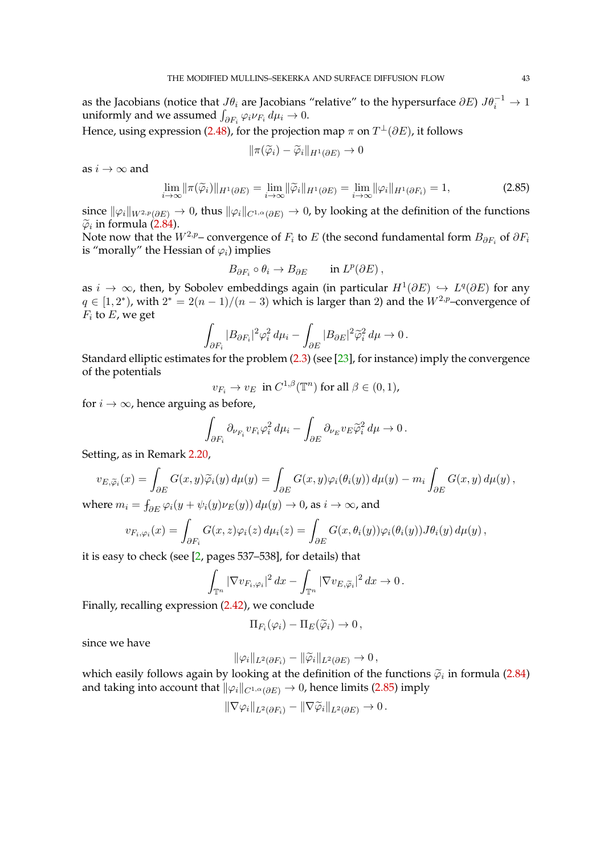as the Jacobians (notice that  $J\theta_i$  are Jacobians "relative" to the hypersurface  $\partial E$ )  $J\theta_i^{-1} \to 1$ uniformly and we assumed  $\int_{\partial F_i} \varphi_i \nu_{F_i} d\mu_i \to 0$ .

Hence, using expression [\(2.48\)](#page-27-3), for the projection map  $\pi$  on  $T^{\perp}(\partial E)$ , it follows

<span id="page-42-0"></span>
$$
\|\pi(\widetilde{\varphi}_i)-\widetilde{\varphi}_i\|_{H^1(\partial E)}\to 0
$$

as  $i \rightarrow \infty$  and

$$
\lim_{i \to \infty} \|\pi(\widetilde{\varphi}_i)\|_{H^1(\partial E)} = \lim_{i \to \infty} \|\widetilde{\varphi}_i\|_{H^1(\partial E)} = \lim_{i \to \infty} \|\varphi_i\|_{H^1(\partial F_i)} = 1,
$$
\n(2.85)

since  $\|\varphi_i\|_{W^{2,p}(\partial E)} \to 0$ , thus  $\|\varphi_i\|_{C^{1,\alpha}(\partial E)} \to 0$ , by looking at the definition of the functions  $\widetilde{\varphi}_i$  in formula [\(2.84\)](#page-41-0).<br>Natagasy that the U

Note now that the  $W^{2,p}-$  convergence of  $F_i$  to  $E$  (the second fundamental form  $B_{\partial F_i}$  of  $\partial F_i$ is "morally" the Hessian of  $\varphi_i$ ) implies

$$
B_{\partial F_i} \circ \theta_i \to B_{\partial E} \quad \text{in } L^p(\partial E),
$$

as  $i \to \infty$ , then, by Sobolev embeddings again (in particular  $H^1(\partial E) \hookrightarrow L^q(\partial E)$  for any  $q \in [1,2^*)$ , with  $2^* = 2(n-1)/(n-3)$  which is larger than 2) and the  $W^{2,p}$ -convergence of  $F_i$  to  $E$ , we get

$$
\int_{\partial F_i} |B_{\partial F_i}|^2 \varphi_i^2 d\mu_i - \int_{\partial E} |B_{\partial E}|^2 \widetilde{\varphi}_i^2 d\mu \to 0.
$$

Standard elliptic estimates for the problem  $(2.3)$  (see [\[23\]](#page-97-0), for instance) imply the convergence of the potentials

 $v_{F_i} \to v_E \text{ in } C^{1,\beta}(\mathbb{T}^n) \text{ for all } \beta \in (0,1),$ 

for  $i \rightarrow \infty$ , hence arguing as before,

$$
\int_{\partial F_i} \partial_{\nu_{F_i}} v_{F_i} \varphi_i^2 d\mu_i - \int_{\partial E} \partial_{\nu_E} v_E \widetilde{\varphi}_i^2 d\mu \to 0.
$$

Setting, as in Remark [2.20,](#page-24-1)

$$
v_{E,\widetilde{\varphi}_i}(x) = \int_{\partial E} G(x,y)\widetilde{\varphi}_i(y) d\mu(y) = \int_{\partial E} G(x,y)\varphi_i(\theta_i(y)) d\mu(y) - m_i \int_{\partial E} G(x,y) d\mu(y),
$$

where  $m_i = \int_{\partial E} \varphi_i(y + \psi_i(y) \nu_E(y)) d\mu(y) \to 0$ , as  $i \to \infty$ , and

$$
v_{F_i,\varphi_i}(x) = \int_{\partial F_i} G(x,z)\varphi_i(z) d\mu_i(z) = \int_{\partial E} G(x,\theta_i(y))\varphi_i(\theta_i(y))J\theta_i(y) d\mu(y),
$$

it is easy to check (see [\[2,](#page-96-1) pages 537–538], for details) that

$$
\int_{\mathbb{T}^n} |\nabla v_{F_i,\varphi_i}|^2 dx - \int_{\mathbb{T}^n} |\nabla v_{E,\widetilde{\varphi}_i}|^2 dx \to 0.
$$

Finally, recalling expression [\(2.42\)](#page-24-2), we conclude

$$
\Pi_{F_i}(\varphi_i) - \Pi_E(\widetilde{\varphi}_i) \to 0,
$$

since we have

$$
\|\varphi_i\|_{L^2(\partial F_i)} - \|\widetilde{\varphi}_i\|_{L^2(\partial E)} \to 0,
$$

which easily follows again by looking at the definition of the functions  $\tilde{\varphi}_i$  in formula [\(2.84\)](#page-41-0) and taking into account that  $\|\varphi_i\|_{C^{1,\alpha}(\partial E)} \to 0$ , hence limits [\(2.85\)](#page-42-0) imply

$$
\|\nabla \varphi_i\|_{L^2(\partial F_i)} - \|\nabla \widetilde{\varphi}_i\|_{L^2(\partial E)} \to 0.
$$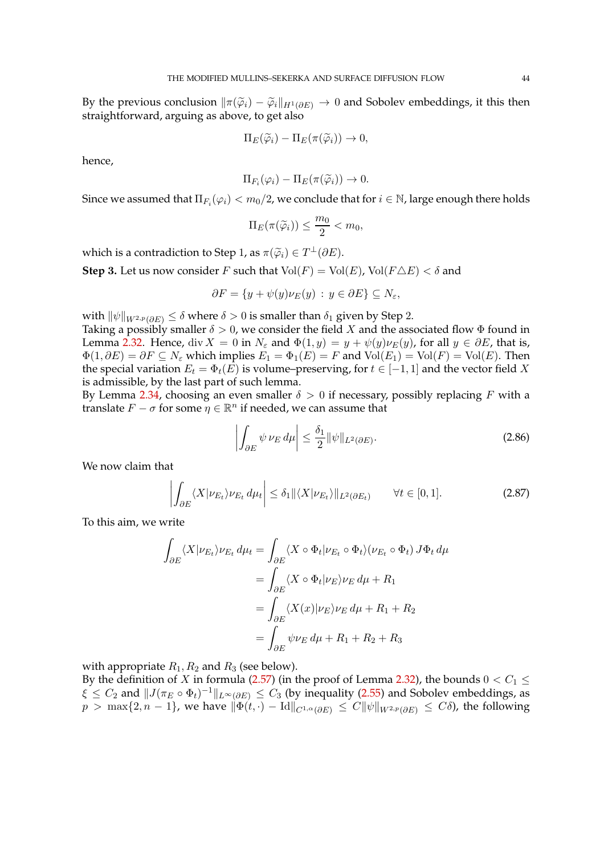By the previous conclusion  $\|\pi(\widetilde{\varphi}_i) - \widetilde{\varphi}_i\|_{H^1(\partial E)} \to 0$  and Sobolev embeddings, it this then straightforward, arguing as above, to get also

$$
\Pi_E(\widetilde{\varphi}_i) - \Pi_E(\pi(\widetilde{\varphi}_i)) \to 0,
$$

hence,

$$
\Pi_{F_i}(\varphi_i) - \Pi_E(\pi(\widetilde{\varphi}_i)) \to 0.
$$

Since we assumed that  $\Pi_{F_i}(\varphi_i) < m_0/2$ , we conclude that for  $i \in \mathbb{N}$ , large enough there holds

$$
\Pi_E(\pi(\widetilde{\varphi}_i)) \le \frac{m_0}{2} < m_0,
$$

which is a contradiction to Step 1, as  $\pi(\widetilde{\varphi}_i) \in T^{\perp}(\partial E)$ .

**Step 3.** Let us now consider F such that  $Vol(F) = Vol(E)$ ,  $Vol(F \triangle E) < \delta$  and

$$
\partial F = \{ y + \psi(y)\nu_E(y) : y \in \partial E \} \subseteq N_{\varepsilon},
$$

with  $\|\psi\|_{W^{2,p}(\partial E)} \leq \delta$  where  $\delta > 0$  is smaller than  $\delta_1$  given by Step 2.

Taking a possibly smaller  $\delta > 0$ , we consider the field X and the associated flow  $\Phi$  found in Lemma [2.32.](#page-30-0) Hence, div  $X = 0$  in  $N_{\varepsilon}$  and  $\Phi(1, y) = y + \psi(y)\nu_E(y)$ , for all  $y \in \partial E$ , that is,  $\Phi(1,\partial E) = \partial F \subseteq N_{\varepsilon}$  which implies  $E_1 = \Phi_1(E) = F$  and  $Vol(E_1) = Vol(F) = Vol(E)$ . Then the special variation  $E_t = \Phi_t(E)$  is volume–preserving, for  $t \in [-1, 1]$  and the vector field X is admissible, by the last part of such lemma.

By Lemma [2.34,](#page-37-6) choosing an even smaller  $\delta > 0$  if necessary, possibly replacing F with a translate  $F - \sigma$  for some  $\eta \in \mathbb{R}^n$  if needed, we can assume that

<span id="page-43-1"></span><span id="page-43-0"></span>
$$
\left| \int_{\partial E} \psi \, \nu_E \, d\mu \right| \le \frac{\delta_1}{2} ||\psi||_{L^2(\partial E)}.
$$
\n(2.86)

We now claim that

$$
\left| \int_{\partial E} \langle X | \nu_{E_t} \rangle \nu_{E_t} \, d\mu_t \right| \le \delta_1 \| \langle X | \nu_{E_t} \rangle \|_{L^2(\partial E_t)} \qquad \forall t \in [0, 1]. \tag{2.87}
$$

To this aim, we write

$$
\int_{\partial E} \langle X | \nu_{E_t} \rangle \nu_{E_t} d\mu_t = \int_{\partial E} \langle X \circ \Phi_t | \nu_{E_t} \circ \Phi_t \rangle (\nu_{E_t} \circ \Phi_t) J \Phi_t d\mu
$$

$$
= \int_{\partial E} \langle X \circ \Phi_t | \nu_E \rangle \nu_E d\mu + R_1
$$

$$
= \int_{\partial E} \langle X(x) | \nu_E \rangle \nu_E d\mu + R_1 + R_2
$$

$$
= \int_{\partial E} \psi \nu_E d\mu + R_1 + R_2 + R_3
$$

with appropriate  $R_1, R_2$  and  $R_3$  (see below).

By the definition of X in formula [\(2.57\)](#page-31-0) (in the proof of Lemma [2.32\)](#page-30-0), the bounds  $0 < C_1 \le$  $\xi \leq C_2$  and  $||J(\pi_E \circ \Phi_t)^{-1}||_{L^{\infty}(\partial E)} \leq C_3$  (by inequality [\(2.55\)](#page-30-1) and Sobolev embeddings, as  $p > \max\{2, n-1\}$ , we have  $\|\Phi(t, \cdot) - \text{Id}\|_{C^{1,\alpha}(\partial E)} \leq C \|\psi\|_{W^{2,p}(\partial E)} \leq C\delta$ , the following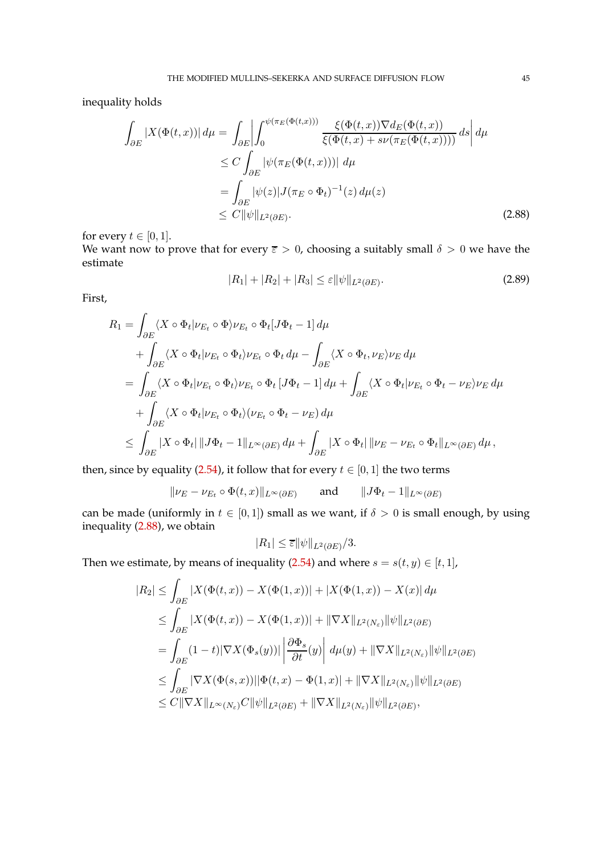inequality holds

$$
\int_{\partial E} |X(\Phi(t,x))| d\mu = \int_{\partial E} \left| \int_0^{\psi(\pi_E(\Phi(t,x)))} \frac{\xi(\Phi(t,x)) \nabla d_E(\Phi(t,x))}{\xi(\Phi(t,x) + s\nu(\pi_E(\Phi(t,x))))} ds \right| d\mu
$$
\n
$$
\leq C \int_{\partial E} |\psi(\pi_E(\Phi(t,x)))| d\mu
$$
\n
$$
= \int_{\partial E} |\psi(z)| J(\pi_E \circ \Phi_t)^{-1}(z) d\mu(z)
$$
\n
$$
\leq C \|\psi\|_{L^2(\partial E)}.
$$
\n(2.88)

for every  $t \in [0, 1]$ .

We want now to prove that for every  $\bar{\varepsilon} > 0$ , choosing a suitably small  $\delta > 0$  we have the estimate

<span id="page-44-1"></span><span id="page-44-0"></span>
$$
|R_1| + |R_2| + |R_3| \le \varepsilon \|\psi\|_{L^2(\partial E)}.
$$
\n(2.89)

First,

$$
R_1 = \int_{\partial E} \langle X \circ \Phi_t | \nu_{E_t} \circ \Phi \rangle \nu_{E_t} \circ \Phi_t [J\Phi_t - 1] d\mu
$$
  
+ 
$$
\int_{\partial E} \langle X \circ \Phi_t | \nu_{E_t} \circ \Phi_t \rangle \nu_{E_t} \circ \Phi_t d\mu - \int_{\partial E} \langle X \circ \Phi_t, \nu_E \rangle \nu_E d\mu
$$
  
= 
$$
\int_{\partial E} \langle X \circ \Phi_t | \nu_{E_t} \circ \Phi_t \rangle \nu_{E_t} \circ \Phi_t [J\Phi_t - 1] d\mu + \int_{\partial E} \langle X \circ \Phi_t | \nu_{E_t} \circ \Phi_t - \nu_E \rangle \nu_E d\mu
$$
  
+ 
$$
\int_{\partial E} \langle X \circ \Phi_t | \nu_{E_t} \circ \Phi_t \rangle (\nu_{E_t} \circ \Phi_t - \nu_E) d\mu
$$
  

$$
\leq \int_{\partial E} |X \circ \Phi_t| ||J\Phi_t - 1||_{L^{\infty}(\partial E)} d\mu + \int_{\partial E} |X \circ \Phi_t| ||\nu_E - \nu_{E_t} \circ \Phi_t||_{L^{\infty}(\partial E)} d\mu,
$$

then, since by equality [\(2.54\)](#page-30-2), it follow that for every  $t \in [0, 1]$  the two terms

$$
\|\nu_E - \nu_{E_t} \circ \Phi(t, x)\|_{L^{\infty}(\partial E)} \quad \text{and} \quad \|J\Phi_t - 1\|_{L^{\infty}(\partial E)}
$$

can be made (uniformly in  $t \in [0,1]$ ) small as we want, if  $\delta > 0$  is small enough, by using inequality [\(2.88\)](#page-44-0), we obtain

$$
|R_1| \leq \overline{\varepsilon} ||\psi||_{L^2(\partial E)}/3.
$$

Then we estimate, by means of inequality [\(2.54\)](#page-30-2) and where  $s = s(t, y) \in [t, 1]$ ,

$$
|R_2| \leq \int_{\partial E} |X(\Phi(t, x)) - X(\Phi(1, x))| + |X(\Phi(1, x)) - X(x)| d\mu
$$
  
\n
$$
\leq \int_{\partial E} |X(\Phi(t, x)) - X(\Phi(1, x))| + \|\nabla X\|_{L^2(N_{\varepsilon})} \|\psi\|_{L^2(\partial E)}
$$
  
\n
$$
= \int_{\partial E} (1 - t) |\nabla X(\Phi_s(y))| \left| \frac{\partial \Phi_s}{\partial t}(y) \right| d\mu(y) + \|\nabla X\|_{L^2(N_{\varepsilon})} \|\psi\|_{L^2(\partial E)}
$$
  
\n
$$
\leq \int_{\partial E} |\nabla X(\Phi(s, x))| |\Phi(t, x) - \Phi(1, x)| + \|\nabla X\|_{L^2(N_{\varepsilon})} \|\psi\|_{L^2(\partial E)}
$$
  
\n
$$
\leq C \|\nabla X\|_{L^{\infty}(N_{\varepsilon})} C \|\psi\|_{L^2(\partial E)} + \|\nabla X\|_{L^2(N_{\varepsilon})} \|\psi\|_{L^2(\partial E)},
$$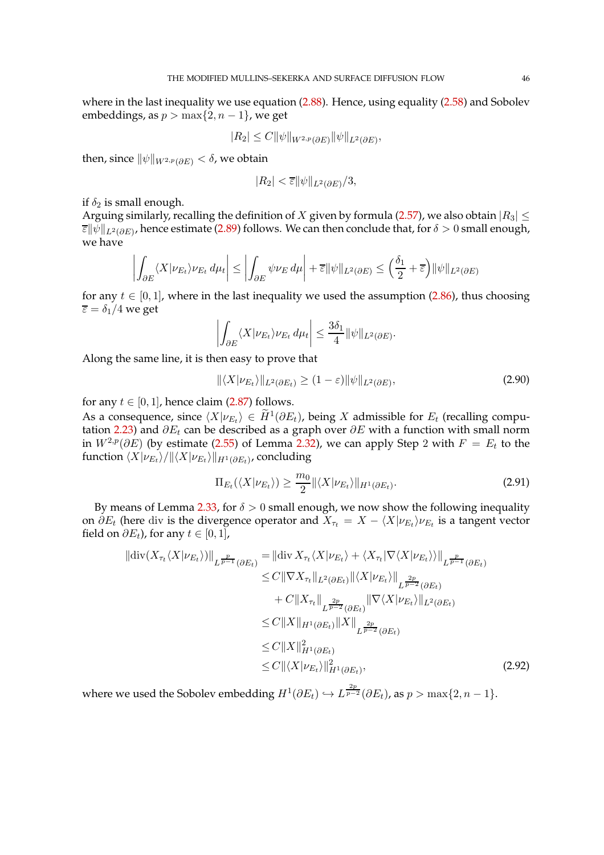where in the last inequality we use equation [\(2.88\)](#page-44-0). Hence, using equality [\(2.58\)](#page-32-0) and Sobolev embeddings, as  $p > max\{2, n - 1\}$ , we get

$$
|R_2| \leq C ||\psi||_{W^{2,p}(\partial E)} ||\psi||_{L^2(\partial E)},
$$

then, since  $\|\psi\|_{W^{2,p}(\partial E)} < \delta$ , we obtain

$$
|R_2| < \overline{\varepsilon} \|\psi\|_{L^2(\partial E)}/3,
$$

if  $\delta_2$  is small enough.

Arguing similarly, recalling the definition of X given by formula [\(2.57\)](#page-31-0), we also obtain  $|R_3| \leq$  $\overline{\varepsilon}\|\psi\|_{L^2(\partial E)}$ , hence estimate [\(2.89\)](#page-44-1) follows. We can then conclude that, for  $\delta>0$  small enough, we have

$$
\left| \int_{\partial E} \langle X | \nu_{E_t} \rangle \nu_{E_t} \, d\mu_t \right| \le \left| \int_{\partial E} \psi \nu_E \, d\mu \right| + \overline{\varepsilon} ||\psi||_{L^2(\partial E)} \le \left( \frac{\delta_1}{2} + \overline{\varepsilon} \right) ||\psi||_{L^2(\partial E)}
$$

for any  $t \in [0, 1]$ , where in the last inequality we used the assumption [\(2.86\)](#page-43-0), thus choosing  $\overline{\varepsilon} = \delta_1/4$  we get

$$
\left| \int_{\partial E} \langle X | \nu_{E_t} \rangle \nu_{E_t} \, d\mu_t \right| \leq \frac{3\delta_1}{4} ||\psi||_{L^2(\partial E)}.
$$

Along the same line, it is then easy to prove that

$$
\|\langle X|\nu_{E_t}\rangle\|_{L^2(\partial E_t)} \ge (1-\varepsilon)\|\psi\|_{L^2(\partial E)},\tag{2.90}
$$

for any  $t \in [0, 1]$ , hence claim [\(2.87\)](#page-43-1) follows.

As a consequence, since  $\langle X|\nu_{E_t}\rangle \in \widetilde{H}^1(\partial E_t)$ , being X admissible for  $E_t$  (recalling compu-tation [2.23\)](#page-13-0) and  $\partial E_t$  can be described as a graph over  $\partial E$  with a function with small norm in  $W^{2,p}(\partial E)$  (by estimate [\(2.55\)](#page-30-1) of Lemma [2.32\)](#page-30-0), we can apply Step 2 with  $F = E_t$  to the function  $\langle X \vert \nu_{E_t}\rangle / \|\langle X \vert \nu_{E_t}\rangle \|_{H^1(\partial E_t)}$ , concluding

<span id="page-45-1"></span><span id="page-45-0"></span>
$$
\Pi_{E_t}(\langle X|\nu_{E_t}\rangle) \ge \frac{m_0}{2} \|\langle X|\nu_{E_t}\rangle\|_{H^1(\partial E_t)}.
$$
\n(2.91)

By means of Lemma [2.33,](#page-35-2) for  $\delta > 0$  small enough, we now show the following inequality on  $\partial E_t$  (here div is the divergence operator and  $X_{\tau_t} = X - \langle X | \nu_{E_t} \rangle \nu_{E_t}$  is a tangent vector field on  $\partial E_t$ ), for any  $t \in [0, 1]$ ,

$$
\|\text{div}(X_{\tau_t}\langle X|\nu_{E_t}\rangle)\|_{L^{\frac{p}{p-1}}(\partial E_t)} = \|\text{div}\, X_{\tau_t}\langle X|\nu_{E_t}\rangle + \langle X_{\tau_t}|\nabla\langle X|\nu_{E_t}\rangle\rangle\|_{L^{\frac{p}{p-1}}(\partial E_t)}
$$
  
\n
$$
\leq C\|\nabla X_{\tau_t}\|_{L^2(\partial E_t)} \|\langle X|\nu_{E_t}\rangle\|_{L^{\frac{2p}{p-2}}(\partial E_t)}
$$
  
\n
$$
+ C\|X_{\tau_t}\|_{L^{\frac{2p}{p-2}}(\partial E_t)} \|\nabla\langle X|\nu_{E_t}\rangle\|_{L^2(\partial E_t)}
$$
  
\n
$$
\leq C\|X\|_{H^1(\partial E_t)} \|X\|_{L^{\frac{2p}{p-2}}(\partial E_t)}
$$
  
\n
$$
\leq C\|X\|_{H^1(\partial E_t)}^2
$$
  
\n
$$
\leq C\|\langle X|\nu_{E_t}\rangle\|_{H^1(\partial E_t)}^2,
$$
\n(2.92)

where we used the Sobolev embedding  $H^1(\partial E_t) \hookrightarrow L^{\frac{2p}{p-2}}(\partial E_t)$ , as  $p > \max\{2, n-1\}$ .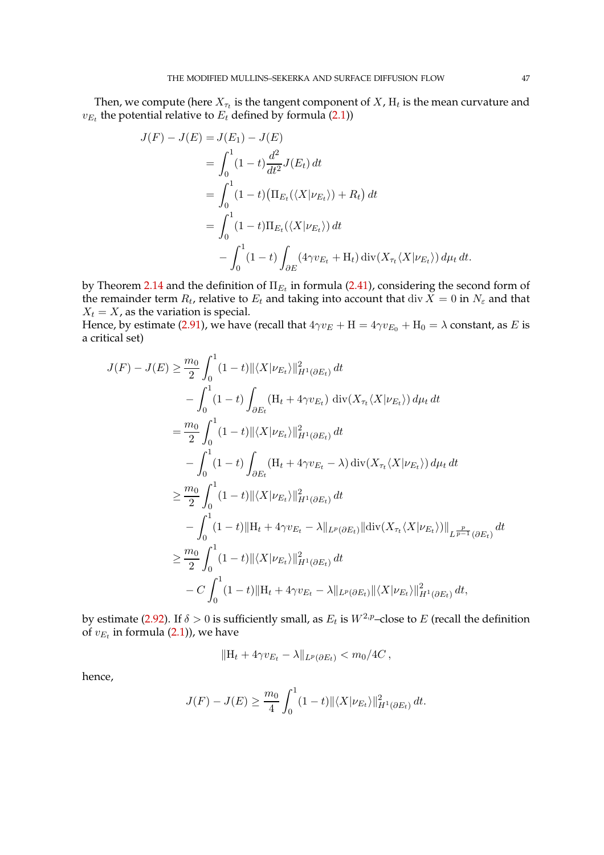Then, we compute (here  $X_{\tau_t}$  is the tangent component of  $X$ ,  $\mathrm{H}_t$  is the mean curvature and  $v_{E_t}$  the potential relative to  $E_t$  defined by formula [\(2.1\)](#page-5-0))

$$
J(F) - J(E) = J(E_1) - J(E)
$$
  
= 
$$
\int_0^1 (1 - t) \frac{d^2}{dt^2} J(E_t) dt
$$
  
= 
$$
\int_0^1 (1 - t) (\Pi_{E_t}(\langle X | \nu_{E_t} \rangle) + R_t) dt
$$
  
= 
$$
\int_0^1 (1 - t) \Pi_{E_t}(\langle X | \nu_{E_t} \rangle) dt
$$
  
- 
$$
\int_0^1 (1 - t) \int_{\partial E} (4 \gamma v_{E_t} + H_t) \operatorname{div}(X_{\tau_t} \langle X | \nu_{E_t} \rangle) d\mu_t dt.
$$

by Theorem [2.14](#page-20-0) and the definition of  $\Pi_{E_t}$  in formula [\(2.41\)](#page-24-0), considering the second form of the remainder term  $R_t$ , relative to  $E_t$  and taking into account that  $\mathrm{div}\, X = 0$  in  $N_\varepsilon$  and that  $X_t = X$ , as the variation is special.

Hence, by estimate [\(2.91\)](#page-45-0), we have (recall that  $4\gamma v_E + H = 4\gamma v_{E_0} + H_0 = \lambda$  constant, as E is a critical set)

$$
J(F) - J(E) \geq \frac{m_0}{2} \int_0^1 (1-t) ||\langle X | \nu_{E_t} \rangle||_{H^1(\partial E_t)}^2 dt
$$
  
\n
$$
- \int_0^1 (1-t) \int_{\partial E_t} (H_t + 4\gamma v_{E_t}) \operatorname{div}(X_{\tau_t} \langle X | \nu_{E_t}) \, d\mu_t dt
$$
  
\n
$$
= \frac{m_0}{2} \int_0^1 (1-t) ||\langle X | \nu_{E_t} \rangle||_{H^1(\partial E_t)}^2 dt
$$
  
\n
$$
- \int_0^1 (1-t) \int_{\partial E_t} (H_t + 4\gamma v_{E_t} - \lambda) \operatorname{div}(X_{\tau_t} \langle X | \nu_{E_t} \rangle) d\mu_t dt
$$
  
\n
$$
\geq \frac{m_0}{2} \int_0^1 (1-t) ||\langle X | \nu_{E_t} \rangle||_{H^1(\partial E_t)}^2 dt
$$
  
\n
$$
- \int_0^1 (1-t) ||H_t + 4\gamma v_{E_t} - \lambda ||_{L^p(\partial E_t)} ||\operatorname{div}(X_{\tau_t} \langle X | \nu_{E_t} \rangle) ||_{L^{\frac{p}{p-1}}(\partial E_t)} dt
$$
  
\n
$$
\geq \frac{m_0}{2} \int_0^1 (1-t) ||\langle X | \nu_{E_t} \rangle||_{H^1(\partial E_t)}^2 dt
$$
  
\n
$$
- C \int_0^1 (1-t) ||H_t + 4\gamma v_{E_t} - \lambda ||_{L^p(\partial E_t)} ||\langle X | \nu_{E_t} \rangle ||_{H^1(\partial E_t)}^2 dt,
$$

by estimate [\(2.92\)](#page-45-1). If  $\delta>0$  is sufficiently small, as  $E_t$  is  $W^{2,p}-$ close to  $E$  (recall the definition of  $v_{E_t}$  in formula [\(2.1\)](#page-5-0)), we have

$$
||H_t + 4\gamma v_{E_t} - \lambda||_{L^p(\partial E_t)} < m_0/4C \,,
$$

hence,

$$
J(F) - J(E) \ge \frac{m_0}{4} \int_0^1 (1-t) ||\langle X | \nu_{E_t} \rangle||_{H^1(\partial E_t)}^2 dt.
$$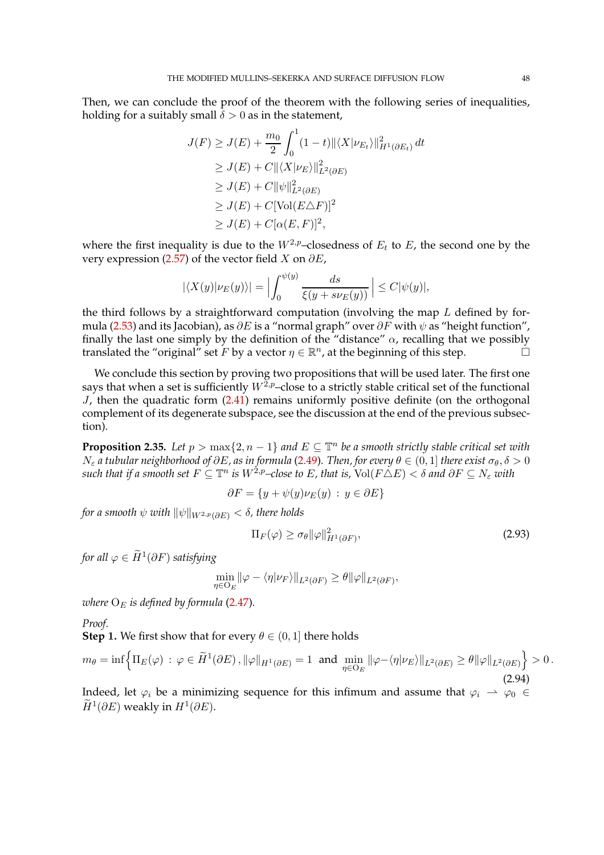Then, we can conclude the proof of the theorem with the following series of inequalities, holding for a suitably small  $\delta > 0$  as in the statement,

$$
J(F) \ge J(E) + \frac{m_0}{2} \int_0^1 (1-t) ||\langle X | \nu_{E_t} \rangle||_{H^1(\partial E_t)}^2 dt
$$
  
\n
$$
\ge J(E) + C ||\langle X | \nu_E \rangle||_{L^2(\partial E)}^2
$$
  
\n
$$
\ge J(E) + C ||\psi||_{L^2(\partial E)}^2
$$
  
\n
$$
\ge J(E) + C [\text{Vol}(E\Delta F)]^2
$$
  
\n
$$
\ge J(E) + C [\alpha(E, F)]^2,
$$

where the first inequality is due to the  $W^{2,p}$ -closedness of  $E_t$  to E, the second one by the very expression [\(2.57\)](#page-31-0) of the vector field X on  $\partial E$ ,

$$
|\langle X(y)|\nu_E(y)\rangle| = \Big|\int_0^{\psi(y)} \frac{ds}{\xi(y + s\nu_E(y))} \Big| \le C|\psi(y)|,
$$

the third follows by a straightforward computation (involving the map  $L$  defined by for-mula [\(2.53\)](#page-27-4) and its Jacobian), as  $\partial E$  is a "normal graph" over  $\partial F$  with  $\psi$  as "height function", finally the last one simply by the definition of the "distance"  $\alpha$ , recalling that we possibly translated the "original" set F by a vector  $\eta \in \mathbb{R}^n$ , at the beginning of this step.  $\Box$ 

We conclude this section by proving two propositions that will be used later. The first one says that when a set is sufficiently  $W^{\tilde{2},p}$ –close to a strictly stable critical set of the functional  $J$ , then the quadratic form  $(2.41)$  remains uniformly positive definite (on the orthogonal complement of its degenerate subspace, see the discussion at the end of the previous subsection).

<span id="page-47-1"></span>**Proposition 2.35.** Let  $p > \max\{2, n-1\}$  and  $E \subseteq \mathbb{T}^n$  be a smooth strictly stable critical set with  $N_{\varepsilon}$  *a* tubular neighborhood of  $\partial E$ , as in formula [\(2.49\)](#page-27-0). Then, for every  $\theta \in (0,1]$  there exist  $\sigma_{\theta}, \delta > 0$  $such$  *that if a smooth set*  $F \subseteq \mathbb{T}^n$  *is*  $W^{2,p}$ –close to E, that is,  $\text{Vol}(F \triangle E) < \delta$  and  $\partial F \subseteq N_\varepsilon$  with

$$
\partial F = \{ y + \psi(y)\nu_E(y) \, : \, y \in \partial E \}
$$

*for a smooth*  $\psi$  *with*  $\|\psi\|_{W^{2,p}(\partial E)} < \delta$ , there holds

<span id="page-47-0"></span>
$$
\Pi_F(\varphi) \ge \sigma_\theta \|\varphi\|_{H^1(\partial F)}^2,
$$
\n(2.93)

for all  $\varphi \in \widetilde{H}^1(\partial F)$  satisfying

$$
\min_{\eta \in O_E} \|\varphi - \langle \eta | \nu_F \rangle\|_{L^2(\partial F)} \ge \theta \|\varphi\|_{L^2(\partial F)},
$$

*where*  $O_E$  *is defined by formula* [\(2.47\)](#page-27-5).

*Proof.*

**Step 1.** We first show that for every  $\theta \in (0, 1]$  there holds

$$
m_{\theta} = \inf \left\{ \Pi_E(\varphi) \, : \, \varphi \in \widetilde{H}^1(\partial E), \|\varphi\|_{H^1(\partial E)} = 1 \text{ and } \min_{\eta \in \mathcal{O}_E} \|\varphi - \langle \eta | \nu_E \rangle \|_{L^2(\partial E)} \ge \theta \|\varphi\|_{L^2(\partial E)} \right\} > 0. \tag{2.94}
$$

Indeed, let  $\varphi_i$  be a minimizing sequence for this infimum and assume that  $\varphi_i \to \varphi_0 \in$  $\widetilde{H}^1(\partial E)$  weakly in  $H^1(\partial E)$ .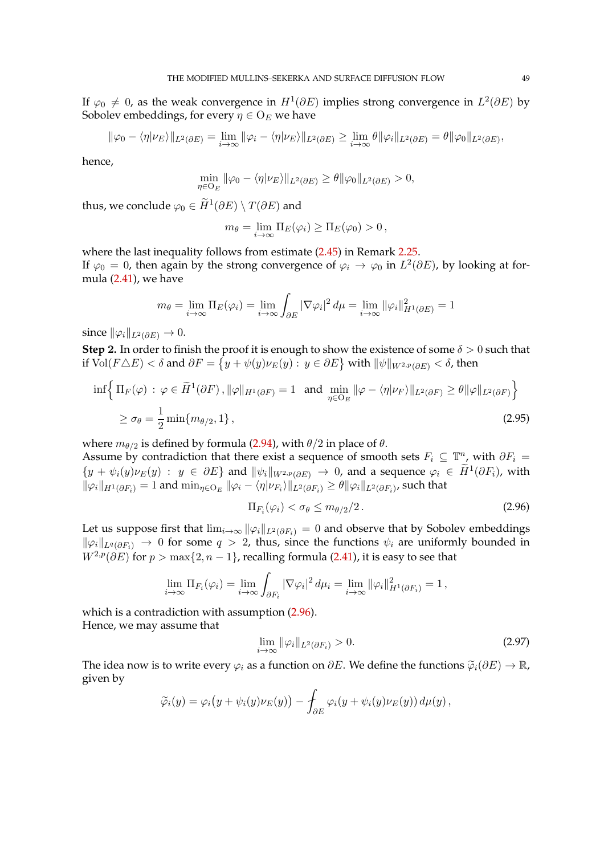If  $\varphi_0 \neq 0$ , as the weak convergence in  $H^1(\partial E)$  implies strong convergence in  $L^2(\partial E)$  by Sobolev embeddings, for every  $\eta \in O_E$  we have

$$
\|\varphi_0 - \langle \eta | \nu_E \rangle\|_{L^2(\partial E)} = \lim_{i \to \infty} \|\varphi_i - \langle \eta | \nu_E \rangle\|_{L^2(\partial E)} \ge \lim_{i \to \infty} \theta \|\varphi_i\|_{L^2(\partial E)} = \theta \|\varphi_0\|_{L^2(\partial E)},
$$

hence,

$$
\min_{\eta \in O_E} \|\varphi_0 - \langle \eta | \nu_E \rangle\|_{L^2(\partial E)} \ge \theta \|\varphi_0\|_{L^2(\partial E)} > 0,
$$

thus, we conclude  $\varphi_0 \in H^1(\partial E) \setminus T(\partial E)$  and

$$
m_{\theta} = \lim_{i \to \infty} \Pi_E(\varphi_i) \geq \Pi_E(\varphi_0) > 0,
$$

where the last inequality follows from estimate [\(2.45\)](#page-26-0) in Remark [2.25.](#page-25-1) If  $\varphi_0 = 0$ , then again by the strong convergence of  $\varphi_i \to \varphi_0$  in  $L^2(\partial E)$ , by looking at formula [\(2.41\)](#page-24-0), we have

$$
m_{\theta} = \lim_{i \to \infty} \Pi_E(\varphi_i) = \lim_{i \to \infty} \int_{\partial E} |\nabla \varphi_i|^2 d\mu = \lim_{i \to \infty} ||\varphi_i||_{H^1(\partial E)}^2 = 1
$$

since  $\|\varphi_i\|_{L^2(\partial E)} \to 0.$ 

**Step 2.** In order to finish the proof it is enough to show the existence of some  $\delta > 0$  such that if  $\bar{\text{Vol}}(F\triangle E)<\delta$  and  $\partial F=\big\{y+\psi(y)\nu_E(y):\,y\in\partial E\big\}$  with  $\|\psi\|_{W^{2,p}(\partial E)}<\delta$ , then

$$
\inf \left\{ \Pi_F(\varphi) : \varphi \in \widetilde{H}^1(\partial F), \|\varphi\|_{H^1(\partial F)} = 1 \text{ and } \min_{\eta \in \mathcal{O}_E} \|\varphi - \langle \eta | \nu_F \rangle\|_{L^2(\partial F)} \ge \theta \|\varphi\|_{L^2(\partial F)} \right\}
$$
  
 
$$
\ge \sigma_\theta = \frac{1}{2} \min \{ m_{\theta/2}, 1 \}, \tag{2.95}
$$

where  $m_{\theta/2}$  is defined by formula [\(2.94\)](#page-47-0), with  $\theta/2$  in place of  $\theta$ . Assume by contradiction that there exist a sequence of smooth sets  $F_i \subseteq \mathbb{T}_{\infty}^n$  with  $\partial F_i =$  $\{y + \psi_i(y)\nu_E(y) : y \in \partial E\}$  and  $\|\psi_i\|_{W^{2,p}(\partial E)} \to 0$ , and a sequence  $\varphi_i \in \widetilde{H}^1(\partial F_i)$ , with  $\|\varphi_i\|_{H^1(\partial F_i)}=1$  and  $\min_{\eta\in\mathrm{O}_E}\|\varphi_i-\langle\eta|\nu_{F_i}\rangle\|_{L^2(\partial F_i)}\geq\theta\|\varphi_i\|_{L^2(\partial F_i)}$ , such that

<span id="page-48-2"></span><span id="page-48-0"></span>
$$
\Pi_{F_i}(\varphi_i) < \sigma_\theta \le m_{\theta/2}/2 \,. \tag{2.96}
$$

Let us suppose first that  $\lim_{i\to\infty} ||\varphi_i||_{L^2(\partial F_i)} = 0$  and observe that by Sobolev embeddings  $\|\varphi_i\|_{L^q(\partial F_i)} \to 0$  for some  $q > 2$ , thus, since the functions  $\psi_i$  are uniformly bounded in  $W^{2,p}(\partial E)$  for  $p > \max\{2, n-1\}$ , recalling formula [\(2.41\)](#page-24-0), it is easy to see that

$$
\lim_{i\to\infty} \Pi_{F_i}(\varphi_i) = \lim_{i\to\infty} \int_{\partial F_i} |\nabla \varphi_i|^2 d\mu_i = \lim_{i\to\infty} ||\varphi_i||_{H^1(\partial F_i)}^2 = 1,
$$

which is a contradiction with assumption  $(2.96)$ . Hence, we may assume that

<span id="page-48-1"></span>
$$
\lim_{i \to \infty} \|\varphi_i\|_{L^2(\partial F_i)} > 0. \tag{2.97}
$$

The idea now is to write every  $\varphi_i$  as a function on  $\partial E$ . We define the functions  $\widetilde{\varphi}_i(\partial E) \to \mathbb{R}$ , given by

$$
\widetilde{\varphi}_i(y)=\varphi_i\big(y+\psi_i(y)\nu_E(y)\big)-\int_{\partial E}\varphi_i(y+\psi_i(y)\nu_E(y))\,d\mu(y)\,,
$$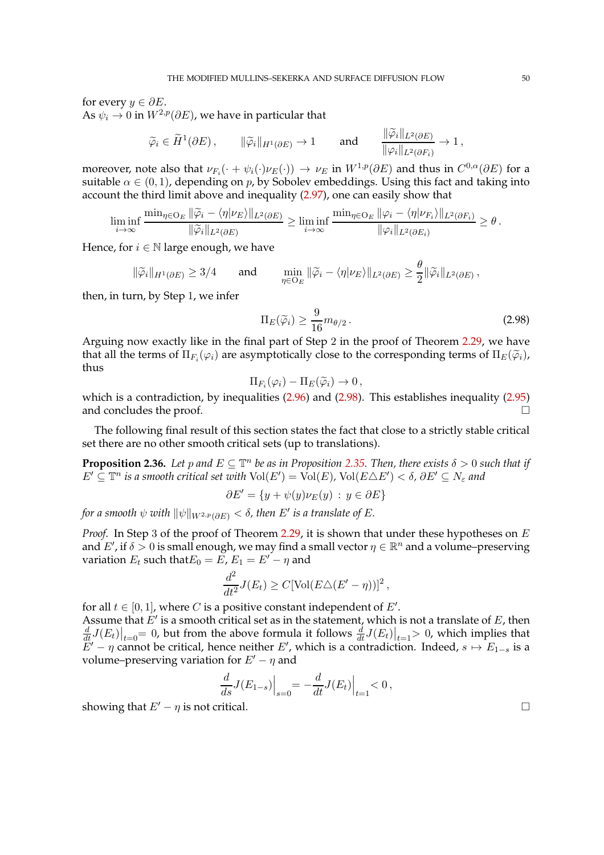for every  $y \in \partial E$ .

As  $\psi_i \to 0$  in  $W^{2,p}(\partial E)$ , we have in particular that

$$
\widetilde{\varphi}_i \in \widetilde{H}^1(\partial E), \qquad \|\widetilde{\varphi}_i\|_{H^1(\partial E)} \to 1 \qquad \text{and} \qquad \frac{\|\widetilde{\varphi}_i\|_{L^2(\partial E)}}{\|\varphi_i\|_{L^2(\partial F_i)}} \to 1,
$$

moreover, note also that  $\nu_{F_i}(\cdot + \psi_i(\cdot)\nu_E(\cdot)) \to \nu_E$  in  $W^{1,p}(\partial E)$  and thus in  $C^{0,\alpha}(\partial E)$  for a suitable  $\alpha \in (0,1)$ , depending on p, by Sobolev embeddings. Using this fact and taking into account the third limit above and inequality [\(2.97\)](#page-48-1), one can easily show that

$$
\liminf_{i\to\infty}\frac{\min_{\eta\in O_E} \|\widetilde{\varphi}_i - \langle \eta | \nu_E \rangle\|_{L^2(\partial E)}}{\|\widetilde{\varphi}_i\|_{L^2(\partial E)}} \ge \liminf_{i\to\infty}\frac{\min_{\eta\in O_E} \|\varphi_i - \langle \eta | \nu_{F_i} \rangle\|_{L^2(\partial F_i)}}{\|\varphi_i\|_{L^2(\partial E_i)}} \ge \theta.
$$

Hence, for  $i \in \mathbb{N}$  large enough, we have

$$
\|\widetilde{\varphi}_i\|_{H^1(\partial E)} \ge 3/4 \quad \text{and} \quad \min_{\eta \in \mathcal{O}_E} \|\widetilde{\varphi}_i - \langle \eta | \nu_E \rangle\|_{L^2(\partial E)} \ge \frac{\sigma}{2} \|\widetilde{\varphi}_i\|_{L^2(\partial E)},
$$

then, in turn, by Step 1, we infer

$$
\Pi_E(\tilde{\varphi}_i) \ge \frac{9}{16} m_{\theta/2} \,. \tag{2.98}
$$

<span id="page-49-0"></span>θ

Arguing now exactly like in the final part of Step 2 in the proof of Theorem [2.29,](#page-29-0) we have that all the terms of  $\Pi_{F_i}(\varphi_i)$  are asymptotically close to the corresponding terms of  $\Pi_{E}(\widetilde{\varphi}_i)$ , thus

$$
\Pi_{F_i}(\varphi_i) - \Pi_E(\widetilde{\varphi}_i) \to 0,
$$

which is a contradiction, by inequalities [\(2.96\)](#page-48-0) and [\(2.98\)](#page-49-0). This establishes inequality [\(2.95\)](#page-48-2) and concludes the proof.

The following final result of this section states the fact that close to a strictly stable critical set there are no other smooth critical sets (up to translations).

**Proposition 2.36.** *Let* p and  $E \subseteq \mathbb{T}^n$  be as in Proposition [2.35.](#page-47-1) Then, there exists  $\delta > 0$  such that if  $E'\subseteq\mathbb{T}^n$  is a smooth critical set with  $\text{Vol}(E')=\text{Vol}(E)$ ,  $\text{Vol}(E\triangle E')<\delta$ ,  $\partial E'\subseteq N_\varepsilon$  and

$$
\partial E' = \{ y + \psi(y)\nu_E(y) \, : \, y \in \partial E \}
$$

 $f$ or a smooth  $\psi$  with  $\|\psi\|_{W^{2,p}(\partial E)} < \delta$ , then  $E'$  is a translate of  $E.$ 

*Proof.* In Step 3 of the proof of Theorem [2.29,](#page-29-0) it is shown that under these hypotheses on E and E', if  $\delta > 0$  is small enough, we may find a small vector  $\eta \in \mathbb{R}^n$  and a volume–preserving variation  $E_t$  such that  $E_0 = E$ ,  $E_1 = E' - \eta$  and

$$
\frac{d^2}{dt^2}J(E_t) \ge C[\text{Vol}(E\triangle(E'-\eta))]^2,
$$

for all  $t \in [0,1]$ , where *C* is a positive constant independent of *E'*. Assume that  $E'$  is a smooth critical set as in the statement, which is not a translate of  $E$ , then  $\frac{d}{dt}J(E_t)\big|_{t=0}$  = 0, but from the above formula it follows  $\frac{d}{dt}J(E_t)\big|_{t=1}$  > 0, which implies that  $E' - \eta$  cannot be critical, hence neither  $E'$ , which is a contradiction. Indeed,  $s \mapsto E_{1-s}$  is a volume–preserving variation for  $E' - \eta$  and

$$
\frac{d}{ds}J(E_{1-s})\Big|_{s=0} = -\frac{d}{dt}J(E_t)\Big|_{t=1} < 0\,,
$$

showing that  $E' - \eta$  is not critical.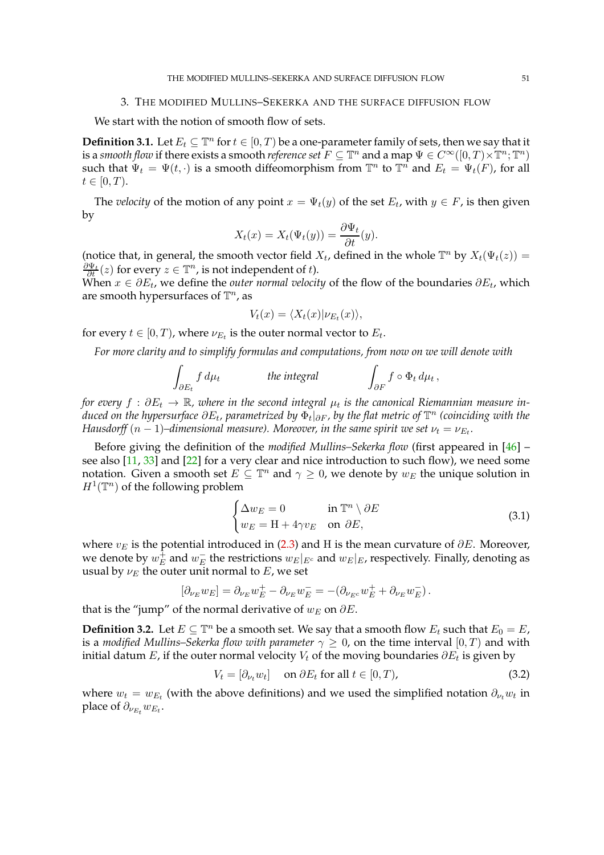### 3. THE MODIFIED MULLINS–SEKERKA AND THE SURFACE DIFFUSION FLOW

We start with the notion of smooth flow of sets.

**Definition 3.1.** Let  $E_t \subseteq \mathbb{T}^n$  for  $t \in [0, T)$  be a one-parameter family of sets, then we say that it is a *smooth flow* if there exists a smooth *reference set*  $F \subseteq \mathbb{T}^n$  and a map  $\Psi \in C^\infty([0,T)\times \mathbb{T}^n;\mathbb{T}^n)$ such that  $\Psi_t = \Psi(t, \cdot)$  is a smooth diffeomorphism from  $\mathbb{T}^n$  to  $\mathbb{T}^n$  and  $E_t = \Psi_t(F)$ , for all  $t \in [0, T)$ .

The *velocity* of the motion of any point  $x = \Psi_t(y)$  of the set  $E_t$ , with  $y \in F$ , is then given by

$$
X_t(x) = X_t(\Psi_t(y)) = \frac{\partial \Psi_t}{\partial t}(y).
$$

(notice that, in general, the smooth vector field  $X_t$ , defined in the whole  $\mathbb{T}^n$  by  $X_t(\Psi_t(z)) =$  $\frac{\partial \Psi_t}{\partial t}(z)$  for every  $z \in \mathbb{T}^n$ , is not independent of t).

When  $x \in \partial E_t$ , we define the *outer normal velocity* of the flow of the boundaries  $\partial E_t$ , which are smooth hypersurfaces of  $\mathbb{T}^n$ , as

$$
V_t(x) = \langle X_t(x) | \nu_{E_t}(x) \rangle,
$$

for every  $t \in [0, T)$ , where  $\nu_{E_t}$  is the outer normal vector to  $E_t$ .

*For more clarity and to simplify formulas and computations, from now on we will denote with*

$$
\int_{\partial E_t} f \, d\mu_t \qquad \qquad \text{the integral} \qquad \qquad \int_{\partial F} f \circ \Phi_t \, d\mu_t
$$

*for every*  $f : \partial E_t \to \mathbb{R}$ , where in the second integral  $\mu_t$  is the canonical Riemannian measure in*duced on the hypersurface*  $\partial E_t$ *, parametrized by*  $\Phi_t|_{\partial F}$ *, by the flat metric of*  $\mathbb{T}^n$  (coinciding with the  $H$ ausdorff  $(n-1)$ –dimensional measure). Moreover, in the same spirit we set  $\nu_t = \nu_{E_t}.$ 

Before giving the definition of the *modified Mullins–Sekerka flow* (first appeared in [\[46\]](#page-97-1) – see also  $[11, 33]$  $[11, 33]$  $[11, 33]$  and  $[22]$  for a very clear and nice introduction to such flow), we need some notation. Given a smooth set  $E \subseteq \mathbb{T}^n$  and  $\gamma \geq 0$ , we denote by  $w_E$  the unique solution in  $H^1(\mathbb{T}^n)$  of the following problem

$$
\begin{cases} \Delta w_E = 0 & \text{in } \mathbb{T}^n \setminus \partial E \\ w_E = H + 4\gamma v_E & \text{on } \partial E, \end{cases}
$$
 (3.1)

<span id="page-50-1"></span>,

where  $v_E$  is the potential introduced in [\(2.3\)](#page-6-0) and H is the mean curvature of  $\partial E$ . Moreover, we denote by  $w^\mp_E$  $_E^{\mp}$  and  $w_E^{-}$  $\overline{E}_E$  the restrictions  $w_E|_{E^c}$  and  $w_E|_E$ , respectively. Finally, denoting as usual by  $\nu_E$  the outer unit normal to E, we set

$$
[\partial_{\nu_E} w_E] = \partial_{\nu_E} w_E^+ - \partial_{\nu_E} w_E^- = -(\partial_{\nu_{E^c}} w_E^+ + \partial_{\nu_E} w_E^-).
$$

that is the "jump" of the normal derivative of  $w_E$  on  $\partial E$ .

<span id="page-50-2"></span>**Definition 3.2.** Let  $E \subseteq \mathbb{T}^n$  be a smooth set. We say that a smooth flow  $E_t$  such that  $E_0 = E$ , is a *modified Mullins–Sekerka flow with parameter*  $\gamma \geq 0$ , on the time interval  $[0, T)$  and with initial datum  $E$ , if the outer normal velocity  $V_t$  of the moving boundaries  $\partial E_t$  is given by

<span id="page-50-0"></span>
$$
V_t = [\partial_{\nu_t} w_t] \quad \text{on } \partial E_t \text{ for all } t \in [0, T), \tag{3.2}
$$

where  $w_t = w_{E_t}$  (with the above definitions) and we used the simplified notation  $\partial_{\nu_t} w_t$  in place of  $\partial_{\nu_{E_t}} w_{E_t}$ .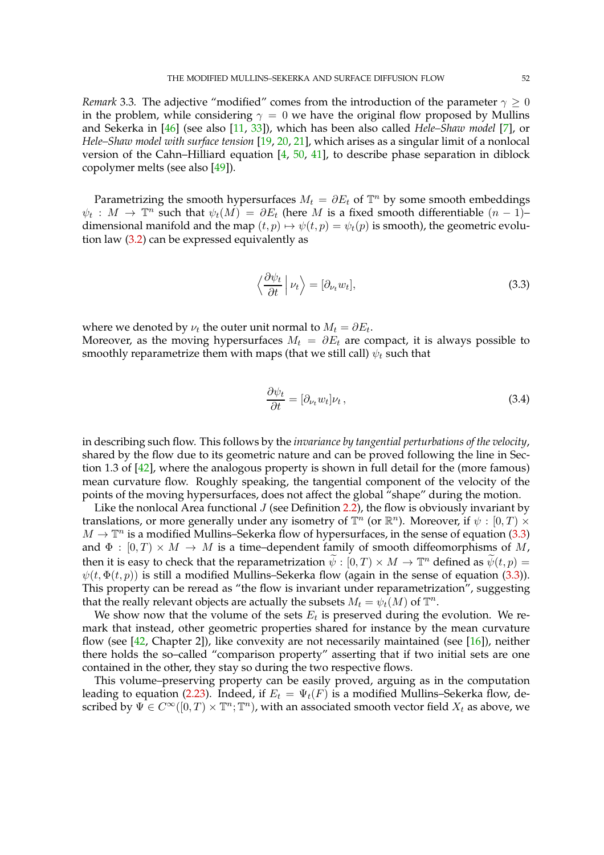*Remark* 3.3. The adjective "modified" comes from the introduction of the parameter  $\gamma \geq 0$ in the problem, while considering  $\gamma = 0$  we have the original flow proposed by Mullins and Sekerka in [\[46\]](#page-97-1) (see also [\[11,](#page-96-2) [33\]](#page-97-2)), which has been also called *Hele–Shaw model* [\[7\]](#page-96-3), or *Hele–Shaw model with surface tension* [\[19,](#page-97-4) [20,](#page-97-5) [21\]](#page-97-6), which arises as a singular limit of a nonlocal version of the Cahn–Hilliard equation  $[4, 50, 41]$  $[4, 50, 41]$  $[4, 50, 41]$  $[4, 50, 41]$  $[4, 50, 41]$ , to describe phase separation in diblock copolymer melts (see also [\[49\]](#page-97-9)).

Parametrizing the smooth hypersurfaces  $M_t = \partial E_t$  of  $\mathbb{T}^n$  by some smooth embeddings  $\psi_t : M \to \mathbb{T}^n$  such that  $\psi_t(M) = \partial E_t$  (here M is a fixed smooth differentiable  $(n-1)$ – dimensional manifold and the map  $(t, p) \mapsto \psi(t, p) = \psi_t(p)$  is smooth), the geometric evolution law [\(3.2\)](#page-50-0) can be expressed equivalently as

<span id="page-51-0"></span>
$$
\left\langle \frac{\partial \psi_t}{\partial t} \right| \nu_t \right\rangle = [\partial_{\nu_t} w_t], \tag{3.3}
$$

where we denoted by  $\nu_t$  the outer unit normal to  $M_t = \partial E_t.$ 

Moreover, as the moving hypersurfaces  $M_t = \partial E_t$  are compact, it is always possible to smoothly reparametrize them with maps (that we still call)  $\psi_t$  such that

<span id="page-51-1"></span>
$$
\frac{\partial \psi_t}{\partial t} = [\partial_{\nu_t} w_t] \nu_t , \qquad (3.4)
$$

in describing such flow. This follows by the *invariance by tangential perturbations of the velocity*, shared by the flow due to its geometric nature and can be proved following the line in Section 1.3 of [\[42\]](#page-97-10), where the analogous property is shown in full detail for the (more famous) mean curvature flow. Roughly speaking, the tangential component of the velocity of the points of the moving hypersurfaces, does not affect the global "shape" during the motion.

Like the nonlocal Area functional  $J$  (see Definition [2.2\)](#page-6-1), the flow is obviously invariant by translations, or more generally under any isometry of  $\mathbb{T}^n$  (or  $\mathbb{R}^n$ ). Moreover, if  $\psi : [0, T) \times$  $M \to \mathbb{T}^n$  is a modified Mullins–Sekerka flow of hypersurfaces, in the sense of equation [\(3.3\)](#page-51-0) and  $\Phi : [0, T] \times M \rightarrow M$  is a time-dependent family of smooth diffeomorphisms of M, then it is easy to check that the reparametrization  $\widetilde{\psi} : [0, T) \times M \to \mathbb{T}^n$  defined as  $\widetilde{\psi}(t, p) =$  $\psi(t, \Phi(t, p))$  is still a modified Mullins–Sekerka flow (again in the sense of equation [\(3.3\)](#page-51-0)). This property can be reread as "the flow is invariant under reparametrization", suggesting that the really relevant objects are actually the subsets  $M_t = \psi_t(M)$  of  $\mathbb{T}^n$ .

We show now that the volume of the sets  $E_t$  is preserved during the evolution. We remark that instead, other geometric properties shared for instance by the mean curvature flow (see  $[42,$  Chapter 2]), like convexity are not necessarily maintained (see  $[16]$ ), neither there holds the so–called "comparison property" asserting that if two initial sets are one contained in the other, they stay so during the two respective flows.

This volume–preserving property can be easily proved, arguing as in the computation leading to equation [\(2.23\)](#page-13-0). Indeed, if  $E_t = \Psi_t(F)$  is a modified Mullins–Sekerka flow, described by  $\Psi \in C^\infty([0,T)\times \mathbb{T}^n;\mathbb{T}^n)$ , with an associated smooth vector field  $X_t$  as above, we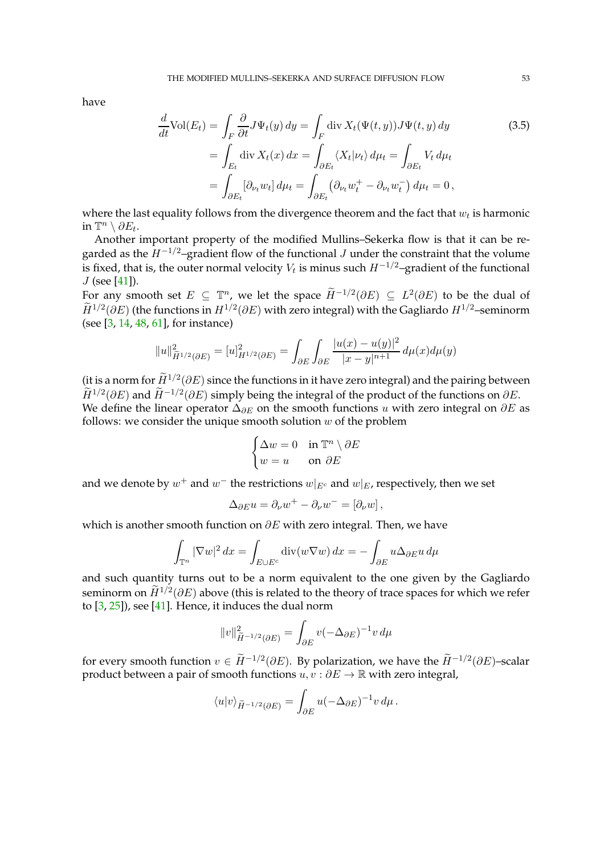have

<span id="page-52-0"></span>
$$
\frac{d}{dt}\text{Vol}(E_t) = \int_F \frac{\partial}{\partial t} J \Psi_t(y) \, dy = \int_F \text{div}\, X_t(\Psi(t, y)) J \Psi(t, y) \, dy
$$
\n
$$
= \int_{E_t} \text{div}\, X_t(x) \, dx = \int_{\partial E_t} \langle X_t | \nu_t \rangle \, d\mu_t = \int_{\partial E_t} V_t \, d\mu_t
$$
\n
$$
= \int_{\partial E_t} [\partial_{\nu_t} w_t] \, d\mu_t = \int_{\partial E_t} (\partial_{\nu_t} w_t^+ - \partial_{\nu_t} w_t^-) \, d\mu_t = 0,
$$
\n(3.5)

where the last equality follows from the divergence theorem and the fact that  $w_t$  is harmonic in  $\mathbb{T}^n \setminus \partial E_t$ .

Another important property of the modified Mullins–Sekerka flow is that it can be regarded as the  $H^{-1/2}$ –gradient flow of the functional J under the constraint that the volume is fixed, that is, the outer normal velocity  $V_t$  is minus such  $H^{-1/2}\!-\!\mathrm{gradient}$  of the functional J (see [\[41\]](#page-97-8)).

For any smooth set  $E \subseteq \mathbb{T}^n$ , we let the space  $\widetilde{H}^{-1/2}(\partial E) \subseteq L^2(\partial E)$  to be the dual of  $\widetilde{H}^{1/2}(\partial E)$  (the functions in  $H^{1/2}(\partial E)$  with zero integral) with the Gagliardo  $H^{1/2}$ –seminorm (see [\[3,](#page-96-6) [14,](#page-96-7) [48,](#page-97-11) [61\]](#page-98-0), for instance)

$$
||u||_{\widetilde{H}^{1/2}(\partial E)}^2 = [u]_{H^{1/2}(\partial E)}^2 = \int_{\partial E} \int_{\partial E} \frac{|u(x) - u(y)|^2}{|x - y|^{n+1}} d\mu(x) d\mu(y)
$$

(it is a norm for  $\overline{H}^{1/2}(\partial E)$  since the functions in it have zero integral) and the pairing between  $\hat{H}^{1/2}(\partial E)$  and  $\hat{H}^{-1/2}(\partial E)$  simply being the integral of the product of the functions on  $\partial E$ . We define the linear operator  $\Delta_{\partial E}$  on the smooth functions u with zero integral on  $\partial E$  as follows: we consider the unique smooth solution  $w$  of the problem

$$
\begin{cases} \Delta w = 0 & \text{in } \mathbb{T}^n \setminus \partial E \\ w = u & \text{on } \partial E \end{cases}
$$

and we denote by  $w^+$  and  $w^-$  the restrictions  $w|_{E^c}$  and  $w|_E$ , respectively, then we set

$$
\Delta_{\partial E} u = \partial_{\nu} w^{+} - \partial_{\nu} w^{-} = [\partial_{\nu} w],
$$

which is another smooth function on  $\partial E$  with zero integral. Then, we have

$$
\int_{\mathbb{T}^n} |\nabla w|^2 dx = \int_{E \cup E^c} \text{div}(w \nabla w) dx = - \int_{\partial E} u \Delta_{\partial E} u d\mu
$$

and such quantity turns out to be a norm equivalent to the one given by the Gagliardo seminorm on  $\widetilde{H}^{1/2}(\partial E)$  above (this is related to the theory of trace spaces for which we refer to  $[3, 25]$  $[3, 25]$  $[3, 25]$ ), see  $[41]$ . Hence, it induces the dual norm

$$
||v||_{\widetilde{H}^{-1/2}(\partial E)}^2 = \int_{\partial E} v(-\Delta_{\partial E})^{-1} v \, d\mu
$$

for every smooth function  $v \in \widetilde{H}^{-1/2}(\partial E)$ . By polarization, we have the  $\widetilde{H}^{-1/2}(\partial E)$ -scalar product between a pair of smooth functions  $u, v : \partial E \to \mathbb{R}$  with zero integral,

$$
\langle u|v\rangle_{\widetilde{H}^{-1/2}(\partial E)} = \int_{\partial E} u(-\Delta_{\partial E})^{-1}v \,d\mu.
$$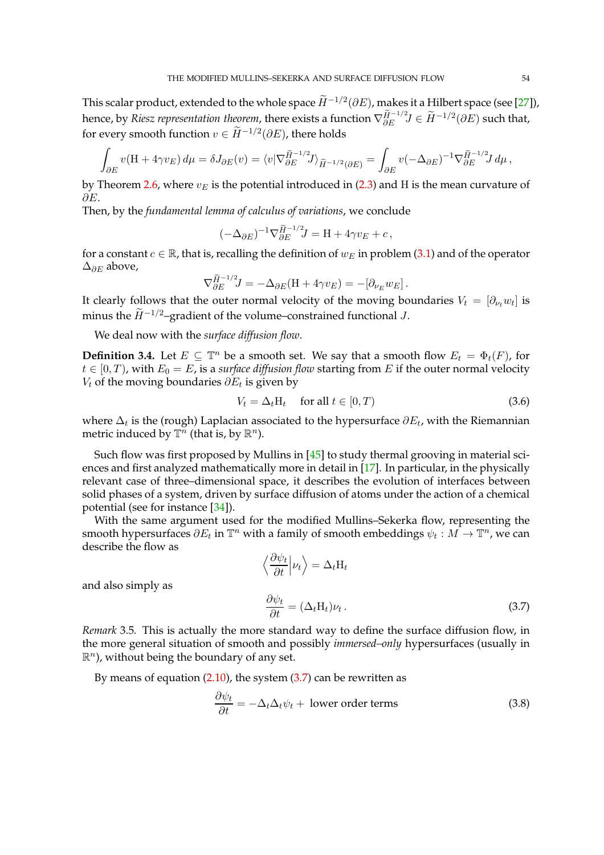This scalar product, extended to the whole space  $\widetilde{H}^{-1/2}(\partial E)$ , makes it a Hilbert space (see [\[27\]](#page-97-13)), hence, by *Riesz representation theorem*, there exists a function  $\nabla_{\partial E}^{\tilde{H}^{-1/2}} J \in \tilde{H}^{-1/2}(\partial E)$  such that, for every smooth function  $v \in \widetilde{H}^{-1/2}(\partial E)$ , there holds

$$
\int_{\partial E} v(\mathbf{H} + 4\gamma v_E) d\mu = \delta J_{\partial E}(v) = \langle v | \nabla_{\partial E}^{\widetilde{H}^{-1/2}} J \rangle_{\widetilde{H}^{-1/2}(\partial E)} = \int_{\partial E} v(-\Delta_{\partial E})^{-1} \nabla_{\partial E}^{\widetilde{H}^{-1/2}} J d\mu,
$$

by Theorem [2.6,](#page-9-0) where  $v_E$  is the potential introduced in [\(2.3\)](#page-6-0) and H is the mean curvature of ∂E.

Then, by the *fundamental lemma of calculus of variations*, we conclude

$$
(-\Delta_{\partial E})^{-1}\nabla_{\partial E}^{\widetilde{H}^{-1/2}}\!J=\mathrm{H}+4\gamma v_E+c\,,
$$

for a constant  $c \in \mathbb{R}$ , that is, recalling the definition of  $w_E$  in problem [\(3.1\)](#page-50-1) and of the operator  $\Delta_{\partial E}$  above,

$$
\nabla_{\partial E}^{\widetilde{H}^{-1/2}} J = -\Delta_{\partial E}(\mathbf{H} + 4\gamma v_E) = -[\partial_{\nu_E} w_E].
$$

It clearly follows that the outer normal velocity of the moving boundaries  $V_t \, = \, [\partial_{\nu_t} w_t]$  is minus the  $\widetilde{H}^{-1/2}$ –gradient of the volume–constrained functional J.

We deal now with the *surface diffusion flow*.

<span id="page-53-3"></span>**Definition 3.4.** Let  $E \subseteq \mathbb{T}^n$  be a smooth set. We say that a smooth flow  $E_t = \Phi_t(F)$ , for  $t \in [0, T)$ , with  $E_0 = E$ , is a *surface diffusion flow* starting from E if the outer normal velocity  $V_t$  of the moving boundaries  $\partial E_t$  is given by

<span id="page-53-1"></span>
$$
V_t = \Delta_t H_t \quad \text{ for all } t \in [0, T)
$$
 (3.6)

where  $\Delta_t$  is the (rough) Laplacian associated to the hypersurface  $\partial E_t$ , with the Riemannian metric induced by  $\mathbb{T}^n$  (that is, by  $\mathbb{R}^n$ ).

Such flow was first proposed by Mullins in  $[45]$  to study thermal grooving in material sciences and first analyzed mathematically more in detail in [\[17\]](#page-96-8). In particular, in the physically relevant case of three–dimensional space, it describes the evolution of interfaces between solid phases of a system, driven by surface diffusion of atoms under the action of a chemical potential (see for instance [\[34\]](#page-97-15)).

With the same argument used for the modified Mullins–Sekerka flow, representing the smooth hypersurfaces  $\partial E_t$  in  $\mathbb{T}^n$  with a family of smooth embeddings  $\psi_t : M \to \mathbb{T}^n$ , we can describe the flow as

<span id="page-53-2"></span><span id="page-53-0"></span>
$$
\left\langle \frac{\partial \psi_t}{\partial t} \middle| \nu_t \right\rangle = \Delta_t H_t
$$
  

$$
\frac{\partial \psi_t}{\partial t} = (\Delta_t H_t) \nu_t.
$$
 (3.7)

and also simply as

*Remark* 3.5*.* This is actually the more standard way to define the surface diffusion flow, in the more general situation of smooth and possibly *immersed–only* hypersurfaces (usually in  $\mathbb{R}^n$ ), without being the boundary of any set.

By means of equation  $(2.10)$ , the system  $(3.7)$  can be rewritten as

$$
\frac{\partial \psi_t}{\partial t} = -\Delta_t \Delta_t \psi_t + \text{ lower order terms} \tag{3.8}
$$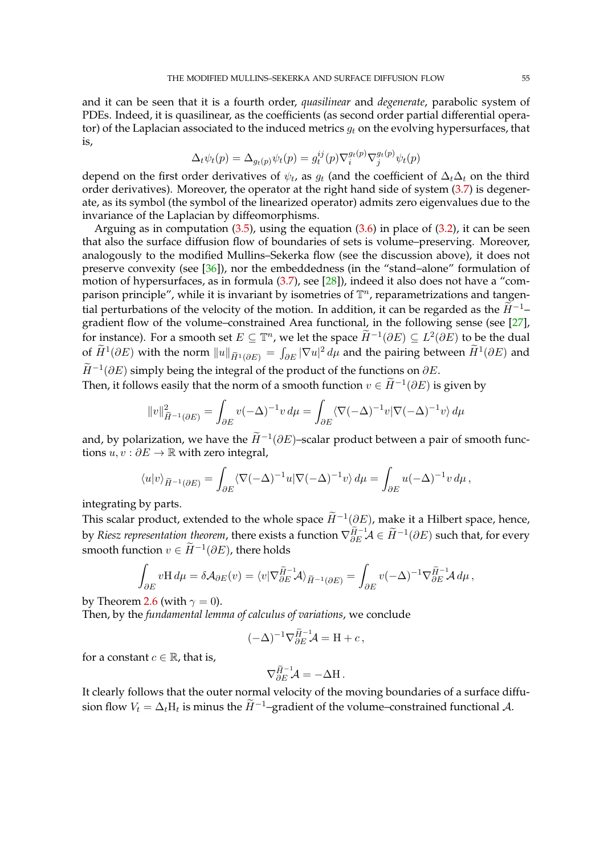and it can be seen that it is a fourth order, *quasilinear* and *degenerate*, parabolic system of PDEs. Indeed, it is quasilinear, as the coefficients (as second order partial differential operator) of the Laplacian associated to the induced metrics  $q_t$  on the evolving hypersurfaces, that is,

$$
\Delta_t \psi_t(p) = \Delta_{g_t(p)} \psi_t(p) = g_t^{ij}(p) \nabla_i^{g_t(p)} \nabla_j^{g_t(p)} \psi_t(p)
$$

depend on the first order derivatives of  $\psi_t$ , as  $g_t$  (and the coefficient of  $\Delta_t\Delta_t$  on the third order derivatives). Moreover, the operator at the right hand side of system  $(3.7)$  is degenerate, as its symbol (the symbol of the linearized operator) admits zero eigenvalues due to the invariance of the Laplacian by diffeomorphisms.

Arguing as in computation  $(3.5)$ , using the equation  $(3.6)$  in place of  $(3.2)$ , it can be seen that also the surface diffusion flow of boundaries of sets is volume–preserving. Moreover, analogously to the modified Mullins–Sekerka flow (see the discussion above), it does not preserve convexity (see [\[36\]](#page-97-16)), nor the embeddedness (in the "stand–alone" formulation of motion of hypersurfaces, as in formula [\(3.7\)](#page-53-0), see [\[28\]](#page-97-17)), indeed it also does not have a "comparison principle", while it is invariant by isometries of  $\mathbb{T}^n$ , reparametrizations and tangential perturbations of the velocity of the motion. In addition, it can be regarded as the  $\widetilde{H}^{-1}$ – gradient flow of the volume–constrained Area functional, in the following sense (see [\[27\]](#page-97-13), for instance). For a smooth set  $E \subseteq \mathbb{T}^n$ , we let the space  $\widetilde{H}^{-1}(\partial E) \subseteq L^2(\partial E)$  to be the dual of  $\hat{H}^1(\partial E)$  with the norm  $\|u\|_{\widetilde{H}^1(\partial E)}=\int_{\partial E}|\nabla u|^2\,d\mu$  and the pairing between  $\hat{H}^1(\partial E)$  and  $\widetilde{H}^{-1}(\partial E)$  simply being the integral of the product of the functions on  $\partial E$ .

Then, it follows easily that the norm of a smooth function  $v \in \widetilde{H}^{-1}(\partial E)$  is given by

$$
||v||_{\widetilde{H}^{-1}(\partial E)}^2 = \int_{\partial E} v(-\Delta)^{-1}v \, d\mu = \int_{\partial E} \langle \nabla(-\Delta)^{-1}v | \nabla(-\Delta)^{-1}v \rangle \, d\mu
$$

and, by polarization, we have the  $\widetilde{H}^{-1}(\partial E)$ -scalar product between a pair of smooth functions  $u, v : \partial E \to \mathbb{R}$  with zero integral,

$$
\langle u|v\rangle_{\widetilde{H}^{-1}(\partial E)} = \int_{\partial E} \langle \nabla (-\Delta)^{-1} u | \nabla (-\Delta)^{-1} v \rangle \, d\mu = \int_{\partial E} u (-\Delta)^{-1} v \, d\mu \,,
$$

integrating by parts.

This scalar product, extended to the whole space  $\widetilde{H}^{-1}(\partial E)$ , make it a Hilbert space, hence, by *Riesz representation theorem*, there exists a function  $\nabla_{\partial E}^{\widetilde{H}-1}\mathcal{A} \in \widetilde{H}^{-1}(\partial E)$  such that, for every smooth function  $v \in \widetilde{H}^{-1}(\partial E)$ , there holds

$$
\int_{\partial E} v \mathbf{H} \, d\mu = \delta \mathcal{A}_{\partial E}(v) = \langle v | \nabla_{\partial E}^{\widetilde{H}^{-1}} \mathcal{A} \rangle_{\widetilde{H}^{-1}(\partial E)} = \int_{\partial E} v (-\Delta)^{-1} \nabla_{\partial E}^{\widetilde{H}^{-1}} \mathcal{A} \, d\mu \, ,
$$

by Theorem [2.6](#page-9-0) (with  $\gamma = 0$ ).

Then, by the *fundamental lemma of calculus of variations*, we conclude

$$
(-\Delta)^{-1}\nabla_{\partial E}^{\widetilde{H}^{-1}}\!\mathcal{A}=\mathbf{H}+c\,,
$$

for a constant  $c \in \mathbb{R}$ , that is,

$$
\nabla_{\partial E}^{\widetilde{H}^{-1}}\mathcal{A}=-\Delta \mathbf{H}\,.
$$

It clearly follows that the outer normal velocity of the moving boundaries of a surface diffusion flow  $V_t = \Delta_t H_t$  is minus the  $\widetilde{H}^{-1}$ –gradient of the volume–constrained functional  $\mathcal{A}$ .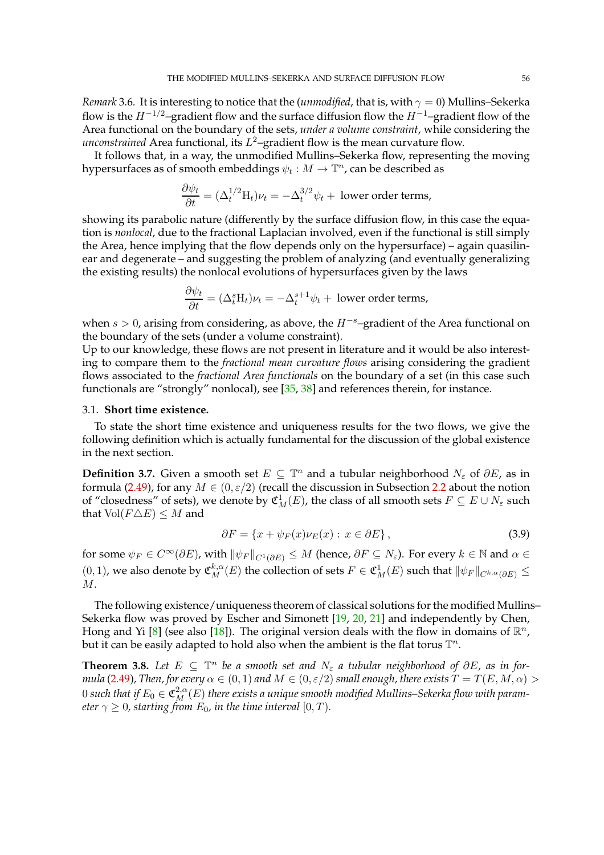*Remark* 3.6. It is interesting to notice that the (*unmodified*, that is, with  $\gamma = 0$ ) Mullins–Sekerka flow is the  $H^{-1/2}$ –gradient flow and the surface diffusion flow the  $H^{-1}$ –gradient flow of the Area functional on the boundary of the sets, *under a volume constraint*, while considering the *unconstrained* Area functional, its  $L^2$ –gradient flow is the mean curvature flow.

It follows that, in a way, the unmodified Mullins–Sekerka flow, representing the moving hypersurfaces as of smooth embeddings  $\psi_t: M \to \mathbb{T}^n$ , can be described as

$$
\frac{\partial \psi_t}{\partial t} = (\Delta_t^{1/2} H_t) \nu_t = -\Delta_t^{3/2} \psi_t + \text{ lower order terms},
$$

showing its parabolic nature (differently by the surface diffusion flow, in this case the equation is *nonlocal*, due to the fractional Laplacian involved, even if the functional is still simply the Area, hence implying that the flow depends only on the hypersurface) – again quasilinear and degenerate – and suggesting the problem of analyzing (and eventually generalizing the existing results) the nonlocal evolutions of hypersurfaces given by the laws

$$
\frac{\partial \psi_t}{\partial t} = (\Delta_t^s \mathbf{H}_t)\nu_t = -\Delta_t^{s+1}\psi_t + \text{ lower order terms},
$$

when  $s > 0$ , arising from considering, as above, the  $H^{-s}$ –gradient of the Area functional on the boundary of the sets (under a volume constraint).

Up to our knowledge, these flows are not present in literature and it would be also interesting to compare them to the *fractional mean curvature flows* arising considering the gradient flows associated to the *fractional Area functionals* on the boundary of a set (in this case such functionals are "strongly" nonlocal), see [\[35,](#page-97-18) [38\]](#page-97-19) and references therein, for instance.

### 3.1. **Short time existence.**

To state the short time existence and uniqueness results for the two flows, we give the following definition which is actually fundamental for the discussion of the global existence in the next section.

**Definition 3.7.** Given a smooth set  $E \subseteq \mathbb{T}^n$  and a tubular neighborhood  $N_{\varepsilon}$  of  $\partial E$ , as in formula [\(2.49\)](#page-27-0), for any  $M \in (0, \varepsilon/2)$  (recall the discussion in Subsection [2.2](#page-23-0) about the notion of "closedness" of sets), we denote by  $\mathfrak{C}_M^1(E)$ , the class of all smooth sets  $F \subseteq E \cup N_\varepsilon$  such that  $Vol(F \triangle E) \leq M$  and

<span id="page-55-1"></span>
$$
\partial F = \{x + \psi_F(x)\nu_E(x) : x \in \partial E\},\tag{3.9}
$$

for some  $\psi_F \in C^{\infty}(\partial E)$ , with  $\|\psi_F\|_{C^1(\partial E)} \leq M$  (hence,  $\partial F \subseteq N_{\varepsilon}$ ). For every  $k \in \mathbb{N}$  and  $\alpha \in$  $(0,1)$ , we also denote by  $\mathfrak{C}_M^{k,\alpha}(E)$  the collection of sets  $F\in\mathfrak{C}_M^1(E)$  such that  $\|\psi_F\|_{C^{k,\alpha}(\partial E)}\leq$ M.

The following existence/uniqueness theorem of classical solutions for the modified Mullins– Sekerka flow was proved by Escher and Simonett [\[19,](#page-97-4) [20,](#page-97-5) [21\]](#page-97-6) and independently by Chen, Hong and Yi [\[8\]](#page-96-9) (see also [\[18\]](#page-96-10)). The original version deals with the flow in domains of  $\mathbb{R}^n$ , but it can be easily adapted to hold also when the ambient is the flat torus  $\mathbb{T}^n.$ 

<span id="page-55-0"></span>**Theorem 3.8.** *Let*  $E \subseteq \mathbb{T}^n$  *be a smooth set and*  $N_{\varepsilon}$  *a tubular neighborhood of* ∂E, *as in formula* [\(2.49\)](#page-27-0), Then, for every  $\alpha \in (0,1)$  and  $M \in (0,\varepsilon/2)$  small enough, there exists  $T = T(E,M,\alpha) > 0$  $0$  such that if  $E_0\in \mathfrak{C}^{2,\alpha}_M(E)$  there exists a unique smooth modified Mullins–Sekerka flow with param*eter*  $\gamma \geq 0$ *, starting from*  $E_0$ *, in the time interval*  $[0, T)$ *.*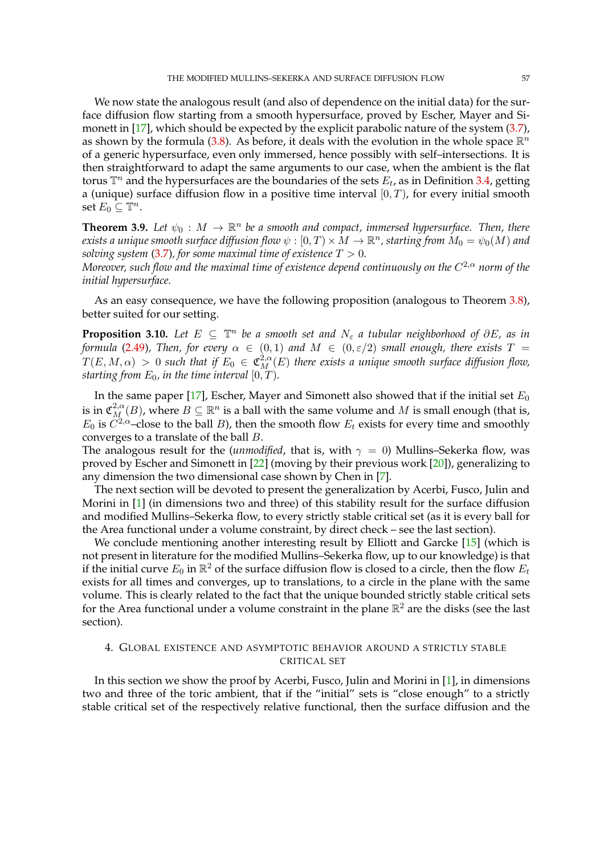We now state the analogous result (and also of dependence on the initial data) for the surface diffusion flow starting from a smooth hypersurface, proved by Escher, Mayer and Si-monett in [\[17\]](#page-96-8), which should be expected by the explicit parabolic nature of the system [\(3.7\)](#page-53-0), as shown by the formula [\(3.8\)](#page-53-2). As before, it deals with the evolution in the whole space  $\mathbb{R}^n$ of a generic hypersurface, even only immersed, hence possibly with self–intersections. It is then straightforward to adapt the same arguments to our case, when the ambient is the flat torus  $\mathbb{T}^n$  and the hypersurfaces are the boundaries of the sets  $E_t$ , as in Definition [3.4,](#page-53-3) getting a (unique) surface diffusion flow in a positive time interval  $[0, T)$ , for every initial smooth set  $E_0 \subseteq \mathbb{T}^n$ .

**Theorem 3.9.** Let  $\psi_0 : M \to \mathbb{R}^n$  be a smooth and compact, immersed hypersurface. Then, there exists a unique smooth surface diffusion flow  $\psi: [0,T)\times M\to \R^n$ , starting from  $M_0=\psi_0(M)$  and *solving system* [\(3.7\)](#page-53-0), for some maximal time of existence  $T > 0$ .

*Moreover, such flow and the maximal time of existence depend continuously on the* C <sup>2</sup>,α *norm of the initial hypersurface.*

As an easy consequence, we have the following proposition (analogous to Theorem [3.8\)](#page-55-0), better suited for our setting.

**Proposition 3.10.** *Let*  $E \subseteq \mathbb{T}^n$  *be a smooth set and*  $N_{\varepsilon}$  *a tubular neighborhood of*  $\partial E$ *, as in formula* [\(2.49\)](#page-27-0), Then, for every  $\alpha \in (0,1)$  and  $M \in (0,\varepsilon/2)$  small enough, there exists T =  $T(E, M, \alpha) > 0$  such that if  $E_0 \in \mathfrak{C}_M^{2,\alpha}(E)$  there exists a unique smooth surface diffusion flow, *starting from*  $E_0$ *, in the time interval*  $[0, T)$ *.* 

In the same paper [\[17\]](#page-96-8), Escher, Mayer and Simonett also showed that if the initial set  $E_0$ is in  $\mathfrak{C}^{2,\alpha}_M(B)$ , where  $B\subseteq \mathbb{R}^n$  is a ball with the same volume and  $M$  is small enough (that is,  $E_0$  is  $C^{2,\alpha}$ –close to the ball  $B$ ), then the smooth flow  $E_t$  exists for every time and smoothly converges to a translate of the ball B.

The analogous result for the (*unmodified*, that is, with  $\gamma = 0$ ) Mullins–Sekerka flow, was proved by Escher and Simonett in [\[22\]](#page-97-3) (moving by their previous work [\[20\]](#page-97-5)), generalizing to any dimension the two dimensional case shown by Chen in [\[7\]](#page-96-3).

The next section will be devoted to present the generalization by Acerbi, Fusco, Julin and Morini in [\[1\]](#page-96-11) (in dimensions two and three) of this stability result for the surface diffusion and modified Mullins–Sekerka flow, to every strictly stable critical set (as it is every ball for the Area functional under a volume constraint, by direct check – see the last section).

We conclude mentioning another interesting result by Elliott and Garcke [\[15\]](#page-96-12) (which is not present in literature for the modified Mullins–Sekerka flow, up to our knowledge) is that if the initial curve  $E_0$  in  $\mathbb{R}^2$  of the surface diffusion flow is closed to a circle, then the flow  $E_t$ exists for all times and converges, up to translations, to a circle in the plane with the same volume. This is clearly related to the fact that the unique bounded strictly stable critical sets for the Area functional under a volume constraint in the plane  $\mathbb{R}^2$  are the disks (see the last section).

## 4. GLOBAL EXISTENCE AND ASYMPTOTIC BEHAVIOR AROUND A STRICTLY STABLE CRITICAL SET

In this section we show the proof by Acerbi, Fusco, Julin and Morini in [\[1\]](#page-96-11), in dimensions two and three of the toric ambient, that if the "initial" sets is "close enough" to a strictly stable critical set of the respectively relative functional, then the surface diffusion and the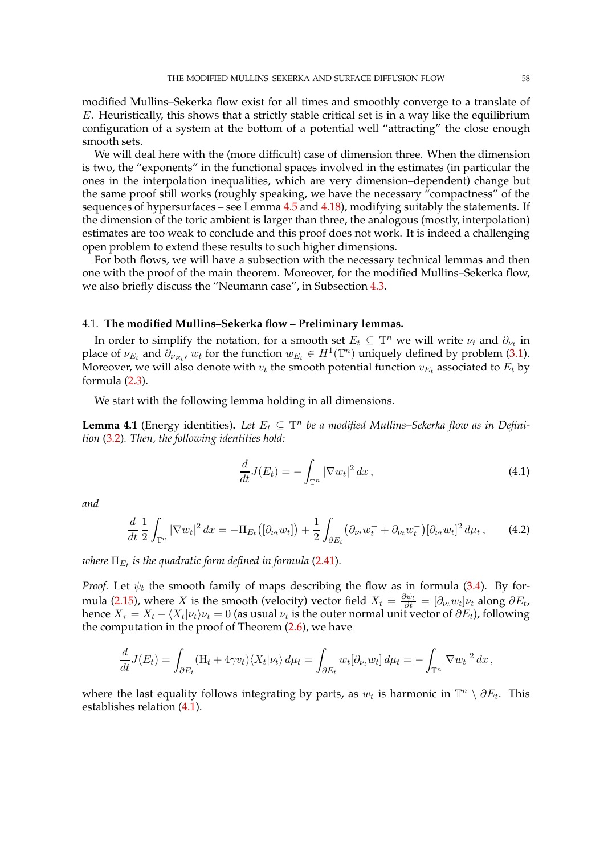modified Mullins–Sekerka flow exist for all times and smoothly converge to a translate of E. Heuristically, this shows that a strictly stable critical set is in a way like the equilibrium configuration of a system at the bottom of a potential well "attracting" the close enough smooth sets.

We will deal here with the (more difficult) case of dimension three. When the dimension is two, the "exponents" in the functional spaces involved in the estimates (in particular the ones in the interpolation inequalities, which are very dimension–dependent) change but the same proof still works (roughly speaking, we have the necessary "compactness" of the sequences of hypersurfaces – see Lemma  $4.5$  and  $4.18$ ), modifying suitably the statements. If the dimension of the toric ambient is larger than three, the analogous (mostly, interpolation) estimates are too weak to conclude and this proof does not work. It is indeed a challenging open problem to extend these results to such higher dimensions.

For both flows, we will have a subsection with the necessary technical lemmas and then one with the proof of the main theorem. Moreover, for the modified Mullins–Sekerka flow, we also briefly discuss the "Neumann case", in Subsection [4.3.](#page-78-0)

### 4.1. **The modified Mullins–Sekerka flow – Preliminary lemmas.**

In order to simplify the notation, for a smooth set  $E_t \subseteq \mathbb{T}^n$  we will write  $\nu_t$  and  $\partial_{\nu_t}$  in place of  $\nu_{E_t}$  and  $\partial_{\nu_{E_t}}$ ,  $w_t$  for the function  $w_{E_t} \in H^1(\mathbb{T}^n)$  uniquely defined by problem [\(3.1\)](#page-50-1). Moreover, we will also denote with  $v_t$  the smooth potential function  $v_{E_t}$  associated to  $E_t$  by formula [\(2.3\)](#page-6-0).

We start with the following lemma holding in all dimensions.

**Lemma 4.1** (Energy identities). Let  $E_t \subseteq \mathbb{T}^n$  be a modified Mullins–Sekerka flow as in Defini*tion* [\(3.2\)](#page-50-2)*. Then, the following identities hold:*

<span id="page-57-1"></span><span id="page-57-0"></span>
$$
\frac{d}{dt}J(E_t) = -\int_{\mathbb{T}^n} |\nabla w_t|^2 dx, \qquad (4.1)
$$

*and*

$$
\frac{d}{dt}\frac{1}{2}\int_{\mathbb{T}^n} |\nabla w_t|^2 \, dx = -\Pi_{E_t} \big( [\partial_{\nu_t} w_t] \big) + \frac{1}{2}\int_{\partial E_t} \big( \partial_{\nu_t} w_t^+ + \partial_{\nu_t} w_t^- \big) [\partial_{\nu_t} w_t]^2 \, d\mu_t \,, \tag{4.2}
$$

where  $\Pi_{E_t}$  is the quadratic form defined in formula [\(2.41\)](#page-24-0).

*Proof.* Let  $\psi_t$  the smooth family of maps describing the flow as in formula [\(3.4\)](#page-51-1). By for-mula [\(2.15\)](#page-10-0), where X is the smooth (velocity) vector field  $X_t = \frac{\partial \psi_t}{\partial t} = [\partial_{\nu_t} w_t] \nu_t$  along  $\partial E_t$ , hence  $X_{\tau} = X_t - \langle X_t | \nu_t \rangle \nu_t = 0$  (as usual  $\nu_t$  is the outer normal unit vector of  $\partial E_t$ ), following the computation in the proof of Theorem  $(2.6)$ , we have

$$
\frac{d}{dt}J(E_t) = \int_{\partial E_t} (H_t + 4\gamma v_t) \langle X_t | \nu_t \rangle d\mu_t = \int_{\partial E_t} w_t [\partial_{\nu_t} w_t] d\mu_t = - \int_{\mathbb{T}^n} |\nabla w_t|^2 dx,
$$

where the last equality follows integrating by parts, as  $w_t$  is harmonic in  $\mathbb{T}^n \setminus \partial E_t$ . This establishes relation [\(4.1\)](#page-57-0).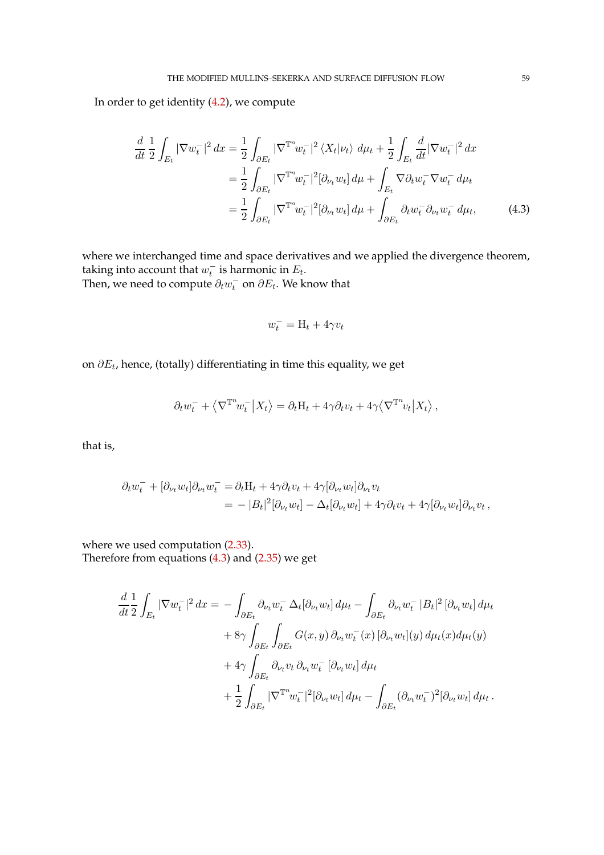In order to get identity [\(4.2\)](#page-57-1), we compute

$$
\frac{d}{dt} \frac{1}{2} \int_{E_t} |\nabla w_t^-|^2 dx = \frac{1}{2} \int_{\partial E_t} |\nabla^{\mathbb{T}^n} w_t^-|^2 \langle X_t | \nu_t \rangle d\mu_t + \frac{1}{2} \int_{E_t} \frac{d}{dt} |\nabla w_t^-|^2 dx
$$

$$
= \frac{1}{2} \int_{\partial E_t} |\nabla^{\mathbb{T}^n} w_t^-|^2 [\partial_{\nu_t} w_t] d\mu + \int_{E_t} \nabla \partial_t w_t^- \nabla w_t^- d\mu_t
$$

$$
= \frac{1}{2} \int_{\partial E_t} |\nabla^{\mathbb{T}^n} w_t^-|^2 [\partial_{\nu_t} w_t] d\mu + \int_{\partial E_t} \partial_t w_t^- \partial_{\nu_t} w_t^- d\mu_t,
$$
(4.3)

where we interchanged time and space derivatives and we applied the divergence theorem, taking into account that  $w_t^-$  is harmonic in  $E_t$ . Then, we need to compute  $\partial_t w_t^\top$  on  $\partial E_t$ . We know that

<span id="page-58-0"></span>
$$
w_t^- = \mathbf{H}_t + 4\gamma v_t
$$

on  $\partial E_t$ , hence, (totally) differentiating in time this equality, we get

$$
\partial_t w^-_t + \left\langle \nabla^{{\mathbb T}^n} \! w^-_t \middle| X_t \right\rangle = \partial_t \mathbf{H}_t + 4\gamma \partial_t v_t + 4\gamma \left\langle \nabla^{{\mathbb T}^n} \! v_t \middle| X_t \right\rangle,
$$

that is,

$$
\partial_t w_t^- + [\partial_{\nu_t} w_t] \partial_{\nu_t} w_t^- = \partial_t H_t + 4\gamma \partial_t v_t + 4\gamma [\partial_{\nu_t} w_t] \partial_{\nu_t} v_t
$$
  
= 
$$
- |B_t|^2 [\partial_{\nu_t} w_t] - \Delta_t [\partial_{\nu_t} w_t] + 4\gamma \partial_t v_t + 4\gamma [\partial_{\nu_t} w_t] \partial_{\nu_t} v_t ,
$$

where we used computation [\(2.33\)](#page-18-0). Therefore from equations [\(4.3\)](#page-58-0) and [\(2.35\)](#page-19-0) we get

$$
\frac{d}{dt} \frac{1}{2} \int_{E_t} |\nabla w_t^-|^2 dx = - \int_{\partial E_t} \partial_{\nu_t} w_t^- \Delta_t [\partial_{\nu_t} w_t] d\mu_t - \int_{\partial E_t} \partial_{\nu_t} w_t^- |B_t|^2 [\partial_{\nu_t} w_t] d\mu_t \n+ 8\gamma \int_{\partial E_t} \int_{\partial E_t} G(x, y) \partial_{\nu_t} w_t^-(x) [\partial_{\nu_t} w_t](y) d\mu_t(x) d\mu_t(y) \n+ 4\gamma \int_{\partial E_t} \partial_{\nu_t} v_t \partial_{\nu_t} w_t^-(\partial_{\nu_t} w_t] d\mu_t \n+ \frac{1}{2} \int_{\partial E_t} |\nabla^{\mathbb{T}^n} w_t^-|^2 [\partial_{\nu_t} w_t] d\mu_t - \int_{\partial E_t} (\partial_{\nu_t} w_t^-)^2 [\partial_{\nu_t} w_t] d\mu_t.
$$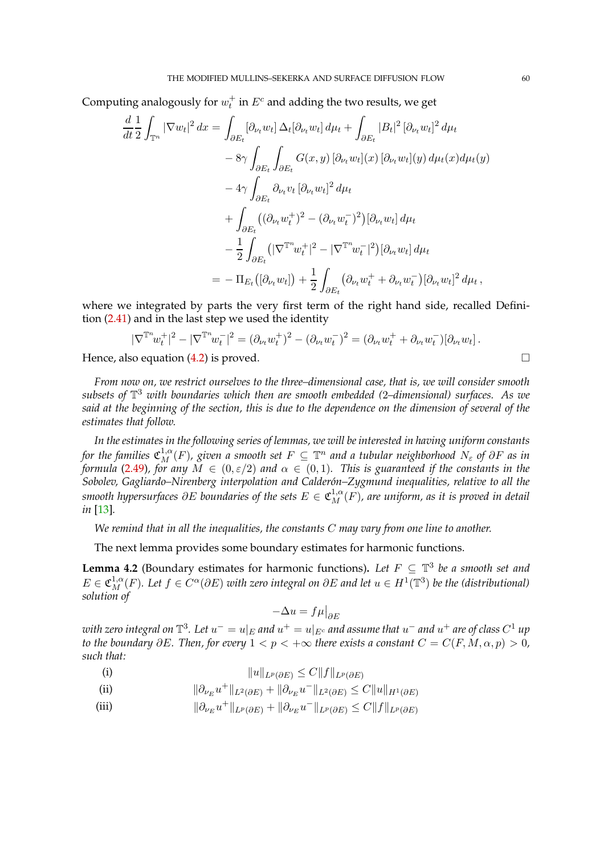Computing analogously for  $w_t^+$  in  $E^c$  and adding the two results, we get

$$
\frac{d}{dt} \frac{1}{2} \int_{\mathbb{T}^n} |\nabla w_t|^2 dx = \int_{\partial E_t} [\partial_{\nu_t} w_t] \Delta_t [\partial_{\nu_t} w_t] d\mu_t + \int_{\partial E_t} |B_t|^2 [\partial_{\nu_t} w_t]^2 d\mu_t \n- 8\gamma \int_{\partial E_t} \int_{\partial E_t} G(x, y) [\partial_{\nu_t} w_t](x) [\partial_{\nu_t} w_t](y) d\mu_t(x) d\mu_t(y) \n- 4\gamma \int_{\partial E_t} \partial_{\nu_t} v_t [\partial_{\nu_t} w_t]^2 d\mu_t \n+ \int_{\partial E_t} ((\partial_{\nu_t} w_t^+)^2 - (\partial_{\nu_t} w_t^-)^2) [\partial_{\nu_t} w_t] d\mu_t \n- \frac{1}{2} \int_{\partial E_t} (|\nabla^{\mathbb{T}^n} w_t^+|^2 - |\nabla^{\mathbb{T}^n} w_t^-|^2) [\partial_{\nu_t} w_t] d\mu_t \n= - \Pi_{E_t} ([\partial_{\nu_t} w_t]) + \frac{1}{2} \int_{\partial E_t} (\partial_{\nu_t} w_t^+ + \partial_{\nu_t} w_t^-) [\partial_{\nu_t} w_t]^2 d\mu_t,
$$

where we integrated by parts the very first term of the right hand side, recalled Definition [\(2.41\)](#page-24-0) and in the last step we used the identity

$$
|\nabla^{\mathbb{T}^n} w_t^+|^2 - |\nabla^{\mathbb{T}^n} w_t^-|^2 = (\partial_{\nu_t} w_t^+)^2 - (\partial_{\nu_t} w_t^-)^2 = (\partial_{\nu_t} w_t^+ + \partial_{\nu_t} w_t^-)[\partial_{\nu_t} w_t].
$$

Hence, also equation  $(4.2)$  is proved.

*From now on, we restrict ourselves to the three–dimensional case, that is, we will consider smooth subsets of* T <sup>3</sup> *with boundaries which then are smooth embedded (*2*–dimensional) surfaces. As we said at the beginning of the section, this is due to the dependence on the dimension of several of the estimates that follow.*

In the estimates in the following series of lemmas, we will be interested in having uniform constants for the families  $\mathfrak{C}_M^{1,\alpha}(F)$ , given a smooth set  $F\subseteq \mathbb{T}^n$  and a tubular neighborhood  $N_\varepsilon$  of  $\partial F$  as in *formula* [\(2.49\)](#page-27-0)*, for any* M ∈ (0, ε/2) *and* α ∈ (0, 1)*. This is guaranteed if the constants in the Sobolev, Gagliardo–Nirenberg interpolation and Calder´on–Zygmund inequalities, relative to all the* smooth hypersurfaces  $\partial E$  boundaries of the sets  $E\in \mathfrak{C}^{1,\alpha}_M(F)$ , are uniform, as it is proved in detail *in* [\[13\]](#page-96-13)*.*

*We remind that in all the inequalities, the constants* C *may vary from one line to another.*

The next lemma provides some boundary estimates for harmonic functions.

**Lemma 4.2** (Boundary estimates for harmonic functions). Let  $F \subseteq \mathbb{T}^3$  be a smooth set and  $E \in \mathfrak{C}^{1,\alpha}_M(F)$ . Let  $f \in C^\alpha(\partial E)$  with zero integral on  $\partial E$  and let  $u \in H^1(\mathbb{T}^3)$  be the (distributional) *solution of*

$$
-\Delta u=f\mu\big|_{\partial E}
$$

 $\tilde{u}$  with zero integral on  $\mathbb{T}^3$ . Let  $u^- = u|_E$  and  $u^+ = u|_{E^c}$  and assume that  $u^-$  and  $u^+$  are of class  $C^1$  up *to the boundary*  $\partial E$ *. Then, for every*  $1 < p < +\infty$  *there exists a constant*  $C = C(F, M, \alpha, p) > 0$ *, such that:*

- (i)  $||u||_{L^p(\partial E)} \leq C||f||_{L^p(\partial E)}$
- (ii)  $\|\partial_{\nu_E} u^+\|_{L^2(\partial E)} + \|\partial_{\nu_E} u^-\|_{L^2(\partial E)} \leq C \|u\|_{H^1(\partial E)}$
- (iii)  $\|\partial_{\nu_E} u^+\|_{L^p(\partial E)} + \|\partial_{\nu_E} u^-\|_{L^p(\partial E)} \leq C \|f\|_{L^p(\partial E)}$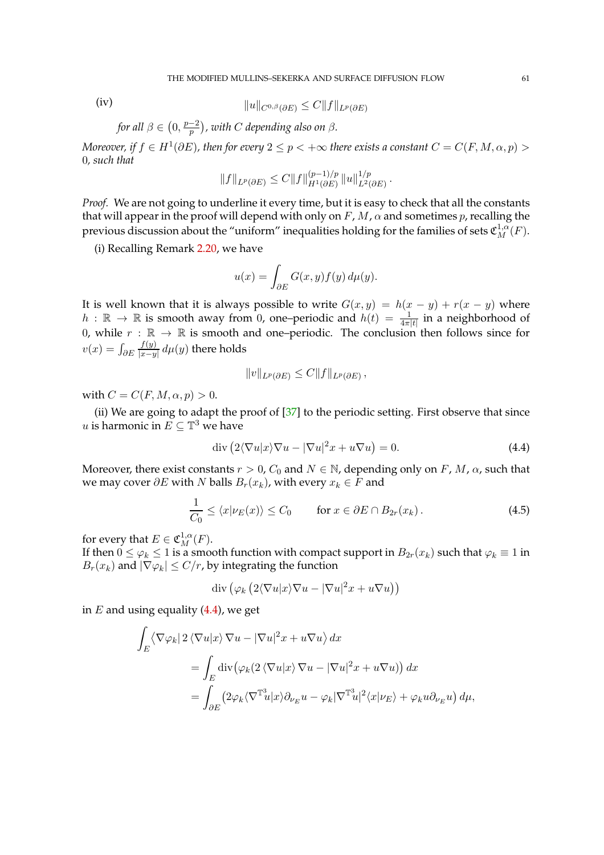(iv)  $||u||_{C^{0,\beta}(\partial E)} \leq C||f||_{L^p(\partial E)}$ 

for all 
$$
\beta \in (0, \frac{p-2}{p})
$$
, with C depending also on  $\beta$ .

*Moreover, if*  $f \in H^1(\partial E)$ , then for every  $2 \leq p < +\infty$  there exists a constant  $C = C(F, M, \alpha, p) > 0$ 0*, such that*

$$
||f||_{L^p(\partial E)} \leq C||f||_{H^1(\partial E)}^{(p-1)/p} ||u||_{L^2(\partial E)}^{1/p}.
$$

*Proof.* We are not going to underline it every time, but it is easy to check that all the constants that will appear in the proof will depend with only on  $F$ ,  $M$ ,  $\alpha$  and sometimes  $p$ , recalling the previous discussion about the "uniform" inequalities holding for the families of sets  $\mathfrak{C}^{1,\alpha}_M(F).$ 

(i) Recalling Remark [2.20,](#page-24-1) we have

$$
u(x) = \int_{\partial E} G(x, y) f(y) \, d\mu(y).
$$

It is well known that it is always possible to write  $G(x, y) = h(x - y) + r(x - y)$  where  $h$  :  $\mathbb{R} \to \mathbb{R}$  is smooth away from 0, one–periodic and  $h(t) = \frac{1}{4\pi|t|}$  in a neighborhood of 0, while  $r : \mathbb{R} \to \mathbb{R}$  is smooth and one–periodic. The conclusion then follows since for  $v(x) = \int_{\partial E}$  $f(y)$  $\frac{f(y)}{|x-y|}$   $d\mu(y)$  there holds

<span id="page-60-1"></span><span id="page-60-0"></span>
$$
||v||_{L^p(\partial E)} \leq C||f||_{L^p(\partial E)},
$$

with  $C = C(F, M, \alpha, p) > 0$ .

(ii) We are going to adapt the proof of  $[37]$  to the periodic setting. First observe that since u is harmonic in  $E \subseteq \mathbb{T}^3$  we have

$$
\operatorname{div}\left(2\langle\nabla u|x\rangle\nabla u - |\nabla u|^2 x + u\nabla u\right) = 0.
$$
\n(4.4)

Moreover, there exist constants  $r > 0$ ,  $C_0$  and  $N \in \mathbb{N}$ , depending only on F, M,  $\alpha$ , such that we may cover  $\partial E$  with N balls  $B_r(x_k)$ , with every  $x_k \in F$  and

$$
\frac{1}{C_0} \le \langle x | \nu_E(x) \rangle \le C_0 \qquad \text{for } x \in \partial E \cap B_{2r}(x_k). \tag{4.5}
$$

for every that  $E \in \mathfrak{C}_M^{1,\alpha}(F)$ .

If then  $0 \le \varphi_k \le 1$  is a smooth function with compact support in  $B_{2r}(x_k)$  such that  $\varphi_k \equiv 1$  in  $B_r(x_k)$  and  $|\nabla \varphi_k| \le C/r$ , by integrating the function

$$
\mathrm{div}\left(\varphi_k\left(2\langle\nabla u|x\rangle\nabla u-|\nabla u|^2x+u\nabla u\right)\right)
$$

in  $E$  and using equality  $(4.4)$ , we get

$$
\int_{E} \langle \nabla \varphi_{k} | 2 \langle \nabla u | x \rangle \nabla u - |\nabla u|^{2} x + u \nabla u \rangle dx
$$
\n
$$
= \int_{E} \text{div} (\varphi_{k} (2 \langle \nabla u | x \rangle \nabla u - |\nabla u|^{2} x + u \nabla u)) dx
$$
\n
$$
= \int_{\partial E} (2 \varphi_{k} \langle \nabla^{\mathbb{T}_{u}^{3}} | x \rangle \partial_{\nu_{E}} u - \varphi_{k} |\nabla^{\mathbb{T}_{u}^{3}} |^{2} \langle x | \nu_{E} \rangle + \varphi_{k} u \partial_{\nu_{E}} u) d\mu,
$$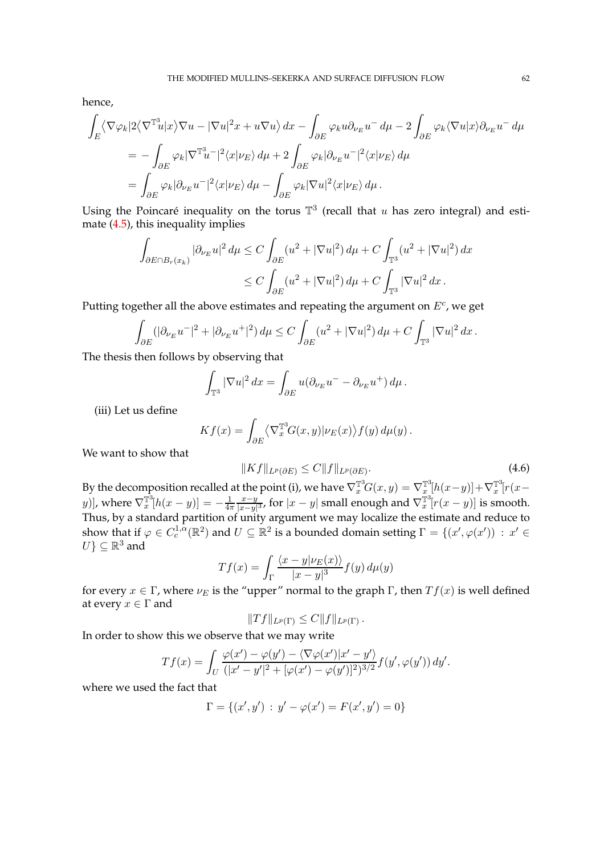hence,

$$
\int_{E} \langle \nabla \varphi_{k} | 2 \langle \nabla^{\mathbb{T}^{3}} u | x \rangle \nabla u - |\nabla u|^{2} x + u \nabla u \rangle dx - \int_{\partial E} \varphi_{k} u \partial_{\nu_{E}} u^{-} d\mu - 2 \int_{\partial E} \varphi_{k} \langle \nabla u | x \rangle \partial_{\nu_{E}} u^{-} d\mu
$$
\n
$$
= - \int_{\partial E} \varphi_{k} |\nabla^{\mathbb{T}^{3}} u^{-}|^{2} \langle x | \nu_{E} \rangle d\mu + 2 \int_{\partial E} \varphi_{k} |\partial_{\nu_{E}} u^{-}|^{2} \langle x | \nu_{E} \rangle d\mu
$$
\n
$$
= \int_{\partial E} \varphi_{k} |\partial_{\nu_{E}} u^{-}|^{2} \langle x | \nu_{E} \rangle d\mu - \int_{\partial E} \varphi_{k} |\nabla u|^{2} \langle x | \nu_{E} \rangle d\mu.
$$

Using the Poincaré inequality on the torus  $\mathbb{T}^3$  (recall that u has zero integral) and estimate [\(4.5\)](#page-60-1), this inequality implies

$$
\int_{\partial E \cap B_r(x_k)} |\partial_{\nu_E} u|^2 d\mu \le C \int_{\partial E} (u^2 + |\nabla u|^2) d\mu + C \int_{\mathbb{T}^3} (u^2 + |\nabla u|^2) dx
$$
  

$$
\le C \int_{\partial E} (u^2 + |\nabla u|^2) d\mu + C \int_{\mathbb{T}^3} |\nabla u|^2 dx.
$$

Putting together all the above estimates and repeating the argument on  $E^c$ , we get

$$
\int_{\partial E} (|\partial_{\nu_E} u^-|^2 + |\partial_{\nu_E} u^+|^2) d\mu \le C \int_{\partial E} (u^2 + |\nabla u|^2) d\mu + C \int_{\mathbb{T}^3} |\nabla u|^2 dx.
$$

The thesis then follows by observing that

$$
\int_{\mathbb{T}^3} |\nabla u|^2 dx = \int_{\partial E} u(\partial_{\nu_E} u^- - \partial_{\nu_E} u^+) d\mu.
$$

(iii) Let us define

$$
Kf(x) = \int_{\partial E} \langle \nabla_x^{\mathbb{T}^3} G(x, y) | \nu_E(x) \rangle f(y) d\mu(y).
$$

We want to show that

<span id="page-61-0"></span>
$$
||Kf||_{L^p(\partial E)} \le C||f||_{L^p(\partial E)}.\tag{4.6}
$$

By the decomposition recalled at the point (i), we have  $\nabla_x^{\mathbb{T}^3}G(x,y)=\nabla_x^{\mathbb{T}^3}[h(x-y)]+\nabla_x^{\mathbb{T}^3}[r(x-y)]$ y)], where  $\nabla_x^{\mathbb{T}^3} [h(x-y)] = -\frac{1}{4\pi}$  $4\pi$  $x-y$  $\frac{x-y}{|x-y|^3}$ , for  $|x-y|$  small enough and  $\nabla_x^{\mathbb{T}^3}[r(x-y)]$  is smooth. Thus, by a standard partition of unity argument we may localize the estimate and reduce to show that if  $\varphi \in C_c^{1,\alpha}(\mathbb{R}^2)$  and  $U \subseteq \mathbb{R}^2$  is a bounded domain setting  $\Gamma = \{(x', \varphi(x')) : x' \in \mathbb{R}^2\}$  $U$ }  $\subseteq \mathbb{R}^3$  and

$$
Tf(x) = \int_{\Gamma} \frac{\langle x - y | \nu_E(x) \rangle}{|x - y|^3} f(y) d\mu(y)
$$

for every  $x \in \Gamma$ , where  $\nu_E$  is the "upper" normal to the graph  $\Gamma$ , then  $Tf(x)$  is well defined at every  $x \in \Gamma$  and

$$
||Tf||_{L^p(\Gamma)} \leq C||f||_{L^p(\Gamma)}.
$$

In order to show this we observe that we may write

$$
Tf(x) = \int_U \frac{\varphi(x') - \varphi(y') - \langle \nabla \varphi(x') | x' - y' \rangle}{(|x' - y'|^2 + [\varphi(x') - \varphi(y')]^2)^{3/2}} f(y', \varphi(y')) dy'.
$$

where we used the fact that

$$
\Gamma = \{(x', y') : y' - \varphi(x') = F(x', y') = 0\}
$$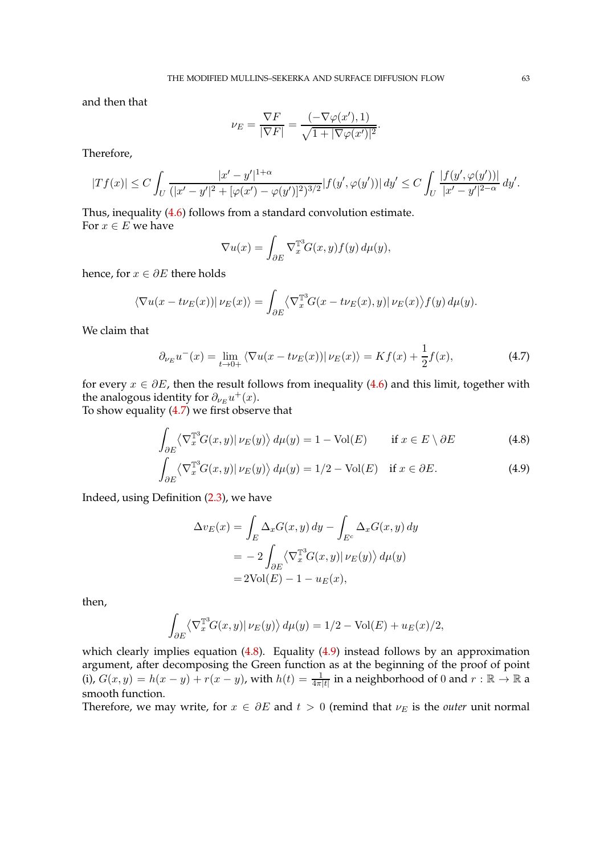and then that

$$
\nu_E = \frac{\nabla F}{|\nabla F|} = \frac{(-\nabla \varphi(x'), 1)}{\sqrt{1 + |\nabla \varphi(x')|^2}}.
$$

Therefore,

$$
|Tf(x)| \leq C \int_U \frac{|x'-y'|^{1+\alpha}}{(|x'-y'|^2 + [\varphi(x')-\varphi(y')]^2)^{3/2}} |f(y',\varphi(y'))| \, dy' \leq C \int_U \frac{|f(y',\varphi(y'))|}{|x'-y'|^{2-\alpha}} \, dy'.
$$

Thus, inequality [\(4.6\)](#page-61-0) follows from a standard convolution estimate. For  $x \in E$  we have

<span id="page-62-0"></span>
$$
\nabla u(x) = \int_{\partial E} \nabla_x^{\mathbb{T}^3} G(x, y) f(y) \, d\mu(y),
$$

hence, for  $x \in \partial E$  there holds

$$
\langle \nabla u(x - t \nu_E(x)) | \nu_E(x) \rangle = \int_{\partial E} \langle \nabla_x^{\mathbb{T}^3} G(x - t \nu_E(x), y) | \nu_E(x) \rangle f(y) d\mu(y).
$$

We claim that

$$
\partial_{\nu_E} u^-(x) = \lim_{t \to 0+} \left\langle \nabla u(x - t\nu_E(x)) \right| \nu_E(x) \rangle = Kf(x) + \frac{1}{2}f(x),\tag{4.7}
$$

for every  $x \in \partial E$ , then the result follows from inequality [\(4.6\)](#page-61-0) and this limit, together with the analogous identity for  $\partial_{\nu_E} u^+(x)$ .

To show equality [\(4.7\)](#page-62-0) we first observe that

$$
\int_{\partial E} \left\langle \nabla_x^{\mathbb{T}^3} G(x, y) | \nu_E(y) \right\rangle d\mu(y) = 1 - \text{Vol}(E) \qquad \text{if } x \in E \setminus \partial E \tag{4.8}
$$

$$
\int_{\partial E} \langle \nabla_x^{\mathbb{T}^3} G(x, y) | \nu_E(y) \rangle d\mu(y) = 1/2 - \text{Vol}(E) \quad \text{if } x \in \partial E. \tag{4.9}
$$

Indeed, using Definition [\(2.3\)](#page-6-0), we have

<span id="page-62-2"></span><span id="page-62-1"></span>
$$
\Delta v_E(x) = \int_E \Delta_x G(x, y) dy - \int_{E^c} \Delta_x G(x, y) dy
$$
  
= 
$$
-2 \int_{\partial E} \langle \nabla_x^{\mathbb{T}^3} G(x, y) | \nu_E(y) \rangle d\mu(y)
$$
  
= 
$$
2 \text{Vol}(E) - 1 - u_E(x),
$$

then,

$$
\int_{\partial E} \langle \nabla_x^{\mathbb{T}^3} G(x, y) | \nu_E(y) \rangle d\mu(y) = 1/2 - \text{Vol}(E) + u_E(x)/2,
$$

which clearly implies equation [\(4.8\)](#page-62-1). Equality [\(4.9\)](#page-62-2) instead follows by an approximation argument, after decomposing the Green function as at the beginning of the proof of point (i),  $G(x,y) = h(x-y) + r(x-y)$ , with  $h(t) = \frac{1}{4\pi|t|}$  in a neighborhood of 0 and  $r : \mathbb{R} \to \mathbb{R}$  a smooth function.

Therefore, we may write, for  $x \in \partial E$  and  $t > 0$  (remind that  $\nu_E$  is the *outer* unit normal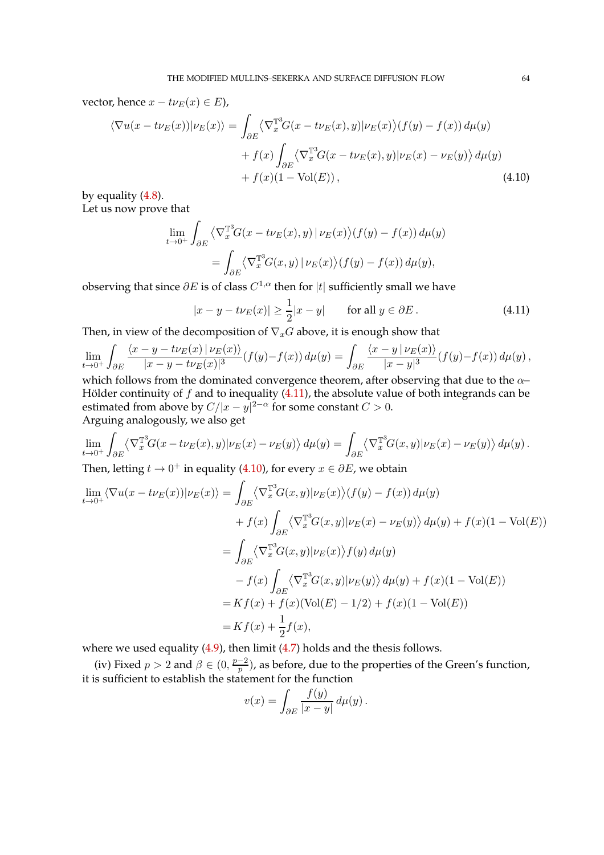vector, hence  $x - t\nu_E(x) \in E$ ),

$$
\langle \nabla u(x - t\nu_E(x)) | \nu_E(x) \rangle = \int_{\partial E} \langle \nabla_x^{\mathbb{T}^3} G(x - t\nu_E(x), y) | \nu_E(x) \rangle (f(y) - f(x)) d\mu(y) + f(x) \int_{\partial E} \langle \nabla_x^{\mathbb{T}^3} G(x - t\nu_E(x), y) | \nu_E(x) - \nu_E(y) \rangle d\mu(y) + f(x)(1 - \text{Vol}(E)),
$$
(4.10)

by equality [\(4.8\)](#page-62-1). Let us now prove that

$$
\lim_{t \to 0^+} \int_{\partial E} \left\langle \nabla_x^{\mathbb{T}^3} G(x - t \nu_E(x), y) \right| \nu_E(x) \left\rangle (f(y) - f(x)) d\mu(y) \n= \int_{\partial E} \left\langle \nabla_x^{\mathbb{T}^3} G(x, y) \right| \nu_E(x) \left\rangle (f(y) - f(x)) d\mu(y),\n\right\}
$$

observing that since  $\partial E$  is of class  $C^{1,\alpha}$  then for  $|t|$  sufficiently small we have

<span id="page-63-1"></span><span id="page-63-0"></span>
$$
|x - y - t\nu_E(x)| \ge \frac{1}{2}|x - y| \qquad \text{for all } y \in \partial E. \tag{4.11}
$$

Then, in view of the decomposition of  $\nabla_x G$  above, it is enough show that

$$
\lim_{t \to 0^+} \int_{\partial E} \frac{\langle x - y - t \nu_E(x) | \nu_E(x) \rangle}{|x - y - t \nu_E(x)|^3} (f(y) - f(x)) d\mu(y) = \int_{\partial E} \frac{\langle x - y | \nu_E(x) \rangle}{|x - y|^3} (f(y) - f(x)) d\mu(y),
$$

which follows from the dominated convergence theorem, after observing that due to the  $\alpha-$ Hölder continuity of  $f$  and to inequality [\(4.11\)](#page-63-0), the absolute value of both integrands can be estimated from above by  $C/|x-y|^{2-\alpha}$  for some constant  $C > 0$ . Arguing analogously, we also get

$$
\lim_{t \to 0^+} \int_{\partial E} \langle \nabla_x^{\mathbb{T}^3} G(x - t \nu_E(x), y) | \nu_E(x) - \nu_E(y) \rangle d\mu(y) = \int_{\partial E} \langle \nabla_x^{\mathbb{T}^3} G(x, y) | \nu_E(x) - \nu_E(y) \rangle d\mu(y).
$$

Then, letting  $t \to 0^+$  in equality [\(4.10\)](#page-63-1), for every  $x \in \partial E$ , we obtain

$$
\lim_{t \to 0^{+}} \langle \nabla u(x - t\nu_E(x)) | \nu_E(x) \rangle = \int_{\partial E} \langle \nabla_x^{\mathbb{T}^3} G(x, y) | \nu_E(x) \rangle (f(y) - f(x)) d\mu(y) \n+ f(x) \int_{\partial E} \langle \nabla_x^{\mathbb{T}^3} G(x, y) | \nu_E(x) - \nu_E(y) \rangle d\mu(y) + f(x) (1 - \text{Vol}(E)) \n= \int_{\partial E} \langle \nabla_x^{\mathbb{T}^3} G(x, y) | \nu_E(x) \rangle f(y) d\mu(y) \n- f(x) \int_{\partial E} \langle \nabla_x^{\mathbb{T}^3} G(x, y) | \nu_E(y) \rangle d\mu(y) + f(x) (1 - \text{Vol}(E)) \n= Kf(x) + f(x) (\text{Vol}(E) - 1/2) + f(x) (1 - \text{Vol}(E)) \n= Kf(x) + \frac{1}{2} f(x),
$$

where we used equality [\(4.9\)](#page-62-2), then limit [\(4.7\)](#page-62-0) holds and the thesis follows.

(iv) Fixed  $p > 2$  and  $\beta \in (0, \frac{p-2}{p})$  $\frac{p-2}{p}$ ), as before, due to the properties of the Green's function, it is sufficient to establish the statement for the function

$$
v(x) = \int_{\partial E} \frac{f(y)}{|x - y|} d\mu(y).
$$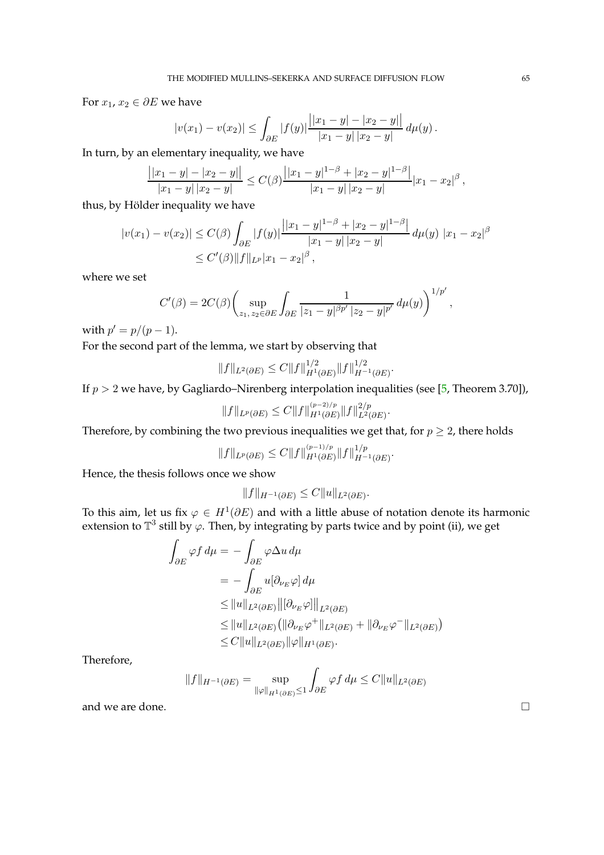For  $x_1, x_2 \in \partial E$  we have

$$
|v(x_1) - v(x_2)| \leq \int_{\partial E} |f(y)| \frac{||x_1 - y| - |x_2 - y||}{|x_1 - y| |x_2 - y|} d\mu(y).
$$

In turn, by an elementary inequality, we have

$$
\frac{||x_1-y|-|x_2-y||}{|x_1-y||x_2-y|} \leq C(\beta) \frac{||x_1-y|^{1-\beta}+|x_2-y|^{1-\beta}||}{|x_1-y||x_2-y|}|x_1-x_2|^\beta,
$$

thus, by Hölder inequality we have

$$
|v(x_1) - v(x_2)| \le C(\beta) \int_{\partial E} |f(y)| \frac{||x_1 - y||^{1-\beta} + |x_2 - y|^{1-\beta}|}{|x_1 - y||x_2 - y|} d\mu(y) |x_1 - x_2|^\beta
$$
  
 
$$
\le C'(\beta) ||f||_{L^p} |x_1 - x_2|^\beta,
$$

where we set

$$
C'(\beta) = 2C(\beta) \left( \sup_{z_1, z_2 \in \partial E} \int_{\partial E} \frac{1}{|z_1 - y|^{\beta p'} |z_2 - y|^{p'}} d\mu(y) \right)^{1/p'},
$$

with  $p' = p/(p - 1)$ .

For the second part of the lemma, we start by observing that

$$
||f||_{L^{2}(\partial E)} \leq C||f||_{H^{1}(\partial E)}^{1/2}||f||_{H^{-1}(\partial E)}^{1/2}.
$$

If  $p > 2$  we have, by Gagliardo–Nirenberg interpolation inequalities (see [\[5,](#page-96-0) Theorem 3.70]),

$$
||f||_{L^p(\partial E)} \leq C||f||_{H^1(\partial E)}^{(p-2)/p}||f||_{L^2(\partial E)}^{2/p}.
$$

Therefore, by combining the two previous inequalities we get that, for  $p \geq 2$ , there holds

$$
||f||_{L^p(\partial E)} \leq C||f||_{H^1(\partial E)}^{(p-1)/p}||f||_{H^{-1}(\partial E)}^{1/p}.
$$

Hence, the thesis follows once we show

$$
||f||_{H^{-1}(\partial E)} \leq C||u||_{L^2(\partial E)}.
$$

To this aim, let us fix  $\varphi \in H^1(\partial E)$  and with a little abuse of notation denote its harmonic extension to  $\mathbb{T}^3$  still by  $\varphi$ . Then, by integrating by parts twice and by point (ii), we get

$$
\int_{\partial E} \varphi f \, d\mu = -\int_{\partial E} \varphi \Delta u \, d\mu
$$
\n
$$
= -\int_{\partial E} u[\partial_{\nu_E} \varphi] \, d\mu
$$
\n
$$
\leq ||u||_{L^2(\partial E)} ||[\partial_{\nu_E} \varphi]||_{L^2(\partial E)}
$$
\n
$$
\leq ||u||_{L^2(\partial E)} (||\partial_{\nu_E} \varphi^+||_{L^2(\partial E)} + ||\partial_{\nu_E} \varphi^-||_{L^2(\partial E)})
$$
\n
$$
\leq C ||u||_{L^2(\partial E)} ||\varphi||_{H^1(\partial E)}.
$$

Therefore,

$$
||f||_{H^{-1}(\partial E)} = \sup_{||\varphi||_{H^1(\partial E)} \le 1} \int_{\partial E} \varphi f \, d\mu \le C ||u||_{L^2(\partial E)}
$$

and we are done.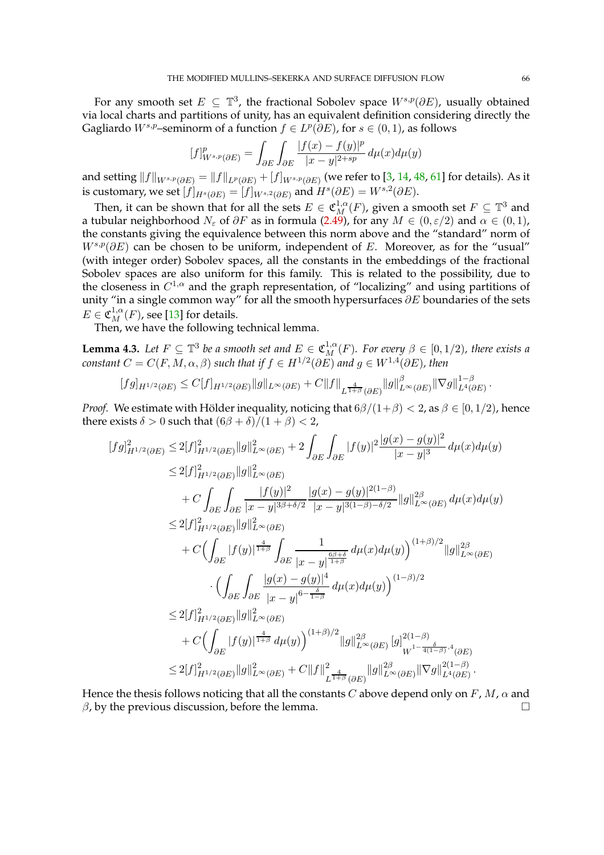For any smooth set  $E \subseteq \mathbb{T}^3$ , the fractional Sobolev space  $W^{s,p}(\partial E)$ , usually obtained via local charts and partitions of unity, has an equivalent definition considering directly the Gagliardo  $W^{s,p}$ –seminorm of a function  $f \in L^p(\partial E)$ , for  $s \in (0,1)$ , as follows

$$
[f]_{W^{s,p}(\partial E)}^p = \int_{\partial E} \int_{\partial E} \frac{|f(x) - f(y)|^p}{|x - y|^{2 + sp}} d\mu(x) d\mu(y)
$$

and setting  $\|f\|_{W^{s,p}(\partial E)}=\|f\|_{L^p(\partial E)}+[f]_{W^{s,p}(\partial E)}$  (we refer to [\[3,](#page-96-6) [14,](#page-96-7) [48,](#page-97-11) [61\]](#page-98-0) for details). As it is customary, we set  $[f]_{H^s(\partial E)} = [f]_{W^{s,2}(\partial E)}$  and  $H^s(\partial E) = W^{s,2}(\partial E)$ .

Then, it can be shown that for all the sets  $E \in \mathfrak{C}^{1,\alpha}_M(F)$ , given a smooth set  $F \subseteq \mathbb{T}^3$  and a tubular neighborhood  $N_{\varepsilon}$  of  $\partial F$  as in formula [\(2.49\)](#page-27-0), for any  $M \in (0, \varepsilon/2)$  and  $\alpha \in (0, 1)$ , the constants giving the equivalence between this norm above and the "standard" norm of  $W^{s,p}(\partial E)$  can be chosen to be uniform, independent of E. Moreover, as for the "usual" (with integer order) Sobolev spaces, all the constants in the embeddings of the fractional Sobolev spaces are also uniform for this family. This is related to the possibility, due to the closeness in  $C^{1,\alpha}$  and the graph representation, of "localizing" and using partitions of unity "in a single common way" for all the smooth hypersurfaces  $\partial E$  boundaries of the sets  $E \in \mathfrak{C}_M^{1,\alpha}(F)$ , see [\[13\]](#page-96-13) for details.

Then, we have the following technical lemma.

<span id="page-65-0"></span>**Lemma 4.3.** Let  $F \subseteq \mathbb{T}^3$  be a smooth set and  $E \in \mathfrak{C}_M^{1,\alpha}(F)$ . For every  $\beta \in [0,1/2)$ , there exists a *constant*  $C = C(F, M, \alpha, \beta)$  *such that if*  $f \in H^{1/2}(\partial E)$  *and*  $g \in W^{1,4}(\partial E)$ *, then* 

$$
[fg]_{H^{1/2}(\partial E)} \leq C[f]_{H^{1/2}(\partial E)} \|g\|_{L^{\infty}(\partial E)} + C\|f\|_{L^{\frac{4}{1+\beta}}(\partial E)} \|g\|_{L^{\infty}(\partial E)}^{\beta} \|\nabla g\|_{L^{4}(\partial E)}^{1-\beta}.
$$

*Proof.* We estimate with Hölder inequality, noticing that  $6\beta/(1+\beta) < 2$ , as  $\beta \in [0, 1/2)$ , hence there exists  $\delta > 0$  such that  $(6\beta + \delta)/(1 + \beta) < 2$ ,

$$
[fg]_{H^{1/2}(\partial E)}^{2} \leq 2[f]_{H^{1/2}(\partial E)}^{2} ||g||_{L^{\infty}(\partial E)}^{2} + 2 \int_{\partial E} \int_{\partial E} |f(y)|^{2} \frac{|g(x) - g(y)|^{2}}{|x - y|^{3}} d\mu(x) d\mu(y)
$$
  
\n
$$
\leq 2[f]_{H^{1/2}(\partial E)}^{2} ||g||_{L^{\infty}(\partial E)}^{2}
$$
  
\n
$$
+ C \int_{\partial E} \int_{\partial E} \frac{|f(y)|^{2}}{|x - y|^{3\beta + \delta/2}} \frac{|g(x) - g(y)|^{2(1 - \beta)}}{|x - y|^{3(1 - \beta) - \delta/2}} ||g||_{L^{\infty}(\partial E)}^{2\beta} d\mu(x) d\mu(y)
$$
  
\n
$$
\leq 2[f]_{H^{1/2}(\partial E)}^{2} ||g||_{L^{\infty}(\partial E)}^{2}
$$
  
\n
$$
+ C \Biggl( \int_{\partial E} |f(y)|^{\frac{4}{1 + \beta}} \int_{\partial E} \frac{1}{|x - y|^{\frac{6\beta + \delta}{1 + \beta}}} d\mu(x) d\mu(y) \Biggr)^{(1 + \beta)/2} ||g||_{L^{\infty}(\partial E)}^{2\beta}
$$
  
\n
$$
\cdot \Biggl( \int_{\partial E} \int_{\partial E} \frac{|g(x) - g(y)|^{4}}{|x - y|^{6 - \frac{\delta}{1 - \beta}}} d\mu(x) d\mu(y) \Biggr)^{(1 - \beta)/2}
$$
  
\n
$$
\leq 2[f]_{H^{1/2}(\partial E)}^{2} ||g||_{L^{\infty}(\partial E)}^{2} \Biggl( \int_{W}^{1 - \frac{\delta}{4(1 - \beta)}}, \frac{\delta}{4} \partial E \Biggr) \Biggr|_{L^{\infty}(\partial E)}^{2} ||g||_{L^{\infty}(\partial E)}^{2} ||g||_{L^{\infty}(\partial E)}^{2} \Biggr|_{W}^{1 - \frac{\delta}{4(1 - \beta)}}, \frac{4}{4} \partial E \Biggr|
$$
  
\n
$$
\leq 2[f]_{H^{1/2}(\partial E)}^{2} ||g||_{L^{\infty}(\partial E)}^{2} + C ||f||_{L^{\frac{4}{1 + \
$$

Hence the thesis follows noticing that all the constants C above depend only on F, M,  $\alpha$  and  $\beta$ , by the previous discussion, before the lemma.  $\Box$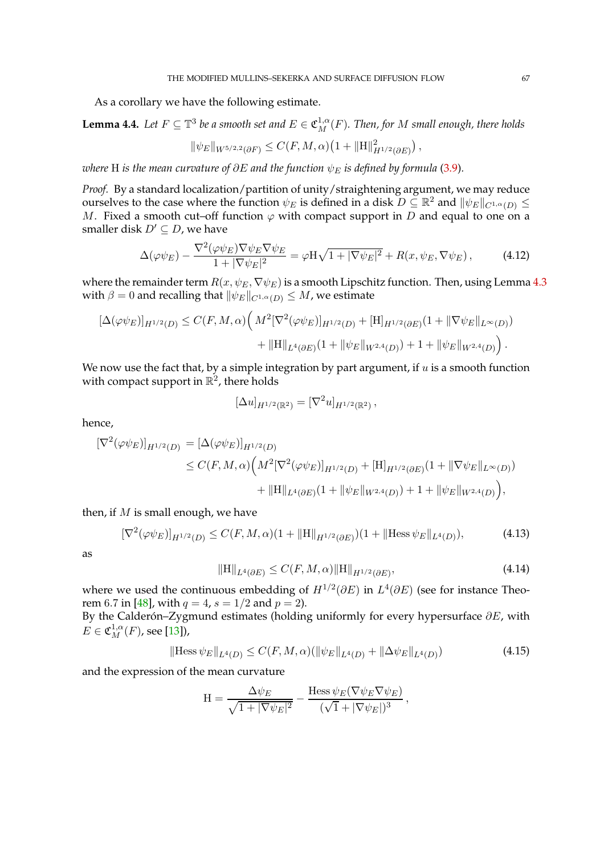As a corollary we have the following estimate.

<span id="page-66-3"></span>**Lemma 4.4.** Let  $F \subseteq \mathbb{T}^3$  be a smooth set and  $E \in \mathfrak{C}_M^{1,\alpha}(F)$ . Then, for  $M$  small enough, there holds

$$
\|\psi_E\|_{W^{5/2,2}(\partial F)} \leq C(F, M, \alpha) \big(1 + \|H\|_{H^{1/2}(\partial E)}^2\big) \,,
$$

*where* H *is the mean curvature of*  $\partial E$  *and the function*  $\psi_E$  *is defined by formula* [\(3.9\)](#page-55-1).

*Proof.* By a standard localization/partition of unity/straightening argument, we may reduce ourselves to the case where the function  $\psi_E$  is defined in a disk  $D\subseteq \mathbb{R}^2$  and  $\|\psi_E\|_{C^{1,\alpha}(D)}\leq$ M. Fixed a smooth cut–off function  $\varphi$  with compact support in D and equal to one on a smaller disk  $D' \subseteq D$ , we have

$$
\Delta(\varphi\psi_E) - \frac{\nabla^2(\varphi\psi_E)\nabla\psi_E\nabla\psi_E}{1 + |\nabla\psi_E|^2} = \varphi H \sqrt{1 + |\nabla\psi_E|^2} + R(x, \psi_E, \nabla\psi_E),\tag{4.12}
$$

where the remainder term  $R(x, \psi_E, \nabla \psi_E)$  is a smooth Lipschitz function. Then, using Lemma [4.3](#page-65-0) with  $\beta = 0$  and recalling that  $\|\psi_E\|_{C^{1,\alpha}(D)} \leq M$ , we estimate

$$
\begin{aligned} [\Delta(\varphi\psi_E)]_{H^{1/2}(D)} &\leq C(F, M, \alpha) \Big( \, M^2 [\nabla^2(\varphi\psi_E)]_{H^{1/2}(D)} + [\mathbf{H}]_{H^{1/2}(\partial E)} (1 + \|\nabla\psi_E\|_{L^\infty(D)}) \\ &+ \|\mathbf{H}\|_{L^4(\partial E)} (1 + \|\psi_E\|_{W^{2,4}(D)}) + 1 + \|\psi_E\|_{W^{2,4}(D)} \Big) \,. \end{aligned}
$$

We now use the fact that, by a simple integration by part argument, if  $u$  is a smooth function with compact support in  $\mathbb{R}^2$ , there holds

$$
[\Delta u]_{H^{1/2}(\mathbb{R}^2)} = [\nabla^2 u]_{H^{1/2}(\mathbb{R}^2)},
$$

hence,

$$
\begin{split} [\nabla^2(\varphi\psi_E)]_{H^{1/2}(D)} &= [\Delta(\varphi\psi_E)]_{H^{1/2}(D)} \\ &\leq C(F, M, \alpha) \Big( M^2 [\nabla^2(\varphi\psi_E)]_{H^{1/2}(D)} + [\mathbf{H}]_{H^{1/2}(\partial E)} (1 + \|\nabla\psi_E\|_{L^{\infty}(D)}) \\ &\quad + \|\mathbf{H}\|_{L^4(\partial E)} (1 + \|\psi_E\|_{W^{2,4}(D)}) + 1 + \|\psi_E\|_{W^{2,4}(D)} \Big), \end{split}
$$

then, if  $M$  is small enough, we have

$$
[\nabla^2(\varphi\psi_E)]_{H^{1/2}(D)} \le C(F, M, \alpha)(1 + ||H||_{H^{1/2}(\partial E)})(1 + ||H\text{less }\psi_E||_{L^4(D)}),
$$
\n(4.13)

as

<span id="page-66-2"></span><span id="page-66-1"></span><span id="page-66-0"></span>
$$
||H||_{L^{4}(\partial E)} \leq C(F, M, \alpha) ||H||_{H^{1/2}(\partial E)},
$$
\n(4.14)

where we used the continuous embedding of  $H^{1/2}(\partial E)$  in  $L^4(\partial E)$  (see for instance Theo-rem 6.7 in [\[48\]](#page-97-11), with  $q = 4$ ,  $s = 1/2$  and  $p = 2$ ).

By the Calderón–Zygmund estimates (holding uniformly for every hypersurface  $\partial E$ , with  $E \in \mathfrak{C}^{1,\alpha}_M(F)$ , see [\[13\]](#page-96-13)),

$$
\|\text{Hess}\,\psi_E\|_{L^4(D)} \le C(F, M, \alpha) (\|\psi_E\|_{L^4(D)} + \|\Delta\psi_E\|_{L^4(D)})\tag{4.15}
$$

and the expression of the mean curvature

$$
H = \frac{\Delta \psi_E}{\sqrt{1 + |\nabla \psi_E|^2}} - \frac{\text{Hess}\,\psi_E(\nabla \psi_E \nabla \psi_E)}{(\sqrt{1} + |\nabla \psi_E|)^3},
$$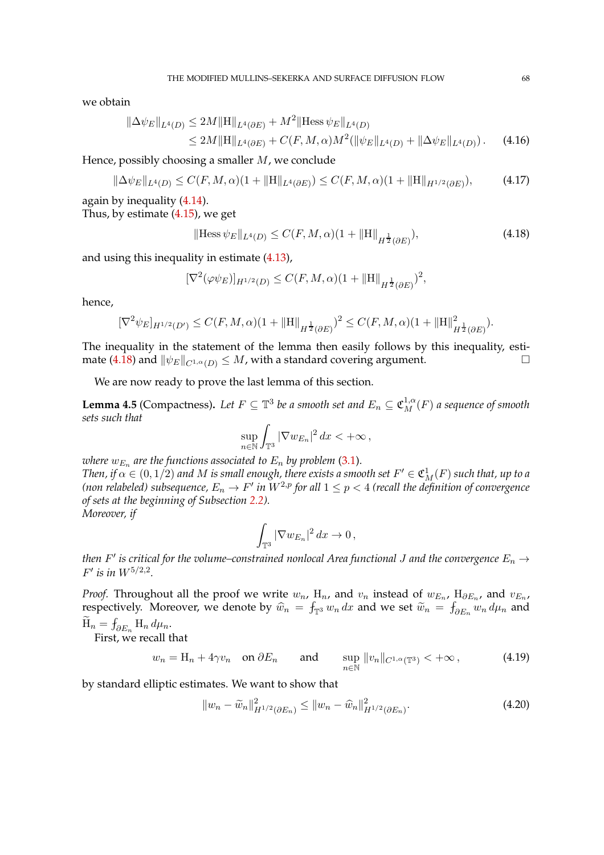we obtain

$$
\|\Delta \psi_E\|_{L^4(D)} \le 2M \|H\|_{L^4(\partial E)} + M^2 \|\text{Hess}\,\psi_E\|_{L^4(D)}\le 2M \|H\|_{L^4(\partial E)} + C(F, M, \alpha)M^2(\|\psi_E\|_{L^4(D)} + \|\Delta \psi_E\|_{L^4(D)}).
$$
 (4.16)

Hence, possibly choosing a smaller  $M$ , we conclude

$$
\|\Delta\psi_E\|_{L^4(D)} \le C(F, M, \alpha)(1 + \|H\|_{L^4(\partial E)}) \le C(F, M, \alpha)(1 + \|H\|_{H^{1/2}(\partial E)}),\tag{4.17}
$$

again by inequality [\(4.14\)](#page-66-0). Thus, by estimate [\(4.15\)](#page-66-1), we get

<span id="page-67-1"></span>
$$
\|\text{Hess}\,\psi_E\|_{L^4(D)} \le C(F, M, \alpha)(1 + \|H\|_{H^{\frac{1}{2}}(\partial E)}),\tag{4.18}
$$

and using this inequality in estimate [\(4.13\)](#page-66-2),

$$
[\nabla^{2}(\varphi\psi_{E})]_{H^{1/2}(D)} \leq C(F, M, \alpha)(1 + ||H||_{H^{\frac{1}{2}}(\partial E)})^{2},
$$

hence,

$$
[\nabla^2 \psi_E]_{H^{1/2}(D')} \leq C(F, M, \alpha)(1 + ||H||_{H^{\frac{1}{2}}(\partial E)})^2 \leq C(F, M, \alpha)(1 + ||H||_{H^{\frac{1}{2}}(\partial E)}^2).
$$

The inequality in the statement of the lemma then easily follows by this inequality, esti-mate [\(4.18\)](#page-67-1) and  $\|\psi_E\|_{C^{1,\alpha}(D)} \leq M$ , with a standard covering argument.

We are now ready to prove the last lemma of this section.

<span id="page-67-0"></span>**Lemma 4.5** (Compactness). Let  $F \subseteq \mathbb{T}^3$  be a smooth set and  $E_n \subseteq \mathfrak{C}_M^{1,\alpha}(F)$  a sequence of smooth *sets such that*

$$
\sup_{n\in\mathbb{N}}\int_{\mathbb{T}^3}|\nabla w_{E_n}|^2\,dx<+\infty\,,
$$

where  $w_{E_n}$  are the functions associated to  $E_n$  by problem [\(3.1\)](#page-50-1). Then, if  $\alpha \in (0,1/2)$  and  $M$  is small enough, there exists a smooth set  $F' \in \mathfrak{C}^1_M(F)$  such that, up to a (non relabeled) subsequence,  $E_n \to F'$  in  $W^{2,p}$  for all  $1 \leq p < 4$  (recall the definition of convergence *of sets at the beginning of Subsection [2.2\)](#page-23-0). Moreover, if*

<span id="page-67-3"></span>
$$
\int_{\mathbb{T}^3} |\nabla w_{E_n}|^2 dx \to 0,
$$

*then*  $F'$  is critical for the volume–constrained nonlocal Area functional J and the convergence  $E_n \to$  $F'$  is in  $W^{5/2,2}$ .

*Proof.* Throughout all the proof we write  $w_n$ ,  $\mathrm{H}_n$ , and  $v_n$  instead of  $w_{E_n}$ ,  $\mathrm{H}_{\partial E_n}$ , and  $v_{E_n}$ , respectively. Moreover, we denote by  $\widehat{w}_n = \int_{\mathbb{T}^3} w_n dx$  and we set  $\widetilde{w}_n = \int_{\partial E_n} w_n d\mu_n$  and  $H_n = \int_{\partial E_n} H_n d\mu_n.$ 

First, we recall that

$$
w_n = \mathcal{H}_n + 4\gamma v_n \quad \text{on } \partial E_n \qquad \text{and} \qquad \sup_{n \in \mathbb{N}} \|v_n\|_{C^{1,\alpha}(\mathbb{T}^3)} < +\infty \,, \tag{4.19}
$$

by standard elliptic estimates. We want to show that

<span id="page-67-2"></span>
$$
||w_n - \widetilde{w}_n||_{H^{1/2}(\partial E_n)}^2 \le ||w_n - \widehat{w}_n||_{H^{1/2}(\partial E_n)}^2.
$$
\n(4.20)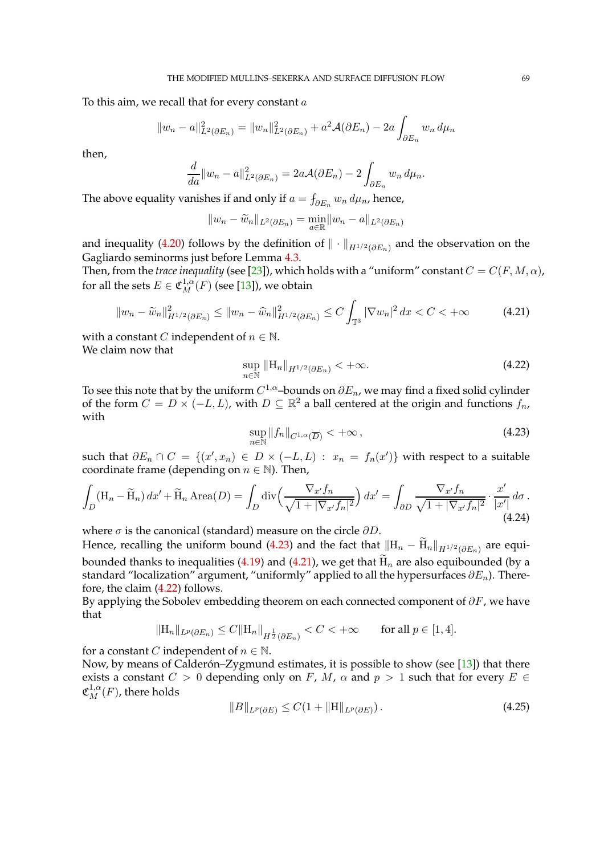To this aim, we recall that for every constant  $a$ 

$$
||w_n - a||_{L^2(\partial E_n)}^2 = ||w_n||_{L^2(\partial E_n)}^2 + a^2 \mathcal{A}(\partial E_n) - 2a \int_{\partial E_n} w_n d\mu_n
$$

then,

$$
\frac{d}{da}||w_n - a||_{L^2(\partial E_n)}^2 = 2a\mathcal{A}(\partial E_n) - 2\int_{\partial E_n} w_n d\mu_n.
$$

The above equality vanishes if and only if  $a = \int_{\partial E_n} w_n d\mu_n$ , hence,

$$
||w_n - \widetilde{w}_n||_{L^2(\partial E_n)} = \min_{a \in \mathbb{R}} ||w_n - a||_{L^2(\partial E_n)}
$$

and inequality [\(4.20\)](#page-67-2) follows by the definition of  $\|\cdot\|_{H^{1/2}(\partial E_n)}$  and the observation on the Gagliardo seminorms just before Lemma [4.3.](#page-65-0)

Then, from the *trace inequality* (see [\[23\]](#page-97-0)), which holds with a "uniform" constant  $C = C(F, M, \alpha)$ , for all the sets  $E \in \mathfrak{C}^{1,\alpha}_M(F)$  (see [\[13\]](#page-96-13)), we obtain

$$
||w_n - \widetilde{w}_n||_{H^{1/2}(\partial E_n)}^2 \le ||w_n - \widehat{w}_n||_{H^{1/2}(\partial E_n)}^2 \le C \int_{\mathbb{T}^3} |\nabla w_n|^2 dx < C < +\infty
$$
 (4.21)

with a constant *C* independent of  $n \in \mathbb{N}$ .

We claim now that

<span id="page-68-2"></span><span id="page-68-1"></span>
$$
\sup_{n\in\mathbb{N}}\|H_n\|_{H^{1/2}(\partial E_n)}<+\infty.
$$
\n(4.22)

To see this note that by the uniform  $C^{1,\alpha}$ –bounds on  $\partial E_n$ , we may find a fixed solid cylinder of the form  $C = D \times (-L, L)$ , with  $D \subseteq \mathbb{R}^2$  a ball centered at the origin and functions  $f_n$ , with

<span id="page-68-0"></span>
$$
\sup_{n \in \mathbb{N}} \|f_n\|_{C^{1,\alpha}(\overline{D})} < +\infty \,, \tag{4.23}
$$

such that  $\partial E_n \cap C = \{(x', x_n) \in D \times (-L, L) : x_n = f_n(x')\}$  with respect to a suitable coordinate frame (depending on  $n \in \mathbb{N}$ ). Then,

$$
\int_{D} (\mathbf{H}_n - \widetilde{\mathbf{H}}_n) dx' + \widetilde{\mathbf{H}}_n \operatorname{Area}(D) = \int_{D} \operatorname{div} \left( \frac{\nabla_{x'} f_n}{\sqrt{1 + |\nabla_{x'} f_n|^2}} \right) dx' = \int_{\partial D} \frac{\nabla_{x'} f_n}{\sqrt{1 + |\nabla_{x'} f_n|^2}} \cdot \frac{x'}{|x'|} d\sigma.
$$
\n(4.24)

where  $\sigma$  is the canonical (standard) measure on the circle  $\partial D$ .

Hence, recalling the uniform bound [\(4.23\)](#page-68-0) and the fact that  $\|{\rm H}_n-{\rm H}_n\|_{H^{1/2}(\partial E_n)}$  are equi-bounded thanks to inequalities [\(4.19\)](#page-67-3) and [\(4.21\)](#page-68-1), we get that  $\widetilde{H}_n$  are also equibounded (by a standard "localization" argument, "uniformly" applied to all the hypersurfaces  $\partial E_n$ ). Therefore, the claim [\(4.22\)](#page-68-2) follows.

By applying the Sobolev embedding theorem on each connected component of  $\partial F$ , we have that

$$
||H_n||_{L^p(\partial E_n)} \leq C||H_n||_{H^{\frac{1}{2}}(\partial E_n)} < C < +\infty \quad \text{for all } p \in [1, 4].
$$

for a constant *C* independent of  $n \in \mathbb{N}$ .

Now, by means of Calderón-Zygmund estimates, it is possible to show (see [\[13\]](#page-96-13)) that there exists a constant  $C > 0$  depending only on F, M,  $\alpha$  and  $p > 1$  such that for every  $E \in$  $\mathfrak{C}^{1,\alpha}_M(F)$ , there holds

$$
||B||_{L^{p}(\partial E)} \leq C(1 + ||H||_{L^{p}(\partial E)}).
$$
\n(4.25)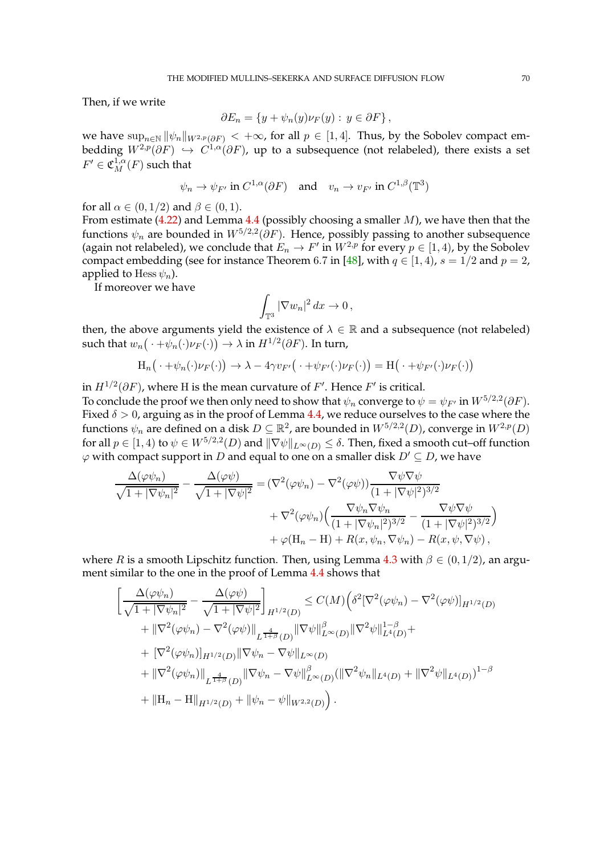Then, if we write

$$
\partial E_n = \{ y + \psi_n(y) \nu_F(y) : y \in \partial F \},
$$

we have  $\sup_{n\in\mathbb{N}} ||\psi_n||_{W^{2,p}(\partial F)} < +\infty$ , for all  $p \in [1, 4]$ . Thus, by the Sobolev compact embedding  $W^{2,p}(\partial F) \hookrightarrow C^{1,\alpha}(\partial F)$ , up to a subsequence (not relabeled), there exists a set  $F' \in \mathfrak{C}^{1,\alpha}_M(F)$  such that

$$
\psi_n \to \psi_{F'}
$$
 in  $C^{1,\alpha}(\partial F)$  and  $v_n \to v_{F'}$  in  $C^{1,\beta}(\mathbb{T}^3)$ 

for all  $\alpha \in (0, 1/2)$  and  $\beta \in (0, 1)$ .

From estimate [\(4.22\)](#page-68-2) and Lemma [4.4](#page-66-3) (possibly choosing a smaller  $M$ ), we have then that the functions  $\psi_n$  are bounded in  $W^{5/2,2}(\partial F)$ . Hence, possibly passing to another subsequence (again not relabeled), we conclude that  $E_n \to F'$  in  $W^{2,p}$  for every  $p \in [1,4)$ , by the Sobolev compact embedding (see for instance Theorem 6.7 in [\[48\]](#page-97-11), with  $q \in [1, 4)$ ,  $s = 1/2$  and  $p = 2$ , applied to Hess  $\psi_n$ ).

If moreover we have

$$
\int_{\mathbb{T}^3} |\nabla w_n|^2 \, dx \to 0 \,,
$$

then, the above arguments yield the existence of  $\lambda \in \mathbb{R}$  and a subsequence (not relabeled) such that  $w_n(\cdot + \psi_n(\cdot)\nu_F(\cdot)) \to \lambda$  in  $H^{1/2}(\partial F)$ . In turn,

$$
H_n(\cdot + \psi_n(\cdot)\nu_F(\cdot)) \to \lambda - 4\gamma v_{F'}(\cdot + \psi_{F'}(\cdot)\nu_F(\cdot)) = H(\cdot + \psi_{F'}(\cdot)\nu_F(\cdot))
$$

in  $H^{1/2}(\partial F)$ , where H is the mean curvature of  $F'.$  Hence  $F'$  is critical. To conclude the proof we then only need to show that  $\psi_n$  converge to  $\psi=\psi_{F'}$  in  $W^{5/2,2}(\partial F).$ Fixed  $\delta > 0$ , arguing as in the proof of Lemma [4.4,](#page-66-3) we reduce ourselves to the case where the functions  $\psi_n$  are defined on a disk  $D \subseteq \mathbb{R}^2$ , are bounded in  $W^{5/2,2}(D)$ , converge in  $W^{2,p}(D)$ for all  $p \in [1, 4)$  to  $\psi \in W^{5/2, 2}(D)$  and  $\|\nabla \psi\|_{L^{\infty}(D)} \leq \delta$ . Then, fixed a smooth cut–off function  $\varphi$  with compact support in D and equal to one on a smaller disk  $D' \subseteq D$ , we have

$$
\frac{\Delta(\varphi\psi_n)}{\sqrt{1+|\nabla\psi_n|^2}} - \frac{\Delta(\varphi\psi)}{\sqrt{1+|\nabla\psi|^2}} = (\nabla^2(\varphi\psi_n) - \nabla^2(\varphi\psi)) \frac{\nabla\psi\nabla\psi}{(1+|\nabla\psi|^2)^{3/2}} \n+ \nabla^2(\varphi\psi_n) \Big( \frac{\nabla\psi_n\nabla\psi_n}{(1+|\nabla\psi_n|^2)^{3/2}} - \frac{\nabla\psi\nabla\psi}{(1+|\nabla\psi|^2)^{3/2}} \Big) \n+ \varphi(\mathbf{H}_n - \mathbf{H}) + R(x, \psi_n, \nabla\psi_n) - R(x, \psi, \nabla\psi),
$$

where R is a smooth Lipschitz function. Then, using Lemma [4.3](#page-65-0) with  $\beta \in (0, 1/2)$ , an argument similar to the one in the proof of Lemma [4.4](#page-66-3) shows that

$$
\begin{split}\n&\left[\frac{\Delta(\varphi\psi_{n})}{\sqrt{1+|\nabla\psi_{n}|^{2}}}-\frac{\Delta(\varphi\psi)}{\sqrt{1+|\nabla\psi|^{2}}}\right]_{H^{1/2}(D)} \leq C(M)\Big(\delta^{2}[\nabla^{2}(\varphi\psi_{n})-\nabla^{2}(\varphi\psi)]_{H^{1/2}(D)} \\
&+||\nabla^{2}(\varphi\psi_{n})-\nabla^{2}(\varphi\psi)||_{L^{\frac{4}{1+\beta}}(D)}||\nabla\psi||_{L^{\infty}(D)}^{2}||\nabla^{2}\psi||_{L^{4}(D)}^{1-\beta} + \\
&+[\nabla^{2}(\varphi\psi_{n})]_{H^{1/2}(D)}||\nabla\psi_{n}-\nabla\psi||_{L^{\infty}(D)} \\
&+||\nabla^{2}(\varphi\psi_{n})||_{L^{\frac{4}{1+\beta}}(D)}||\nabla\psi_{n}-\nabla\psi||_{L^{\infty}(D)}^{2}(||\nabla^{2}\psi_{n}||_{L^{4}(D)}+||\nabla^{2}\psi||_{L^{4}(D)})^{1-\beta} \\
&+||\mathbf{H}_{n}-\mathbf{H}||_{H^{1/2}(D)}+||\psi_{n}-\psi||_{W^{2,2}(D)}\Big). \n\end{split}
$$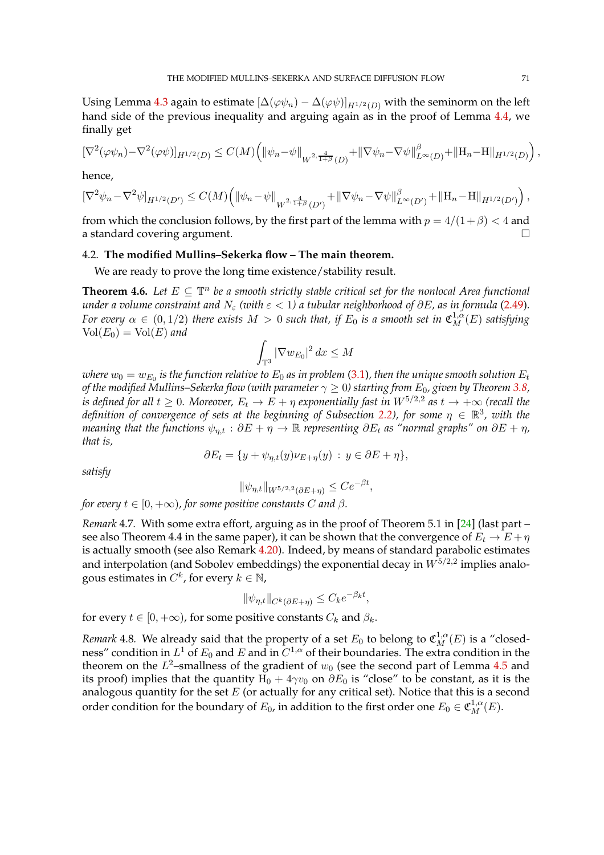Using Lemma [4.3](#page-65-0) again to estimate  $[\Delta(\varphi \psi_n) - \Delta(\varphi \psi)]_{H^{1/2}(D)}$  with the seminorm on the left hand side of the previous inequality and arguing again as in the proof of Lemma [4.4,](#page-66-3) we finally get

$$
[\nabla^2(\varphi\psi_n)-\nabla^2(\varphi\psi)]_{H^{1/2}(D)}\leq C(M)\Big(\|\psi_n-\psi\|_{W^{2,\frac{4}{1+\beta}}(D)}+\|\nabla\psi_n-\nabla\psi\|_{L^\infty(D)}^\beta+\|{\bf H}_n-{\bf H}\|_{H^{1/2}(D)}\Big)\,,
$$

hence,

$$
[\nabla^2 \psi_n - \nabla^2 \psi]_{H^{1/2}(D')} \leq C(M) \Big( \|\psi_n - \psi\|_{W^{2,\frac{4}{1+\beta}}(D')} + \|\nabla \psi_n - \nabla \psi\|_{L^\infty(D')}^\beta + \|H_n - H\|_{H^{1/2}(D')} \Big),
$$

from which the conclusion follows, by the first part of the lemma with  $p = 4/(1 + \beta) < 4$  and a standard covering argument.

# 4.2. **The modified Mullins–Sekerka flow – The main theorem.**

We are ready to prove the long time existence/stability result.

<span id="page-70-0"></span>**Theorem 4.6.** Let  $E \subseteq \mathbb{T}^n$  be a smooth strictly stable critical set for the nonlocal Area functional *under a volume constraint and*  $N_{\varepsilon}$  *(with*  $\varepsilon$  < 1) a tubular neighborhood of  $\partial E$ , as in formula [\(2.49\)](#page-27-0). *For every*  $\alpha \in (0, 1/2)$  *there exists*  $M > 0$  *such that, if*  $E_0$  *is a smooth set in*  $\mathfrak{C}_M^{1,\alpha}(E)$  *satisfying*  $Vol(E_0) = Vol(E)$  and

$$
\int_{\mathbb{T}^3} |\nabla w_{E_0}|^2 dx \le M
$$

where  $w_0=w_{E_0}$  is the function relative to  $E_0$  as in problem [\(3.1\)](#page-50-1), then the unique smooth solution  $E_t$ *of the modified Mullins–Sekerka flow (with parameter*  $\gamma \geq 0$ ) starting from  $E_0$ , given by Theorem [3.8,](#page-55-0) *is defined for all*  $t \geq 0$ *. Moreover,*  $E_t \to E + \eta$  exponentially fast in  $W^{5/2,2}$  as  $t \to +\infty$  (recall the *definition of convergence of sets at the beginning of Subsection [2.2\)](#page-23-0), for some*  $\eta \in \mathbb{R}^3$ , with the *meaning that the functions*  $\psi_{n,t}$  :  $\partial E + \eta \to \mathbb{R}$  *representing*  $\partial E_t$  *as "normal graphs" on*  $\partial E + \eta$ , *that is,*

$$
\partial E_t = \{ y + \psi_{\eta,t}(y)\nu_{E+\eta}(y) : y \in \partial E + \eta \},\
$$

*satisfy*

$$
\|\psi_{\eta,t}\|_{W^{5/2,2}(\partial E+\eta)} \le Ce^{-\beta t},
$$

*for every*  $t \in [0, +\infty)$ *, for some positive constants C and*  $\beta$ *.* 

*Remark* 4.7*.* With some extra effort, arguing as in the proof of Theorem 5.1 in [\[24\]](#page-97-21) (last part – see also Theorem 4.4 in the same paper), it can be shown that the convergence of  $E_t \to E + \eta$ is actually smooth (see also Remark [4.20\)](#page-88-0). Indeed, by means of standard parabolic estimates and interpolation (and Sobolev embeddings) the exponential decay in  $W^{5/2,2}$  implies analogous estimates in  $C^k$ , for every  $k \in \mathbb{N}$ ,

$$
\|\psi_{\eta,t}\|_{C^k(\partial E + \eta)} \le C_k e^{-\beta_k t},
$$

for every  $t \in [0, +\infty)$ , for some positive constants  $C_k$  and  $\beta_k$ .

*Remark* 4.8. We already said that the property of a set  $E_0$  to belong to  $\mathfrak{C}^{1,\alpha}_{M}(E)$  is a "closedness" condition in  $L^1$  of  $E_0$  and  $E$  and in  $C^{1,\alpha}$  of their boundaries. The extra condition in the theorem on the  $L^2$ –smallness of the gradient of  $w_0$  (see the second part of Lemma [4.5](#page-67-0) and its proof) implies that the quantity  $H_0 + 4\gamma v_0$  on  $\partial E_0$  is "close" to be constant, as it is the analogous quantity for the set  $E$  (or actually for any critical set). Notice that this is a second order condition for the boundary of  $E_0$ , in addition to the first order one  $E_0 \in \mathfrak{C}^{1,\alpha}_M(E)$ .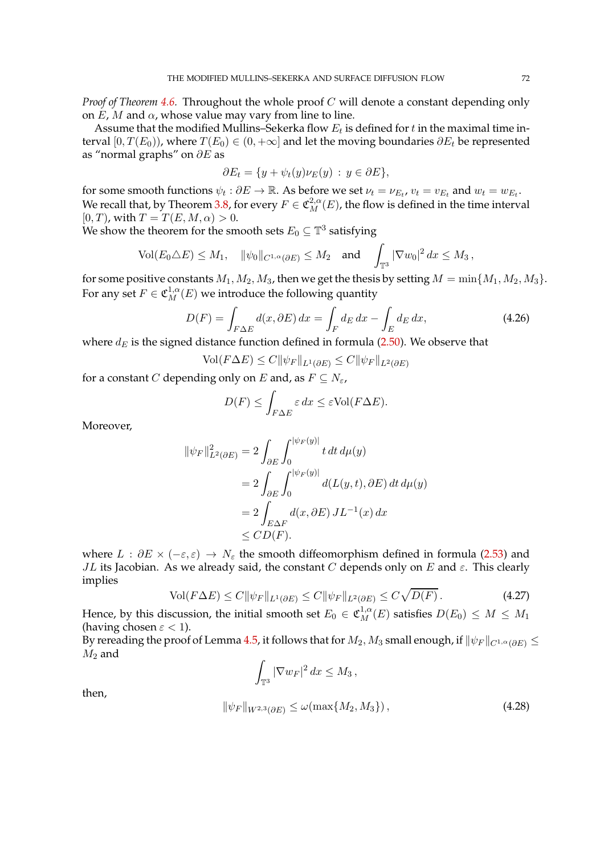*Proof of Theorem [4.6.](#page-70-0)* Throughout the whole proof C will denote a constant depending only on  $E$ ,  $M$  and  $\alpha$ , whose value may vary from line to line.

Assume that the modified Mullins–Sekerka flow  $E_t$  is defined for  $t$  in the maximal time interval [0,  $T(E_0)$ ], where  $T(E_0) \in (0, +\infty]$  and let the moving boundaries  $\partial E_t$  be represented as "normal graphs" on  $\partial E$  as

$$
\partial E_t = \{ y + \psi_t(y)\nu_E(y) : y \in \partial E \},\
$$

for some smooth functions  $\psi_t : \partial E \to \mathbb{R}$ . As before we set  $\nu_t = \nu_{E_t}$ ,  $v_t = v_{E_t}$  and  $w_t = w_{E_t}$ . We recall that, by Theorem [3.8,](#page-55-0) for every  $F \in \mathfrak{C}_M^{2,\alpha}(E)$ , the flow is defined in the time interval  $[0, T)$ , with  $T = T(E, M, \alpha) > 0$ .

We show the theorem for the smooth sets  $E_0 \subseteq \mathbb{T}^3$  satisfying

$$
\text{Vol}(E_0 \triangle E) \leq M_1, \quad \|\psi_0\|_{C^{1,\alpha}(\partial E)} \leq M_2 \quad \text{and} \quad \int_{\mathbb{T}^3} |\nabla w_0|^2 \, dx \leq M_3 \,,
$$

for some positive constants  $M_1, M_2, M_3$ , then we get the thesis by setting  $M = \min\{M_1, M_2, M_3\}.$ For any set  $F \in \mathfrak{C}^{1,\alpha}_M(E)$  we introduce the following quantity

$$
D(F) = \int_{F\Delta E} d(x, \partial E) dx = \int_{F} d_E dx - \int_{E} d_E dx,
$$
\n(4.26)

where  $d_E$  is the signed distance function defined in formula [\(2.50\)](#page-27-6). We observe that

$$
\text{Vol}(F\Delta E) \le C \|\psi_F\|_{L^1(\partial E)} \le C \|\psi_F\|_{L^2(\partial E)}
$$

for a constant C depending only on E and, as  $F \subseteq N_{\varepsilon}$ ,

$$
D(F) \le \int_{F\Delta E} \varepsilon \, dx \le \varepsilon \text{Vol}(F\Delta E).
$$

Moreover,

$$
\|\psi_F\|_{L^2(\partial E)}^2 = 2 \int_{\partial E} \int_0^{|\psi_F(y)|} t \, dt \, d\mu(y)
$$
  
= 
$$
2 \int_{\partial E} \int_0^{|\psi_F(y)|} d(L(y, t), \partial E) \, dt \, d\mu(y)
$$
  
= 
$$
2 \int_{E \Delta F} d(x, \partial E) J L^{-1}(x) \, dx
$$
  
\$\leq C D(F).

where  $L : \partial E \times (-\varepsilon, \varepsilon) \to N_{\varepsilon}$  the smooth diffeomorphism defined in formula [\(2.53\)](#page-27-4) and JL its Jacobian. As we already said, the constant C depends only on E and  $\varepsilon$ . This clearly implies

$$
\text{Vol}(F\Delta E) \le C \|\psi_F\|_{L^1(\partial E)} \le C \|\psi_F\|_{L^2(\partial E)} \le C \sqrt{D(F)}\,. \tag{4.27}
$$

Hence, by this discussion, the initial smooth set  $E_0 \in \mathfrak{C}_M^{1,\alpha}(E)$  satisfies  $D(E_0) \leq M \leq M_1$ (having chosen  $\varepsilon$  < 1).

By rereading the proof of Lemma [4.5,](#page-67-0) it follows that for  $M_2$ ,  $M_3$  small enough, if  $\|\psi_F\|_{C^{1,\alpha}(\partial E)} \le$  $M_2$  and

$$
\int_{\mathbb{T}^3} |\nabla w_F|^2 dx \le M_3,
$$

then,

$$
\|\psi_F\|_{W^{2,3}(\partial E)} \le \omega(\max\{M_2, M_3\}),\tag{4.28}
$$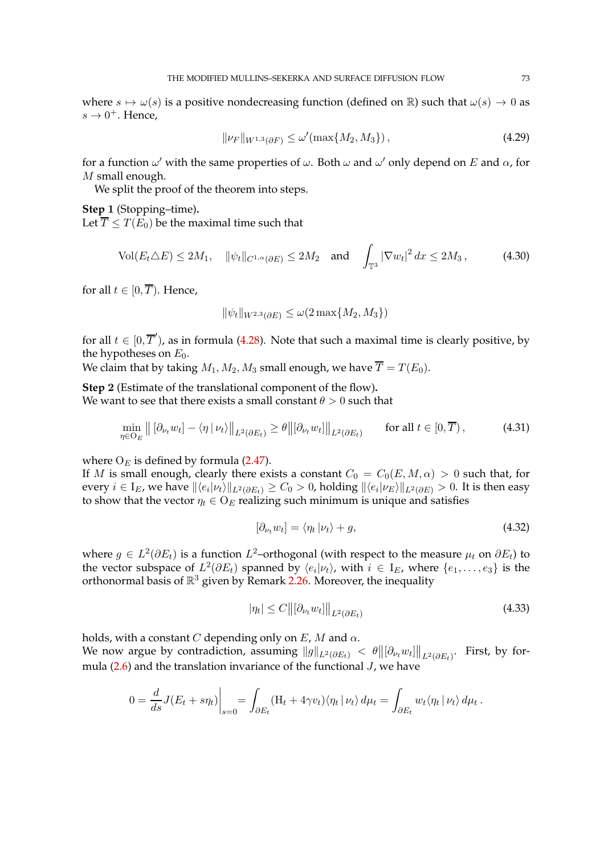where  $s \mapsto \omega(s)$  is a positive nondecreasing function (defined on R) such that  $\omega(s) \to 0$  as  $s \to 0^+$ . Hence,

<span id="page-72-1"></span>
$$
\|\nu_{F}\|_{W^{1,3}(\partial F)} \le \omega'(\max\{M_2, M_3\}),\tag{4.29}
$$

for a function  $\omega'$  with the same properties of  $\omega$ . Both  $\omega$  and  $\omega'$  only depend on  $E$  and  $\alpha$ , for M small enough.

We split the proof of the theorem into steps.

**Step** 1 (Stopping–time)**.** Let  $\overline{T} \leq T(E_0)$  be the maximal time such that

$$
\text{Vol}(E_t \triangle E) \le 2M_1, \quad \|\psi_t\|_{C^{1,\alpha}(\partial E)} \le 2M_2 \quad \text{and} \quad \int_{\mathbb{T}^3} |\nabla w_t|^2 \, dx \le 2M_3 \,, \tag{4.30}
$$

for all  $t \in [0, \overline{T})$ . Hence,

<span id="page-72-4"></span>
$$
\|\psi_t\|_{W^{2,3}(\partial E)} \le \omega(2\max\{M_2, M_3\})
$$

for all  $t \in [0, \overline{T}$ , as in formula [\(4.28\)](#page-71-0). Note that such a maximal time is clearly positive, by the hypotheses on  $E_0$ .

We claim that by taking  $M_1, M_2, M_3$  small enough, we have  $\overline{T} = T(E_0)$ .

**Step** 2 (Estimate of the translational component of the flow)**.** We want to see that there exists a small constant  $\theta > 0$  such that

$$
\min_{\eta \in O_E} \left\| \left[ \partial_{\nu_t} w_t \right] - \langle \eta \, | \, \nu_t \rangle \right\|_{L^2(\partial E_t)} \ge \theta \left\| \left[ \partial_{\nu_t} w_t \right] \right\|_{L^2(\partial E_t)} \qquad \text{for all } t \in [0, \overline{T}), \tag{4.31}
$$

where  $O_E$  is defined by formula [\(2.47\)](#page-27-0).

If M is small enough, clearly there exists a constant  $C_0 = C_0(E, M, \alpha) > 0$  such that, for every  $i\in I_E$ , we have  $\|\langle e_i|\nu_t\rangle\|_{L^2(\partial E_t)}\geq C_0>0$ , holding  $\|\langle e_i|\nu_E\rangle\|_{L^2(\partial E)}>0$ . It is then easy to show that the vector  $\eta_t \in O_E$  realizing such minimum is unique and satisfies

<span id="page-72-3"></span><span id="page-72-0"></span>
$$
[\partial_{\nu_t} w_t] = \langle \eta_t | \nu_t \rangle + g,\tag{4.32}
$$

where  $g \in L^2(\partial E_t)$  is a function  $L^2$ -orthogonal (with respect to the measure  $\mu_t$  on  $\partial E_t$ ) to the vector subspace of  $L^2(\partial E_t)$  spanned by  $\langle e_i | \nu_t \rangle$ , with  $i \in I_E$ , where  $\{e_1, \ldots, e_3\}$  is the orthonormal basis of  $\mathbb{R}^3$  given by Remark [2.26.](#page-27-1) Moreover, the inequality

<span id="page-72-2"></span>
$$
|\eta_t| \le C \left\| \left[\partial_{\nu_t} w_t \right] \right\|_{L^2(\partial E_t)} \tag{4.33}
$$

holds, with a constant C depending only on  $E$ , M and  $\alpha$ . We now argue by contradiction, assuming  $\|g\|_{L^2(\partial E_t)} < \theta \big\|[\partial_{\nu_t}w_t]\big\|_{L^2(\partial E_t)}$ . First, by formula  $(2.6)$  and the translation invariance of the functional  $J$ , we have

$$
0 = \frac{d}{ds} J(E_t + s\eta_t) \Big|_{s=0} = \int_{\partial E_t} (H_t + 4\gamma v_t) \langle \eta_t | \nu_t \rangle d\mu_t = \int_{\partial E_t} w_t \langle \eta_t | \nu_t \rangle d\mu_t.
$$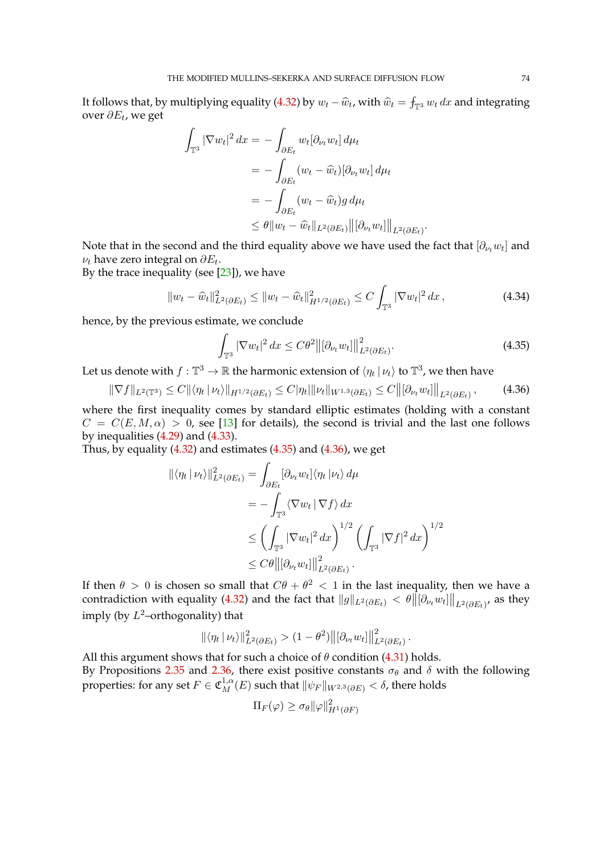It follows that, by multiplying equality [\(4.32\)](#page-72-0) by  $w_t - \widehat{w}_t$ , with  $\widehat{w}_t = \int_{\mathbb{T}^3} w_t dx$  and integrating over  $\partial E_t$ , we get

$$
\int_{\mathbb{T}^3} |\nabla w_t|^2 dx = - \int_{\partial E_t} w_t [\partial_{\nu_t} w_t] d\mu_t
$$
  
= 
$$
- \int_{\partial E_t} (w_t - \widehat{w}_t) [\partial_{\nu_t} w_t] d\mu_t
$$
  
= 
$$
- \int_{\partial E_t} (w_t - \widehat{w}_t) g d\mu_t
$$
  

$$
\leq \theta \|w_t - \widehat{w}_t\|_{L^2(\partial E_t)} \|[\partial_{\nu_t} w_t] \|_{L^2(\partial E_t)}.
$$

Note that in the second and the third equality above we have used the fact that  $[\partial_{\nu_t}w_t]$  and  $\nu_t$  have zero integral on  $\partial E_t.$ 

By the trace inequality (see  $[23]$ ), we have

$$
||w_t - \widehat{w}_t||_{L^2(\partial E_t)}^2 \le ||w_t - \widehat{w}_t||_{H^{1/2}(\partial E_t)}^2 \le C \int_{\mathbb{T}^3} |\nabla w_t|^2 dx,
$$
\n(4.34)

hence, by the previous estimate, we conclude

<span id="page-73-2"></span><span id="page-73-0"></span>
$$
\int_{\mathbb{T}^3} |\nabla w_t|^2 dx \le C\theta^2 \left\| [\partial_{\nu_t} w_t] \right\|_{L^2(\partial E_t)}^2.
$$
\n(4.35)

<span id="page-73-1"></span>.

Let us denote with  $f:\mathbb{T}^3\to\mathbb{R}$  the harmonic extension of  $\langle\eta_t\,|\,\nu_t\rangle$  to  $\mathbb{T}^3$ , we then have

$$
\|\nabla f\|_{L^{2}(\mathbb{T}^{3})} \leq C \|\langle \eta_{t} | \nu_{t} \rangle\|_{H^{1/2}(\partial E_{t})} \leq C |\eta_{t}| \|\nu_{t}\|_{W^{1,3}(\partial E_{t})} \leq C \|\langle \partial_{\nu_{t}} w_{t} \rangle\|_{L^{2}(\partial E_{t})}, \tag{4.36}
$$

where the first inequality comes by standard elliptic estimates (holding with a constant  $C = C(E, M, \alpha) > 0$ , see [\[13\]](#page-96-0) for details), the second is trivial and the last one follows by inequalities  $(4.29)$  and  $(4.33)$ .

Thus, by equality  $(4.32)$  and estimates  $(4.35)$  and  $(4.36)$ , we get

$$
\begin{split} \|\langle \eta_t | \nu_t \rangle \|_{L^2(\partial E_t)}^2 &= \int_{\partial E_t} [\partial_{\nu_t} w_t] \langle \eta_t | \nu_t \rangle \, d\mu \\ &= - \int_{\mathbb{T}^3} \langle \nabla w_t | \nabla f \rangle \, dx \\ &\le \left( \int_{\mathbb{T}^3} |\nabla w_t|^2 \, dx \right)^{1/2} \left( \int_{\mathbb{T}^3} |\nabla f|^2 \, dx \right)^{1/2} \\ &\le C\theta \big\| [\partial_{\nu_t} w_t] \big\|_{L^2(\partial E_t)}^2 \,. \end{split}
$$

If then  $\theta > 0$  is chosen so small that  $C\theta + \theta^2 < 1$  in the last inequality, then we have a contradiction with equality [\(4.32\)](#page-72-0) and the fact that  $\|g\|_{L^2(\partial E_t)}<\theta\big\|[\partial_{\nu_t}w_t]\big\|_{L^2(\partial E_t)}$ , as they imply (by  $L^2$ -orthogonality) that

$$
\|\langle \eta_t | \nu_t \rangle\|_{L^2(\partial E_t)}^2 > (1 - \theta^2) \big\| \big[\partial_{\nu_t} w_t \big] \big\|_{L^2(\partial E_t)}^2
$$

All this argument shows that for such a choice of  $\theta$  condition [\(4.31\)](#page-72-3) holds. By Propositions [2.35](#page-47-0) and [2.36,](#page-49-0) there exist positive constants  $\sigma_{\theta}$  and  $\delta$  with the following properties: for any set  $F\in \mathfrak{C}^{1,\alpha}_M(E)$  such that  $\|\psi_F\|_{W^{2,3}(\partial E)}<\delta$ , there holds

$$
\Pi_F(\varphi)\geq \sigma_\theta\|\varphi\|_{H^1(\partial F)}^2
$$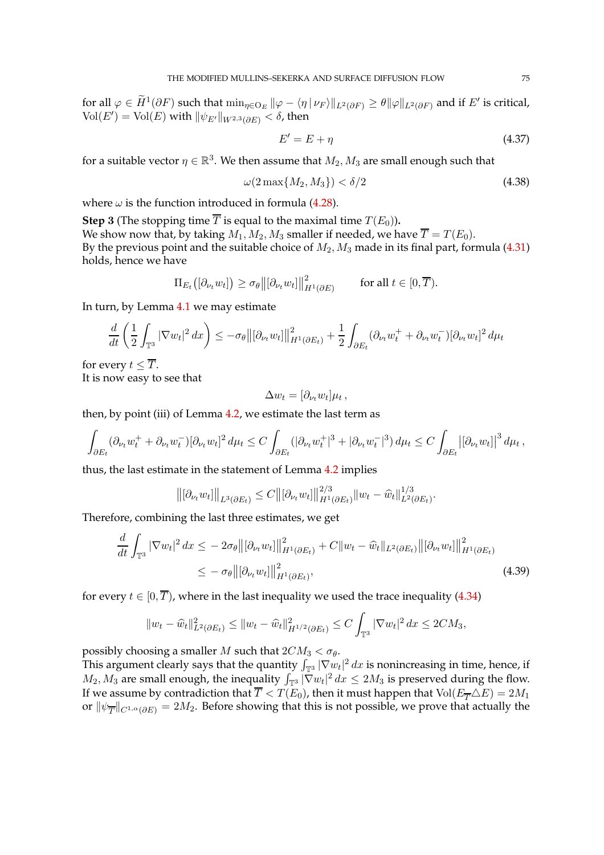for all  $\varphi \in \widetilde{H}^1(\partial F)$  such that  $\min_{\eta \in \mathrm{O}_E} \|\varphi - \bra{\eta}\nu_F\rangle\|_{L^2(\partial F)} \geq \theta \|\varphi\|_{L^2(\partial F)}$  and if  $E'$  is critical,  $\text{Vol}(E') = \text{Vol}(E)$  with  $\|\psi_{E'}\|_{W^{2,3}(\partial E)} < \delta$ , then

<span id="page-74-2"></span><span id="page-74-1"></span>
$$
E' = E + \eta \tag{4.37}
$$

for a suitable vector  $\eta \in \mathbb{R}^3$ . We then assume that  $M_2, M_3$  are small enough such that

$$
\omega(2\max\{M_2, M_3\}) < \delta/2\tag{4.38}
$$

where  $\omega$  is the function introduced in formula [\(4.28\)](#page-71-0).

**Step 3** (The stopping time  $\overline{T}$  is equal to the maximal time  $T(E_0)$ ). We show now that, by taking  $M_1, M_2, M_3$  smaller if needed, we have  $\overline{T} = T(E_0)$ . By the previous point and the suitable choice of  $M_2$ ,  $M_3$  made in its final part, formula [\(4.31\)](#page-72-3) holds, hence we have

$$
\Pi_{E_t}\bigl([\partial_{\nu_t} w_t]\bigr) \geq \sigma_\theta \bigl\| [\partial_{\nu_t} w_t] \bigr\|_{H^1(\partial E)}^2 \qquad \text{ for all } t \in [0,\overline{T}).
$$

In turn, by Lemma [4.1](#page-57-0) we may estimate

$$
\frac{d}{dt}\left(\frac{1}{2}\int_{\mathbb{T}^3}|\nabla w_t|^2\,dx\right)\leq -\sigma_\theta \big\|[\partial_{\nu_t}w_t]\big\|_{H^1(\partial E_t)}^2+\frac{1}{2}\int_{\partial E_t}(\partial_{\nu_t}w_t^+ + \partial_{\nu_t}w_t^-)[\partial_{\nu_t}w_t]^2\,d\mu_t
$$

for every  $t \leq \overline{T}$ . It is now easy to see that

<span id="page-74-0"></span>
$$
\Delta w_t = [\partial_{\nu_t} w_t] \mu_t,
$$

then, by point (iii) of Lemma [4.2,](#page-59-0) we estimate the last term as

$$
\int_{\partial E_t} (\partial_{\nu_t} w_t^+ + \partial_{\nu_t} w_t^-) [\partial_{\nu_t} w_t]^2 d\mu_t \leq C \int_{\partial E_t} (|\partial_{\nu_t} w_t^+|^3 + |\partial_{\nu_t} w_t^-|^3) d\mu_t \leq C \int_{\partial E_t} |[\partial_{\nu_t} w_t]|^3 d\mu_t,
$$

thus, the last estimate in the statement of Lemma [4.2](#page-59-0) implies

$$
\left\|[\partial_{\nu_t} w_t]\right\|_{L^3(\partial E_t)} \leq C \left\|[\partial_{\nu_t} w_t]\right\|_{H^1(\partial E_t)}^{2/3} \|w_t - \widehat{w}_t\|_{L^2(\partial E_t)}^{1/3}.
$$

Therefore, combining the last three estimates, we get

$$
\frac{d}{dt} \int_{\mathbb{T}^3} |\nabla w_t|^2 dx \le -2\sigma_\theta \left\| [\partial_{\nu_t} w_t] \right\|_{H^1(\partial E_t)}^2 + C \|w_t - \widehat{w}_t\|_{L^2(\partial E_t)} \left\| [\partial_{\nu_t} w_t] \right\|_{H^1(\partial E_t)}^2
$$
\n
$$
\le -\sigma_\theta \left\| [\partial_{\nu_t} w_t] \right\|_{H^1(\partial E_t)}^2,
$$
\n(4.39)

for every  $t \in [0, \overline{T})$ , where in the last inequality we used the trace inequality [\(4.34\)](#page-73-2)

$$
||w_t - \widehat{w}_t||_{L^2(\partial E_t)}^2 \le ||w_t - \widehat{w}_t||_{H^{1/2}(\partial E_t)}^2 \le C \int_{\mathbb{T}^3} |\nabla w_t|^2 dx \le 2CM_3,
$$

possibly choosing a smaller M such that  $2CM_3 < \sigma_{\theta}$ .

This argument clearly says that the quantity  $\int_{\mathbb{T}^3} |\nabla w_t|^2\,dx$  is nonincreasing in time, hence, if  $M_2, M_3$  are small enough, the inequality  $\int_{\mathbb{T}^3} |\nabla w_t|^2 dx \le 2M_3$  is preserved during the flow. If we assume by contradiction that  $\overline{T} < T(E_0)$ , then it must happen that  $Vol(E_{\overline{T}} \triangle E) = 2M_1$ or  $\|\psi_{\overline{T}}\|_{C^{1,\alpha}(\partial E)}=2M_2.$  Before showing that this is not possible, we prove that actually the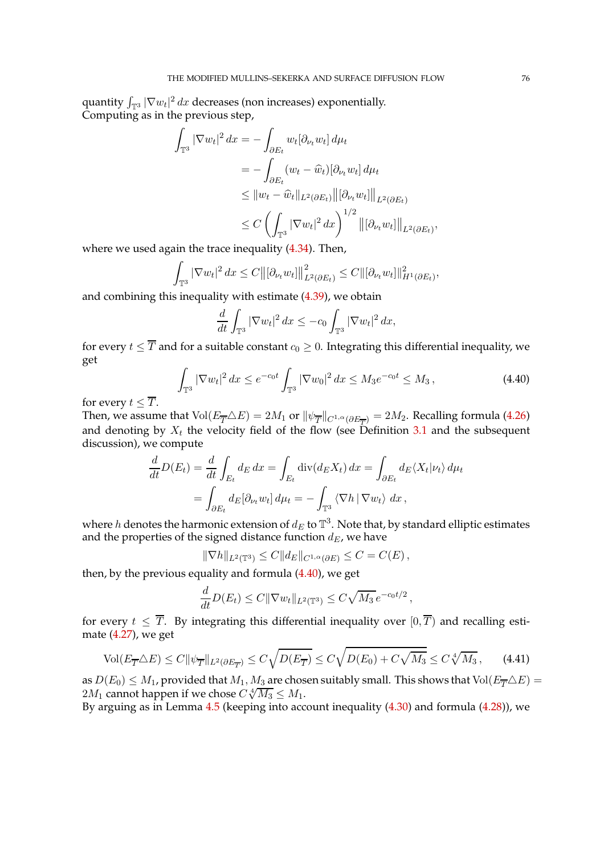quantity  $\int_{\mathbb{T}^3} |\nabla w_t|^2\,dx$  decreases (non increases) exponentially. Computing as in the previous step,

$$
\int_{\mathbb{T}^3} |\nabla w_t|^2 dx = - \int_{\partial E_t} w_t [\partial_{\nu_t} w_t] d\mu_t
$$
  
\n
$$
= - \int_{\partial E_t} (w_t - \widehat{w}_t) [\partial_{\nu_t} w_t] d\mu_t
$$
  
\n
$$
\leq ||w_t - \widehat{w}_t||_{L^2(\partial E_t)} ||[\partial_{\nu_t} w_t]||_{L^2(\partial E_t)}
$$
  
\n
$$
\leq C \left( \int_{\mathbb{T}^3} |\nabla w_t|^2 dx \right)^{1/2} ||[\partial_{\nu_t} w_t]||_{L^2(\partial E_t)},
$$

where we used again the trace inequality [\(4.34\)](#page-73-2). Then,

$$
\int_{\mathbb{T}^3} |\nabla w_t|^2 dx \leq C \big\| \big[\partial_{\nu_t} w_t \big] \big\|_{L^2(\partial E_t)}^2 \leq C \big\| \big[\partial_{\nu_t} w_t \big] \big\|_{H^1(\partial E_t)}^2,
$$

and combining this inequality with estimate [\(4.39\)](#page-74-0), we obtain

<span id="page-75-0"></span>
$$
\frac{d}{dt} \int_{\mathbb{T}^3} |\nabla w_t|^2 dx \le -c_0 \int_{\mathbb{T}^3} |\nabla w_t|^2 dx,
$$

for every  $t \leq \overline{T}$  and for a suitable constant  $c_0 \geq 0$ . Integrating this differential inequality, we get

$$
\int_{\mathbb{T}^3} |\nabla w_t|^2 \, dx \le e^{-c_0 t} \int_{\mathbb{T}^3} |\nabla w_0|^2 \, dx \le M_3 e^{-c_0 t} \le M_3,
$$
\n(4.40)

for every  $t \leq \overline{T}$ .

Then, we assume that  $\text{Vol}(E_{\overline{T}}\triangle E)=2M_1$  or  $\|\psi_{\overline{T}}\|_{C^{1,\alpha}(\partial E_{\overline{T}})}=2M_2.$  Recalling formula [\(4.26\)](#page-71-1) and denoting by  $X_t$  the velocity field of the flow (see Definition [3.1](#page-50-0) and the subsequent discussion), we compute

$$
\frac{d}{dt}D(E_t) = \frac{d}{dt} \int_{E_t} dE dx = \int_{E_t} \operatorname{div}(dE_x) dx = \int_{\partial E_t} dE \langle X_t | \nu_t \rangle d\mu_t
$$

$$
= \int_{\partial E_t} dE [\partial_{\nu_t} w_t] d\mu_t = - \int_{\mathbb{T}^3} \langle \nabla h | \nabla w_t \rangle dx,
$$

where  $h$  denotes the harmonic extension of  $d_E$  to  $\mathbb{T}^3.$  Note that, by standard elliptic estimates and the properties of the signed distance function  $d_E$ , we have

$$
\|\nabla h\|_{L^2(\mathbb{T}^3)} \leq C \|d_E\|_{C^{1,\alpha}(\partial E)} \leq C = C(E),
$$

then, by the previous equality and formula [\(4.40\)](#page-75-0), we get

<span id="page-75-1"></span>
$$
\frac{d}{dt}D(E_t) \leq C \|\nabla w_t\|_{L^2(\mathbb{T}^3)} \leq C\sqrt{M_3} e^{-c_0t/2},
$$

for every  $t \leq \overline{T}$ . By integrating this differential inequality over  $[0, \overline{T})$  and recalling estimate [\(4.27\)](#page-71-2), we get

$$
\text{Vol}(E_{\overline{T}}\triangle E) \le C \|\psi_{\overline{T}}\|_{L^2(\partial E_{\overline{T}})} \le C\sqrt{D(E_{\overline{T}})} \le C\sqrt{D(E_0) + C\sqrt{M_3}} \le C\sqrt[4]{M_3},\tag{4.41}
$$

as  $D(E_0) \leq M_1$ , provided that  $M_1, M_3$  are chosen suitably small. This shows that Vol $(E_{\overline{T}} \triangle E)$  =  $2M_1$  cannot happen if we chose  $C\sqrt[4]{M_3} \leq M_1$ .

By arguing as in Lemma  $4.5$  (keeping into account inequality  $(4.30)$  and formula  $(4.28)$ ), we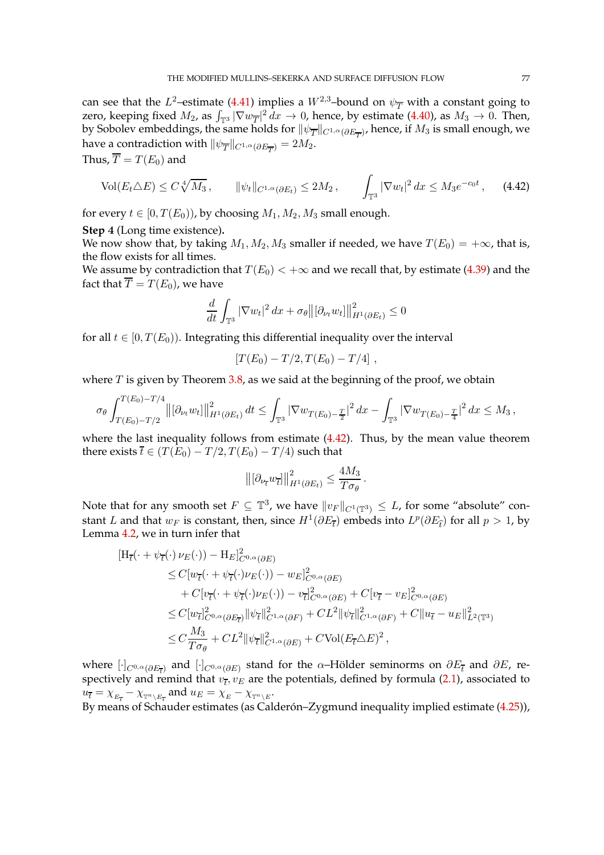can see that the L<sup>2</sup>-estimate [\(4.41\)](#page-75-1) implies a  $W^{2,3}$ -bound on  $\psi_{\overline{T}}$  with a constant going to zero, keeping fixed  $M_2$ , as  $\int_{\mathbb{T}^3} |\nabla w_{\overline{T}}|^2 dx \to 0$ , hence, by estimate [\(4.40\)](#page-75-0), as  $M_3 \to 0$ . Then, by Sobolev embeddings, the same holds for  $\|\psi_{\overline{T}}\|_{C^{1,\alpha}(\partial E_{\overline{T}})}$ , hence, if  $M_3$  is small enough, we have a contradiction with  $\|\psi_{\overline{T}}\|_{C^{1,\alpha}(\partial E_{\overline{T}})}=2M_2.$ 

Thus,  $\overline{T} = T(E_0)$  and

$$
\text{Vol}(E_t \triangle E) \le C \sqrt[4]{M_3}, \qquad \|\psi_t\|_{C^{1,\alpha}(\partial E_t)} \le 2M_2, \qquad \int_{\mathbb{T}^3} |\nabla w_t|^2 \, dx \le M_3 e^{-c_0 t}, \qquad (4.42)
$$

for every  $t \in [0, T(E_0))$ , by choosing  $M_1, M_2, M_3$  small enough.

**Step** 4 (Long time existence)**.**

We now show that, by taking  $M_1, M_2, M_3$  smaller if needed, we have  $T(E_0) = +\infty$ , that is, the flow exists for all times.

We assume by contradiction that  $T(E_0) < +\infty$  and we recall that, by estimate [\(4.39\)](#page-74-0) and the fact that  $\overline{T} = T(E_0)$ , we have

<span id="page-76-0"></span>
$$
\frac{d}{dt} \int_{\mathbb{T}^3} |\nabla w_t|^2 \, dx + \sigma_\theta ||[\partial_{\nu_t} w_t]||^2_{H^1(\partial E_t)} \le 0
$$

for all  $t \in [0, T(E_0))$ . Integrating this differential inequality over the interval

$$
[T(E_0) - T/2, T(E_0) - T/4],
$$

where  $T$  is given by Theorem [3.8,](#page-55-0) as we said at the beginning of the proof, we obtain

$$
\sigma_{\theta} \int_{T(E_0)-T/2}^{T(E_0)-T/4} \left\| \left[\partial_{\nu_t} w_t\right] \right\|_{H^1(\partial E_t)}^2 dt \leq \int_{\mathbb{T}^3} \left| \nabla w_{T(E_0)-\frac{T}{2}} \right|^2 dx - \int_{\mathbb{T}^3} \left| \nabla w_{T(E_0)-\frac{T}{4}} \right|^2 dx \leq M_3,
$$

where the last inequality follows from estimate [\(4.42\)](#page-76-0). Thus, by the mean value theorem there exists  $\bar{t} \in (T(E_0) - T/2, T(E_0) - T/4)$  such that

$$
\left\| \left[\partial_{\nu_{\overline{t}}} w_{\overline{t}} \right] \right\|_{H^1(\partial E_t)}^2 \leq \frac{4M_3}{T\sigma_\theta}.
$$

Note that for any smooth set  $F \subseteq \mathbb{T}^3$ , we have  $||v_F||_{C^1(\mathbb{T}^3)} \leq L$ , for some "absolute" constant L and that  $w_F$  is constant, then, since  $H^1(\partial E_{\overline{t}})$  embeds into  $L^p(\partial E_{\widehat{t}})$  for all  $p > 1$ , by Lemma [4.2,](#page-59-0) we in turn infer that

$$
\begin{split} \left[\mathbf{H}_{\overline{t}}(\cdot+\psi_{\overline{t}}(\cdot)\,\nu_{E}(\cdot))-\mathbf{H}_{E}\right]_{C^{0,\alpha}(\partial E)}^{2} \\ &\leq C[w_{\overline{t}}(\cdot+\psi_{\overline{t}}(\cdot)\nu_{E}(\cdot))-w_{E}\right]_{C^{0,\alpha}(\partial E)}^{2} \\ &+C[v_{\overline{t}}(\cdot+\psi_{\overline{t}}(\cdot)\nu_{E}(\cdot))-v_{\overline{t}}\right]_{C^{0,\alpha}(\partial E)}^{2}+C[v_{\overline{t}}-v_{E}\right]_{C^{0,\alpha}(\partial E)}^{2} \\ &\leq C[w_{\overline{t}}\right]_{C^{0,\alpha}(\partial E_{\overline{t}})}^{2}\|\psi_{\overline{t}}\|_{C^{1,\alpha}(\partial F)}^{2}+CL^{2}\|\psi_{\overline{t}}\|_{C^{1,\alpha}(\partial F)}^{2}+C\|u_{\overline{t}}-u_{E}\|_{L^{2}(\mathbb{T}^{3})}^{2} \\ &\leq C\frac{M_{3}}{T\sigma\theta}+CL^{2}\|\psi_{\overline{t}}\|_{C^{1,\alpha}(\partial E)}^{2}+CVol(E_{\overline{t}}\triangle E)^{2}, \end{split}
$$

where  $[\cdot]_{C^{0,\alpha}(\partial E_{\overline{t}})}$  and  $[\cdot]_{C^{0,\alpha}(\partial E)}$  stand for the  $\alpha$ -Hölder seminorms on  $\partial E_{\overline{t}}$  and  $\partial E$ , respectively and remind that  $v_{\overline{t}}, v_E$  are the potentials, defined by formula [\(2.1\)](#page-5-0), associated to  $u_{\overline{t}} = \chi_{_{E_{\overline{t}}}} - \chi_{_{\mathbb{T}^n \setminus E_{\overline{t}}}}$  and  $u_E = \chi_{_E} - \chi_{_{\mathbb{T}^n \setminus E}}.$ 

By means of Schauder estimates (as Calderón–Zygmund inequality implied estimate [\(4.25\)](#page-68-0)),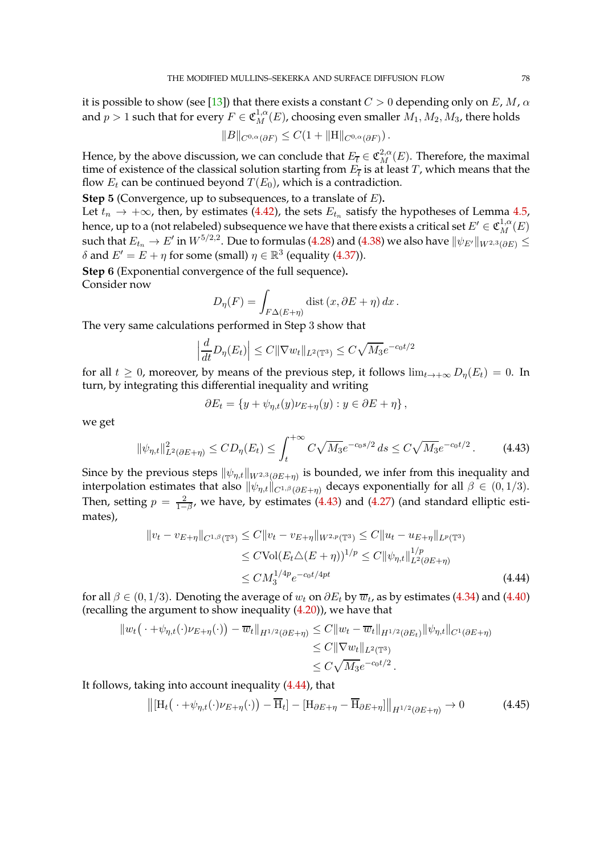it is possible to show (see [\[13\]](#page-96-0)) that there exists a constant  $C > 0$  depending only on E, M,  $\alpha$ and  $p>1$  such that for every  $F\in \mathfrak{C}^{1,\alpha}_M(E)$ , choosing even smaller  $M_1,M_2,M_3$ , there holds

$$
||B||_{C^{0,\alpha}(\partial F)} \leq C(1+||H||_{C^{0,\alpha}(\partial F)}).
$$

Hence, by the above discussion, we can conclude that  $E_{\overline{t}} \in \mathfrak{C}^{2,\alpha}_M(E)$ . Therefore, the maximal time of existence of the classical solution starting from  $E_{\bar{t}}$  is at least  $T$ , which means that the flow  $E_t$  can be continued beyond  $T(E_0)$ , which is a contradiction.

**Step** 5 (Convergence, up to subsequences, to a translate of E)**.**

Let  $t_n \to +\infty$ , then, by estimates [\(4.42\)](#page-76-0), the sets  $E_{t_n}$  satisfy the hypotheses of Lemma [4.5,](#page-67-0) hence, up to a (not relabeled) subsequence we have that there exists a critical set  $E' \in \mathfrak{C}^{1,\alpha}_M(E)$ such that  $E_{t_n}\to E'$  in  $W^{5/2,2}.$  Due to formulas [\(4.28\)](#page-71-0) and [\(4.38\)](#page-74-1) we also have  $\|\psi_{E'}\|_{W^{2,3}(\partial E)}\leq$  $δ$  and  $E' = E + η$  for some (small)  $η ∈ ℝ<sup>3</sup>$  (equality [\(4.37\)](#page-74-2)).

**Step** 6 (Exponential convergence of the full sequence)**.** Consider now

$$
D_{\eta}(F) = \int_{F\Delta(E+\eta)} \text{dist}\,(x,\partial E + \eta) \,dx \,.
$$

The very same calculations performed in Step 3 show that

$$
\left|\frac{d}{dt}D_{\eta}(E_t)\right| \leq C\|\nabla w_t\|_{L^2(\mathbb{T}^3)} \leq C\sqrt{M_3}e^{-c_0t/2}
$$

for all  $t \geq 0$ , moreover, by means of the previous step, it follows  $\lim_{t\to+\infty} D_n(E_t) = 0$ . In turn, by integrating this differential inequality and writing

<span id="page-77-1"></span><span id="page-77-0"></span>
$$
\partial E_t = \{ y + \psi_{\eta,t}(y)\nu_{E+\eta}(y) : y \in \partial E + \eta \},\
$$

we get

$$
\|\psi_{\eta,t}\|_{L^2(\partial E+\eta)}^2 \le CD_{\eta}(E_t) \le \int_t^{+\infty} C\sqrt{M_3}e^{-c_0s/2} ds \le C\sqrt{M_3}e^{-c_0t/2}.
$$
 (4.43)

Since by the previous steps  $\|\psi_{\eta,t}\|_{W^{2,3}(\partial E+\eta)}$  is bounded, we infer from this inequality and interpolation estimates that also  $\|\psi_{\eta,t}\|_{C^{1,\beta}(\partial E+\eta)}$  decays exponentially for all  $\beta \in (0,1/3)$ . Then, setting  $p = \frac{2}{1-p}$  $\frac{2}{1-\beta}$ , we have, by estimates [\(4.43\)](#page-77-0) and [\(4.27\)](#page-71-2) (and standard elliptic estimates),

$$
||v_t - v_{E+\eta}||_{C^{1,\beta}(\mathbb{T}^3)} \le C||v_t - v_{E+\eta}||_{W^{2,p}(\mathbb{T}^3)} \le C||u_t - u_{E+\eta}||_{L^p(\mathbb{T}^3)}
$$
  
\n
$$
\le C \text{Vol}(E_t \triangle (E+\eta))^{1/p} \le C||\psi_{\eta,t}||_{L^2(\partial E+\eta)}^{1/p}
$$
  
\n
$$
\le C M_3^{1/4p} e^{-c_0 t/4pt}
$$
\n(4.44)

for all  $\beta \in (0, 1/3)$ . Denoting the average of  $w_t$  on  $\partial E_t$  by  $\overline{w}_t$ , as by estimates [\(4.34\)](#page-73-2) and [\(4.40\)](#page-75-0) (recalling the argument to show inequality [\(4.20\)](#page-67-1)), we have that

$$
||w_t(\cdot + \psi_{\eta,t}(\cdot)\nu_{E+\eta}(\cdot)) - \overline{w}_t||_{H^{1/2}(\partial E+\eta)} \leq C||w_t - \overline{w}_t||_{H^{1/2}(\partial E_t)}||\psi_{\eta,t}||_{C^1(\partial E+\eta)}
$$
  
\n
$$
\leq C||\nabla w_t||_{L^2(\mathbb{T}^3)}
$$
  
\n
$$
\leq C\sqrt{M_3}e^{-c_0t/2}.
$$

It follows, taking into account inequality [\(4.44\)](#page-77-1), that

<span id="page-77-2"></span>
$$
\left\| \left[\mathbf{H}_t(\cdot + \psi_{\eta,t}(\cdot)\nu_{E+\eta}(\cdot)) - \overline{\mathbf{H}}_t \right] - \left[\mathbf{H}_{\partial E+\eta} - \overline{\mathbf{H}}_{\partial E+\eta} \right] \right\|_{H^{1/2}(\partial E+\eta)} \to 0 \tag{4.45}
$$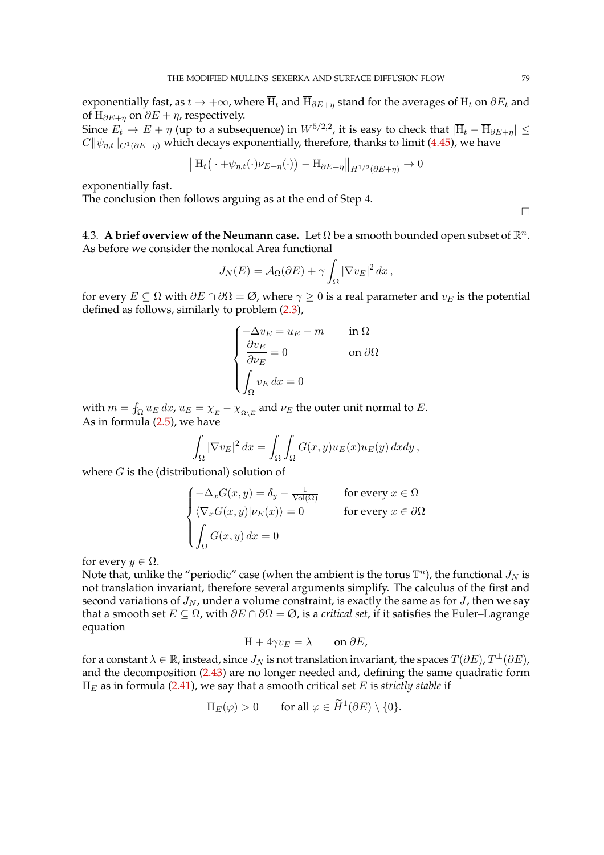exponentially fast, as  $t \to +\infty$ , where  $\overline{H}_t$  and  $\overline{H}_{\partial E+\eta}$  stand for the averages of  $H_t$  on  $\partial E_t$  and of H $_{\partial E+n}$  on  $\partial E + \eta$ , respectively.

Since  $E_t \to E + \eta$  (up to a subsequence) in  $W^{5/2,2}$ , it is easy to check that  $|\overline{H}_t - \overline{H}_{\partial E + \eta}| \le$  $C\|\psi_{\eta,t}\|_{C^1(\partial E+\eta)}$  which decays exponentially, therefore, thanks to limit [\(4.45\)](#page-77-2), we have

$$
\left\| \mathbf{H}_{t} \left( \cdot + \psi_{\eta, t}(\cdot) \nu_{E + \eta}(\cdot) \right) - \mathbf{H}_{\partial E + \eta} \right\|_{H^{1/2}(\partial E + \eta)} \to 0
$$

exponentially fast.

The conclusion then follows arguing as at the end of Step 4.

4.3. A brief overview of the Neumann case. Let  $\Omega$  be a smooth bounded open subset of  $\mathbb{R}^n$ . As before we consider the nonlocal Area functional

$$
J_N(E) = A_{\Omega}(\partial E) + \gamma \int_{\Omega} |\nabla v_E|^2 dx,
$$

for every  $E \subseteq \Omega$  with  $\partial E \cap \partial \Omega = \emptyset$ , where  $\gamma \geq 0$  is a real parameter and  $v_E$  is the potential defined as follows, similarly to problem [\(2.3\)](#page-6-0),

$$
\begin{cases}\n-\Delta v_E = u_E - m & \text{in } \Omega \\
\frac{\partial v_E}{\partial \nu_E} = 0 & \text{on } \partial \Omega \\
\int_{\Omega} v_E dx = 0\n\end{cases}
$$

with  $m = \int_{\Omega} u_E dx$ ,  $u_E = \chi_E - \chi_{\Omega \backslash E}$  and  $\nu_E$  the outer unit normal to E. As in formula [\(2.5\)](#page-6-1), we have

$$
\int_{\Omega} |\nabla v_E|^2 dx = \int_{\Omega} \int_{\Omega} G(x, y) u_E(x) u_E(y) dx dy,
$$

where  $G$  is the (distributional) solution of

$$
\begin{cases}\n-\Delta_x G(x, y) = \delta_y - \frac{1}{\text{Vol}(\Omega)} & \text{for every } x \in \Omega \\
\langle \nabla_x G(x, y) | \nu_E(x) \rangle = 0 & \text{for every } x \in \partial\Omega \\
\int_{\Omega} G(x, y) dx = 0\n\end{cases}
$$

for every  $y \in \Omega$ .

Note that, unlike the "periodic" case (when the ambient is the torus  $\mathbb{T}^n$ ), the functional  $J_N$  is not translation invariant, therefore several arguments simplify. The calculus of the first and second variations of  $J_N$ , under a volume constraint, is exactly the same as for  $J$ , then we say that a smooth set  $E \subseteq \Omega$ , with  $\partial E \cap \partial \Omega = \emptyset$ , is a *critical set*, if it satisfies the Euler–Lagrange equation

$$
H + 4\gamma v_E = \lambda \qquad \text{on } \partial E,
$$

for a constant  $\lambda \in \mathbb{R}$ , instead, since  $J_N$  is not translation invariant, the spaces  $T(\partial E)$ ,  $T^{\perp}(\partial E)$ , and the decomposition [\(2.43\)](#page-25-0) are no longer needed and, defining the same quadratic form  $\Pi_E$  as in formula [\(2.41\)](#page-24-0), we say that a smooth critical set E is *strictly stable* if

$$
\Pi_E(\varphi) > 0 \qquad \text{for all } \varphi \in \widetilde{H}^1(\partial E) \setminus \{0\}.
$$

 $\Box$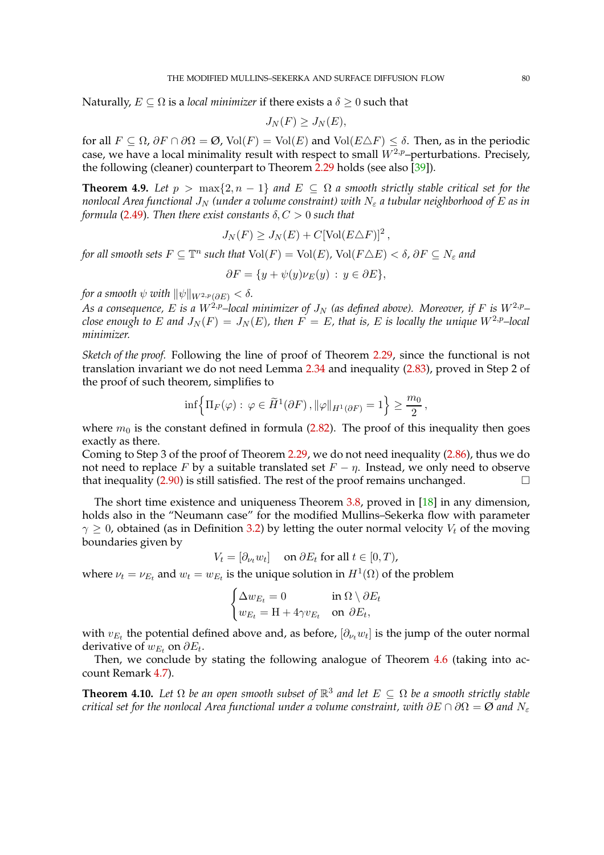Naturally,  $E \subseteq \Omega$  is a *local minimizer* if there exists a  $\delta \geq 0$  such that

$$
J_N(F) \ge J_N(E),
$$

for all  $F \subseteq \Omega$ ,  $\partial F \cap \partial \Omega = \emptyset$ , Vol $(F) = \text{Vol}(E)$  and Vol $(E \triangle F) \le \delta$ . Then, as in the periodic case, we have a local minimality result with respect to small  $W^{2,p}$ –perturbations. Precisely, the following (cleaner) counterpart to Theorem [2.29](#page-29-0) holds (see also [\[39\]](#page-97-1)).

**Theorem 4.9.** *Let*  $p > \max\{2, n - 1\}$  *and*  $E \subseteq \Omega$  *a smooth strictly stable critical set for the nonlocal Area functional*  $J_N$  *(under a volume constraint) with*  $N_{\varepsilon}$  *a tubular neighborhood of E as in formula* [\(2.49\)](#page-27-2)*. Then there exist constants*  $\delta, C > 0$  *such that* 

$$
J_N(F) \geq J_N(E) + C[\text{Vol}(E \triangle F)]^2,
$$

*for all smooth sets*  $F \subseteq \mathbb{T}^n$  *such that*  $Vol(F) = Vol(E)$ ,  $Vol(F \triangle E) < \delta$ ,  $\partial F \subseteq N_{\varepsilon}$  and

$$
\partial F = \{ y + \psi(y)\nu_E(y) \, : \, y \in \partial E \},
$$

*for a smooth*  $\psi$  *with*  $\|\psi\|_{W^{2,p}(\partial E)} < \delta$ *.* 

*As a consequence,* E *is a*  $W^{2,p}$ -local minimizer of  $J_N$  (as defined above). Moreover, if F is  $W^{2,p}$ *close enough to* E and  $J_N(F) = J_N(E)$ , then  $F = E$ , that is, E is locally the unique  $W^{2,p}$ -local *minimizer.*

*Sketch of the proof.* Following the line of proof of Theorem [2.29,](#page-29-0) since the functional is not translation invariant we do not need Lemma [2.34](#page-37-0) and inequality [\(2.83\)](#page-41-0), proved in Step 2 of the proof of such theorem, simplifies to

$$
\inf \Big\{ \Pi_F(\varphi) : \ \varphi \in \widetilde{H}^1(\partial F) \,, \|\varphi\|_{H^1(\partial F)} = 1 \Big\} \ge \frac{m_0}{2} \,,
$$

where  $m_0$  is the constant defined in formula [\(2.82\)](#page-41-1). The proof of this inequality then goes exactly as there.

Coming to Step 3 of the proof of Theorem [2.29,](#page-29-0) we do not need inequality [\(2.86\)](#page-43-0), thus we do not need to replace *F* by a suitable translated set  $F - \eta$ . Instead, we only need to observe that inequality (2.90) is still satisfied. The rest of the proof remains unchanged that inequality [\(2.90\)](#page-45-0) is still satisfied. The rest of the proof remains unchanged.

The short time existence and uniqueness Theorem [3.8,](#page-55-0) proved in [\[18\]](#page-96-1) in any dimension, holds also in the "Neumann case" for the modified Mullins–Sekerka flow with parameter  $\gamma \geq 0$ , obtained (as in Definition [3.2\)](#page-50-1) by letting the outer normal velocity  $V_t$  of the moving boundaries given by

$$
V_t = [\partial_{\nu_t} w_t] \quad \text{ on } \partial E_t \text{ for all } t \in [0, T),
$$

where  $\nu_t = \nu_{E_t}$  and  $w_t = w_{E_t}$  is the unique solution in  $H^1(\Omega)$  of the problem

$$
\begin{cases} \Delta w_{E_t} = 0 & \text{in } \Omega \setminus \partial E_t \\ w_{E_t} = \mathcal{H} + 4\gamma v_{E_t} & \text{on } \partial E_t, \end{cases}
$$

with  $v_{E_t}$  the potential defined above and, as before,  $[\partial_{\nu_t} w_t]$  is the jump of the outer normal derivative of  $w_{E_t}$  on  $\partial E_t$ .

Then, we conclude by stating the following analogue of Theorem [4.6](#page-70-0) (taking into account Remark [4.7\)](#page-70-1).

**Theorem 4.10.** Let  $\Omega$  be an open smooth subset of  $\mathbb{R}^3$  and let  $E \subseteq \Omega$  be a smooth strictly stable *critical set for the nonlocal Area functional under a volume constraint, with*  $\partial E \cap \partial \Omega = \emptyset$  *and*  $N_{\varepsilon}$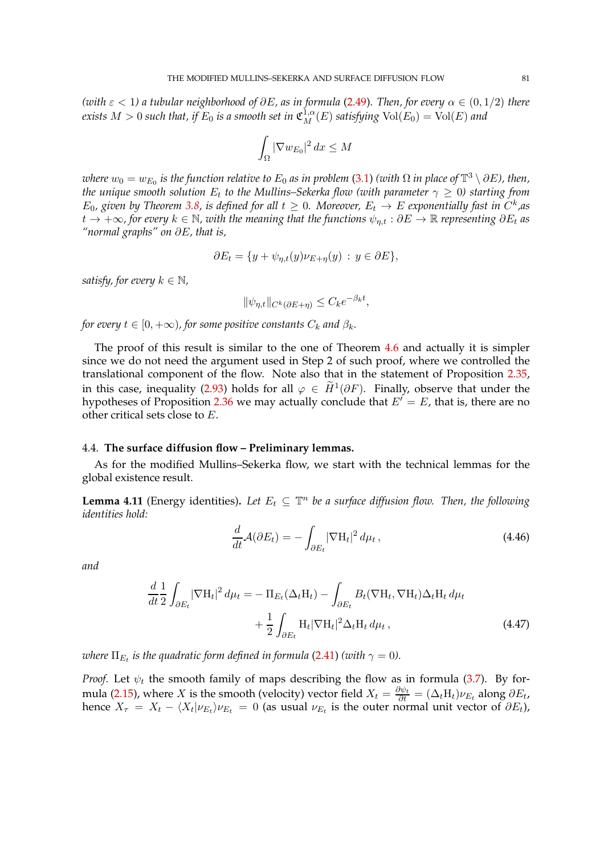*(with*  $\varepsilon$  < 1) a tubular neighborhood of  $\partial E$ , as in formula [\(2.49\)](#page-27-2). Then, for every  $\alpha \in (0, 1/2)$  there  $e$ xists  $M > 0$  such that, if  $E_0$  is a smooth set in  $\mathfrak{C}^{1,\alpha}_M(E)$  satisfying  $\text{Vol}(E_0) = \text{Vol}(E)$  and

$$
\int_{\Omega} |\nabla w_{E_0}|^2 dx \le M
$$

 $where w_0 = w_{E_0}$  is the function relative to  $E_0$  as in problem [\(3.1\)](#page-50-2) *(with*  $\Omega$  *in place of*  $\mathbb{T}^3 \setminus \partial E$ *), then, the unique smooth solution*  $E_t$  *to the Mullins–Sekerka flow (with parameter*  $\gamma \geq 0$ ) *starting from*  $E_0$ , given by Theorem [3.8,](#page-55-0) is defined for all  $t \geq 0$ . Moreover,  $E_t \to E$  exponentially fast in  $C^k$ , as  $t \to +\infty$ , for every  $k \in \mathbb{N}$ , with the meaning that the functions  $\psi_{n,t} : \partial E \to \mathbb{R}$  representing  $\partial E_t$  as *"normal graphs" on* ∂E*, that is,*

$$
\partial E_t = \{ y + \psi_{\eta,t}(y)\nu_{E+\eta}(y) : y \in \partial E \},\
$$

*satisfy, for every*  $k \in \mathbb{N}$ ,

$$
\|\psi_{\eta,t}\|_{C^k(\partial E + \eta)} \le C_k e^{-\beta_k t},
$$

*for every*  $t \in [0, +\infty)$ *, for some positive constants*  $C_k$  *and*  $\beta_k$ *.* 

The proof of this result is similar to the one of Theorem [4.6](#page-70-0) and actually it is simpler since we do not need the argument used in Step 2 of such proof, where we controlled the translational component of the flow. Note also that in the statement of Proposition [2.35,](#page-47-0) in this case, inequality [\(2.93\)](#page-47-1) holds for all  $\varphi \in \widetilde{H}^1(\partial F)$ . Finally, observe that under the hypotheses of Proposition [2.36](#page-49-0) we may actually conclude that  $E' = E$ , that is, there are no other critical sets close to E.

## 4.4. **The surface diffusion flow – Preliminary lemmas.**

As for the modified Mullins–Sekerka flow, we start with the technical lemmas for the global existence result.

<span id="page-80-2"></span>**Lemma 4.11** (Energy identities). Let  $E_t \subseteq \mathbb{T}^n$  be a surface diffusion flow. Then, the following *identities hold:*

<span id="page-80-1"></span><span id="page-80-0"></span>
$$
\frac{d}{dt}\mathcal{A}(\partial E_t) = -\int_{\partial E_t} |\nabla \mathcal{H}_t|^2 \, d\mu_t \,, \tag{4.46}
$$

*and*

$$
\frac{d}{dt} \frac{1}{2} \int_{\partial E_t} |\nabla H_t|^2 d\mu_t = - \Pi_{E_t} (\Delta_t H_t) - \int_{\partial E_t} B_t (\nabla H_t, \nabla H_t) \Delta_t H_t d\mu_t \n+ \frac{1}{2} \int_{\partial E_t} H_t |\nabla H_t|^2 \Delta_t H_t d\mu_t,
$$
\n(4.47)

where  $\Pi_{E_t}$  is the quadratic form defined in formula [\(2.41\)](#page-24-0) (with  $\gamma=0$ ).

*Proof.* Let  $\psi_t$  the smooth family of maps describing the flow as in formula [\(3.7\)](#page-53-0). By for-mula [\(2.15\)](#page-10-0), where X is the smooth (velocity) vector field  $X_t = \frac{\partial \psi_t}{\partial t} = (\Delta_t H_t) \nu_{E_t}$  along  $\partial E_t$ , hence  $X_{\tau} = X_t - \langle X_t | \nu_{E_t} \rangle \nu_{E_t} = 0$  (as usual  $\nu_{E_t}$  is the outer normal unit vector of  $\partial E_t$ ),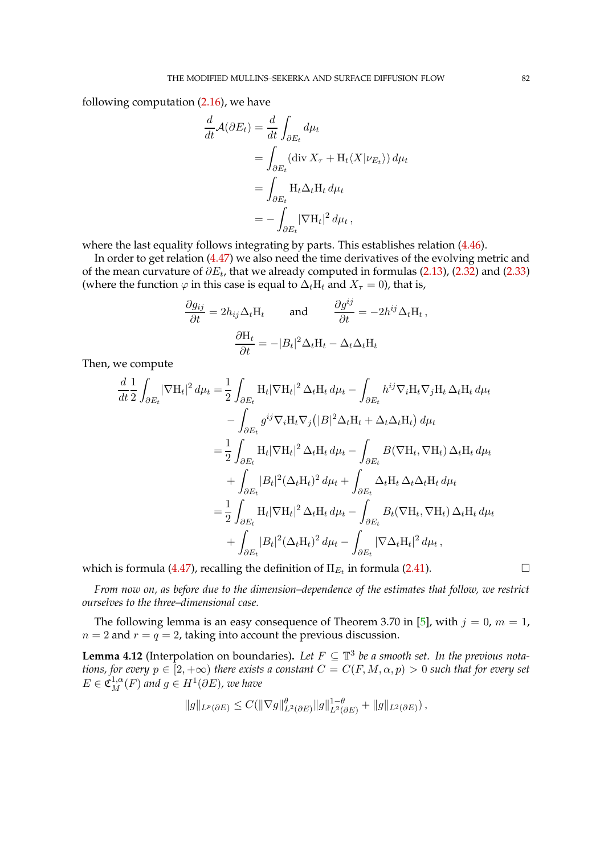following computation [\(2.16\)](#page-11-0), we have

$$
\frac{d}{dt}\mathcal{A}(\partial E_t) = \frac{d}{dt} \int_{\partial E_t} d\mu_t
$$
  
= 
$$
\int_{\partial E_t} (\text{div } X_\tau + H_t \langle X | \nu_{E_t} \rangle) d\mu_t
$$
  
= 
$$
\int_{\partial E_t} H_t \Delta_t H_t d\mu_t
$$
  
= 
$$
- \int_{\partial E_t} |\nabla H_t|^2 d\mu_t,
$$

where the last equality follows integrating by parts. This establishes relation [\(4.46\)](#page-80-0).

In order to get relation [\(4.47\)](#page-80-1) we also need the time derivatives of the evolving metric and of the mean curvature of  $\partial E_t$ , that we already computed in formulas [\(2.13\)](#page-10-1), [\(2.32\)](#page-16-0) and [\(2.33\)](#page-18-0) (where the function  $\varphi$  in this case is equal to  $\Delta_t$ H<sub>t</sub> and  $X_\tau = 0$ ), that is,

$$
\frac{\partial g_{ij}}{\partial t} = 2h_{ij}\Delta_t H_t \quad \text{and} \quad \frac{\partial g^{ij}}{\partial t} = -2h^{ij}\Delta_t H_t,
$$

$$
\frac{\partial H_t}{\partial t} = -|B_t|^2 \Delta_t H_t - \Delta_t \Delta_t H_t
$$

Then, we compute

$$
\frac{d}{dt} \frac{1}{2} \int_{\partial E_t} |\nabla H_t|^2 d\mu_t = \frac{1}{2} \int_{\partial E_t} H_t |\nabla H_t|^2 \Delta_t H_t d\mu_t - \int_{\partial E_t} h^{ij} \nabla_i H_t \nabla_j H_t \Delta_t H_t d\mu_t \n- \int_{\partial E_t} g^{ij} \nabla_i H_t \nabla_j (|B|^2 \Delta_t H_t + \Delta_t \Delta_t H_t) d\mu_t \n= \frac{1}{2} \int_{\partial E_t} H_t |\nabla H_t|^2 \Delta_t H_t d\mu_t - \int_{\partial E_t} B(\nabla H_t, \nabla H_t) \Delta_t H_t d\mu_t \n+ \int_{\partial E_t} |B_t|^2 (\Delta_t H_t)^2 d\mu_t + \int_{\partial E_t} \Delta_t H_t \Delta_t \Delta_t H_t d\mu_t \n= \frac{1}{2} \int_{\partial E_t} H_t |\nabla H_t|^2 \Delta_t H_t d\mu_t - \int_{\partial E_t} B_t(\nabla H_t, \nabla H_t) \Delta_t H_t d\mu_t \n+ \int_{\partial E_t} |B_t|^2 (\Delta_t H_t)^2 d\mu_t - \int_{\partial E_t} |\nabla \Delta_t H_t|^2 d\mu_t,
$$

which is formula [\(4.47\)](#page-80-1), recalling the definition of  $\Pi_{E_t}$  in formula [\(2.41\)](#page-24-0).  $\hfill \Box$ 

*From now on, as before due to the dimension–dependence of the estimates that follow, we restrict ourselves to the three–dimensional case.*

The following lemma is an easy consequence of Theorem 3.70 in [\[5\]](#page-96-2), with  $j = 0$ ,  $m = 1$ ,  $n = 2$  and  $r = q = 2$ , taking into account the previous discussion.

<span id="page-81-0"></span>**Lemma 4.12** (Interpolation on boundaries). Let  $F \subseteq \mathbb{T}^3$  be a smooth set. In the previous nota*tions, for every*  $p \in [2, +\infty)$  *there exists a constant*  $C = C(F, M, \alpha, p) > 0$  *such that for every set*  $E \in \mathfrak{C}^{1,\alpha}_M(F)$  and  $g \in H^1(\partial E)$ , we have

$$
||g||_{L^p(\partial E)} \leq C(||\nabla g||^{\theta}_{L^2(\partial E)} ||g||^{1-\theta}_{L^2(\partial E)} + ||g||_{L^2(\partial E)}),
$$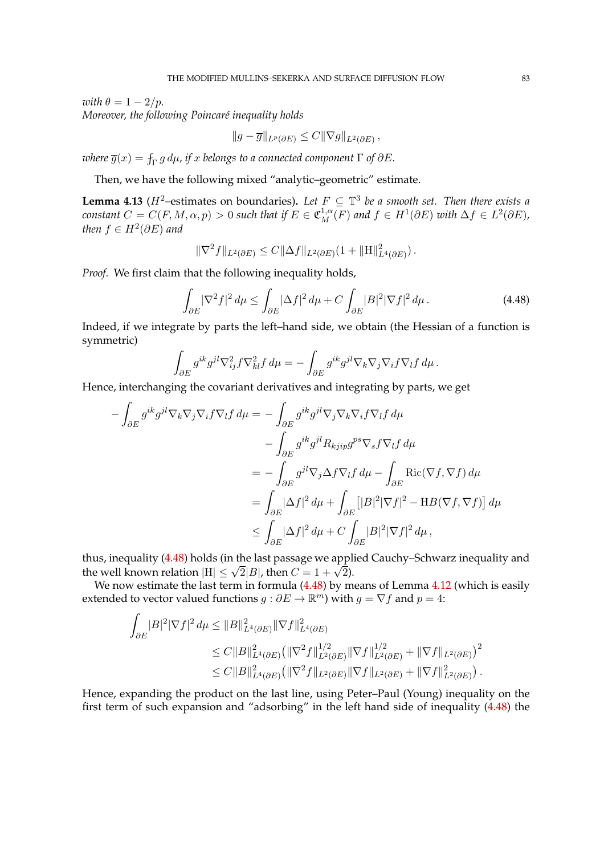*with*  $\theta = 1 - 2/p$ *. Moreover, the following Poincar´e inequality holds*

$$
||g-\overline{g}||_{L^p(\partial E)} \leq C||\nabla g||_{L^2(\partial E)},
$$

 $\overline{g}(x) = \int_{\Gamma} g \, d\mu$ , if  $x$  belongs to a connected component  $\Gamma$  of  $\partial E$ .

Then, we have the following mixed "analytic–geometric" estimate.

<span id="page-82-1"></span>**Lemma 4.13** ( $H^2$ -estimates on boundaries). Let  $F \subseteq \mathbb{T}^3$  be a smooth set. Then there exists a *constant*  $C = C(F, M, \alpha, p) > 0$  *such that if*  $E \in \mathfrak{C}_M^{1,\alpha}(F)$  *and*  $f \in H^1(\partial E)$  *with*  $\Delta f \in L^2(\partial E)$ *,* then  $f \in H^2(\partial E)$  and

<span id="page-82-0"></span>
$$
\|\nabla^2 f\|_{L^2(\partial E)} \leq C \|\Delta f\|_{L^2(\partial E)} (1 + \|H\|_{L^4(\partial E)}^2).
$$

*Proof.* We first claim that the following inequality holds,

$$
\int_{\partial E} |\nabla^2 f|^2 \, d\mu \le \int_{\partial E} |\Delta f|^2 \, d\mu + C \int_{\partial E} |B|^2 |\nabla f|^2 \, d\mu \,. \tag{4.48}
$$

Indeed, if we integrate by parts the left–hand side, we obtain (the Hessian of a function is symmetric)

$$
\int_{\partial E} g^{ik} g^{jl} \nabla_{ij}^2 f \nabla_{kl}^2 f d\mu = - \int_{\partial E} g^{ik} g^{jl} \nabla_k \nabla_j \nabla_i f \nabla_l f d\mu.
$$

Hence, interchanging the covariant derivatives and integrating by parts, we get

$$
-\int_{\partial E} g^{ik} g^{jl} \nabla_k \nabla_j \nabla_i f \nabla_l f d\mu = -\int_{\partial E} g^{ik} g^{jl} \nabla_j \nabla_k \nabla_i f \nabla_l f d\mu
$$
  

$$
-\int_{\partial E} g^{ik} g^{jl} R_{k j i p} g^{p s} \nabla_s f \nabla_l f d\mu
$$
  

$$
= -\int_{\partial E} g^{jl} \nabla_j \Delta f \nabla_l f d\mu - \int_{\partial E} \text{Ric}(\nabla f, \nabla f) d\mu
$$
  

$$
= \int_{\partial E} |\Delta f|^2 d\mu + \int_{\partial E} [|B|^2 |\nabla f|^2 - \text{H}B(\nabla f, \nabla f)] d\mu
$$
  

$$
\leq \int_{\partial E} |\Delta f|^2 d\mu + C \int_{\partial E} |B|^2 |\nabla f|^2 d\mu,
$$

thus, inequality [\(4.48\)](#page-82-0) holds (in the last passage we applied Cauchy–Schwarz inequality and the well known relation  $|H| \le \sqrt{2}|B|$ , then  $C = 1 + \sqrt{2}$ .

We now estimate the last term in formula [\(4.48\)](#page-82-0) by means of Lemma [4.12](#page-81-0) (which is easily extended to vector valued functions  $g : \partial E \to \mathbb{R}^m$ ) with  $g = \nabla f$  and  $p = 4$ :

$$
\int_{\partial E} |B|^2 |\nabla f|^2 d\mu \leq \|B\|_{L^4(\partial E)}^2 \|\nabla f\|_{L^4(\partial E)}^2
$$
  
\n
$$
\leq C \|B\|_{L^4(\partial E)}^2 \left(\|\nabla^2 f\|_{L^2(\partial E)}^{1/2} \|\nabla f\|_{L^2(\partial E)}^{1/2} + \|\nabla f\|_{L^2(\partial E)}^2\right)^2
$$
  
\n
$$
\leq C \|B\|_{L^4(\partial E)}^2 \left(\|\nabla^2 f\|_{L^2(\partial E)} \|\nabla f\|_{L^2(\partial E)} + \|\nabla f\|_{L^2(\partial E)}^2\right).
$$

Hence, expanding the product on the last line, using Peter–Paul (Young) inequality on the first term of such expansion and "adsorbing" in the left hand side of inequality [\(4.48\)](#page-82-0) the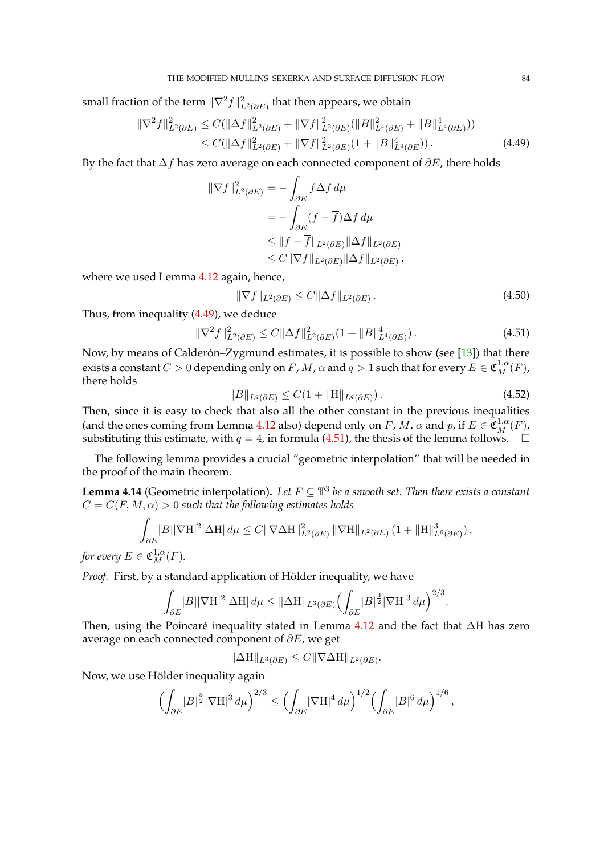small fraction of the term  $\|\nabla^2 f\|_{L^2(\partial E)}^2$  that then appears, we obtain

$$
\|\nabla^2 f\|_{L^2(\partial E)}^2 \le C(\|\Delta f\|_{L^2(\partial E)}^2 + \|\nabla f\|_{L^2(\partial E)}^2 (\|B\|_{L^4(\partial E)}^2 + \|B\|_{L^4(\partial E)}^4))
$$
  
\n
$$
\le C(\|\Delta f\|_{L^2(\partial E)}^2 + \|\nabla f\|_{L^2(\partial E)}^2 (1 + \|B\|_{L^4(\partial E)}^4)).
$$
\n(4.49)

By the fact that  $\Delta f$  has zero average on each connected component of  $\partial E$ , there holds

<span id="page-83-0"></span>
$$
\begin{aligned} \|\nabla f\|_{L^2(\partial E)}^2 &= -\int_{\partial E} f \Delta f \, d\mu \\ &= -\int_{\partial E} (f - \overline{f}) \Delta f \, d\mu \\ &\le \|f - \overline{f}\|_{L^2(\partial E)} \|\Delta f\|_{L^2(\partial E)} \\ &\le C \|\nabla f\|_{L^2(\partial E)} \|\Delta f\|_{L^2(\partial E)}, \end{aligned}
$$

where we used Lemma [4.12](#page-81-0) again, hence,

<span id="page-83-2"></span><span id="page-83-1"></span>
$$
\|\nabla f\|_{L^2(\partial E)} \le C \|\Delta f\|_{L^2(\partial E)}.
$$
\n(4.50)

Thus, from inequality [\(4.49\)](#page-83-0), we deduce

$$
\|\nabla^2 f\|_{L^2(\partial E)}^2 \le C\|\Delta f\|_{L^2(\partial E)}^2 (1 + \|B\|_{L^4(\partial E)}^4). \tag{4.51}
$$

Now, by means of Calder on–Zygmund estimates, it is possible to show (see [\[13\]](#page-96-0)) that there exists a constant  $C>0$  depending only on  $F$ ,  $M$ ,  $\alpha$  and  $q>1$  such that for every  $E\in\mathfrak{C}^{1,\alpha}_M(F)$ , there holds

<span id="page-83-3"></span>
$$
||B||_{L^{q}(\partial E)} \leq C(1 + ||H||_{L^{q}(\partial E)}).
$$
\n(4.52)

Then, since it is easy to check that also all the other constant in the previous inequalities (and the ones coming from Lemma [4.12](#page-81-0) also) depend only on F, M,  $\alpha$  and p, if  $E \in \mathfrak{C}_M^{1,\alpha}(F)$ , substituting this estimate, with  $q = 4$ , in formula [\(4.51\)](#page-83-1), the thesis of the lemma follows.  $\Box$ 

The following lemma provides a crucial "geometric interpolation" that will be needed in the proof of the main theorem.

<span id="page-83-4"></span>**Lemma 4.14** (Geometric interpolation). Let  $F \subseteq \mathbb{T}^3$  be a smooth set. Then there exists a constant  $C = C(F, M, \alpha) > 0$  such that the following estimates holds

$$
\int_{\partial E} |B||\nabla H|^2 |\Delta H| \, d\mu \leq C \|\nabla \Delta H\|_{L^2(\partial E)}^2 \, \|\nabla H\|_{L^2(\partial E)} \left(1 + \|H\|_{L^6(\partial E)}^3\right),
$$

*for every*  $E \in \mathfrak{C}_M^{1,\alpha}(F)$ .

*Proof.* First, by a standard application of Hölder inequality, we have

$$
\int_{\partial E} |B| |\nabla \mathcal{H}|^2 |\Delta \mathcal{H}| \, d\mu \leq \|\Delta \mathcal{H}\|_{L^3(\partial E)} \Big(\int_{\partial E} |B|^{\frac{3}{2}} |\nabla \mathcal{H}|^3 \, d\mu \Big)^{2/3}.
$$

Then, using the Poincaré inequality stated in Lemma [4.12](#page-81-0) and the fact that ∆H has zero average on each connected component of  $\partial E$ , we get

$$
\|\Delta H\|_{L^3(\partial E)} \leq C \|\nabla \Delta H\|_{L^2(\partial E)}.
$$

Now, we use Hölder inequality again

$$
\Bigl(\int_{\partial E} |B|^{\frac{3}{2}} |\nabla \mathcal{H}|^3 \, d\mu\Bigr)^{2/3} \leq \Bigl(\int_{\partial E} |\nabla \mathcal{H}|^4 \, d\mu\Bigr)^{1/2} \Bigl(\int_{\partial E} |B|^6 \, d\mu\Bigr)^{1/6} \, ,
$$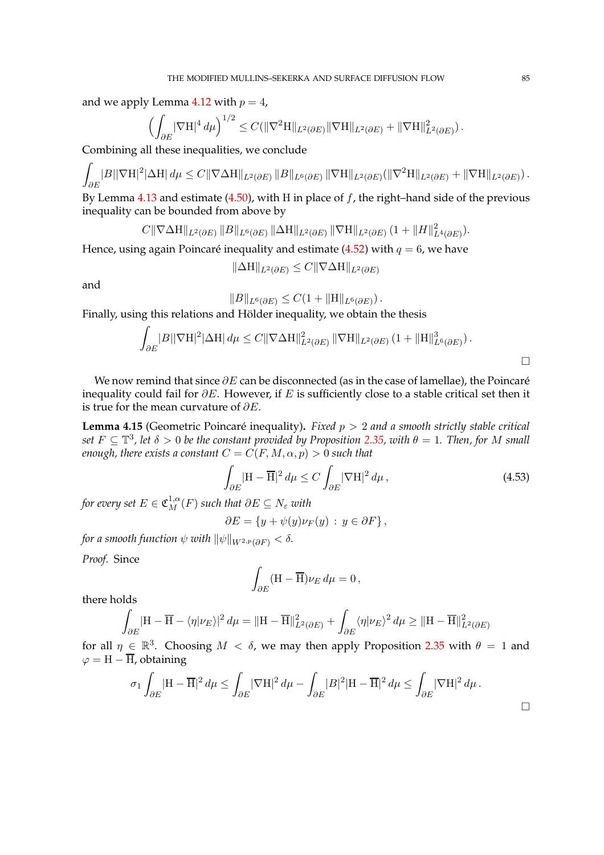and we apply Lemma [4.12](#page-81-0) with  $p = 4$ ,

$$
\left(\int_{\partial E} \lvert \nabla \mathbf{H}\rvert^4\,d\mu\right)^{1/2}\leq C(\lVert \nabla^2\mathbf{H}\rVert_{L^2(\partial E)}\lVert \nabla \mathbf{H}\rVert_{L^2(\partial E)}+\lVert \nabla \mathbf{H}\rVert_{L^2(\partial E)}^2)\,.
$$

Combining all these inequalities, we conclude

$$
\int_{\partial E} |B| |\nabla \mathcal{H}|^2 |\Delta \mathcal{H}| d\mu \leq C \|\nabla \Delta \mathcal{H}\|_{L^2(\partial E)} \|B\|_{L^6(\partial E)} \|\nabla \mathcal{H}\|_{L^2(\partial E)} (\|\nabla^2 \mathcal{H}\|_{L^2(\partial E)} + \|\nabla \mathcal{H}\|_{L^2(\partial E)}).
$$

By Lemma [4.13](#page-82-1) and estimate [\(4.50\)](#page-83-2), with H in place of  $f$ , the right–hand side of the previous inequality can be bounded from above by

$$
C\|\nabla\Delta H\|_{L^2(\partial E)}\,\|B\|_{L^6(\partial E)}\,\|\Delta H\|_{L^2(\partial E)}\,\|\nabla H\|_{L^2(\partial E)}\,(1+\|H\|_{L^4(\partial E)}^2).
$$

Hence, using again Poincaré inequality and estimate [\(4.52\)](#page-83-3) with  $q = 6$ , we have

$$
\|\Delta \mathbf{H}\|_{L^2(\partial E)} \leq C \|\nabla \Delta \mathbf{H}\|_{L^2(\partial E)}
$$

and

$$
||B||_{L^{6}(\partial E)} \leq C(1 + ||H||_{L^{6}(\partial E)}).
$$

Finally, using this relations and Hölder inequality, we obtain the thesis

$$
\int_{\partial E} |B| |\nabla H|^2 |\Delta H| d\mu \leq C \|\nabla \Delta H\|_{L^2(\partial E)}^2 \|\nabla H\|_{L^2(\partial E)} (1 + \|H\|_{L^6(\partial E)}^3).
$$

We now remind that since  $\partial E$  can be disconnected (as in the case of lamellae), the Poincaré inequality could fail for  $\partial E$ . However, if E is sufficiently close to a stable critical set then it is true for the mean curvature of  $\partial E$ .

<span id="page-84-1"></span>**Lemma 4.15** (Geometric Poincar´e inequality)**.** *Fixed* p > 2 *and a smooth strictly stable critical set*  $F \subseteq \mathbb{T}^3$ , let  $\delta > 0$  *be the constant provided by Proposition* [2.35,](#page-47-0) with  $\theta = 1$ . Then, for M small *enough, there exists a constant*  $C = C(F, M, \alpha, p) > 0$  *such that* 

$$
\int_{\partial E} |\mathbf{H} - \overline{\mathbf{H}}|^2 d\mu \le C \int_{\partial E} |\nabla \mathbf{H}|^2 d\mu,
$$
\n(4.53)

for every set  $E \in \mathfrak{C}^{1,\alpha}_M(F)$  such that  $\partial E \subseteq N_\varepsilon$  with

$$
\partial E = \{ y + \psi(y)\nu_F(y) : y \in \partial F \},
$$

*for a smooth function*  $\psi$  *with*  $\|\psi\|_{W^{2,p}(\partial F)} < \delta$ .

*Proof.* Since

$$
\int_{\partial E} (\mathbf{H} - \overline{\mathbf{H}}) \nu_E \, d\mu = 0 \,,
$$

there holds

$$
\int_{\partial E} \left| \mathbf{H} - \overline{\mathbf{H}} - \langle \eta | \nu_E \rangle \right|^2 d\mu = \| \mathbf{H} - \overline{\mathbf{H}} \|^2_{L^2(\partial E)} + \int_{\partial E} \langle \eta | \nu_E \rangle^2 d\mu \ge \| \mathbf{H} - \overline{\mathbf{H}} \|^2_{L^2(\partial E)}
$$

for all  $\eta \in \mathbb{R}^3$ . Choosing  $M < \delta$ , we may then apply Proposition [2.35](#page-47-0) with  $\theta = 1$  and  $\varphi = H - \overline{H}$ , obtaining

$$
\sigma_1 \int_{\partial E} |{\bf H} - \overline{{\bf H}}|^2 \, d\mu \le \int_{\partial E} |\nabla {\bf H}|^2 \, d\mu - \int_{\partial E} |B|^2 |{\bf H} - \overline{{\bf H}}|^2 \, d\mu \le \int_{\partial E} |\nabla {\bf H}|^2 \, d\mu \, .
$$

<span id="page-84-0"></span> $\Box$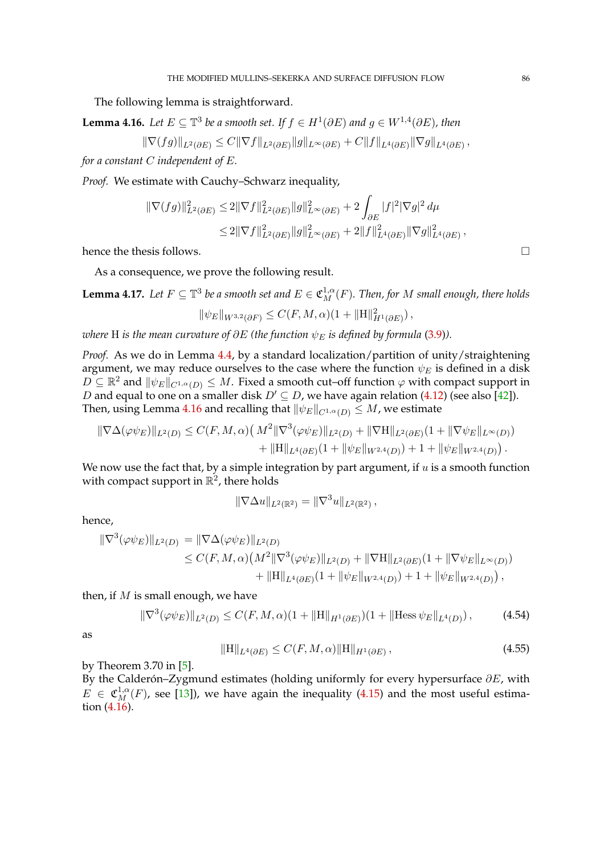The following lemma is straightforward.

<span id="page-85-0"></span>**Lemma 4.16.** Let  $E \subseteq \mathbb{T}^3$  be a smooth set. If  $f \in H^1(\partial E)$  and  $g \in W^{1,4}(\partial E)$ , then

 $\|\nabla(fg)\|_{L^2(\partial E)} \leq C \|\nabla f\|_{L^2(\partial E)} \|g\|_{L^{\infty}(\partial E)} + C \|f\|_{L^4(\partial E)} \|\nabla g\|_{L^4(\partial E)},$ 

*for a constant* C *independent of* E*.*

*Proof.* We estimate with Cauchy–Schwarz inequality,

$$
\begin{aligned} \|\nabla(fg)\|_{L^2(\partial E)}^2 &\leq 2\|\nabla f\|_{L^2(\partial E)}^2\|g\|_{L^\infty(\partial E)}^2 + 2\int_{\partial E}|f|^2|\nabla g|^2\,d\mu\\ &\leq 2\|\nabla f\|_{L^2(\partial E)}^2\|g\|_{L^\infty(\partial E)}^2 + 2\|f\|_{L^4(\partial E)}^2\|\nabla g\|_{L^4(\partial E)}^2\,, \end{aligned}
$$

hence the thesis follows.  $\Box$ 

As a consequence, we prove the following result.

<span id="page-85-3"></span> ${\tt Lemma~4.17.}$  Let  $F\subseteq \mathbb{T}^3$  be a smooth set and  $E\in \mathfrak{C}^{1,\alpha}_M(F).$  Then, for  $M$  small enough, there holds

$$
\|\psi_E\|_{W^{3,2}(\partial F)} \leq C(F, M, \alpha)(1 + \|H\|_{H^1(\partial E)}^2),
$$

*where* H *is the mean curvature of*  $\partial E$  *(the function*  $\psi_E$  *is defined by formula* [\(3.9\)](#page-55-1)).

*Proof.* As we do in Lemma [4.4,](#page-66-0) by a standard localization/partition of unity/straightening argument, we may reduce ourselves to the case where the function  $\psi_E$  is defined in a disk  $D \subseteq \mathbb{R}^2$  and  $\|\psi_E\|_{C^{1,\alpha}(D)} \leq M$ . Fixed a smooth cut–off function  $\varphi$  with compact support in *D* and equal to one on a smaller disk  $D' \subseteq D$ , we have again relation [\(4.12\)](#page-66-1) (see also [\[42\]](#page-97-2)). Then, using Lemma [4.16](#page-85-0) and recalling that  $\|\psi_E\|_{C^{1,\alpha}(D)} \leq M$ , we estimate

$$
\|\nabla\Delta(\varphi\psi_E)\|_{L^2(D)} \leq C(F,M,\alpha)\left(M^2\|\nabla^3(\varphi\psi_E)\|_{L^2(D)} + \|\nabla H\|_{L^2(\partial E)}(1 + \|\nabla\psi_E\|_{L^\infty(D)}) + \|\nabla H\|_{L^4(\partial E)}(1 + \|\psi_E\|_{W^{2,4}(D)}) + 1 + \|\psi_E\|_{W^{2,4}(D)}\right).
$$

We now use the fact that, by a simple integration by part argument, if  $u$  is a smooth function with compact support in  $\mathbb{R}^2$ , there holds

$$
\|\nabla \Delta u\|_{L^2(\mathbb{R}^2)} = \|\nabla^3 u\|_{L^2(\mathbb{R}^2)},
$$

hence,

$$
\|\nabla^3(\varphi\psi_E)\|_{L^2(D)} = \|\nabla\Delta(\varphi\psi_E)\|_{L^2(D)}
$$
  
\n
$$
\leq C(F, M, \alpha) \left(M^2 \|\nabla^3(\varphi\psi_E)\|_{L^2(D)} + \|\nabla H\|_{L^2(\partial E)} (1 + \|\nabla\psi_E\|_{L^\infty(D)}) + \|\nabla H\|_{L^4(\partial E)} (1 + \|\psi_E\|_{W^{2,4}(D)}) + 1 + \|\psi_E\|_{W^{2,4}(D)}\right),
$$

then, if  $M$  is small enough, we have

$$
\|\nabla^3(\varphi\psi_E)\|_{L^2(D)} \le C(F, M, \alpha)(1 + \|H\|_{H^1(\partial E)})(1 + \|\text{Hess}\,\psi_E\|_{L^4(D)}),\tag{4.54}
$$

as

<span id="page-85-2"></span><span id="page-85-1"></span>
$$
||H||_{L^{4}(\partial E)} \leq C(F, M, \alpha) ||H||_{H^{1}(\partial E)}, \qquad (4.55)
$$

by Theorem 3.70 in [\[5\]](#page-96-2).

By the Calderón–Zygmund estimates (holding uniformly for every hypersurface  $\partial E$ , with  $E \in \mathfrak{C}^{1,\alpha}_{M_\bullet}(F)$ , see [\[13\]](#page-96-0)), we have again the inequality [\(4.15\)](#page-66-2) and the most useful estimation [\(4.16\)](#page-67-2).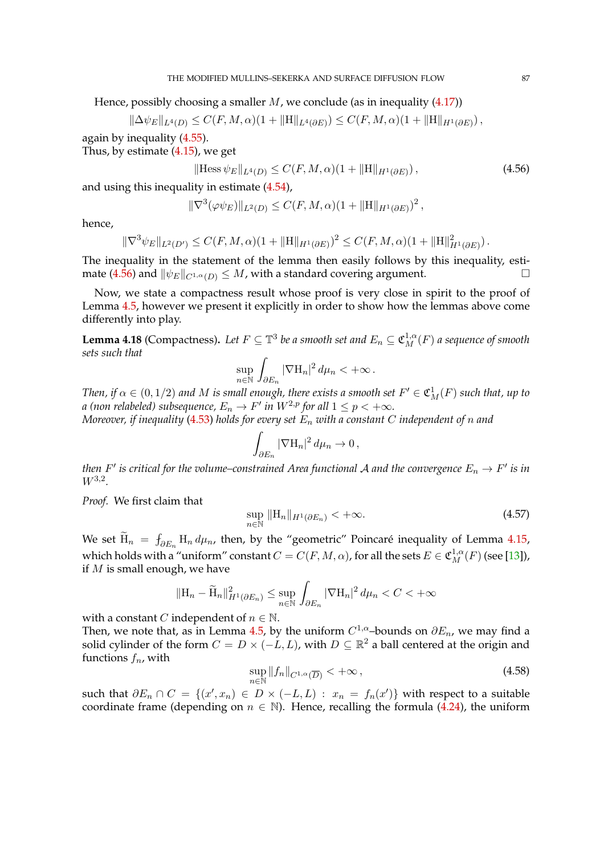Hence, possibly choosing a smaller  $M$ , we conclude (as in inequality [\(4.17\)](#page-67-3))

$$
\|\Delta \psi_E\|_{L^4(D)} \leq C(F, M, \alpha)(1 + \|H\|_{L^4(\partial E)}) \leq C(F, M, \alpha)(1 + \|H\|_{H^1(\partial E)}),
$$

again by inequality [\(4.55\)](#page-85-1).

Thus, by estimate [\(4.15\)](#page-66-2), we get

<span id="page-86-0"></span>
$$
\|\text{Hess}\,\psi_E\|_{L^4(D)} \le C(F, M, \alpha)(1 + \|H\|_{H^1(\partial E)}),\tag{4.56}
$$

and using this inequality in estimate [\(4.54\)](#page-85-2),

$$
\|\nabla^3(\varphi\psi_E)\|_{L^2(D)} \leq C(F, M, \alpha)(1 + \|H\|_{H^1(\partial E)})^2,
$$

hence,

$$
\|\nabla^3 \psi_E\|_{L^2(D')} \leq C(F, M, \alpha)(1 + \|H\|_{H^1(\partial E)})^2 \leq C(F, M, \alpha)(1 + \|H\|_{H^1(\partial E)}^2).
$$

The inequality in the statement of the lemma then easily follows by this inequality, esti-mate [\(4.56\)](#page-86-0) and  $\|\psi_E\|_{C^{1,\alpha}(D)} \leq M$ , with a standard covering argument.

Now, we state a compactness result whose proof is very close in spirit to the proof of Lemma [4.5,](#page-67-0) however we present it explicitly in order to show how the lemmas above come differently into play.

<span id="page-86-3"></span>**Lemma 4.18** (Compactness). Let  $F \subseteq \mathbb{T}^3$  be a smooth set and  $E_n \subseteq \mathfrak{C}_M^{1,\alpha}(F)$  a sequence of smooth *sets such that*

$$
\sup_{n\in\mathbb{N}}\int_{\partial E_n}|\nabla\mathcal{H}_n|^2\,d\mu_n<+\infty\,.
$$

*Then, if*  $\alpha \in (0, 1/2)$  *and M is small enough, there exists a smooth set*  $F' \in \mathfrak{C}_M^1(F)$  *such that, up to a* (non relabeled) subsequence,  $E_n \to F'$  in  $W^{2,p}$  for all  $1 \leq p < +\infty$ . *Moreover, if inequality* [\(4.53\)](#page-84-0) *holds for every set* E<sup>n</sup> *with a constant* C *independent of* n *and*

$$
\int_{\partial E_n} |\nabla \mathcal{H}_n|^2 \, d\mu_n \to 0 \,,
$$

*then*  $F'$  *is critical for the volume–constrained Area functional A and the convergence*  $E_n \to F'$  *is in* W3,<sup>2</sup> *.*

*Proof.* We first claim that

<span id="page-86-2"></span>
$$
\sup_{n \in \mathbb{N}} \| \mathcal{H}_n \|_{H^1(\partial E_n)} < +\infty. \tag{4.57}
$$

We set  $H_n = f_{\partial E_n} H_n d\mu_n$ , then, by the "geometric" Poincaré inequality of Lemma [4.15,](#page-84-1) which holds with a "uniform" constant  $C = C(F, M, \alpha)$ , for all the sets  $E \in \mathfrak{C}^{1,\alpha}_M(F)$  (see [\[13\]](#page-96-0)), if  $M$  is small enough, we have

$$
\|\mathbf{H}_n - \widetilde{\mathbf{H}}_n\|_{H^1(\partial E_n)}^2 \le \sup_{n \in \mathbb{N}} \int_{\partial E_n} |\nabla \mathbf{H}_n|^2 d\mu_n < C < +\infty
$$

with a constant *C* independent of  $n \in \mathbb{N}$ .

Then, we note that, as in Lemma [4.5,](#page-67-0) by the uniform  $C^{1,\alpha}$ -bounds on  $\partial E_n$ , we may find a solid cylinder of the form  $C = D \times (-L, L)$ , with  $D \subseteq \mathbb{R}^2$  a ball centered at the origin and functions  $f_n$ , with

<span id="page-86-1"></span>
$$
\sup_{n \in \mathbb{N}} \|f_n\|_{C^{1,\alpha}(\overline{D})} < +\infty \,, \tag{4.58}
$$

such that  $\partial E_n \cap C = \{(x', x_n) \in D \times (-L, L) : x_n = f_n(x')\}$  with respect to a suitable coordinate frame (depending on  $n \in \mathbb{N}$ ). Hence, recalling the formula [\(4.24\)](#page-68-1), the uniform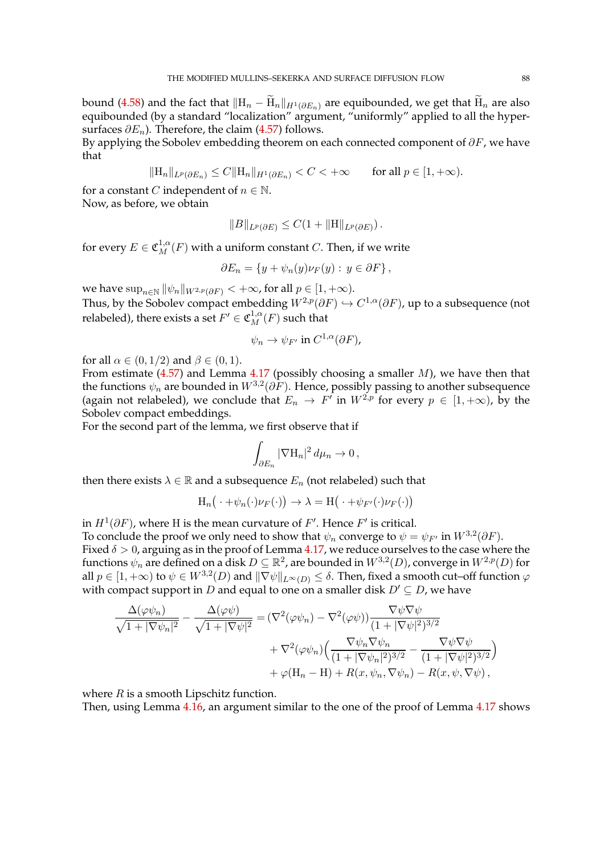bound [\(4.58\)](#page-86-1) and the fact that  $||H_n - H_n||_{H^1(\partial E_n)}$  are equibounded, we get that  $H_n$  are also equibounded (by a standard "localization" argument, "uniformly" applied to all the hypersurfaces  $\partial E_n$ ). Therefore, the claim [\(4.57\)](#page-86-2) follows.

By applying the Sobolev embedding theorem on each connected component of  $\partial F$ , we have that

 $\|\mathbf{H}_n\|_{L^p(\partial E_n)} \leq C \|\mathbf{H}_n\|_{H^1(\partial E_n)} < C < +\infty$  for all  $p \in [1, +\infty)$ .

for a constant *C* independent of  $n \in \mathbb{N}$ .

Now, as before, we obtain

$$
||B||_{L^p(\partial E)} \leq C(1+||H||_{L^p(\partial E)}).
$$

for every  $E \in \mathfrak{C}^{1,\alpha}_M(F)$  with a uniform constant  $C.$  Then, if we write

$$
\partial E_n = \{ y + \psi_n(y) \nu_F(y) : y \in \partial F \},
$$

we have  $\sup_{n\in\mathbb{N}}||\psi_n||_{W^{2,p}(\partial F)} < +\infty$ , for all  $p \in [1,+\infty)$ . Thus, by the Sobolev compact embedding  $W^{2,p}(\partial F) \hookrightarrow C^{1,\alpha}(\partial F)$ , up to a subsequence (not relabeled), there exists a set  $F' \in \mathfrak{C}^{1,\alpha}_M(F)$  such that

$$
\psi_n \to \psi_{F'} \text{ in } C^{1,\alpha}(\partial F),
$$

for all  $\alpha \in (0, 1/2)$  and  $\beta \in (0, 1)$ .

From estimate  $(4.57)$  and Lemma [4.17](#page-85-3) (possibly choosing a smaller M), we have then that the functions  $\psi_n$  are bounded in  $W^{3,2}(\partial F)$ . Hence, possibly passing to another subsequence (again not relabeled), we conclude that  $E_n \to F'$  in  $W^{2,p}$  for every  $p \in [1, +\infty)$ , by the Sobolev compact embeddings.

For the second part of the lemma, we first observe that if

$$
\int_{\partial E_n} |\nabla \mathcal{H}_n|^2 \, d\mu_n \to 0 \,,
$$

then there exists  $\lambda \in \mathbb{R}$  and a subsequence  $E_n$  (not relabeled) such that

$$
H_n(\cdot + \psi_n(\cdot)\nu_F(\cdot)) \to \lambda = H(\cdot + \psi_{F'}(\cdot)\nu_F(\cdot))
$$

in  $H^1(\partial F)$ , where H is the mean curvature of  $F'$ . Hence  $F'$  is critical.

To conclude the proof we only need to show that  $\psi_n$  converge to  $\psi = \psi_{F'}$  in  $W^{3,2}(\partial F)$ . Fixed  $\delta > 0$ , arguing as in the proof of Lemma [4.17,](#page-85-3) we reduce ourselves to the case where the functions  $\psi_n$  are defined on a disk  $D \subseteq \mathbb{R}^2$ , are bounded in  $W^{3,2}(D)$ , converge in  $W^{2,p}(D)$  for all  $p\in [1,+\infty)$  to  $\psi\in W^{3,2}(D)$  and  $\|\nabla\psi\|_{L^\infty(D)}\leq\delta.$  Then, fixed a smooth cut–off function  $\varphi$ with compact support in D and equal to one on a smaller disk  $D' \subseteq D$ , we have

$$
\frac{\Delta(\varphi\psi_n)}{\sqrt{1+|\nabla\psi_n|^2}} - \frac{\Delta(\varphi\psi)}{\sqrt{1+|\nabla\psi|^2}} = (\nabla^2(\varphi\psi_n) - \nabla^2(\varphi\psi)) \frac{\nabla\psi\nabla\psi}{(1+|\nabla\psi|^2)^{3/2}} \n+ \nabla^2(\varphi\psi_n) \Big( \frac{\nabla\psi_n\nabla\psi_n}{(1+|\nabla\psi_n|^2)^{3/2}} - \frac{\nabla\psi\nabla\psi}{(1+|\nabla\psi|^2)^{3/2}} \Big) \n+ \varphi(\mathbf{H}_n - \mathbf{H}) + R(x, \psi_n, \nabla\psi_n) - R(x, \psi, \nabla\psi),
$$

where  $R$  is a smooth Lipschitz function.

Then, using Lemma [4.16,](#page-85-0) an argument similar to the one of the proof of Lemma [4.17](#page-85-3) shows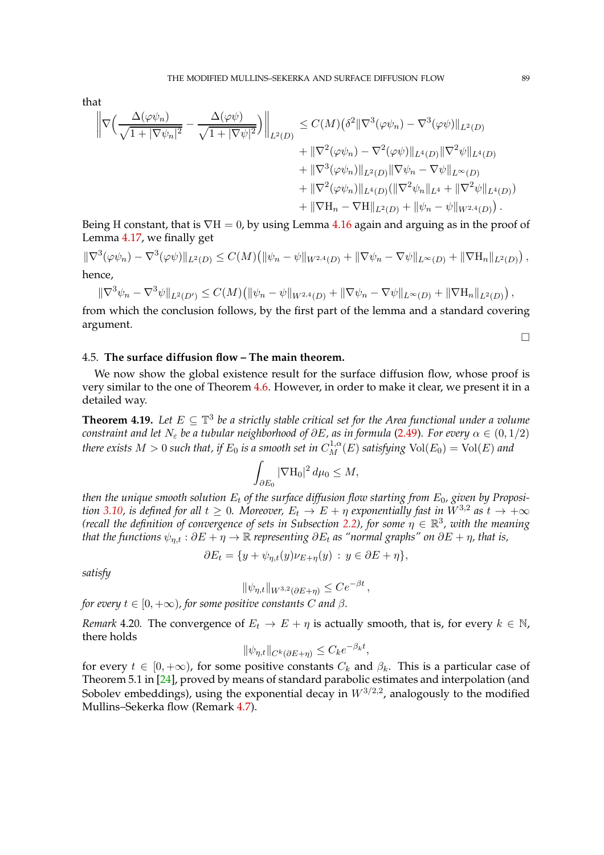that

$$
\begin{split} \left\| \nabla \Big( \frac{\Delta(\varphi \psi_n)}{\sqrt{1+|\nabla \psi_n|^2}} - \frac{\Delta(\varphi \psi)}{\sqrt{1+|\nabla \psi|^2}} \Big) \right\|_{L^2(D)} &\leq C(M) \big( \delta^2 \|\nabla^3(\varphi \psi_n) - \nabla^3(\varphi \psi) \|_{L^2(D)} \\ &+ \|\nabla^2(\varphi \psi_n) - \nabla^2(\varphi \psi) \|_{L^4(D)} \|\nabla^2 \psi \|_{L^4(D)} \\ &+ \|\nabla^3(\varphi \psi_n) \|_{L^2(D)} \|\nabla \psi_n - \nabla \psi \|_{L^\infty(D)} \\ &+ \|\nabla^2(\varphi \psi_n) \|_{L^4(D)} (\|\nabla^2 \psi_n \|_{L^4} + \|\nabla^2 \psi \|_{L^4(D)}) \\ &+ \|\nabla \mathcal{H}_n - \nabla \mathcal{H} \|_{L^2(D)} + \|\psi_n - \psi \|_{W^{2,4}(D)} \big) \,. \end{split}
$$

Being H constant, that is  $\nabla H = 0$ , by using Lemma [4.16](#page-85-0) again and arguing as in the proof of Lemma [4.17,](#page-85-3) we finally get

$$
\|\nabla^3(\varphi\psi_n) - \nabla^3(\varphi\psi)\|_{L^2(D)} \leq C(M) \big( \|\psi_n - \psi\|_{W^{2,4}(D)} + \|\nabla\psi_n - \nabla\psi\|_{L^\infty(D)} + \|\nabla H_n\|_{L^2(D)} \big),
$$
  
hence,

$$
\|\nabla^3 \psi_n - \nabla^3 \psi\|_{L^2(D')} \leq C(M) \big( \|\psi_n - \psi\|_{W^{2,4}(D)} + \|\nabla \psi_n - \nabla \psi\|_{L^\infty(D)} + \|\nabla \mathcal{H}_n\|_{L^2(D)} \big),
$$

from which the conclusion follows, by the first part of the lemma and a standard covering argument.

 $\Box$ 

## 4.5. **The surface diffusion flow – The main theorem.**

We now show the global existence result for the surface diffusion flow, whose proof is very similar to the one of Theorem [4.6.](#page-70-0) However, in order to make it clear, we present it in a detailed way.

<span id="page-88-0"></span>**Theorem 4.19.** Let  $E \subseteq \mathbb{T}^3$  be a strictly stable critical set for the Area functional under a volume *constraint and let*  $N_{\varepsilon}$  *be a tubular neighborhood of*  $\partial E$ *, as in formula* [\(2.49\)](#page-27-2)*. For every*  $\alpha \in (0,1/2)$ *there exists*  $M > 0$  *such that, if*  $E_0$  *is a smooth set in*  $C^{1,\alpha}_M(E)$  *satisfying*  $\text{Vol}(E_0) = \text{Vol}(E)$  *and* 

$$
\int_{\partial E_0} |\nabla \mathcal{H}_0|^2 \, d\mu_0 \le M,
$$

*then the unique smooth solution*  $E_t$  *of the surface diffusion flow starting from*  $E_0$ *, given by Proposition* [3.10,](#page-56-0) *is defined for all*  $t \geq 0$ *. Moreover,*  $E_t \to E + \eta$  *exponentially fast in*  $W^{3,2}$  *as*  $t \to +\infty$ *(recall the definition of convergence of sets in Subsection [2.2\)](#page-23-0), for some*  $\eta \in \mathbb{R}^3$ , with the meaning *that the functions*  $\psi_{n,t} : \partial E + \eta \to \mathbb{R}$  *representing*  $\partial E_t$  *as "normal graphs" on*  $\partial E + \eta$ *, that is,* 

$$
\partial E_t = \{ y + \psi_{\eta,t}(y)\nu_{E+\eta}(y) : y \in \partial E + \eta \},\
$$

*satisfy*

$$
\|\psi_{\eta,t}\|_{W^{3,2}(\partial E+\eta)} \le Ce^{-\beta t},
$$

*for every*  $t \in [0, +\infty)$ *, for some positive constants C and*  $\beta$ .

*Remark* 4.20. The convergence of  $E_t \to E + \eta$  is actually smooth, that is, for every  $k \in \mathbb{N}$ , there holds

$$
\|\psi_{\eta,t}\|_{C^k(\partial E + \eta)} \leq C_k e^{-\beta_k t},
$$

for every  $t \in [0, +\infty)$ , for some positive constants  $C_k$  and  $\beta_k$ . This is a particular case of Theorem 5.1 in [\[24\]](#page-97-3), proved by means of standard parabolic estimates and interpolation (and Sobolev embeddings), using the exponential decay in  $W^{3/2,2}$ , analogously to the modified Mullins–Sekerka flow (Remark [4.7\)](#page-70-1).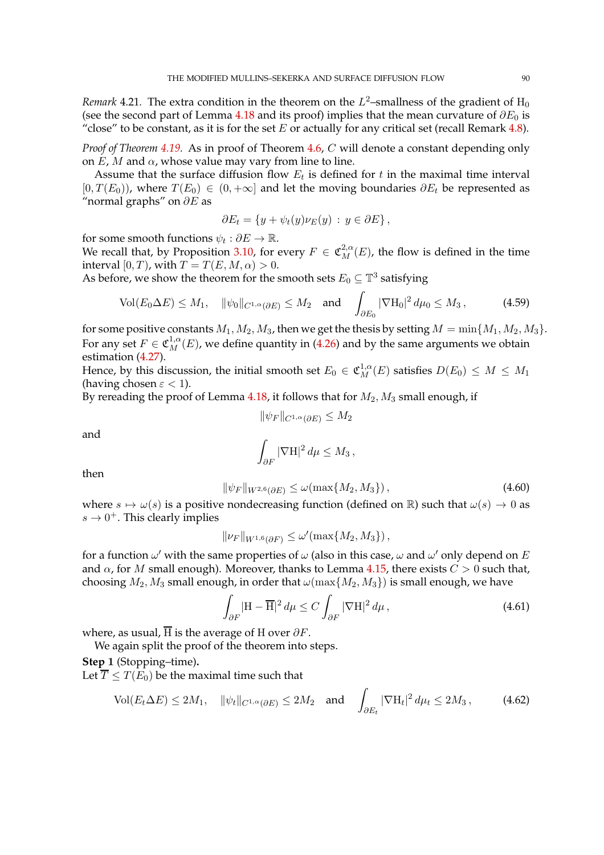*Remark* 4.21. The extra condition in the theorem on the  $L^2$ -smallness of the gradient of  $H_0$ (see the second part of Lemma [4.18](#page-86-3) and its proof) implies that the mean curvature of  $\partial E_0$  is "close" to be constant, as it is for the set E or actually for any critical set (recall Remark [4.8\)](#page-70-2).

*Proof of Theorem [4.19.](#page-88-0)* As in proof of Theorem [4.6,](#page-70-0) C will denote a constant depending only on  $E$ ,  $M$  and  $\alpha$ , whose value may vary from line to line.

Assume that the surface diffusion flow  $E_t$  is defined for  $t$  in the maximal time interval  $[0, T(E_0))$ , where  $T(E_0) \in (0, +\infty]$  and let the moving boundaries  $\partial E_t$  be represented as "normal graphs" on  $\partial E$  as

$$
\partial E_t = \{ y + \psi_t(y) \nu_E(y) : y \in \partial E \},
$$

for some smooth functions  $\psi_t : \partial E \to \mathbb{R}$ .

We recall that, by Proposition [3.10,](#page-56-0) for every  $F \in \mathfrak{C}_M^{2,\alpha}(E)$ , the flow is defined in the time interval  $[0, T)$ , with  $T = T(E, M, \alpha) > 0$ .

As before, we show the theorem for the smooth sets  $E_0 \subseteq \mathbb{T}^3$  satisfying

$$
\text{Vol}(E_0 \Delta E) \le M_1, \quad \|\psi_0\|_{C^{1,\alpha}(\partial E)} \le M_2 \quad \text{and} \quad \int_{\partial E_0} |\nabla \mathcal{H}_0|^2 \, d\mu_0 \le M_3 \,, \tag{4.59}
$$

for some positive constants  $M_1, M_2, M_3$ , then we get the thesis by setting  $M = \min\{M_1, M_2, M_3\}.$ For any set  $F \in \mathfrak{C}_M^{1,\alpha}(E)$ , we define quantity in [\(4.26\)](#page-71-1) and by the same arguments we obtain estimation [\(4.27\)](#page-71-2).

Hence, by this discussion, the initial smooth set  $E_0 \in \mathfrak{C}_M^{1,\alpha}(E)$  satisfies  $D(E_0) \leq M \leq M_1$ (having chosen  $\varepsilon$  < 1).

By rereading the proof of Lemma [4.18,](#page-86-3) it follows that for  $M_2$ ,  $M_3$  small enough, if

<span id="page-89-3"></span>
$$
\|\psi_F\|_{C^{1,\alpha}(\partial E)} \le M_2
$$

and

<span id="page-89-0"></span>
$$
\int_{\partial F} |\nabla \mathcal{H}|^2 d\mu \le M_3,
$$

then

$$
\|\psi_F\|_{W^{2,6}(\partial E)} \le \omega(\max\{M_2, M_3\}),\tag{4.60}
$$

where  $s \mapsto \omega(s)$  is a positive nondecreasing function (defined on R) such that  $\omega(s) \to 0$  as  $s \to 0^+$ . This clearly implies

$$
\|\nu_F\|_{W^{1,6}(\partial F)} \le \omega'(\max\{M_2, M_3\}),
$$

for a function  $\omega'$  with the same properties of  $\omega$  (also in this case,  $\omega$  and  $\omega'$  only depend on  $E$ and  $\alpha$ , for M small enough). Moreover, thanks to Lemma [4.15,](#page-84-1) there exists  $C > 0$  such that, choosing  $M_2$ ,  $M_3$  small enough, in order that  $\omega(\max\{M_2, M_3\})$  is small enough, we have

<span id="page-89-2"></span><span id="page-89-1"></span>
$$
\int_{\partial F} |\mathbf{H} - \overline{\mathbf{H}}|^2 d\mu \le C \int_{\partial F} |\nabla \mathbf{H}|^2 d\mu,
$$
\n(4.61)

where, as usual,  $\overline{H}$  is the average of H over  $\partial F$ .

We again split the proof of the theorem into steps.

**Step** 1 (Stopping–time)**.**

Let  $\overline{T}$  <  $T(E_0)$  be the maximal time such that

$$
\text{Vol}(E_t \Delta E) \le 2M_1, \quad \|\psi_t\|_{C^{1,\alpha}(\partial E)} \le 2M_2 \quad \text{and} \quad \int_{\partial E_t} |\nabla \mathcal{H}_t|^2 \, d\mu_t \le 2M_3 \,, \tag{4.62}
$$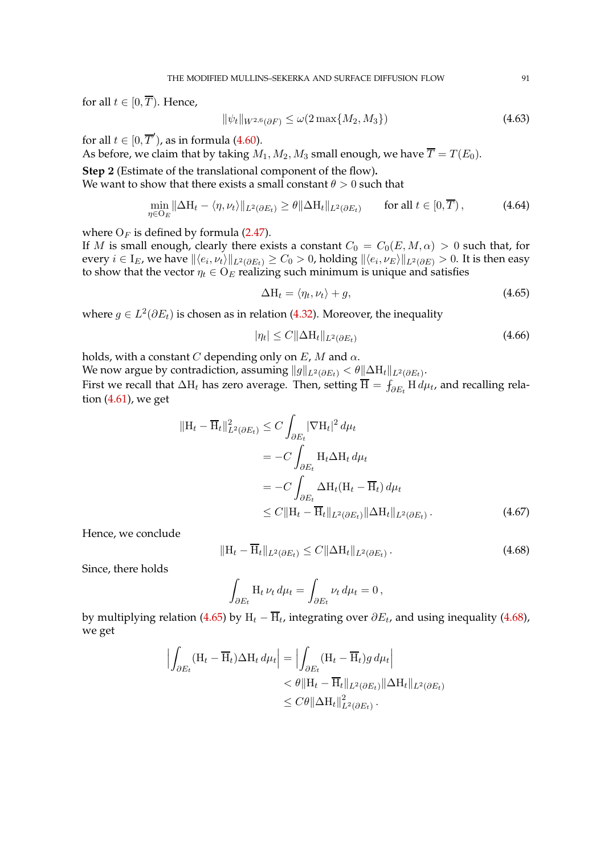for all  $t \in [0, \overline{T})$ . Hence,

<span id="page-90-4"></span>
$$
\|\psi_t\|_{W^{2,6}(\partial F)} \le \omega(2\max\{M_2, M_3\})\tag{4.63}
$$

for all  $t \in [0, \overline{T}'),$  as in formula [\(4.60\)](#page-89-0).

As before, we claim that by taking  $M_1, M_2, M_3$  small enough, we have  $\overline{T} = T(E_0)$ .

**Step** 2 (Estimate of the translational component of the flow)**.**

We want to show that there exists a small constant  $\theta > 0$  such that

$$
\min_{\eta \in O_E} \|\Delta H_t - \langle \eta, \nu_t \rangle\|_{L^2(\partial E_t)} \ge \theta \|\Delta H_t\|_{L^2(\partial E_t)} \qquad \text{for all } t \in [0, \overline{T}), \tag{4.64}
$$

where  $O_F$  is defined by formula [\(2.47\)](#page-27-0).

If M is small enough, clearly there exists a constant  $C_0 = C_0(E, M, \alpha) > 0$  such that, for every  $i\in I_E$ , we have  $\| \langle e_i,\nu_t\rangle \|_{L^2(\partial E_t)}\geq C_0>0$ , holding  $\| \langle e_i,\nu_E\rangle \|_{L^2(\partial E)}>0.$  It is then easy to show that the vector  $\eta_t \in O_E$  realizing such minimum is unique and satisfies

<span id="page-90-5"></span><span id="page-90-2"></span><span id="page-90-0"></span>
$$
\Delta H_t = \langle \eta_t, \nu_t \rangle + g,\tag{4.65}
$$

where  $g \in L^2(\partial E_t)$  is chosen as in relation [\(4.32\)](#page-72-0). Moreover, the inequality

$$
|\eta_t| \le C \|\Delta \mathcal{H}_t\|_{L^2(\partial E_t)}
$$
\n(4.66)

holds, with a constant C depending only on  $E$ , M and  $\alpha$ .

We now argue by contradiction, assuming  $\|g\|_{L^2(\partial E_t)} < \theta \|\Delta \mathrm H_t\|_{L^2(\partial E_t)}.$ 

First we recall that  $\Delta H_t$  has zero average. Then, setting  $\overline{H} = \int_{\partial E_t} H \, d\mu_t$ , and recalling relation [\(4.61\)](#page-89-1), we get

$$
\begin{split} \|\mathbf{H}_{t} - \overline{\mathbf{H}}_{t}\|_{L^{2}(\partial E_{t})}^{2} &\leq C \int_{\partial E_{t}} |\nabla \mathbf{H}_{t}|^{2} \, d\mu_{t} \\ &= -C \int_{\partial E_{t}} \mathbf{H}_{t} \Delta \mathbf{H}_{t} \, d\mu_{t} \\ &= -C \int_{\partial E_{t}} \Delta \mathbf{H}_{t} (\mathbf{H}_{t} - \overline{\mathbf{H}}_{t}) \, d\mu_{t} \\ &\leq C \|\mathbf{H}_{t} - \overline{\mathbf{H}}_{t}\|_{L^{2}(\partial E_{t})} \|\Delta \mathbf{H}_{t}\|_{L^{2}(\partial E_{t})} \,. \end{split} \tag{4.67}
$$

Hence, we conclude

$$
\|\mathbf{H}_t - \overline{\mathbf{H}}_t\|_{L^2(\partial E_t)} \le C \|\Delta \mathbf{H}_t\|_{L^2(\partial E_t)}.
$$
\n(4.68)

Since, there holds

<span id="page-90-3"></span><span id="page-90-1"></span>
$$
\int_{\partial E_t} \mathcal{H}_t \, \nu_t \, d\mu_t = \int_{\partial E_t} \nu_t \, d\mu_t = 0 \,,
$$

by multiplying relation [\(4.65\)](#page-90-0) by  $\rm H_{\it t}$  –  $\rm H_{\it t}$ , integrating over  $\partial E_{\it t}$ , and using inequality [\(4.68\)](#page-90-1), we get

$$
\left| \int_{\partial E_t} (\mathbf{H}_t - \overline{\mathbf{H}}_t) \Delta \mathbf{H}_t d\mu_t \right| = \left| \int_{\partial E_t} (\mathbf{H}_t - \overline{\mathbf{H}}_t) g d\mu_t \right|
$$
  

$$
< \theta \|\mathbf{H}_t - \overline{\mathbf{H}}_t\|_{L^2(\partial E_t)} \|\Delta \mathbf{H}_t\|_{L^2(\partial E_t)}
$$
  

$$
\leq C\theta \|\Delta \mathbf{H}_t\|_{L^2(\partial E_t)}^2.
$$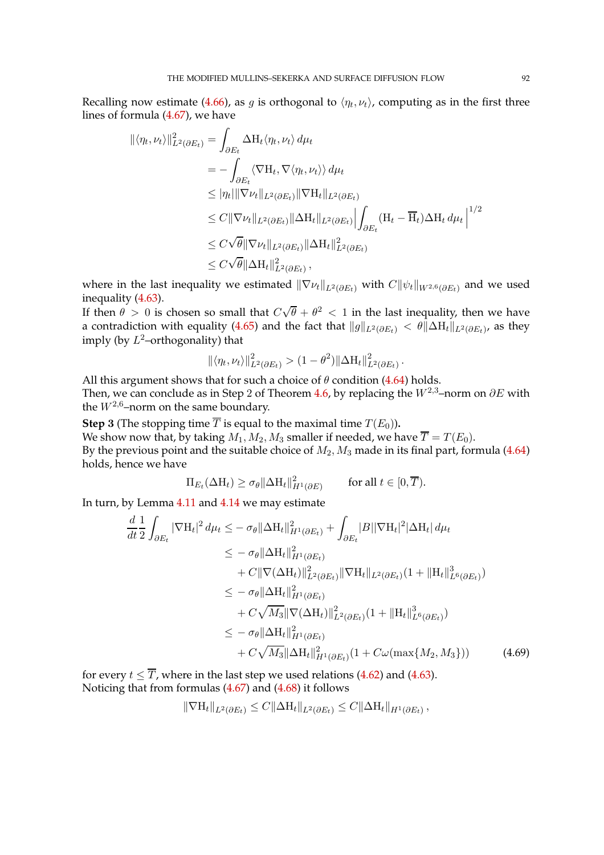Recalling now estimate [\(4.66\)](#page-90-2), as g is orthogonal to  $\langle \eta_t, \nu_t \rangle$ , computing as in the first three lines of formula [\(4.67\)](#page-90-3), we have

$$
\begin{split} \|\langle \eta_t, \nu_t \rangle \|_{L^2(\partial E_t)}^2 &= \int_{\partial E_t} \Delta \mathcal{H}_t \langle \eta_t, \nu_t \rangle \, d\mu_t \\ &= - \int_{\partial E_t} \langle \nabla \mathcal{H}_t, \nabla \langle \eta_t, \nu_t \rangle \rangle \, d\mu_t \\ &\leq |\eta_t| \|\nabla \nu_t\|_{L^2(\partial E_t)} \|\nabla \mathcal{H}_t\|_{L^2(\partial E_t)} \\ &\leq C \|\nabla \nu_t\|_{L^2(\partial E_t)} \|\Delta \mathcal{H}_t\|_{L^2(\partial E_t)} \left| \int_{\partial E_t} (\mathcal{H}_t - \overline{\mathcal{H}}_t) \Delta \mathcal{H}_t \, d\mu_t \right|^{1/2} \\ &\leq C \sqrt{\theta} \|\nabla \nu_t\|_{L^2(\partial E_t)} \|\Delta \mathcal{H}_t\|_{L^2(\partial E_t)}^2 \\ &\leq C \sqrt{\theta} \|\Delta \mathcal{H}_t\|_{L^2(\partial E_t)}^2 \,, \end{split}
$$

where in the last inequality we estimated  $\|\nabla \nu_t\|_{L^2(\partial E_t)}$  with  $C\|\psi_t\|_{W^{2,6}(\partial E_t)}$  and we used inequality [\(4.63\)](#page-90-4).

If then  $\theta > 0$  is chosen so small that  $C\sqrt{\theta} + \theta^2 < 1$  in the last inequality, then we have a contradiction with equality [\(4.65\)](#page-90-0) and the fact that  $\|g\|_{L^2(\partial E_t)}<\theta\|\Delta {\rm H}_t\|_{L^2(\partial E_t)}$ , as they imply (by  $L^2$ -orthogonality) that

$$
\|\langle \eta_t, \nu_t \rangle\|_{L^2(\partial E_t)}^2 > (1 - \theta^2) \|\Delta \mathcal{H}_t\|_{L^2(\partial E_t)}^2.
$$

All this argument shows that for such a choice of  $\theta$  condition [\(4.64\)](#page-90-5) holds. Then, we can conclude as in Step 2 of Theorem [4.6,](#page-70-0) by replacing the  $W^{2,3}$ –norm on  $\partial E$  with the  $W^{2,6}$ -norm on the same boundary.

**Step 3** (The stopping time  $\overline{T}$  is equal to the maximal time  $T(E_0)$ ). We show now that, by taking  $M_1$ ,  $M_2$ ,  $M_3$  smaller if needed, we have  $\overline{T} = T(E_0)$ . By the previous point and the suitable choice of  $M_2$ ,  $M_3$  made in its final part, formula [\(4.64\)](#page-90-5) holds, hence we have

$$
\Pi_{E_t}(\Delta H_t) \ge \sigma_\theta \|\Delta H_t\|_{H^1(\partial E)}^2 \quad \text{for all } t \in [0, \overline{T}).
$$

In turn, by Lemma [4.11](#page-80-2) and [4.14](#page-83-4) we may estimate

$$
\frac{d}{dt} \frac{1}{2} \int_{\partial E_t} |\nabla H_t|^2 d\mu_t \leq -\sigma_\theta \|\Delta H_t\|_{H^1(\partial E_t)}^2 + \int_{\partial E_t} |B||\nabla H_t|^2 |\Delta H_t| d\mu_t \n\leq -\sigma_\theta \|\Delta H_t\|_{H^1(\partial E_t)}^2 \n+ C \|\nabla(\Delta H_t)\|_{L^2(\partial E_t)}^2 \|\nabla H_t\|_{L^2(\partial E_t)} (1 + \|H_t\|_{L^6(\partial E_t)}^3) \n\leq -\sigma_\theta \|\Delta H_t\|_{H^1(\partial E_t)}^2 \n+ C \sqrt{M_3} \|\nabla(\Delta H_t)\|_{L^2(\partial E_t)}^2 (1 + \|H_t\|_{L^6(\partial E_t)}^3) \n\leq -\sigma_\theta \|\Delta H_t\|_{H^1(\partial E_t)}^2 \n+ C \sqrt{M_3} \|\Delta H_t\|_{H^1(\partial E_t)}^2 (1 + C\omega(\max\{M_2, M_3\}))
$$
\n(4.69)

for every  $t \leq \overline{T}$ , where in the last step we used relations [\(4.62\)](#page-89-2) and [\(4.63\)](#page-90-4). Noticing that from formulas [\(4.67\)](#page-90-3) and [\(4.68\)](#page-90-1) it follows

<span id="page-91-0"></span>
$$
\|\nabla H_t\|_{L^2(\partial E_t)} \leq C \|\Delta H_t\|_{L^2(\partial E_t)} \leq C \|\Delta H_t\|_{H^1(\partial E_t)},
$$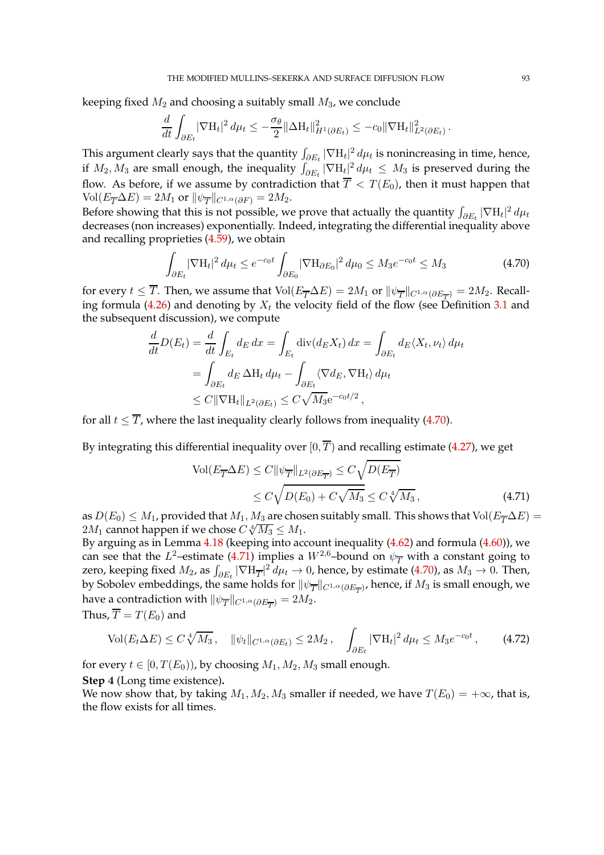keeping fixed  $M_2$  and choosing a suitably small  $M_3$ , we conclude

$$
\frac{d}{dt} \int_{\partial E_t} |\nabla H_t|^2 d\mu_t \leq -\frac{\sigma_\theta}{2} \|\Delta H_t\|_{H^1(\partial E_t)}^2 \leq -c_0 \|\nabla H_t\|_{L^2(\partial E_t)}^2.
$$

This argument clearly says that the quantity  $\int_{\partial E_t} |\nabla \mathbf{H}_t|^2 d\mu_t$  is nonincreasing in time, hence, if  $M_2, M_3$  are small enough, the inequality  $\int_{\partial E_t} |\nabla \mathbf{H}_t|^2 \, d\mu_t \leq M_3$  is preserved during the flow. As before, if we assume by contradiction that  $\overline{T} < T(E_0)$ , then it must happen that  $\text{Vol}(E_{\overline{T}}\Delta E)=2M_1$  or  $\|\psi_{\overline{T}}\|_{C^{1,\alpha}(\partial F)}=2M_2.$ 

Before showing that this is not possible, we prove that actually the quantity  $\int_{\partial E_t} |\nabla \text{H}_t|^2 \, d\mu_t$ decreases (non increases) exponentially. Indeed, integrating the differential inequality above and recalling proprieties [\(4.59\)](#page-89-3), we obtain

<span id="page-92-0"></span>
$$
\int_{\partial E_t} |\nabla \mathcal{H}_t|^2 d\mu_t \le e^{-c_0 t} \int_{\partial E_0} |\nabla \mathcal{H}_{\partial E_0}|^2 d\mu_0 \le M_3 e^{-c_0 t} \le M_3 \tag{4.70}
$$

for every  $t \leq T$ . Then, we assume that  $\text{Vol}(E_{\overline{T}}\Delta E)=2M_1$  or  $\|\psi_{\overline{T}}\|_{C^{1,\alpha}(\partial E_{\overline{T}})}=2M_2$ . Recall-ing formula [\(4.26\)](#page-71-1) and denoting by  $X_t$  the velocity field of the flow (see Definition [3.1](#page-50-0) and the subsequent discussion), we compute

$$
\frac{d}{dt}D(E_t) = \frac{d}{dt} \int_{E_t} d_E dx = \int_{E_t} \text{div}(d_E X_t) dx = \int_{\partial E_t} d_E \langle X_t, \nu_t \rangle d\mu_t
$$

$$
= \int_{\partial E_t} d_E \Delta H_t d\mu_t - \int_{\partial E_t} \langle \nabla d_E, \nabla H_t \rangle d\mu_t
$$

$$
\leq C \|\nabla H_t\|_{L^2(\partial E_t)} \leq C \sqrt{M_3} e^{-c_0 t/2},
$$

for all  $t \leq \overline{T}$ , where the last inequality clearly follows from inequality [\(4.70\)](#page-92-0).

By integrating this differential inequality over  $[0, \overline{T})$  and recalling estimate [\(4.27\)](#page-71-2), we get

<span id="page-92-2"></span><span id="page-92-1"></span>
$$
\text{Vol}(E_{\overline{T}}\Delta E) \le C \|\psi_{\overline{T}}\|_{L^2(\partial E_{\overline{T}})} \le C \sqrt{D(E_{\overline{T}})}
$$
  
 
$$
\le C \sqrt{D(E_0) + C \sqrt{M_3}} \le C \sqrt[4]{M_3}, \tag{4.71}
$$

as  $D(E_0) \leq M_1$ , provided that  $M_1, M_3$  are chosen suitably small. This shows that Vol $(E_{\overline{T}} \Delta E)$  =  $2M_1$  cannot happen if we chose  $C\sqrt[4]{M_3} \leq M_1$ .

By arguing as in Lemma  $4.18$  (keeping into account inequality  $(4.62)$  and formula  $(4.60)$ ), we can see that the  $L^2$ -estimate [\(4.71\)](#page-92-1) implies a  $W^{2,6}$ -bound on  $\psi_{\overline{T}}$  with a constant going to zero, keeping fixed  $M_2$ , as  $\int_{\partial E_t} |\nabla \text{H}_{\overline{T}}|^2 \, d\mu_t \to 0$ , hence, by estimate [\(4.70\)](#page-92-0), as  $M_3 \to 0$ . Then, by Sobolev embeddings, the same holds for  $\|\psi_{\overline{T}}\|_{C^{1,\alpha}(\partial E_{\overline{T}})}$ , hence, if  $M_3$  is small enough, we have a contradiction with  $\|\psi_{\overline{T}}\|_{C^{1,\alpha}(\partial E_{\overline{T}})}=2M_2.$ 

Thus, 
$$
T = T(E_0)
$$
 and

$$
\text{Vol}(E_t \Delta E) \le C \sqrt[4]{M_3}, \quad \|\psi_t\|_{C^{1,\alpha}(\partial E_t)} \le 2M_2, \quad \int_{\partial E_t} |\nabla \mathcal{H}_t|^2 \, d\mu_t \le M_3 e^{-c_0 t}, \tag{4.72}
$$

for every  $t \in [0, T(E_0))$ , by choosing  $M_1, M_2, M_3$  small enough.

**Step** 4 (Long time existence)**.**

We now show that, by taking  $M_1, M_2, M_3$  smaller if needed, we have  $T(E_0) = +\infty$ , that is, the flow exists for all times.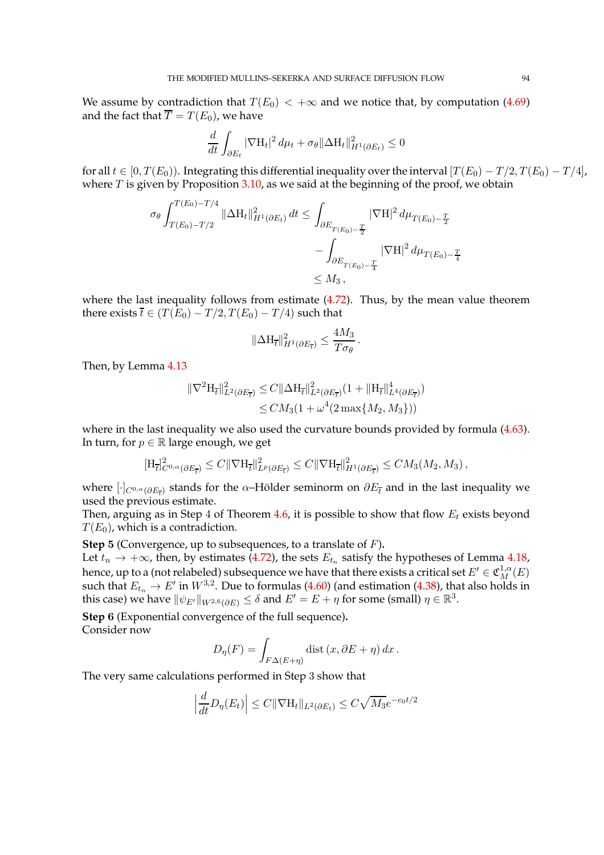We assume by contradiction that  $T(E_0) < +\infty$  and we notice that, by computation [\(4.69\)](#page-91-0) and the fact that  $\overline{T} = T(E_0)$ , we have

$$
\frac{d}{dt} \int_{\partial E_t} |\nabla \mathbf{H}_t|^2 \, d\mu_t + \sigma_\theta \|\Delta \mathbf{H}_t\|_{H^1(\partial E_t)}^2 \le 0
$$

for all  $t \in [0, T(E_0))$ . Integrating this differential inequality over the interval  $[T(E_0) - T/2, T(E_0) - T/4]$ , where  $T$  is given by Proposition  $3.10$ , as we said at the beginning of the proof, we obtain

$$
\sigma_{\theta} \int_{T(E_0) - T/2}^{T(E_0) - T/4} ||\Delta H_t||_{H^1(\partial E_t)}^2 dt \le \int_{\partial E_{T(E_0) - \frac{T}{2}}} |\nabla H|^2 d\mu_{T(E_0) - \frac{T}{2}} \n- \int_{\partial E_{T(E_0) - \frac{T}{4}}} |\nabla H|^2 d\mu_{T(E_0) - \frac{T}{4}} \n\le M_3,
$$

where the last inequality follows from estimate  $(4.72)$ . Thus, by the mean value theorem there exists  $\overline{t} \in (T(E_0) - T/2, T(E_0) - T/4)$  such that

$$
\|\Delta \mathbf{H}_{\overline{t}}\|_{H^1(\partial E_{\overline{t}})}^2 \le \frac{4M_3}{T\sigma_\theta}.
$$

Then, by Lemma [4.13](#page-82-1)

$$
\|\nabla^2 \mathcal{H}_{\overline{t}}\|_{L^2(\partial E_{\overline{t}})}^2 \leq C \|\Delta \mathcal{H}_{\overline{t}}\|_{L^2(\partial E_{\overline{t}})}^2 (1 + \|\mathcal{H}_{\overline{t}}\|_{L^4(\partial E_{\overline{t}})}^4)
$$
  

$$
\leq CM_3(1 + \omega^4 (2 \max\{M_2, M_3\}))
$$

where in the last inequality we also used the curvature bounds provided by formula [\(4.63\)](#page-90-4). In turn, for  $p \in \mathbb{R}$  large enough, we get

$$
[\mathrm{H}_{\overline{t}}]_{C^{0,\alpha}(\partial E_{\overline{t}})}^2 \leq C \|\nabla \mathrm{H}_{\overline{t}}\|_{L^p(\partial E_{\overline{t}})}^2 \leq C \|\nabla \mathrm{H}_{\overline{t}}\|_{H^1(\partial E_{\overline{t}})}^2 \leq C M_3(M_2, M_3),
$$

where  $[\cdot]_{C^{0,\alpha}(\partial E_{\overline{t}})}$  stands for the  $\alpha$ –Hölder seminorm on  $\partial E_{\overline{t}}$  and in the last inequality we used the previous estimate.

Then, arguing as in Step 4 of Theorem [4.6,](#page-70-0) it is possible to show that flow  $E_t$  exists beyond  $T(E_0)$ , which is a contradiction.

**Step** 5 (Convergence, up to subsequences, to a translate of F)**.**

Let  $t_n \to +\infty$ , then, by estimates [\(4.72\)](#page-92-2), the sets  $E_{t_n}$  satisfy the hypotheses of Lemma [4.18,](#page-86-3) hence, up to a (not relabeled) subsequence we have that there exists a critical set  $E' \in \mathfrak{C}^{1,\alpha}_M(E)$ such that  $E_{t_n} \to E'$  in  $W^{3,2}$ . Due to formulas [\(4.60\)](#page-89-0) (and estimation [\(4.38\)](#page-74-1), that also holds in this case) we have  $\|\psi_{E'}\|_{W^{2,6}(\partial E)}\leq \delta$  and  $E'=E+\eta$  for some (small)  $\eta\in\mathbb{R}^3.$ 

**Step** 6 (Exponential convergence of the full sequence)**.** Consider now

$$
D_{\eta}(F) = \int_{F\Delta(E+\eta)} \text{dist}\,(x,\partial E + \eta) \,dx \,.
$$

The very same calculations performed in Step 3 show that

$$
\left|\frac{d}{dt}D_{\eta}(E_t)\right| \leq C\|\nabla H_t\|_{L^2(\partial E_t)} \leq C\sqrt{M_3}e^{-c_0t/2}
$$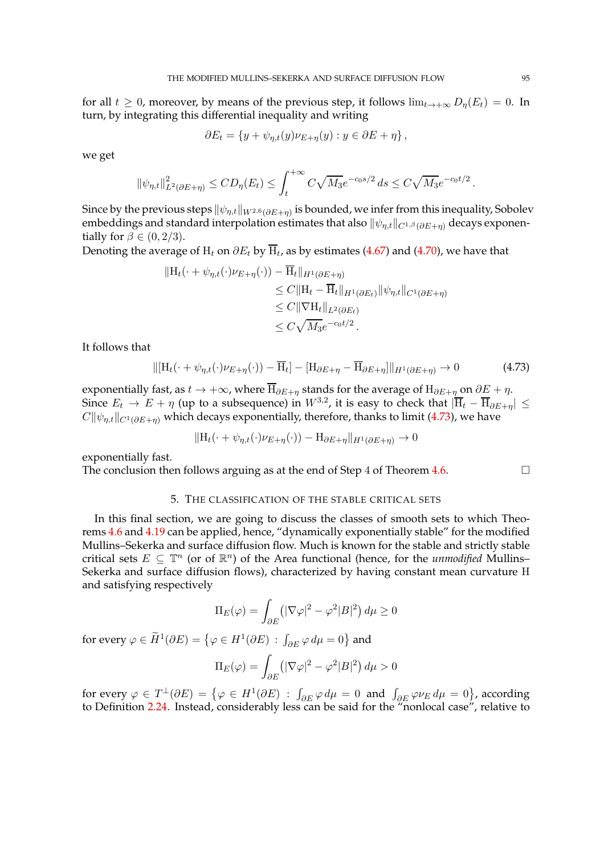for all  $t \geq 0$ , moreover, by means of the previous step, it follows  $\lim_{t\to+\infty} D_{\eta}(E_t) = 0$ . In turn, by integrating this differential inequality and writing

$$
\partial E_t = \{ y + \psi_{\eta,t}(y)\nu_{E+\eta}(y) : y \in \partial E + \eta \},\
$$

we get

$$
\|\psi_{\eta,t}\|_{L^2(\partial E + \eta)}^2 \le CD_{\eta}(E_t) \le \int_t^{+\infty} C\sqrt{M_3}e^{-c_0s/2} ds \le C\sqrt{M_3}e^{-c_0t/2}.
$$

Since by the previous steps  $\|\psi_{\eta,t}\|_{W^{2,6}(\partial E+\eta)}$  is bounded, we infer from this inequality, Sobolev embeddings and standard interpolation estimates that also  $\|\psi_{\eta,t}\|_{C^{1,\beta}(\partial E+\eta)}$  decays exponentially for  $\beta \in (0, 2/3)$ .

Denoting the average of  $\mathrm{H}_t$  on  $\partial E_t$  by  $\mathrm{H}_t$ , as by estimates [\(4.67\)](#page-90-3) and [\(4.70\)](#page-92-0), we have that

$$
||H_t(\cdot + \psi_{\eta,t}(\cdot)\nu_{E+\eta}(\cdot)) - \overline{H}_t||_{H^1(\partial E+\eta)}
$$
  
\n
$$
\leq C||H_t - \overline{H}_t||_{H^1(\partial E_t)}||\psi_{\eta,t}||_{C^1(\partial E+\eta)}
$$
  
\n
$$
\leq C||\nabla H_t||_{L^2(\partial E_t)}
$$
  
\n
$$
\leq C\sqrt{M_3}e^{-c_0t/2}.
$$

It follows that

$$
\|[\mathbf{H}_t(\cdot+\psi_{\eta,t}(\cdot)\nu_{E+\eta}(\cdot))-\overline{\mathbf{H}}_t]-[\mathbf{H}_{\partial E+\eta}-\overline{\mathbf{H}}_{\partial E+\eta}]\|_{H^1(\partial E+\eta)}\to 0\tag{4.73}
$$

exponentially fast, as  $t \to +\infty$ , where  $\overline{H}_{\partial E+\eta}$  stands for the average of  $H_{\partial E+\eta}$  on  $\partial E+\eta$ . Since  $E_t \to E + \eta$  (up to a subsequence) in  $W^{3,2}$ , it is easy to check that  $|\overline{H}_t - \overline{H}_{\partial E + \eta}| \le$  $C\|\psi_{n,t}\|_{C^1(\partial E+n)}$  which decays exponentially, therefore, thanks to limit [\(4.73\)](#page-94-0), we have

$$
||H_t(\cdot + \psi_{\eta,t}(\cdot)\nu_{E+\eta}(\cdot)) - H_{\partial E+\eta}||_{H^1(\partial E+\eta)} \to 0
$$

exponentially fast.

The conclusion then follows arguing as at the end of Step 4 of Theorem  $4.6$ .

<span id="page-94-0"></span>

## 5. THE CLASSIFICATION OF THE STABLE CRITICAL SETS

In this final section, we are going to discuss the classes of smooth sets to which Theorems [4.6](#page-70-0) and [4.19](#page-88-0) can be applied, hence, "dynamically exponentially stable" for the modified Mullins–Sekerka and surface diffusion flow. Much is known for the stable and strictly stable critical sets  $E \subseteq \mathbb{T}^n$  (or of  $\mathbb{R}^n$ ) of the Area functional (hence, for the *unmodified* Mullins– Sekerka and surface diffusion flows), characterized by having constant mean curvature H and satisfying respectively

$$
\Pi_E(\varphi) = \int_{\partial E} \left( |\nabla \varphi|^2 - \varphi^2 |B|^2 \right) d\mu \ge 0
$$

for every  $\varphi \in \widetilde{H}^1(\partial E) = \left\{ \varphi \in H^1(\partial E) \, : \, \int_{\partial E} \varphi \, d\mu = 0 \right\}$  and

$$
\Pi_E(\varphi) = \int_{\partial E} \left( |\nabla \varphi|^2 - \varphi^2 |B|^2 \right) d\mu > 0
$$

for every  $\varphi \in T^{\perp}(\partial E) = \{ \varphi \in H^1(\partial E) : \int_{\partial E} \varphi \, d\mu = 0 \text{ and } \int_{\partial E} \varphi \nu_E \, d\mu = 0 \}$ , according to Definition [2.24.](#page-25-1) Instead, considerably less can be said for the "nonlocal case", relative to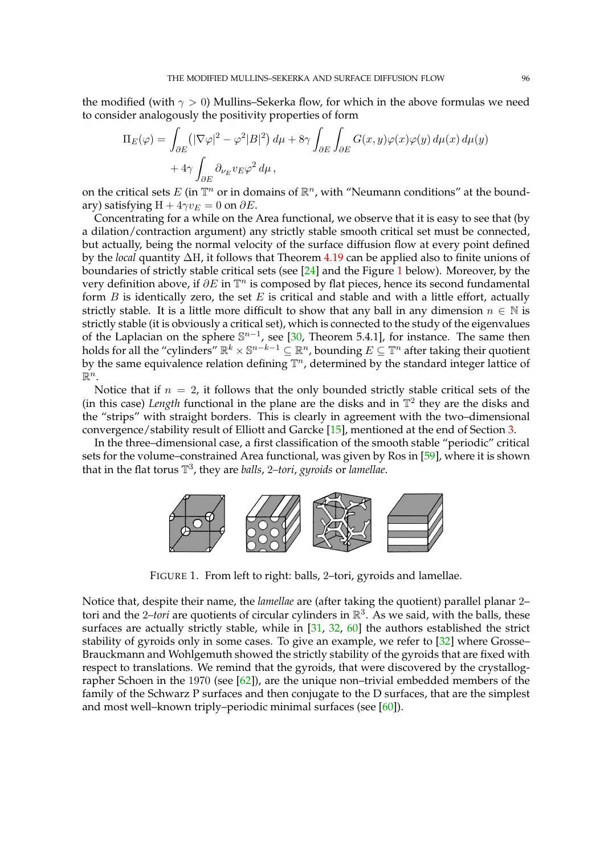the modified (with  $\gamma > 0$ ) Mullins–Sekerka flow, for which in the above formulas we need to consider analogously the positivity properties of form

$$
\Pi_E(\varphi) = \int_{\partial E} \left( |\nabla \varphi|^2 - \varphi^2 |B|^2 \right) d\mu + 8\gamma \int_{\partial E} \int_{\partial E} G(x, y) \varphi(x) \varphi(y) d\mu(x) d\mu(y) + 4\gamma \int_{\partial E} \partial_{\nu_E} v_E \varphi^2 d\mu,
$$

on the critical sets  $E$  (in  $\mathbb{T}^n$  or in domains of  $\mathbb{R}^n$ , with "Neumann conditions" at the boundary) satisfying  $H + 4\gamma v_E = 0$  on  $\partial E$ .

Concentrating for a while on the Area functional, we observe that it is easy to see that (by a dilation/contraction argument) any strictly stable smooth critical set must be connected, but actually, being the normal velocity of the surface diffusion flow at every point defined by the *local* quantity ∆H, it follows that Theorem [4.19](#page-88-0) can be applied also to finite unions of boundaries of strictly stable critical sets (see [\[24\]](#page-97-3) and the Figure [1](#page-95-0) below). Moreover, by the very definition above, if  $\partial E$  in  $\mathbb{T}^n$  is composed by flat pieces, hence its second fundamental form  $B$  is identically zero, the set  $E$  is critical and stable and with a little effort, actually strictly stable. It is a little more difficult to show that any ball in any dimension  $n \in \mathbb{N}$  is strictly stable (it is obviously a critical set), which is connected to the study of the eigenvalues of the Laplacian on the sphere  $\mathbb{S}^{n-1}$ , see [\[30,](#page-97-4) Theorem 5.4.1], for instance. The same then holds for all the "cylinders"  $\mathbb{R}^k \times \mathbb{S}^{n-k-1} \subseteq \mathbb{R}^n$ , bounding  $E \subseteq \mathbb{T}^n$  after taking their quotient by the same equivalence relation defining  $\mathbb{T}^n$ , determined by the standard integer lattice of  $\mathbb{R}^n$ .

Notice that if  $n = 2$ , it follows that the only bounded strictly stable critical sets of the (in this case) *Length* functional in the plane are the disks and in  $\mathbb{T}^2$  they are the disks and the "strips" with straight borders. This is clearly in agreement with the two–dimensional convergence/stability result of Elliott and Garcke [\[15\]](#page-96-3), mentioned at the end of Section [3.](#page-50-3)

In the three–dimensional case, a first classification of the smooth stable "periodic" critical sets for the volume–constrained Area functional, was given by Ros in [\[59\]](#page-98-0), where it is shown that in the flat torus T 3 , they are *balls*, 2*–tori*, *gyroids* or *lamellae*.



<span id="page-95-0"></span>FIGURE 1. From left to right: balls, 2–tori, gyroids and lamellae.

Notice that, despite their name, the *lamellae* are (after taking the quotient) parallel planar 2– tori and the 2*–tori* are quotients of circular cylinders in R 3 . As we said, with the balls, these surfaces are actually strictly stable, while in [\[31,](#page-97-5) [32,](#page-97-6) [60\]](#page-98-1) the authors established the strict stability of gyroids only in some cases. To give an example, we refer to [\[32\]](#page-97-6) where Grosse– Brauckmann and Wohlgemuth showed the strictly stability of the gyroids that are fixed with respect to translations. We remind that the gyroids, that were discovered by the crystallographer Schoen in the 1970 (see  $[62]$ ), are the unique non-trivial embedded members of the family of the Schwarz P surfaces and then conjugate to the D surfaces, that are the simplest and most well–known triply–periodic minimal surfaces (see [\[60\]](#page-98-1)).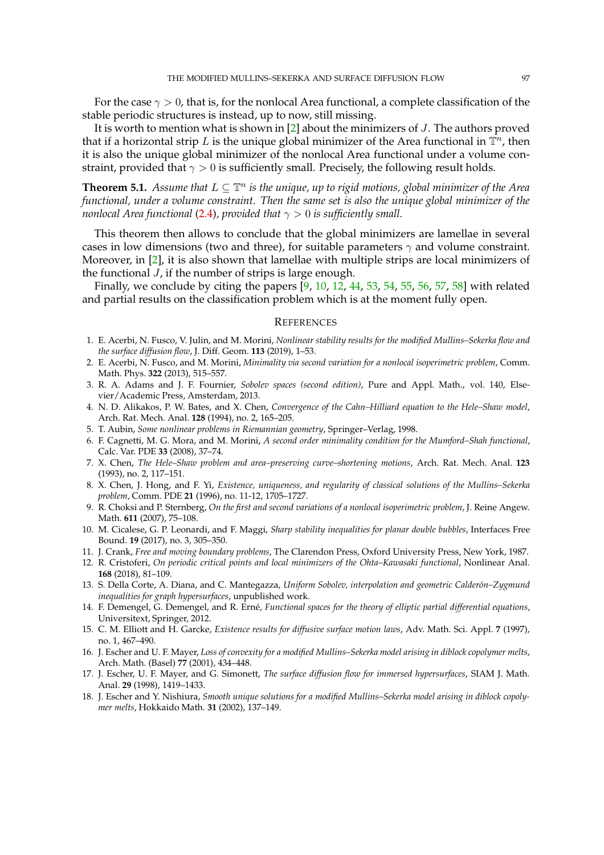For the case  $\gamma > 0$ , that is, for the nonlocal Area functional, a complete classification of the stable periodic structures is instead, up to now, still missing.

It is worth to mention what is shown in [\[2\]](#page-96-4) about the minimizers of J. The authors proved that if a horizontal strip  $L$  is the unique global minimizer of the Area functional in  $\mathbb{T}^n$ , then it is also the unique global minimizer of the nonlocal Area functional under a volume constraint, provided that  $\gamma > 0$  is sufficiently small. Precisely, the following result holds.

**Theorem 5.1.** *Assume that*  $L \subseteq \mathbb{T}^n$  *is the unique, up to rigid motions, global minimizer of the Area functional, under a volume constraint. Then the same set is also the unique global minimizer of the nonlocal Area functional* [\(2.4\)](#page-6-2), provided that  $\gamma > 0$  is sufficiently small.

This theorem then allows to conclude that the global minimizers are lamellae in several cases in low dimensions (two and three), for suitable parameters  $\gamma$  and volume constraint. Moreover, in [\[2\]](#page-96-4), it is also shown that lamellae with multiple strips are local minimizers of the functional  $J$ , if the number of strips is large enough.

Finally, we conclude by citing the papers [\[9,](#page-96-5) [10,](#page-96-6) [12,](#page-96-7) [44,](#page-97-7) [53,](#page-98-3) [54,](#page-98-4) [55,](#page-98-5) [56,](#page-98-6) [57,](#page-98-7) [58\]](#page-98-8) with related and partial results on the classification problem which is at the moment fully open.

## **REFERENCES**

- 1. E. Acerbi, N. Fusco, V. Julin, and M. Morini, *Nonlinear stability results for the modified Mullins–Sekerka flow and the surface diffusion flow*, J. Diff. Geom. **113** (2019), 1–53.
- <span id="page-96-4"></span>2. E. Acerbi, N. Fusco, and M. Morini, *Minimality via second variation for a nonlocal isoperimetric problem*, Comm. Math. Phys. **322** (2013), 515–557.
- 3. R. A. Adams and J. F. Fournier, *Sobolev spaces (second edition)*, Pure and Appl. Math., vol. 140, Elsevier/Academic Press, Amsterdam, 2013.
- 4. N. D. Alikakos, P. W. Bates, and X. Chen, *Convergence of the Cahn–Hilliard equation to the Hele–Shaw model*, Arch. Rat. Mech. Anal. **128** (1994), no. 2, 165–205.
- <span id="page-96-2"></span>5. T. Aubin, *Some nonlinear problems in Riemannian geometry*, Springer–Verlag, 1998.
- 6. F. Cagnetti, M. G. Mora, and M. Morini, *A second order minimality condition for the Mumford–Shah functional*, Calc. Var. PDE **33** (2008), 37–74.
- 7. X. Chen, *The Hele–Shaw problem and area–preserving curve–shortening motions*, Arch. Rat. Mech. Anal. **123** (1993), no. 2, 117–151.
- 8. X. Chen, J. Hong, and F. Yi, *Existence, uniqueness, and regularity of classical solutions of the Mullins–Sekerka problem*, Comm. PDE **21** (1996), no. 11-12, 1705–1727.
- <span id="page-96-5"></span>9. R. Choksi and P. Sternberg, *On the first and second variations of a nonlocal isoperimetric problem*, J. Reine Angew. Math. **611** (2007), 75–108.
- <span id="page-96-6"></span>10. M. Cicalese, G. P. Leonardi, and F. Maggi, *Sharp stability inequalities for planar double bubbles*, Interfaces Free Bound. **19** (2017), no. 3, 305–350.
- <span id="page-96-7"></span>11. J. Crank, *Free and moving boundary problems*, The Clarendon Press, Oxford University Press, New York, 1987.
- 12. R. Cristoferi, *On periodic critical points and local minimizers of the Ohta–Kawasaki functional*, Nonlinear Anal. **168** (2018), 81–109.
- <span id="page-96-0"></span>13. S. Della Corte, A. Diana, and C. Mantegazza, *Uniform Sobolev, interpolation and geometric Calder´on–Zygmund inequalities for graph hypersurfaces*, unpublished work.
- 14. F. Demengel, G. Demengel, and R. Ern´e, *Functional spaces for the theory of elliptic partial differential equations*, Universitext, Springer, 2012.
- <span id="page-96-3"></span>15. C. M. Elliott and H. Garcke, *Existence results for diffusive surface motion laws*, Adv. Math. Sci. Appl. **7** (1997), no. 1, 467–490.
- 16. J. Escher and U. F. Mayer, *Loss of convexity for a modified Mullins–Sekerka model arising in diblock copolymer melts*, Arch. Math. (Basel) **77** (2001), 434–448.
- 17. J. Escher, U. F. Mayer, and G. Simonett, *The surface diffusion flow for immersed hypersurfaces*, SIAM J. Math. Anal. **29** (1998), 1419–1433.
- <span id="page-96-1"></span>18. J. Escher and Y. Nishiura, *Smooth unique solutions for a modified Mullins–Sekerka model arising in diblock copolymer melts*, Hokkaido Math. **31** (2002), 137–149.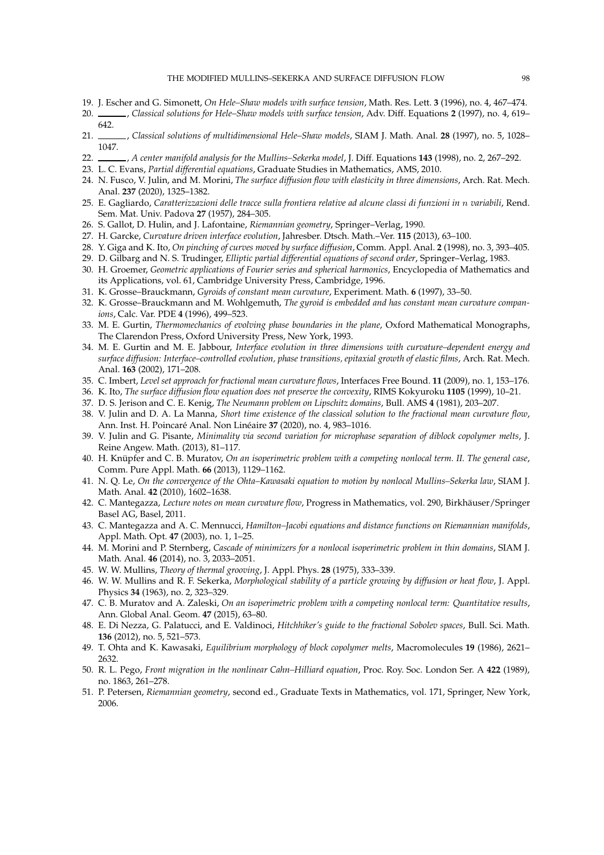- 19. J. Escher and G. Simonett, *On Hele–Shaw models with surface tension*, Math. Res. Lett. **3** (1996), no. 4, 467–474.
- 20. , *Classical solutions for Hele–Shaw models with surface tension*, Adv. Diff. Equations **2** (1997), no. 4, 619– 642.
- 21. , *Classical solutions of multidimensional Hele–Shaw models*, SIAM J. Math. Anal. **28** (1997), no. 5, 1028– 1047.
- <span id="page-97-0"></span>22. , *A center manifold analysis for the Mullins–Sekerka model*, J. Diff. Equations **143** (1998), no. 2, 267–292.
- <span id="page-97-3"></span>23. L. C. Evans, *Partial differential equations*, Graduate Studies in Mathematics, AMS, 2010.
- 24. N. Fusco, V. Julin, and M. Morini, *The surface diffusion flow with elasticity in three dimensions*, Arch. Rat. Mech. Anal. **237** (2020), 1325–1382.
- 25. E. Gagliardo, *Caratterizzazioni delle tracce sulla frontiera relative ad alcune classi di funzioni in* n *variabili*, Rend. Sem. Mat. Univ. Padova **27** (1957), 284–305.
- 26. S. Gallot, D. Hulin, and J. Lafontaine, *Riemannian geometry*, Springer–Verlag, 1990.
- 27. H. Garcke, *Curvature driven interface evolution*, Jahresber. Dtsch. Math.–Ver. **115** (2013), 63–100.
- 28. Y. Giga and K. Ito, *On pinching of curves moved by surface diffusion*, Comm. Appl. Anal. **2** (1998), no. 3, 393–405.
- <span id="page-97-4"></span>29. D. Gilbarg and N. S. Trudinger, *Elliptic partial differential equations of second order*, Springer–Verlag, 1983. 30. H. Groemer, *Geometric applications of Fourier series and spherical harmonics*, Encyclopedia of Mathematics and
- <span id="page-97-5"></span>its Applications, vol. 61, Cambridge University Press, Cambridge, 1996.
- <span id="page-97-6"></span>31. K. Grosse–Brauckmann, *Gyroids of constant mean curvature*, Experiment. Math. **6** (1997), 33–50.
- 32. K. Grosse–Brauckmann and M. Wohlgemuth, *The gyroid is embedded and has constant mean curvature companions*, Calc. Var. PDE **4** (1996), 499–523.
- 33. M. E. Gurtin, *Thermomechanics of evolving phase boundaries in the plane*, Oxford Mathematical Monographs, The Clarendon Press, Oxford University Press, New York, 1993.
- 34. M. E. Gurtin and M. E. Jabbour, *Interface evolution in three dimensions with curvature–dependent energy and surface diffusion: Interface–controlled evolution, phase transitions, epitaxial growth of elastic films*, Arch. Rat. Mech. Anal. **163** (2002), 171–208.
- 35. C. Imbert, *Level set approach for fractional mean curvature flows*, Interfaces Free Bound. **11** (2009), no. 1, 153–176.
- 36. K. Ito, *The surface diffusion flow equation does not preserve the convexity*, RIMS Kokyuroku **1105** (1999), 10–21.
- 37. D. S. Jerison and C. E. Kenig, *The Neumann problem on Lipschitz domains*, Bull. AMS **4** (1981), 203–207.
- 38. V. Julin and D. A. La Manna, *Short time existence of the classical solution to the fractional mean curvature flow*, Ann. Inst. H. Poincar´e Anal. Non Lin´eaire **37** (2020), no. 4, 983–1016.
- <span id="page-97-1"></span>39. V. Julin and G. Pisante, *Minimality via second variation for microphase separation of diblock copolymer melts*, J. Reine Angew. Math. (2013), 81–117.
- 40. H. Knüpfer and C. B. Muratov, *On an isoperimetric problem with a competing nonlocal term. II. The general case*, Comm. Pure Appl. Math. **66** (2013), 1129–1162.
- 41. N. Q. Le, *On the convergence of the Ohta–Kawasaki equation to motion by nonlocal Mullins–Sekerka law*, SIAM J. Math. Anal. **42** (2010), 1602–1638.
- <span id="page-97-2"></span>42. C. Mantegazza, *Lecture notes on mean curvature flow*, Progress in Mathematics, vol. 290, Birkhäuser/Springer Basel AG, Basel, 2011.
- 43. C. Mantegazza and A. C. Mennucci, *Hamilton–Jacobi equations and distance functions on Riemannian manifolds*, Appl. Math. Opt. **47** (2003), no. 1, 1–25.
- <span id="page-97-7"></span>44. M. Morini and P. Sternberg, *Cascade of minimizers for a nonlocal isoperimetric problem in thin domains*, SIAM J. Math. Anal. **46** (2014), no. 3, 2033–2051.
- 45. W. W. Mullins, *Theory of thermal grooving*, J. Appl. Phys. **28** (1975), 333–339.
- 46. W. W. Mullins and R. F. Sekerka, *Morphological stability of a particle growing by diffusion or heat flow*, J. Appl. Physics **34** (1963), no. 2, 323–329.
- 47. C. B. Muratov and A. Zaleski, *On an isoperimetric problem with a competing nonlocal term: Quantitative results*, Ann. Global Anal. Geom. **47** (2015), 63–80.
- 48. E. Di Nezza, G. Palatucci, and E. Valdinoci, *Hitchhiker's guide to the fractional Sobolev spaces*, Bull. Sci. Math. **136** (2012), no. 5, 521–573.
- 49. T. Ohta and K. Kawasaki, *Equilibrium morphology of block copolymer melts*, Macromolecules **19** (1986), 2621– 2632.
- 50. R. L. Pego, *Front migration in the nonlinear Cahn–Hilliard equation*, Proc. Roy. Soc. London Ser. A **422** (1989), no. 1863, 261–278.
- 51. P. Petersen, *Riemannian geometry*, second ed., Graduate Texts in Mathematics, vol. 171, Springer, New York, 2006.